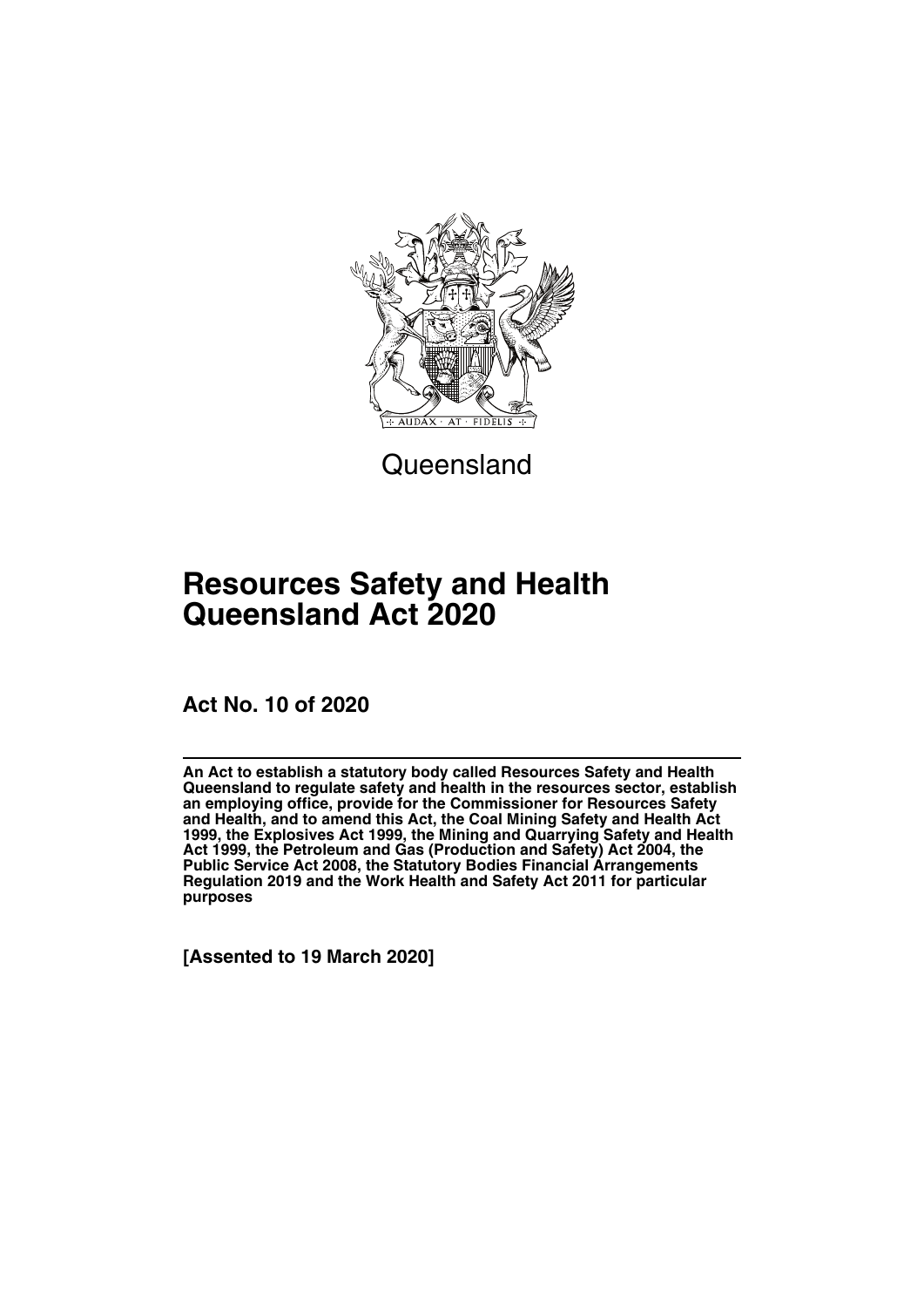

**Queensland** 

# **Resources Safety and Health Queensland Act 2020**

**Act No. 10 of 2020**

**An Act to establish a statutory body called Resources Safety and Health Queensland to regulate safety and health in the resources sector, establish an employing office, provide for the Commissioner for Resources Safety and Health, and to amend this Act, the Coal Mining Safety and Health Act 1999, the Explosives Act 1999, the Mining and Quarrying Safety and Health Act 1999, the Petroleum and Gas (Production and Safety) Act 2004, the Public Service Act 2008, the Statutory Bodies Financial Arrangements Regulation 2019 and the Work Health and Safety Act 2011 for particular purposes**

**[Assented to 19 March 2020]**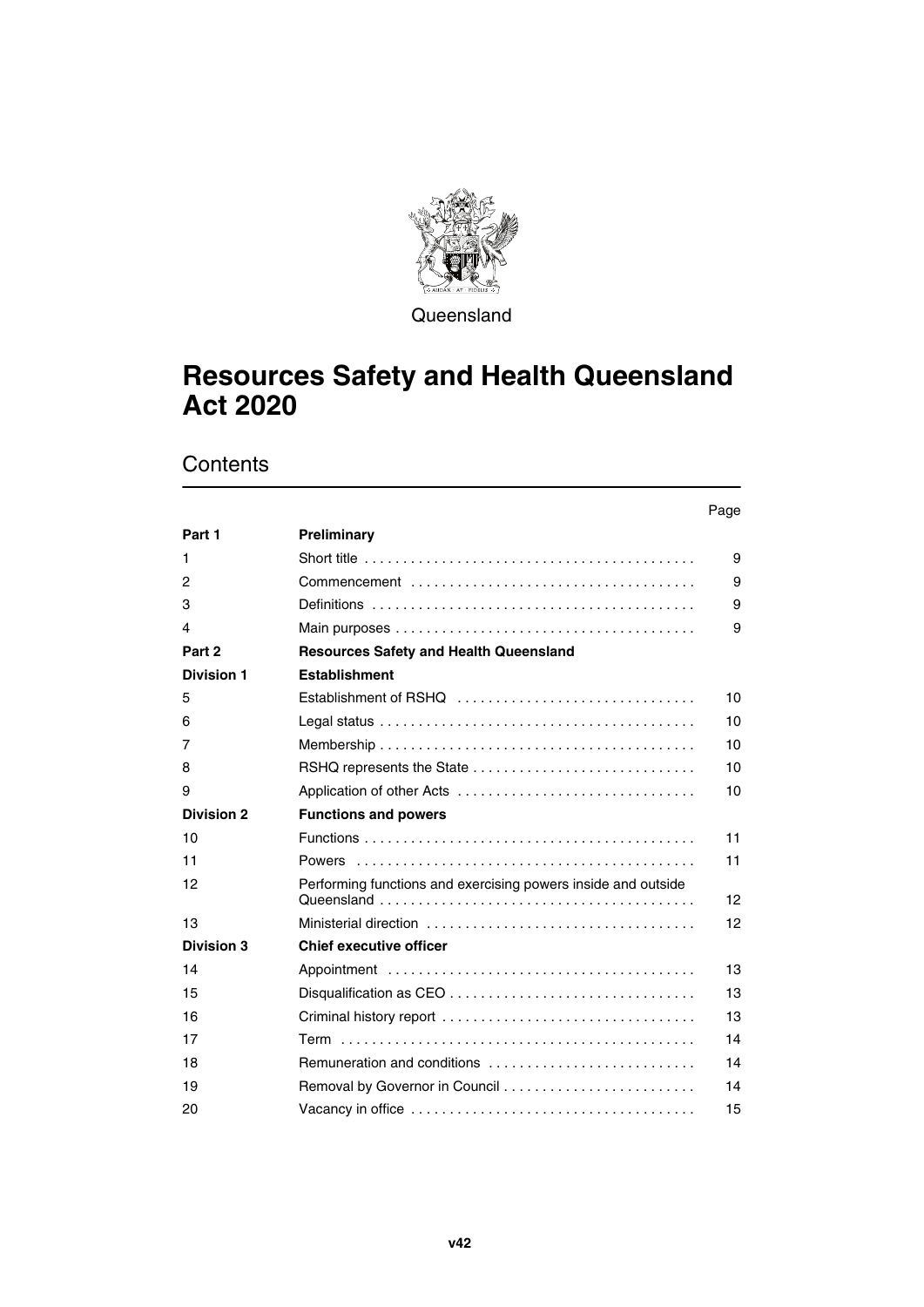

**Queensland** 

# **Resources Safety and Health Queensland Act 2020**

# **Contents**

## Page **[Part 1](#page-10-0) [Preliminary](#page-10-1)**  [Short title . . . . . . . . . . . . . . . . . . . . . . . . . . . . . . . . . . . . . . . . . . . 9](#page-10-3)  [Commencement . . . . . . . . . . . . . . . . . . . . . . . . . . . . . . . . . . . . . 9](#page-10-5)  [Definitions . . . . . . . . . . . . . . . . . . . . . . . . . . . . . . . . . . . . . . . . . . 9](#page-10-7)  [Main purposes . . . . . . . . . . . . . . . . . . . . . . . . . . . . . . . . . . . . . . . 9](#page-10-9) **[Part 2](#page-11-0) [Resources Safety and Health Queensland](#page-11-1) [Division 1](#page-11-2) [Establishment](#page-11-3)**  [Establishment of RSHQ . . . . . . . . . . . . . . . . . . . . . . . . . . . . . . . 10](#page-11-5)  [Legal status . . . . . . . . . . . . . . . . . . . . . . . . . . . . . . . . . . . . . . . . . 10](#page-11-7)  [Membership . . . . . . . . . . . . . . . . . . . . . . . . . . . . . . . . . . . . . . . . . 10](#page-11-9)  [RSHQ represents the State . . . . . . . . . . . . . . . . . . . . . . . . . . . . . 10](#page-11-11)  [Application of other Acts . . . . . . . . . . . . . . . . . . . . . . . . . . . . . . . 10](#page-11-13) **[Division 2](#page-12-0) [Functions and powers](#page-12-1)**  [Functions . . . . . . . . . . . . . . . . . . . . . . . . . . . . . . . . . . . . . . . . . . . 11](#page-12-3)  [Powers . . . . . . . . . . . . . . . . . . . . . . . . . . . . . . . . . . . . . . . . . . . . 11](#page-12-5)  [Performing functions and exercising powers inside and outside](#page-13-1)  [Queensland . . . . . . . . . . . . . . . . . . . . . . . . . . . . . . . . . . . . . . . . . 12](#page-13-1)  [Ministerial direction . . . . . . . . . . . . . . . . . . . . . . . . . . . . . . . . . . . 12](#page-13-3) **[Division 3](#page-14-0) [Chief executive officer](#page-14-1)**  [Appointment . . . . . . . . . . . . . . . . . . . . . . . . . . . . . . . . . . . . . . . . 13](#page-14-3)  [Disqualification as CEO . . . . . . . . . . . . . . . . . . . . . . . . . . . . . . . . 13](#page-14-5)  [Criminal history report . . . . . . . . . . . . . . . . . . . . . . . . . . . . . . . . . 13](#page-14-7)  [Term . . . . . . . . . . . . . . . . . . . . . . . . . . . . . . . . . . . . . . . . . . . . . . 14](#page-15-1)  [Remuneration and conditions . . . . . . . . . . . . . . . . . . . . . . . . . . . 14](#page-15-3)  [Removal by Governor in Council . . . . . . . . . . . . . . . . . . . . . . . . . 14](#page-15-5)  [Vacancy in office . . . . . . . . . . . . . . . . . . . . . . . . . . . . . . . . . . . . . 15](#page-16-1)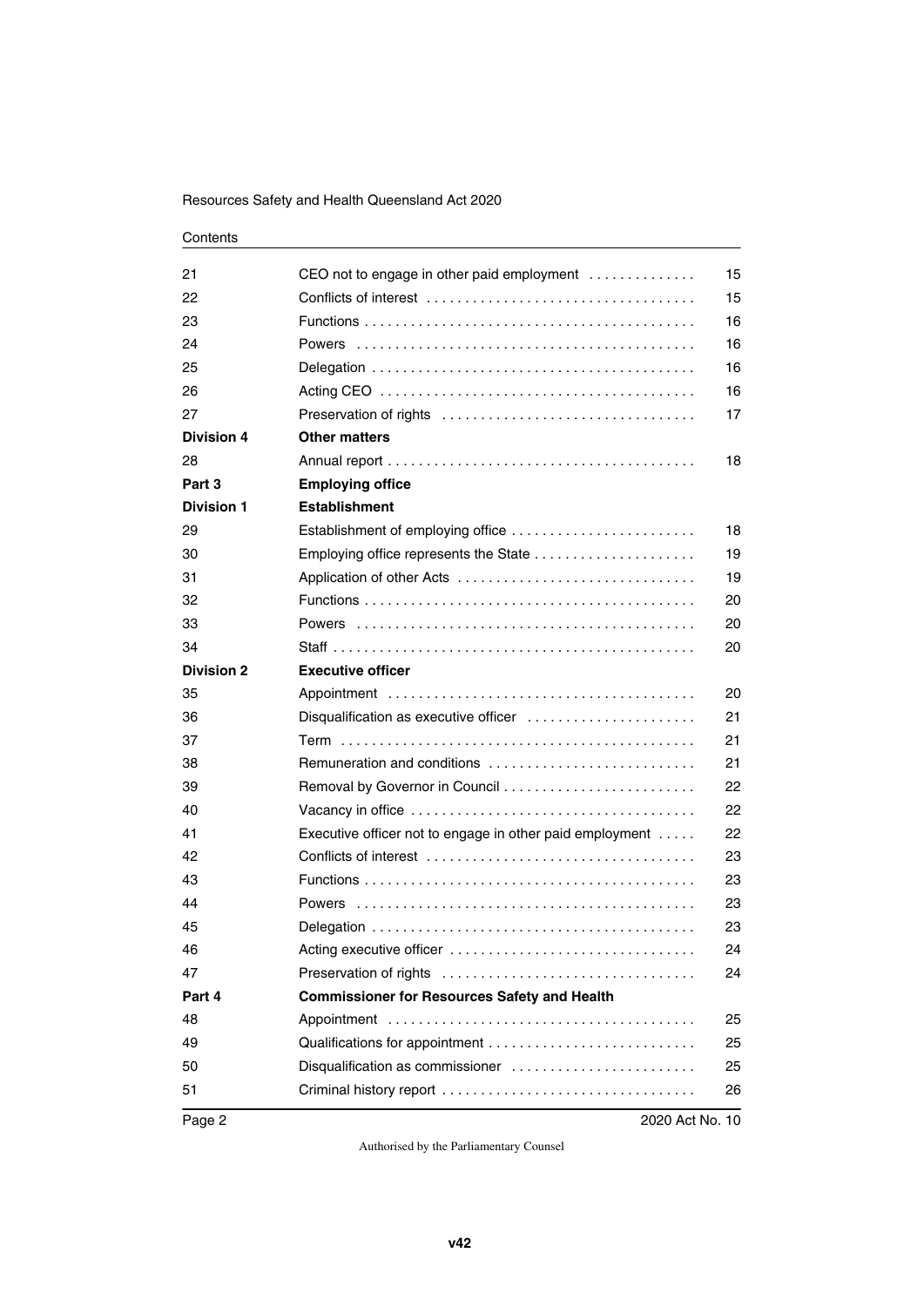| 21                | CEO not to engage in other paid employment                         | 15 |
|-------------------|--------------------------------------------------------------------|----|
| 22                |                                                                    | 15 |
| 23                |                                                                    | 16 |
| 24                |                                                                    | 16 |
| 25                |                                                                    | 16 |
| 26                |                                                                    | 16 |
| 27                |                                                                    | 17 |
| <b>Division 4</b> | <b>Other matters</b>                                               |    |
| 28                |                                                                    | 18 |
| Part 3            | <b>Employing office</b>                                            |    |
| <b>Division 1</b> | <b>Establishment</b>                                               |    |
| 29                | Establishment of employing office                                  | 18 |
| 30                |                                                                    | 19 |
| 31                |                                                                    | 19 |
| 32                |                                                                    | 20 |
| 33                |                                                                    | 20 |
| 34                |                                                                    | 20 |
| <b>Division 2</b> | <b>Executive officer</b>                                           |    |
| 35                |                                                                    | 20 |
| 36                | Disqualification as executive officer                              | 21 |
| 37                |                                                                    | 21 |
| 38                | Remuneration and conditions                                        | 21 |
| 39                |                                                                    | 22 |
| 40                |                                                                    | 22 |
| 41                | Executive officer not to engage in other paid employment $\dots$ . | 22 |
| 42                |                                                                    | 23 |
| 43                |                                                                    | 23 |
| 44                |                                                                    | 23 |
| 45                |                                                                    | 23 |
| 46                |                                                                    | 24 |
| 47                |                                                                    | 24 |
| Part 4            | <b>Commissioner for Resources Safety and Health</b>                |    |
| 48                |                                                                    | 25 |
| 49                |                                                                    | 25 |
| 50                | Disqualification as commissioner                                   | 25 |
| 51                |                                                                    | 26 |
|                   |                                                                    |    |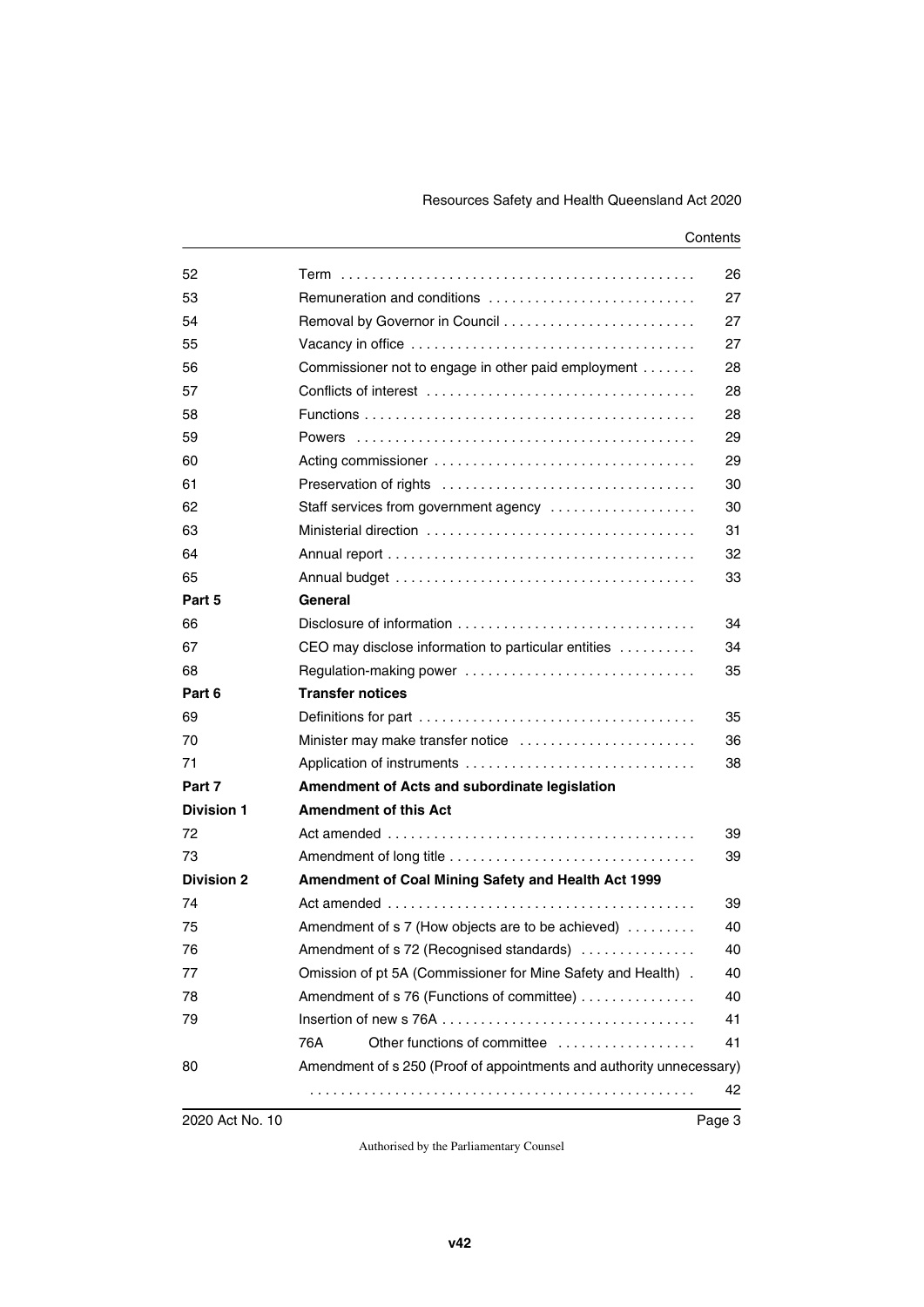| 52                |                                                                      | 26 |  |
|-------------------|----------------------------------------------------------------------|----|--|
| 53                | Remuneration and conditions                                          | 27 |  |
| 54                |                                                                      | 27 |  |
| 55                |                                                                      | 27 |  |
| 56                | Commissioner not to engage in other paid employment                  | 28 |  |
| 57                |                                                                      | 28 |  |
| 58                |                                                                      | 28 |  |
| 59                |                                                                      | 29 |  |
| 60                |                                                                      | 29 |  |
| 61                |                                                                      | 30 |  |
| 62                | Staff services from government agency                                | 30 |  |
| 63                |                                                                      | 31 |  |
| 64                |                                                                      | 32 |  |
| 65                |                                                                      | 33 |  |
| Part 5            | General                                                              |    |  |
| 66                |                                                                      | 34 |  |
| 67                | CEO may disclose information to particular entities                  | 34 |  |
| 68                | Regulation-making power                                              | 35 |  |
| Part 6            | <b>Transfer notices</b>                                              |    |  |
| 69                |                                                                      | 35 |  |
| 70                | Minister may make transfer notice                                    | 36 |  |
| 71                |                                                                      | 38 |  |
| Part 7            | Amendment of Acts and subordinate legislation                        |    |  |
| <b>Division 1</b> | <b>Amendment of this Act</b>                                         |    |  |
| 72                |                                                                      | 39 |  |
| 73                |                                                                      | 39 |  |
| <b>Division 2</b> | Amendment of Coal Mining Safety and Health Act 1999                  |    |  |
| 74                |                                                                      | 39 |  |
| 75                | Amendment of s 7 (How objects are to be achieved)                    | 40 |  |
| 76                | Amendment of s 72 (Recognised standards)                             |    |  |
| 77                | Omission of pt 5A (Commissioner for Mine Safety and Health).         | 40 |  |
| 78                | Amendment of s 76 (Functions of committee)                           | 40 |  |
| 79                |                                                                      | 41 |  |
|                   | Other functions of committee<br>76A                                  | 41 |  |
| 80                | Amendment of s 250 (Proof of appointments and authority unnecessary) |    |  |
|                   |                                                                      | 42 |  |
|                   |                                                                      |    |  |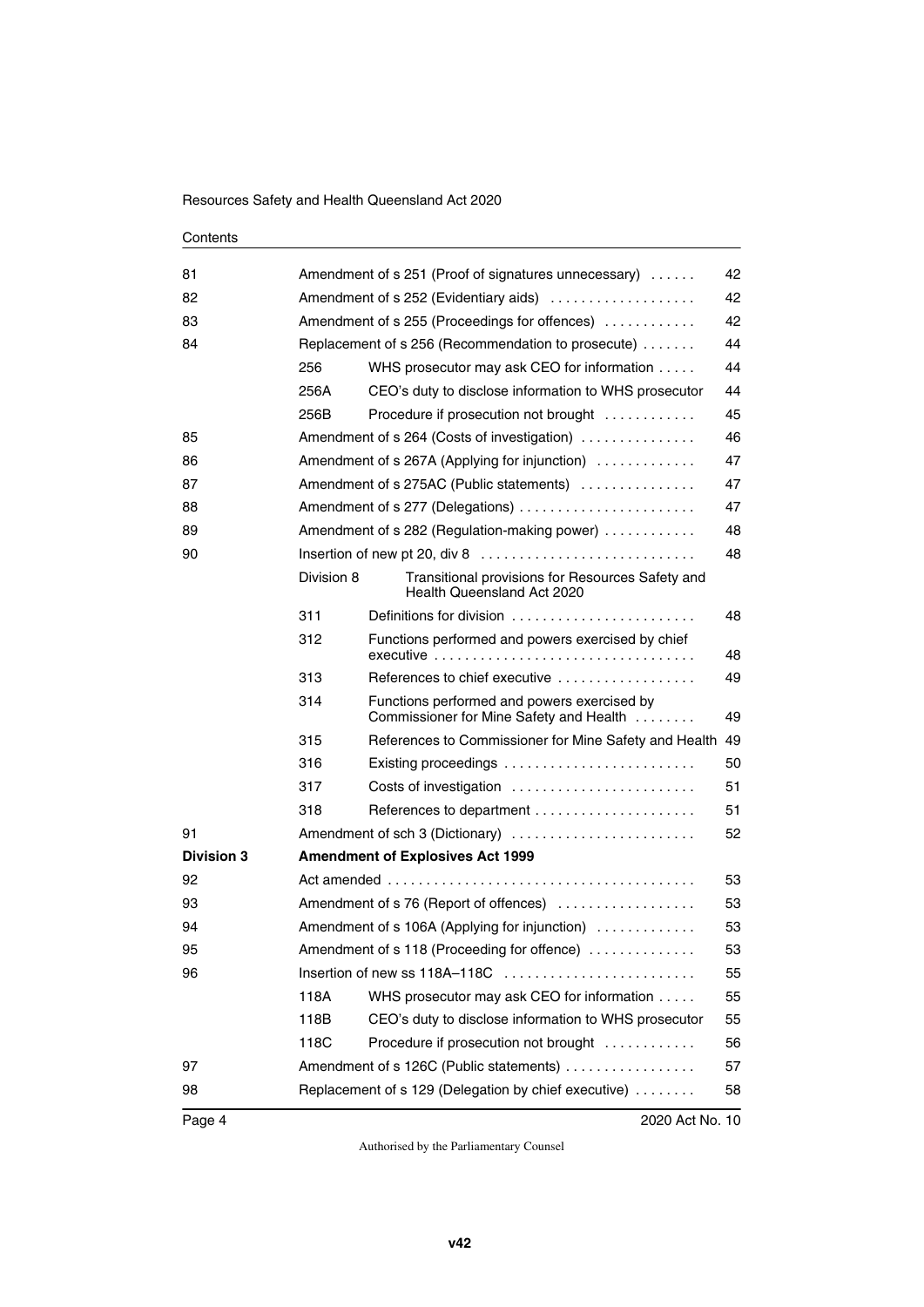| 81                | 42<br>Amendment of s 251 (Proof of signatures unnecessary) |                                                                                             |    |  |  |
|-------------------|------------------------------------------------------------|---------------------------------------------------------------------------------------------|----|--|--|
| 82                |                                                            | 42<br>Amendment of s 252 (Evidentiary aids)                                                 |    |  |  |
| 83                |                                                            | 42<br>Amendment of s 255 (Proceedings for offences)                                         |    |  |  |
| 84                |                                                            | Replacement of s 256 (Recommendation to prosecute)                                          | 44 |  |  |
|                   | 256                                                        | WHS prosecutor may ask CEO for information                                                  | 44 |  |  |
|                   | 256A                                                       | CEO's duty to disclose information to WHS prosecutor                                        | 44 |  |  |
|                   | 256B                                                       | Procedure if prosecution not brought                                                        | 45 |  |  |
| 85                |                                                            | Amendment of s 264 (Costs of investigation)                                                 | 46 |  |  |
| 86                |                                                            | Amendment of s 267A (Applying for injunction)                                               | 47 |  |  |
| 87                |                                                            | Amendment of s 275AC (Public statements)                                                    | 47 |  |  |
| 88                |                                                            | Amendment of s 277 (Delegations)                                                            | 47 |  |  |
| 89                |                                                            | Amendment of s 282 (Regulation-making power)                                                | 48 |  |  |
| 90                |                                                            | Insertion of new pt 20, div 8 $\dots \dots \dots \dots \dots \dots \dots \dots \dots \dots$ | 48 |  |  |
|                   | Division 8                                                 | Transitional provisions for Resources Safety and<br>Health Queensland Act 2020              |    |  |  |
|                   | 311                                                        | Definitions for division                                                                    | 48 |  |  |
|                   | 312                                                        | Functions performed and powers exercised by chief<br>executive                              | 48 |  |  |
|                   | 313                                                        | References to chief executive $\ldots, \ldots, \ldots, \ldots, \ldots$                      | 49 |  |  |
|                   | 314                                                        | Functions performed and powers exercised by<br>Commissioner for Mine Safety and Health      | 49 |  |  |
|                   | 315                                                        | References to Commissioner for Mine Safety and Health                                       | 49 |  |  |
|                   | 316                                                        | Existing proceedings $\ldots \ldots \ldots \ldots \ldots \ldots \ldots \ldots$              | 50 |  |  |
|                   | 317                                                        | Costs of investigation                                                                      | 51 |  |  |
|                   | 318                                                        |                                                                                             | 51 |  |  |
| 91                |                                                            | Amendment of sch 3 (Dictionary)                                                             | 52 |  |  |
| <b>Division 3</b> |                                                            | <b>Amendment of Explosives Act 1999</b>                                                     |    |  |  |
| 92                |                                                            |                                                                                             | 53 |  |  |
| 93                |                                                            | Amendment of s 76 (Report of offences)<br>53                                                |    |  |  |
| 94                |                                                            | Amendment of s 106A (Applying for injunction)<br>53                                         |    |  |  |
| 95                |                                                            | Amendment of s 118 (Proceeding for offence)<br>53                                           |    |  |  |
| 96                | 55                                                         |                                                                                             |    |  |  |
|                   | 118A                                                       | WHS prosecutor may ask CEO for information                                                  | 55 |  |  |
|                   | 118B                                                       | CEO's duty to disclose information to WHS prosecutor                                        | 55 |  |  |
|                   | 118C                                                       | Procedure if prosecution not brought                                                        | 56 |  |  |
| 97                |                                                            | Amendment of s 126C (Public statements)                                                     | 57 |  |  |
| 98                |                                                            | Replacement of s 129 (Delegation by chief executive)<br>58                                  |    |  |  |
|                   |                                                            |                                                                                             |    |  |  |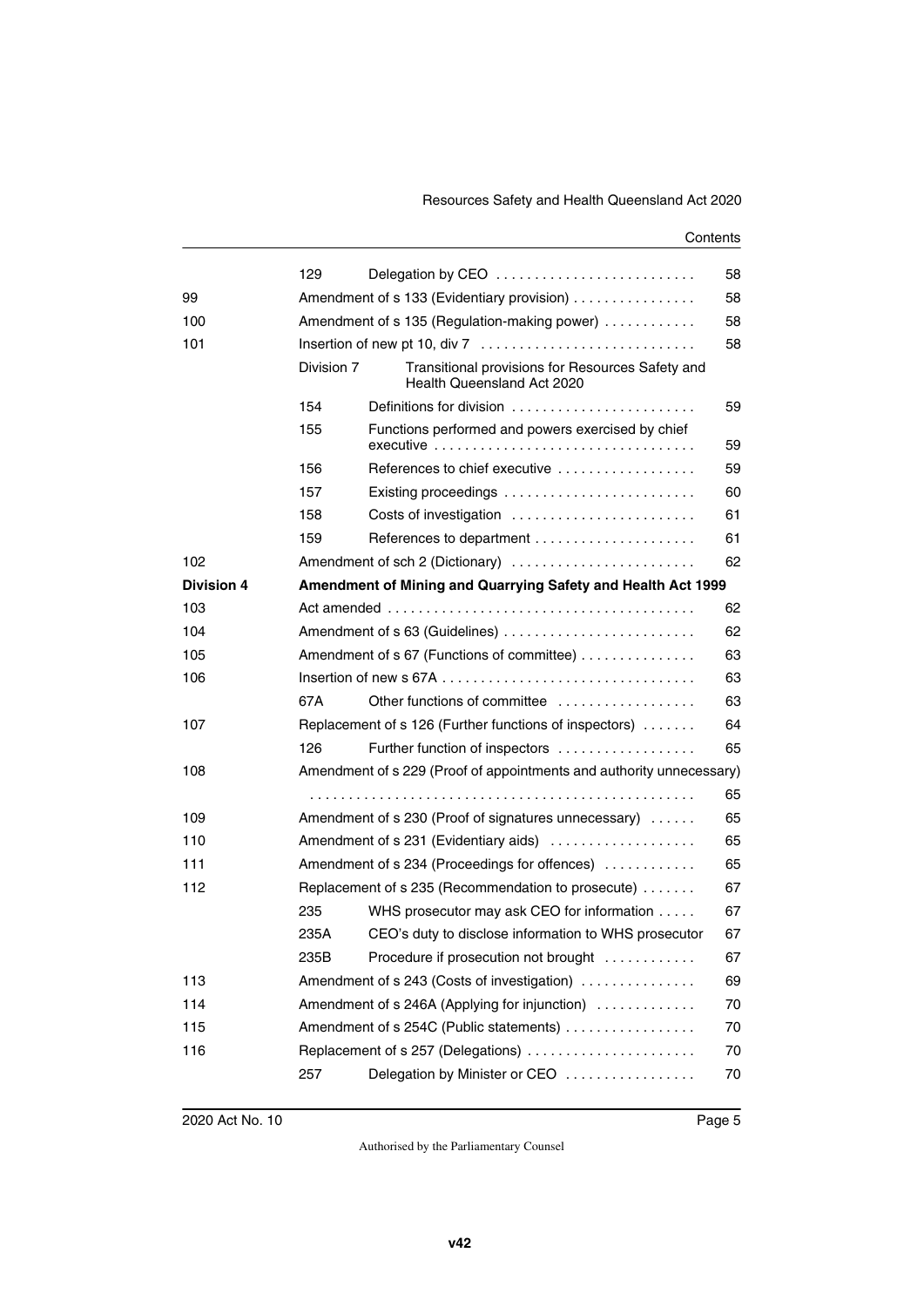|                   | 129                                                      | Delegation by CEO                                                              | 58 |  |
|-------------------|----------------------------------------------------------|--------------------------------------------------------------------------------|----|--|
| 99                |                                                          | Amendment of s 133 (Evidentiary provision)                                     |    |  |
| 100               |                                                          | Amendment of s 135 (Regulation-making power)                                   |    |  |
| 101               |                                                          | 58                                                                             |    |  |
|                   | Division 7                                               | Transitional provisions for Resources Safety and<br>Health Queensland Act 2020 |    |  |
|                   | 154                                                      | Definitions for division                                                       | 59 |  |
|                   | 155                                                      | Functions performed and powers exercised by chief                              | 59 |  |
|                   | 156                                                      | References to chief executive $\ldots, \ldots, \ldots, \ldots, \ldots$         | 59 |  |
|                   | 157                                                      |                                                                                | 60 |  |
|                   | 158                                                      | Costs of investigation                                                         | 61 |  |
|                   | 159                                                      |                                                                                | 61 |  |
| 102               |                                                          | Amendment of sch 2 (Dictionary)                                                | 62 |  |
| <b>Division 4</b> |                                                          | Amendment of Mining and Quarrying Safety and Health Act 1999                   |    |  |
| 103               |                                                          |                                                                                | 62 |  |
| 104               |                                                          | 62                                                                             |    |  |
| 105               |                                                          | Amendment of s 67 (Functions of committee)                                     | 63 |  |
| 106               |                                                          |                                                                                | 63 |  |
|                   | 67A                                                      | Other functions of committee                                                   | 63 |  |
| 107               |                                                          | Replacement of s 126 (Further functions of inspectors)                         | 64 |  |
|                   | 126                                                      | Further function of inspectors                                                 | 65 |  |
| 108               |                                                          | Amendment of s 229 (Proof of appointments and authority unnecessary)           |    |  |
|                   |                                                          |                                                                                | 65 |  |
| 109               |                                                          | Amendment of s 230 (Proof of signatures unnecessary)                           | 65 |  |
| 110               |                                                          | Amendment of s 231 (Evidentiary aids)                                          | 65 |  |
| 111               |                                                          | Amendment of s 234 (Proceedings for offences)                                  | 65 |  |
| 112               | Replacement of s 235 (Recommendation to prosecute)<br>67 |                                                                                |    |  |
|                   | 235                                                      | WHS prosecutor may ask CEO for information                                     | 67 |  |
|                   | 235A                                                     | CEO's duty to disclose information to WHS prosecutor                           | 67 |  |
|                   | 235B                                                     | Procedure if prosecution not brought                                           | 67 |  |
| 113               |                                                          | Amendment of s 243 (Costs of investigation)                                    | 69 |  |
| 114               |                                                          | Amendment of s 246A (Applying for injunction)<br>70                            |    |  |
| 115               |                                                          | Amendment of s 254C (Public statements)                                        | 70 |  |
| 116               |                                                          | Replacement of s 257 (Delegations)                                             | 70 |  |
|                   | 257                                                      | Delegation by Minister or CEO                                                  | 70 |  |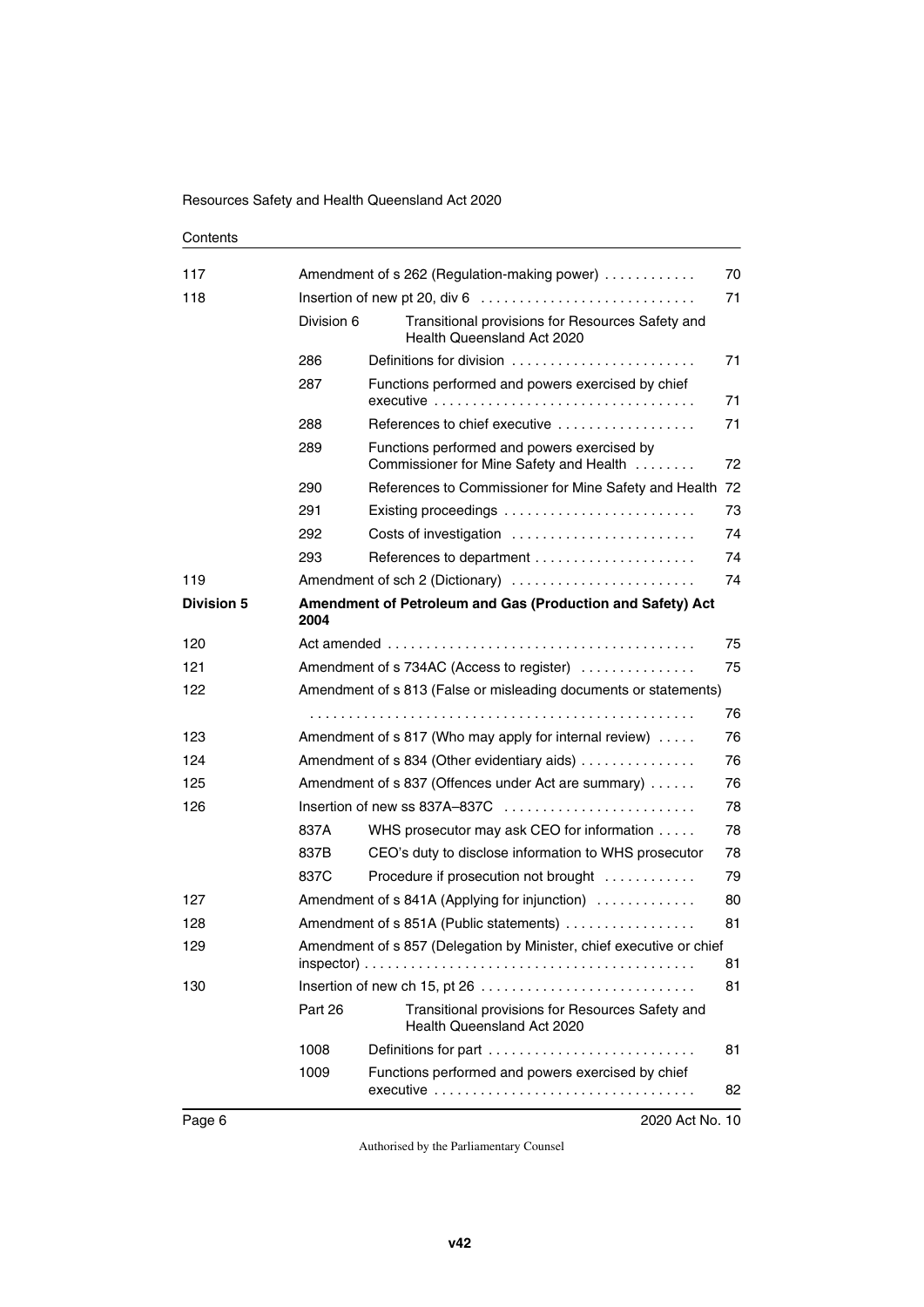| Contents |
|----------|
|----------|

| 117               |                                                                            | Amendment of s 262 (Regulation-making power)                                                                                                                                  | 70 |
|-------------------|----------------------------------------------------------------------------|-------------------------------------------------------------------------------------------------------------------------------------------------------------------------------|----|
| 118               | Division 6                                                                 | Insertion of new pt 20, div 6 $\dots \dots \dots \dots \dots \dots \dots \dots \dots \dots$<br>Transitional provisions for Resources Safety and<br>Health Queensland Act 2020 | 71 |
|                   | 286                                                                        | Definitions for division                                                                                                                                                      | 71 |
|                   | 287                                                                        | Functions performed and powers exercised by chief                                                                                                                             | 71 |
|                   | 288                                                                        | References to chief executive                                                                                                                                                 | 71 |
|                   | 289                                                                        | Functions performed and powers exercised by<br>Commissioner for Mine Safety and Health                                                                                        | 72 |
|                   | 290                                                                        | References to Commissioner for Mine Safety and Health 72                                                                                                                      |    |
|                   | 291                                                                        |                                                                                                                                                                               | 73 |
|                   | 292                                                                        | Costs of investigation                                                                                                                                                        | 74 |
|                   | 293                                                                        |                                                                                                                                                                               | 74 |
| 119               |                                                                            | Amendment of sch 2 (Dictionary)                                                                                                                                               | 74 |
| <b>Division 5</b> | Amendment of Petroleum and Gas (Production and Safety) Act<br>2004         |                                                                                                                                                                               |    |
| 120               |                                                                            |                                                                                                                                                                               | 75 |
| 121               | 75<br>Amendment of s 734AC (Access to register)                            |                                                                                                                                                                               |    |
| 122               |                                                                            | Amendment of s 813 (False or misleading documents or statements)                                                                                                              |    |
|                   |                                                                            |                                                                                                                                                                               | 76 |
| 123               | 76<br>Amendment of s 817 (Who may apply for internal review)               |                                                                                                                                                                               |    |
| 124               | Amendment of s 834 (Other evidentiary aids)<br>76                          |                                                                                                                                                                               |    |
| 125               | 76<br>Amendment of s 837 (Offences under Act are summary)                  |                                                                                                                                                                               |    |
| 126               |                                                                            |                                                                                                                                                                               | 78 |
|                   | 837A                                                                       | WHS prosecutor may ask CEO for information                                                                                                                                    | 78 |
|                   | 837B                                                                       | CEO's duty to disclose information to WHS prosecutor                                                                                                                          | 78 |
|                   | 837C                                                                       | Procedure if prosecution not brought                                                                                                                                          | 79 |
| 127               |                                                                            | Amendment of s 841A (Applying for injunction)                                                                                                                                 | 80 |
| 128               | Amendment of s 851A (Public statements)                                    |                                                                                                                                                                               | 81 |
| 129               | Amendment of s 857 (Delegation by Minister, chief executive or chief<br>81 |                                                                                                                                                                               |    |
| 130               |                                                                            |                                                                                                                                                                               | 81 |
|                   | Part 26                                                                    | Transitional provisions for Resources Safety and<br>Health Queensland Act 2020                                                                                                |    |
|                   | 1008                                                                       | Definitions for part                                                                                                                                                          | 81 |
|                   | 1009                                                                       | Functions performed and powers exercised by chief<br>executive                                                                                                                | 82 |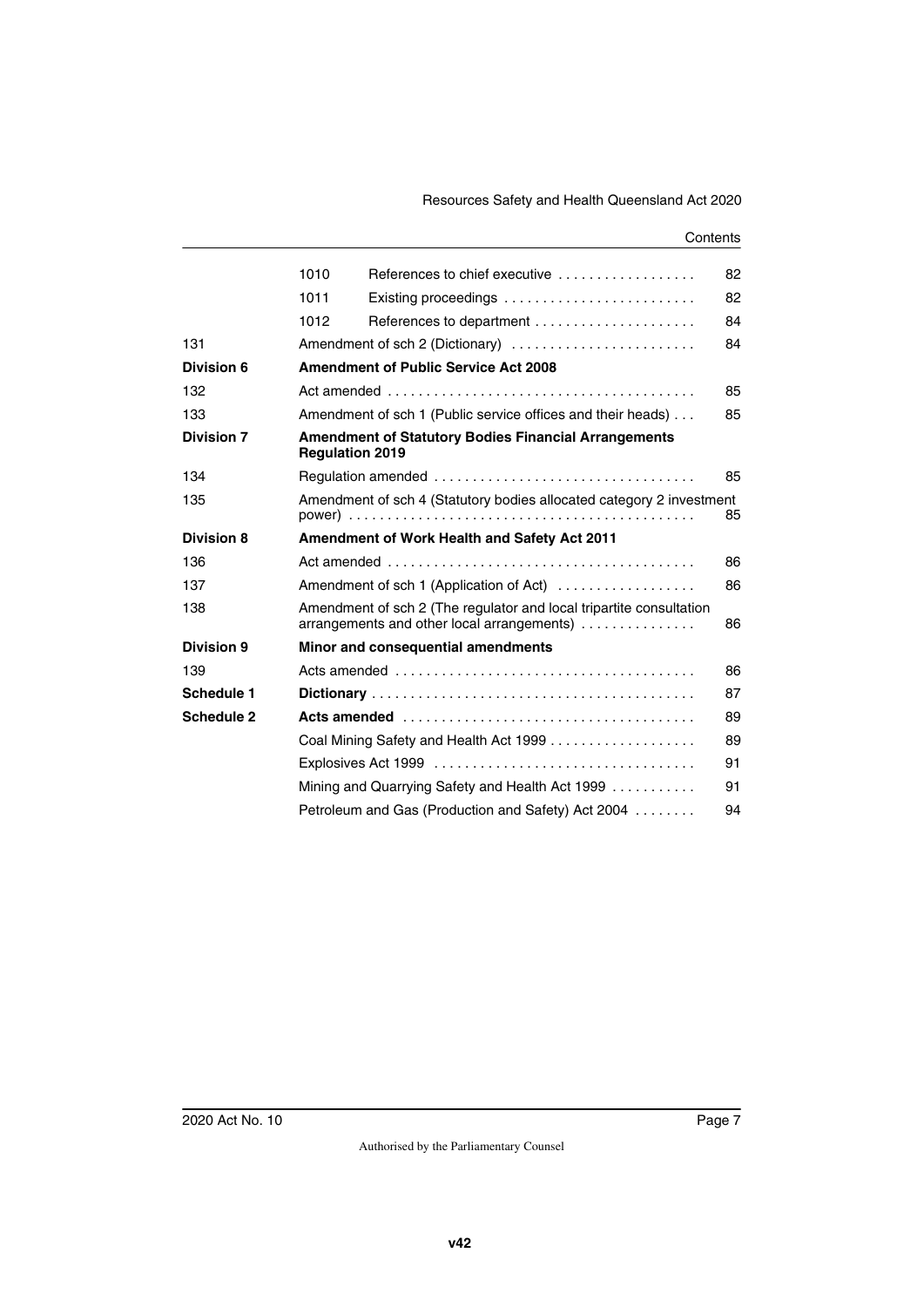|                   | 1010 | References to chief executive                                                                                     | 82 |  |  |
|-------------------|------|-------------------------------------------------------------------------------------------------------------------|----|--|--|
|                   | 1011 | Existing proceedings $\ldots \ldots \ldots \ldots \ldots \ldots \ldots \ldots$                                    | 82 |  |  |
|                   | 1012 |                                                                                                                   | 84 |  |  |
| 131               |      | Amendment of sch 2 (Dictionary)                                                                                   | 84 |  |  |
| Division 6        |      | <b>Amendment of Public Service Act 2008</b>                                                                       |    |  |  |
| 132               |      |                                                                                                                   | 85 |  |  |
| 133               |      | Amendment of sch 1 (Public service offices and their heads)<br>85                                                 |    |  |  |
| <b>Division 7</b> |      | <b>Amendment of Statutory Bodies Financial Arrangements</b><br><b>Regulation 2019</b>                             |    |  |  |
| 134               |      |                                                                                                                   | 85 |  |  |
| 135               |      | Amendment of sch 4 (Statutory bodies allocated category 2 investment<br>85                                        |    |  |  |
| <b>Division 8</b> |      | <b>Amendment of Work Health and Safety Act 2011</b>                                                               |    |  |  |
| 136               |      |                                                                                                                   | 86 |  |  |
| 137               |      | Amendment of sch 1 (Application of Act)                                                                           | 86 |  |  |
| 138               |      | Amendment of sch 2 (The regulator and local tripartite consultation<br>arrangements and other local arrangements) | 86 |  |  |
| Division 9        |      | Minor and consequential amendments                                                                                |    |  |  |
| 139               |      |                                                                                                                   | 86 |  |  |
| Schedule 1        |      |                                                                                                                   | 87 |  |  |
| Schedule 2        |      |                                                                                                                   | 89 |  |  |
|                   |      | Coal Mining Safety and Health Act 1999                                                                            | 89 |  |  |
|                   |      |                                                                                                                   | 91 |  |  |
|                   |      | Mining and Quarrying Safety and Health Act 1999                                                                   | 91 |  |  |
|                   |      | Petroleum and Gas (Production and Safety) Act 2004                                                                | 94 |  |  |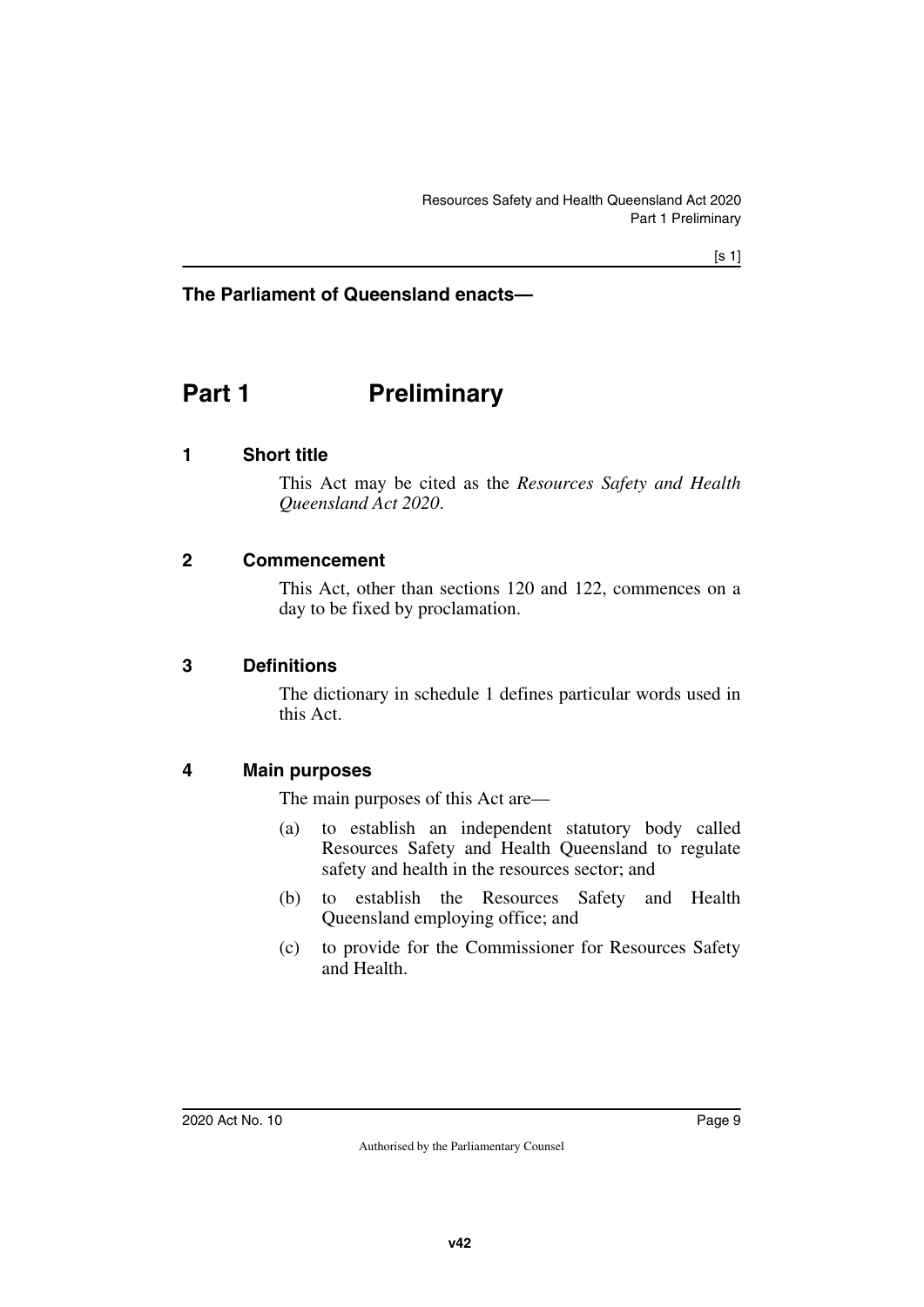#### **The Parliament of Queensland enacts—**

# <span id="page-10-0"></span>**Part 1** Preliminary

#### <span id="page-10-2"></span>**1 Short title**

<span id="page-10-3"></span><span id="page-10-1"></span>This Act may be cited as the *Resources Safety and Health Queensland Act 2020*.

#### <span id="page-10-4"></span>**2 Commencement**

<span id="page-10-5"></span>This Act, other than sections 120 and 122, commences on a day to be fixed by proclamation.

#### <span id="page-10-6"></span>**3 Definitions**

<span id="page-10-7"></span>The dictionary in schedule 1 defines particular words used in this Act.

#### <span id="page-10-8"></span>**4 Main purposes**

<span id="page-10-9"></span>The main purposes of this Act are—

- (a) to establish an independent statutory body called Resources Safety and Health Queensland to regulate safety and health in the resources sector; and
- (b) to establish the Resources Safety and Health Queensland employing office; and
- (c) to provide for the Commissioner for Resources Safety and Health.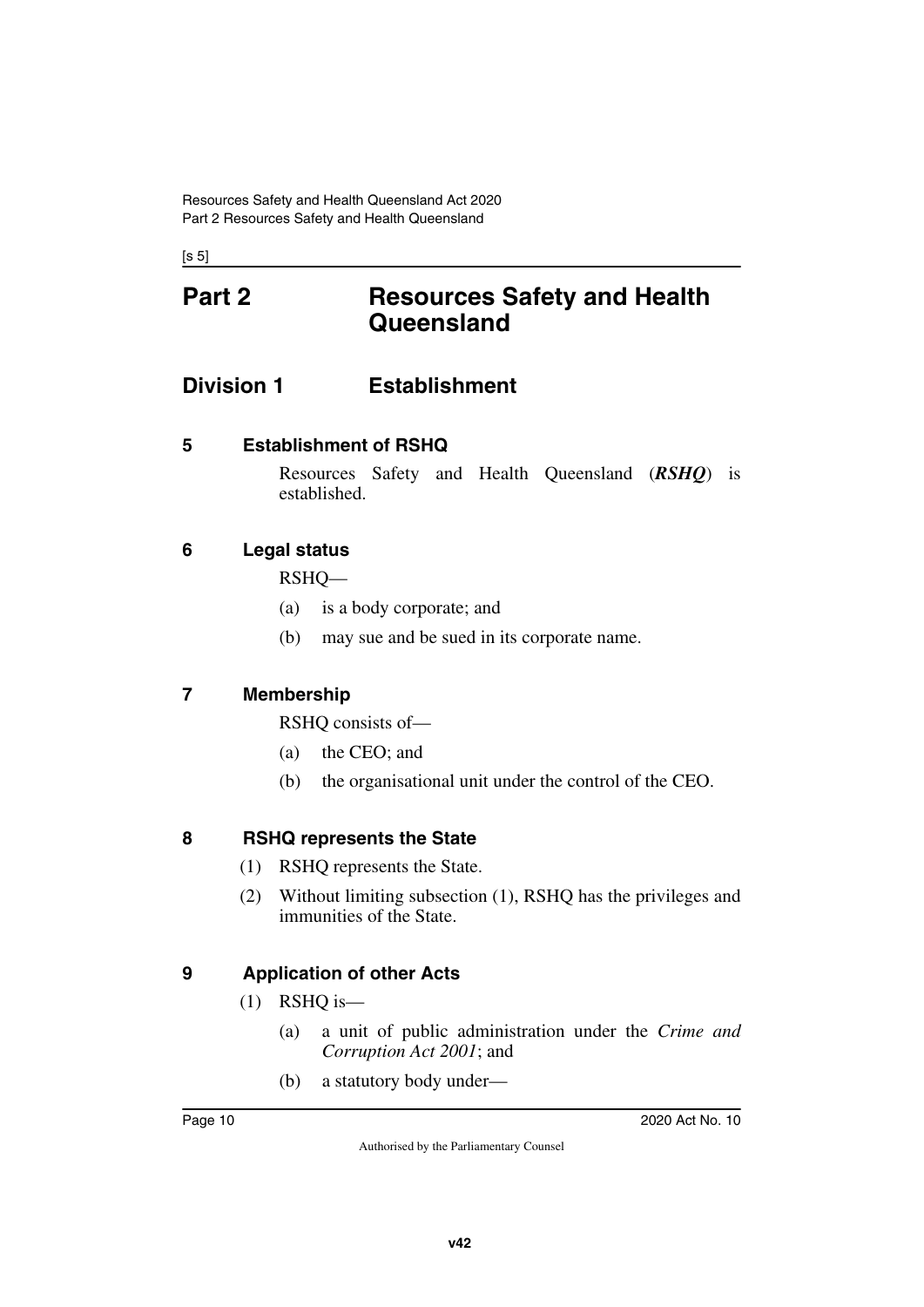<span id="page-11-1"></span><span id="page-11-0"></span> $[s 5]$ 

# **Part 2 Resources Safety and Health Queensland**

# <span id="page-11-2"></span>**Division 1 Establishment**

<span id="page-11-4"></span>**5 Establishment of RSHQ**

<span id="page-11-5"></span><span id="page-11-3"></span>Resources Safety and Health Queensland (*RSHQ*) is established.

## <span id="page-11-6"></span>**6 Legal status**

<span id="page-11-7"></span>RSHQ—

- (a) is a body corporate; and
- (b) may sue and be sued in its corporate name.

## <span id="page-11-8"></span>**7 Membership**

<span id="page-11-9"></span>RSHQ consists of—

- (a) the CEO; and
- (b) the organisational unit under the control of the CEO.

### <span id="page-11-10"></span>**8 RSHQ represents the State**

- <span id="page-11-11"></span>(1) RSHQ represents the State.
- (2) Without limiting subsection (1), RSHQ has the privileges and immunities of the State.

## <span id="page-11-12"></span>**9 Application of other Acts**

- <span id="page-11-13"></span>(1) RSHQ is—
	- (a) a unit of public administration under the *Crime and Corruption Act 2001*; and
	- (b) a statutory body under—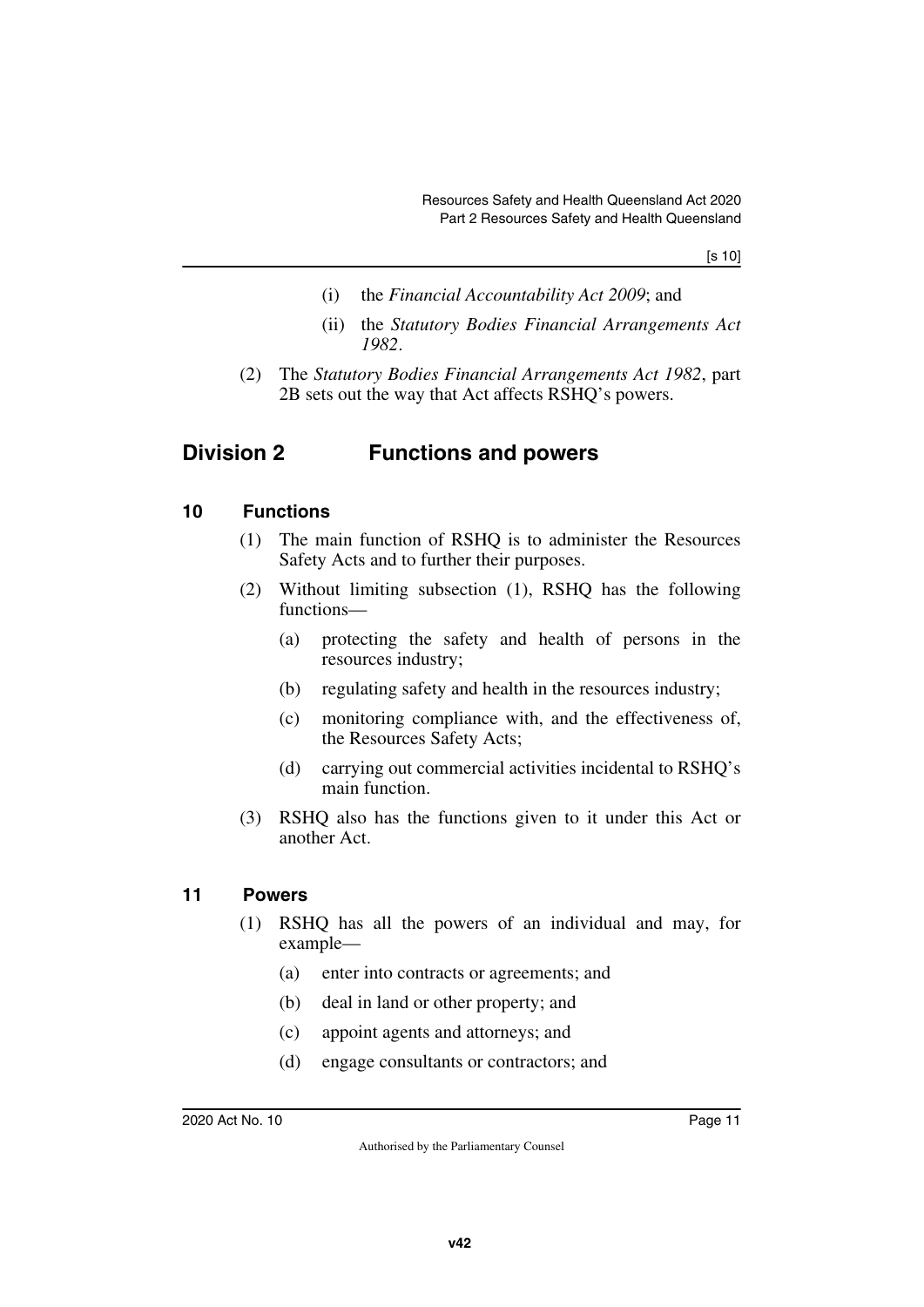[s 10]

- (i) the *Financial Accountability Act 2009*; and
- <span id="page-12-1"></span>(ii) the *Statutory Bodies Financial Arrangements Act 1982*.
- (2) The *Statutory Bodies Financial Arrangements Act 1982*, part 2B sets out the way that Act affects RSHQ's powers.

# <span id="page-12-0"></span>**Division 2 Functions and powers**

#### <span id="page-12-2"></span>**10 Functions**

- <span id="page-12-3"></span>(1) The main function of RSHQ is to administer the Resources Safety Acts and to further their purposes.
- (2) Without limiting subsection (1), RSHQ has the following functions—
	- (a) protecting the safety and health of persons in the resources industry;
	- (b) regulating safety and health in the resources industry;
	- (c) monitoring compliance with, and the effectiveness of, the Resources Safety Acts;
	- (d) carrying out commercial activities incidental to RSHQ's main function.
- (3) RSHQ also has the functions given to it under this Act or another Act.

#### <span id="page-12-4"></span>**11 Powers**

- <span id="page-12-5"></span>(1) RSHQ has all the powers of an individual and may, for example—
	- (a) enter into contracts or agreements; and
	- (b) deal in land or other property; and
	- (c) appoint agents and attorneys; and
	- (d) engage consultants or contractors; and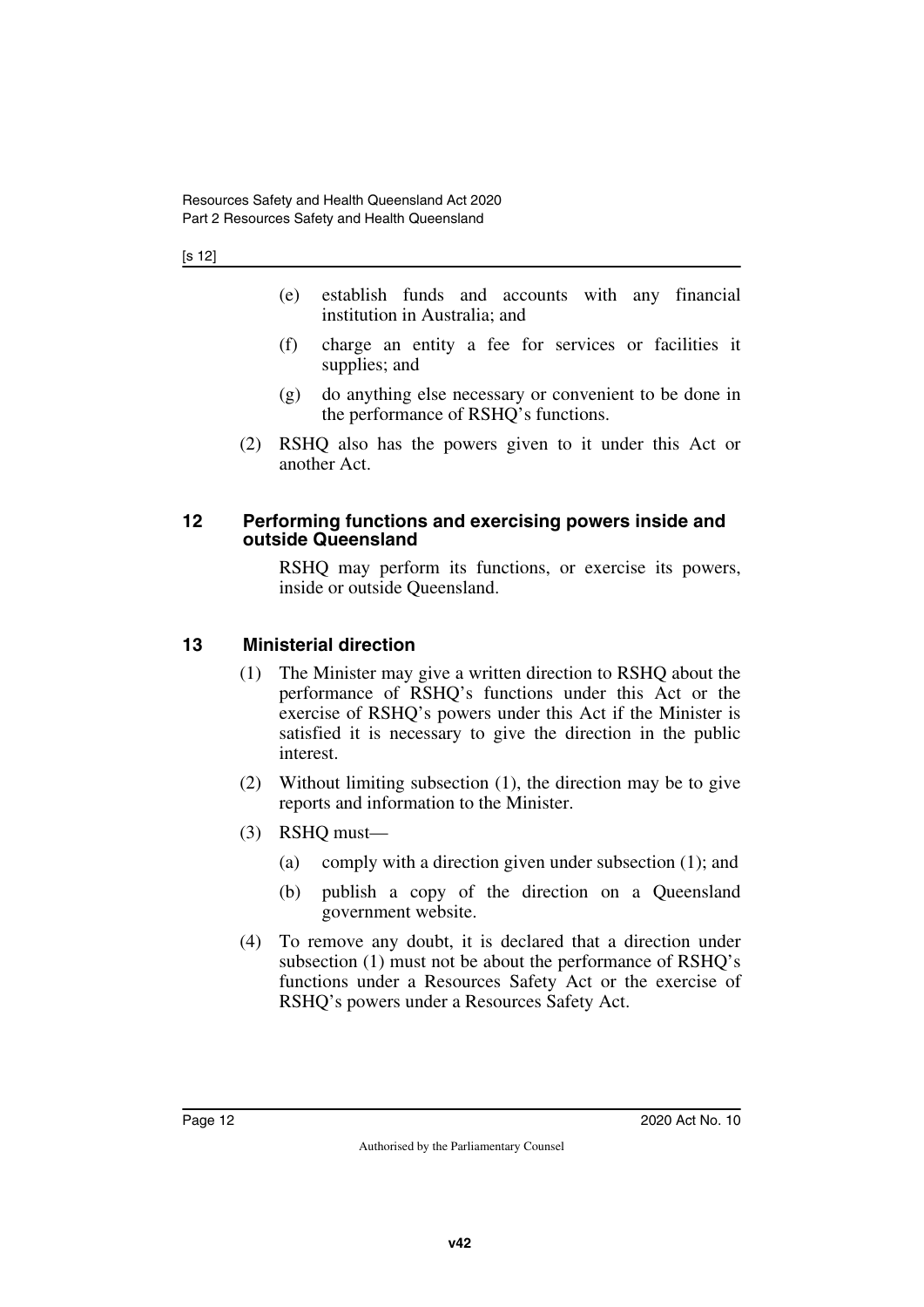#### [s 12]

- (e) establish funds and accounts with any financial institution in Australia; and
- (f) charge an entity a fee for services or facilities it supplies; and
- (g) do anything else necessary or convenient to be done in the performance of RSHQ's functions.
- <span id="page-13-1"></span>(2) RSHQ also has the powers given to it under this Act or another Act.

#### <span id="page-13-0"></span>**12 Performing functions and exercising powers inside and outside Queensland**

RSHQ may perform its functions, or exercise its powers, inside or outside Queensland.

#### <span id="page-13-2"></span>**13 Ministerial direction**

- <span id="page-13-3"></span>(1) The Minister may give a written direction to RSHQ about the performance of RSHQ's functions under this Act or the exercise of RSHQ's powers under this Act if the Minister is satisfied it is necessary to give the direction in the public interest.
- (2) Without limiting subsection (1), the direction may be to give reports and information to the Minister.
- (3) RSHQ must—
	- (a) comply with a direction given under subsection (1); and
	- (b) publish a copy of the direction on a Queensland government website.
- (4) To remove any doubt, it is declared that a direction under subsection (1) must not be about the performance of RSHQ's functions under a Resources Safety Act or the exercise of RSHQ's powers under a Resources Safety Act.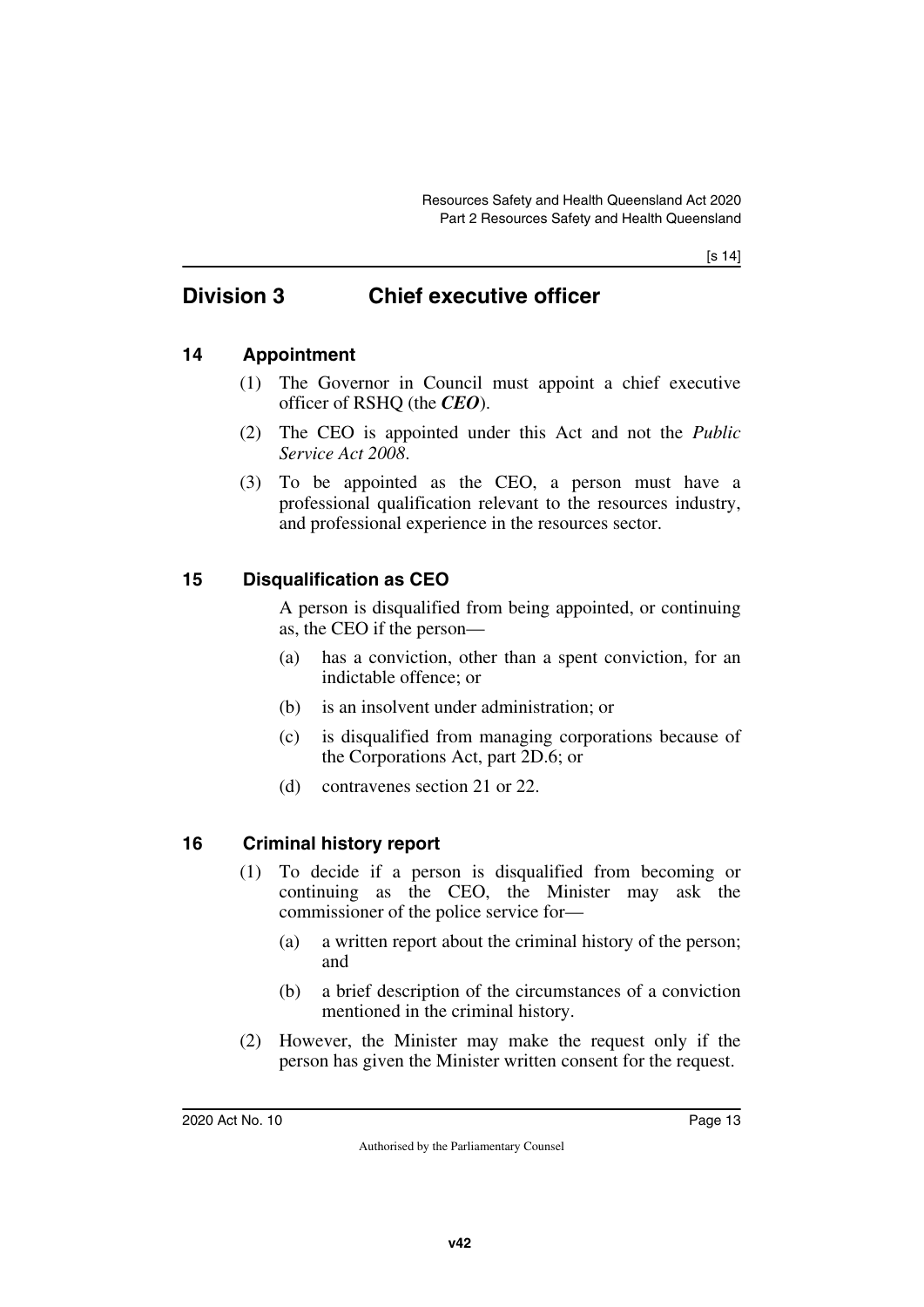[s 14]

# <span id="page-14-0"></span>**Division 3 Chief executive officer**

## <span id="page-14-2"></span>**14 Appointment**

- <span id="page-14-3"></span><span id="page-14-1"></span>(1) The Governor in Council must appoint a chief executive officer of RSHQ (the *CEO*).
- (2) The CEO is appointed under this Act and not the *Public Service Act 2008*.
- (3) To be appointed as the CEO, a person must have a professional qualification relevant to the resources industry, and professional experience in the resources sector.

## <span id="page-14-4"></span>**15 Disqualification as CEO**

<span id="page-14-5"></span>A person is disqualified from being appointed, or continuing as, the CEO if the person—

- (a) has a conviction, other than a spent conviction, for an indictable offence; or
- (b) is an insolvent under administration; or
- (c) is disqualified from managing corporations because of the Corporations Act, part 2D.6; or
- (d) contravenes section 21 or 22.

## <span id="page-14-6"></span>**16 Criminal history report**

- <span id="page-14-7"></span>(1) To decide if a person is disqualified from becoming or continuing as the CEO, the Minister may ask the commissioner of the police service for—
	- (a) a written report about the criminal history of the person; and
	- (b) a brief description of the circumstances of a conviction mentioned in the criminal history.
- (2) However, the Minister may make the request only if the person has given the Minister written consent for the request.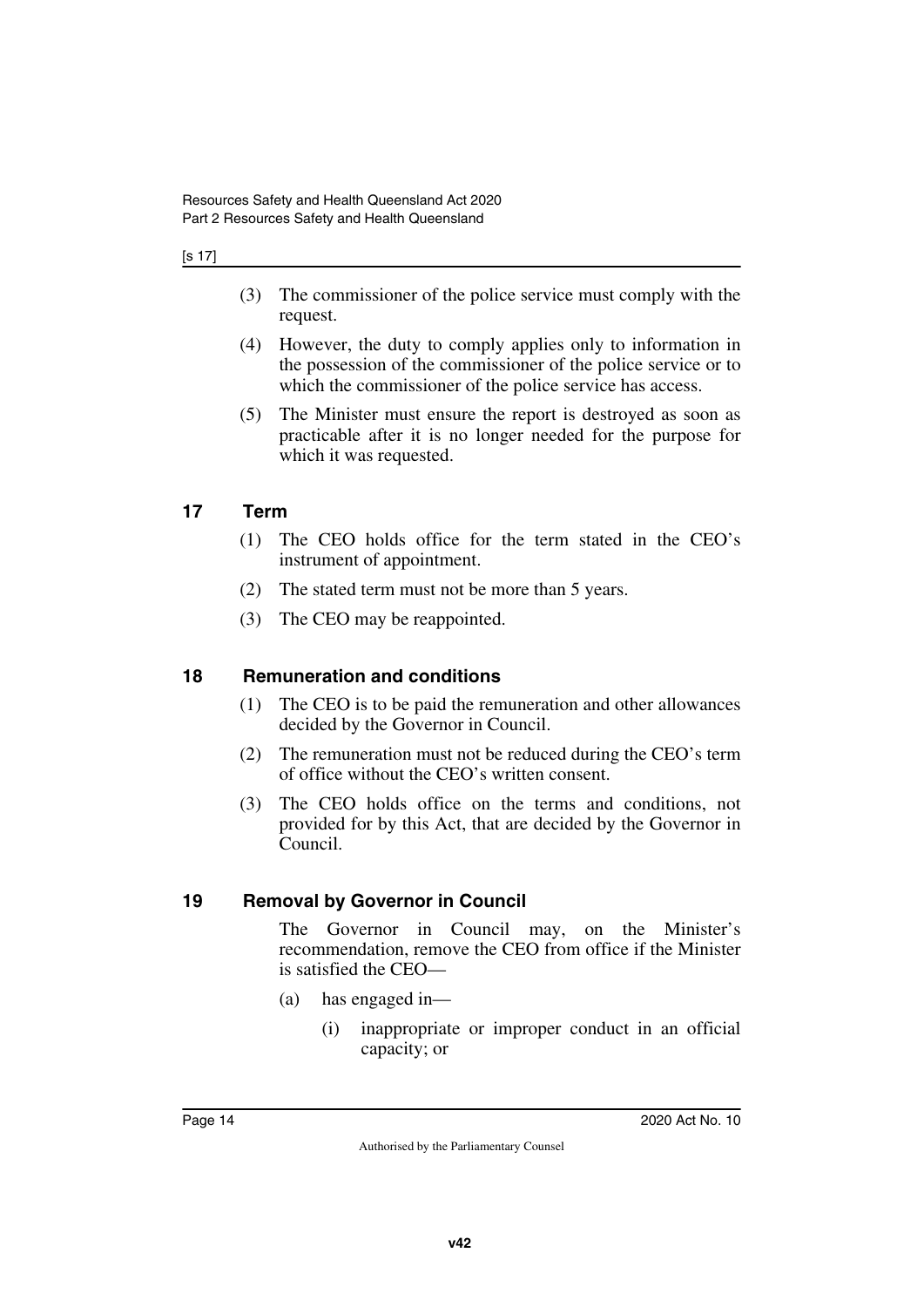#### [s 17]

- (3) The commissioner of the police service must comply with the request.
- (4) However, the duty to comply applies only to information in the possession of the commissioner of the police service or to which the commissioner of the police service has access.
- (5) The Minister must ensure the report is destroyed as soon as practicable after it is no longer needed for the purpose for which it was requested.

### <span id="page-15-0"></span>**17 Term**

- <span id="page-15-1"></span>(1) The CEO holds office for the term stated in the CEO's instrument of appointment.
- (2) The stated term must not be more than 5 years.
- <span id="page-15-3"></span>(3) The CEO may be reappointed.

### <span id="page-15-2"></span>**18 Remuneration and conditions**

- (1) The CEO is to be paid the remuneration and other allowances decided by the Governor in Council.
- (2) The remuneration must not be reduced during the CEO's term of office without the CEO's written consent.
- (3) The CEO holds office on the terms and conditions, not provided for by this Act, that are decided by the Governor in Council.

### <span id="page-15-4"></span>**19 Removal by Governor in Council**

<span id="page-15-5"></span>The Governor in Council may, on the Minister's recommendation, remove the CEO from office if the Minister is satisfied the CEO—

- (a) has engaged in—
	- (i) inappropriate or improper conduct in an official capacity; or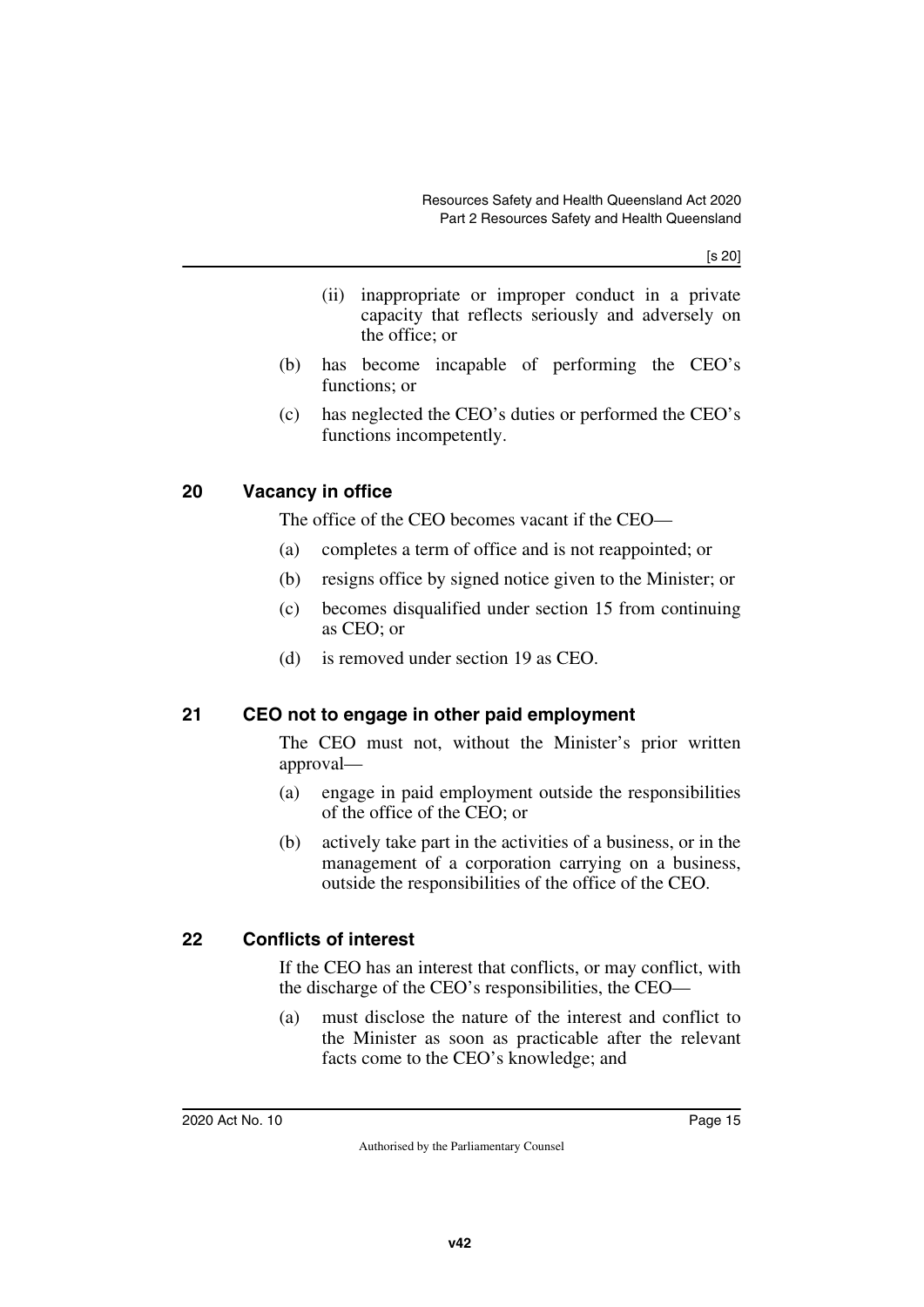[s 20]

- (ii) inappropriate or improper conduct in a private capacity that reflects seriously and adversely on the office; or
- (b) has become incapable of performing the CEO's functions; or
- (c) has neglected the CEO's duties or performed the CEO's functions incompetently.

### <span id="page-16-0"></span>**20 Vacancy in office**

<span id="page-16-1"></span>The office of the CEO becomes vacant if the CEO—

- (a) completes a term of office and is not reappointed; or
- (b) resigns office by signed notice given to the Minister; or
- (c) becomes disqualified under section 15 from continuing as CEO; or
- <span id="page-16-3"></span>(d) is removed under section 19 as CEO.

### <span id="page-16-2"></span>**21 CEO not to engage in other paid employment**

The CEO must not, without the Minister's prior written approval—

- (a) engage in paid employment outside the responsibilities of the office of the CEO; or
- (b) actively take part in the activities of a business, or in the management of a corporation carrying on a business, outside the responsibilities of the office of the CEO.

### <span id="page-16-4"></span>**22 Conflicts of interest**

<span id="page-16-5"></span>If the CEO has an interest that conflicts, or may conflict, with the discharge of the CEO's responsibilities, the CEO—

(a) must disclose the nature of the interest and conflict to the Minister as soon as practicable after the relevant facts come to the CEO's knowledge; and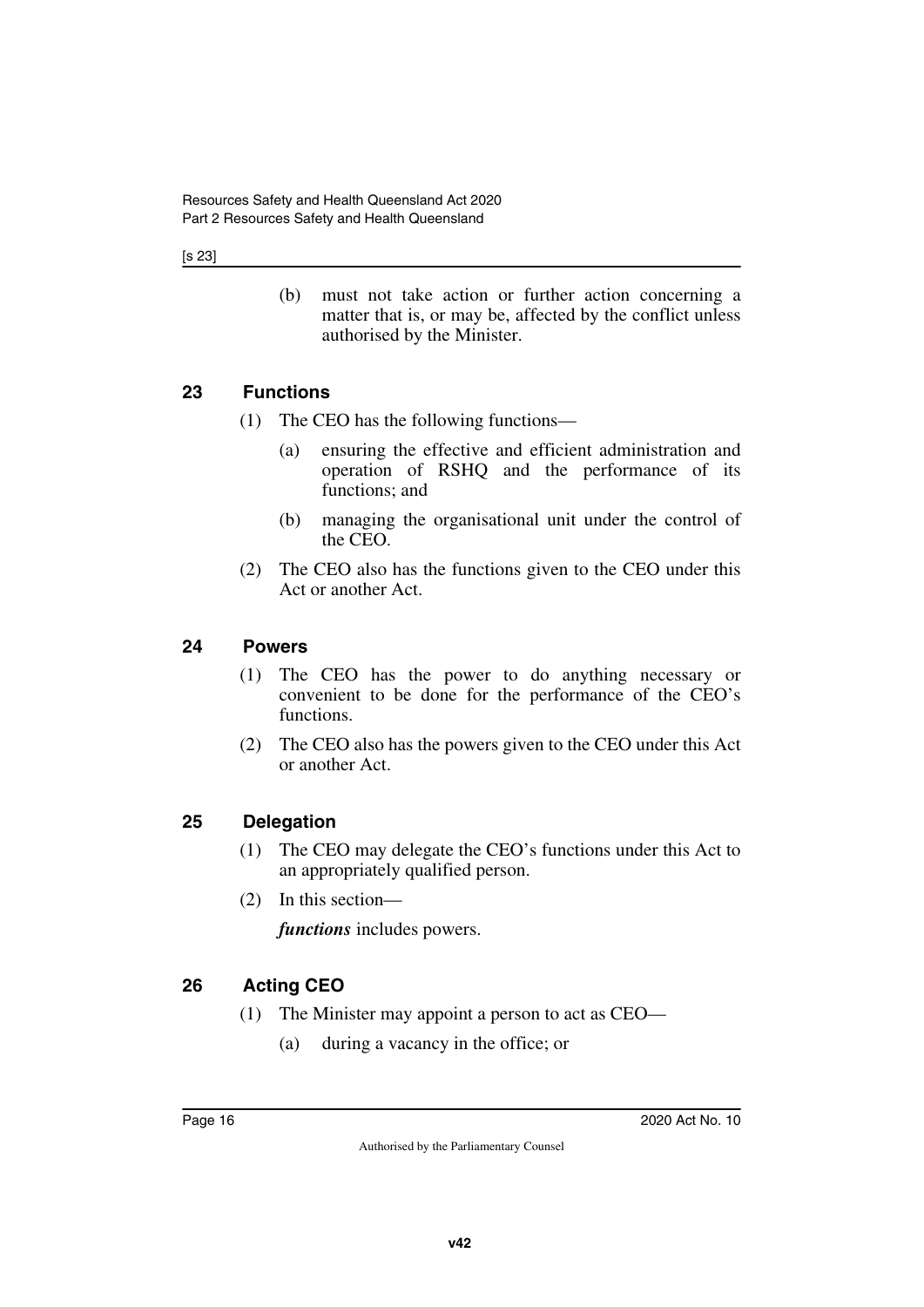[s 23]

(b) must not take action or further action concerning a matter that is, or may be, affected by the conflict unless authorised by the Minister.

## <span id="page-17-0"></span>**23 Functions**

- <span id="page-17-1"></span>(1) The CEO has the following functions—
	- (a) ensuring the effective and efficient administration and operation of RSHQ and the performance of its functions; and
	- (b) managing the organisational unit under the control of the CEO.
- (2) The CEO also has the functions given to the CEO under this Act or another Act.

#### <span id="page-17-2"></span>**24 Powers**

- <span id="page-17-3"></span>(1) The CEO has the power to do anything necessary or convenient to be done for the performance of the CEO's functions.
- (2) The CEO also has the powers given to the CEO under this Act or another Act.

### <span id="page-17-4"></span>**25 Delegation**

- <span id="page-17-5"></span>(1) The CEO may delegate the CEO's functions under this Act to an appropriately qualified person.
- (2) In this section—

*functions* includes powers.

## <span id="page-17-6"></span>**26 Acting CEO**

- <span id="page-17-7"></span>(1) The Minister may appoint a person to act as CEO—
	- (a) during a vacancy in the office; or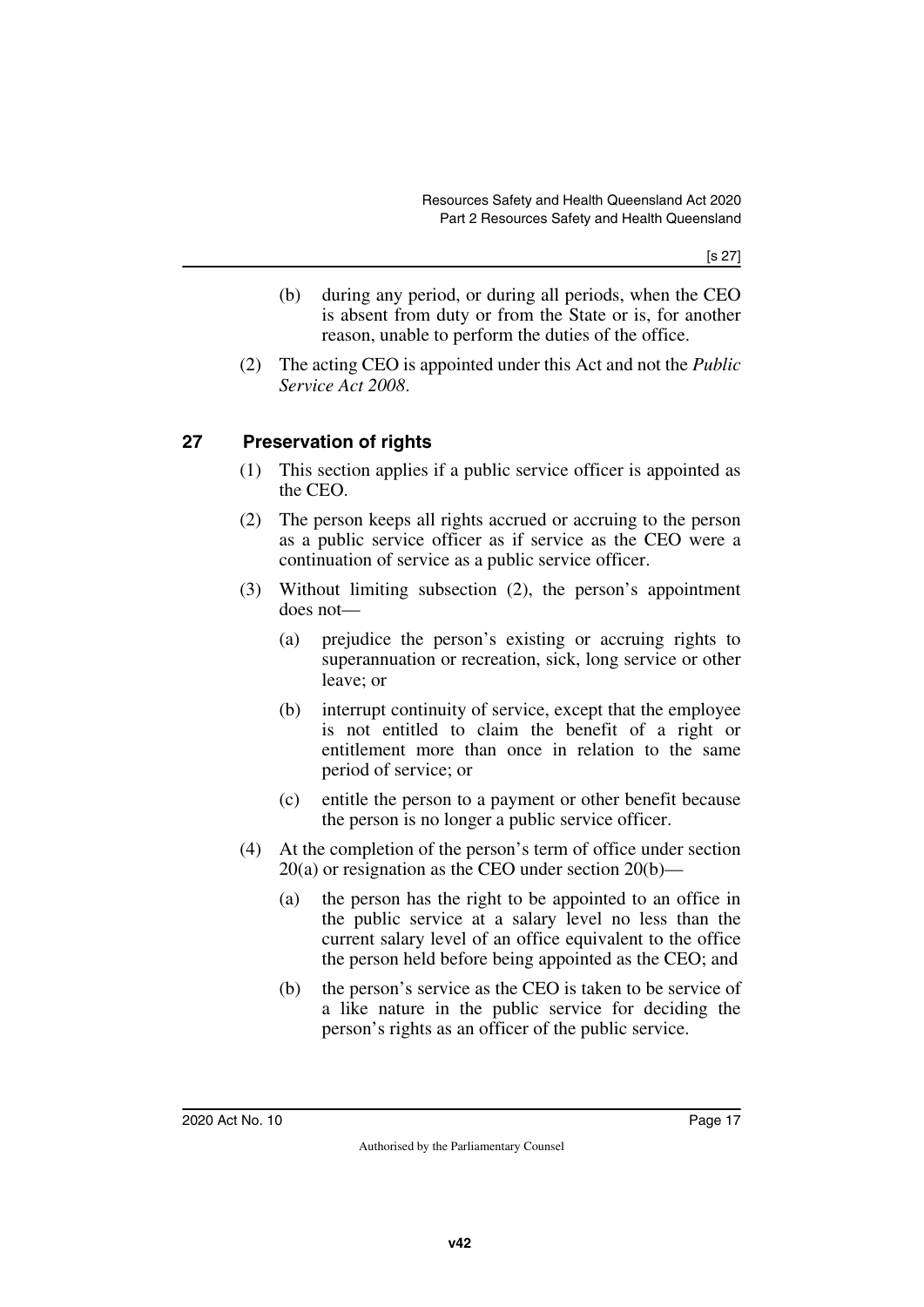[s 27]

- (b) during any period, or during all periods, when the CEO is absent from duty or from the State or is, for another reason, unable to perform the duties of the office.
- (2) The acting CEO is appointed under this Act and not the *Public Service Act 2008*.

## <span id="page-18-0"></span>**27 Preservation of rights**

- <span id="page-18-1"></span>(1) This section applies if a public service officer is appointed as the CEO.
- (2) The person keeps all rights accrued or accruing to the person as a public service officer as if service as the CEO were a continuation of service as a public service officer.
- (3) Without limiting subsection (2), the person's appointment does not—
	- (a) prejudice the person's existing or accruing rights to superannuation or recreation, sick, long service or other leave; or
	- (b) interrupt continuity of service, except that the employee is not entitled to claim the benefit of a right or entitlement more than once in relation to the same period of service; or
	- (c) entitle the person to a payment or other benefit because the person is no longer a public service officer.
- (4) At the completion of the person's term of office under section 20(a) or resignation as the CEO under section 20(b)—
	- (a) the person has the right to be appointed to an office in the public service at a salary level no less than the current salary level of an office equivalent to the office the person held before being appointed as the CEO; and
	- (b) the person's service as the CEO is taken to be service of a like nature in the public service for deciding the person's rights as an officer of the public service.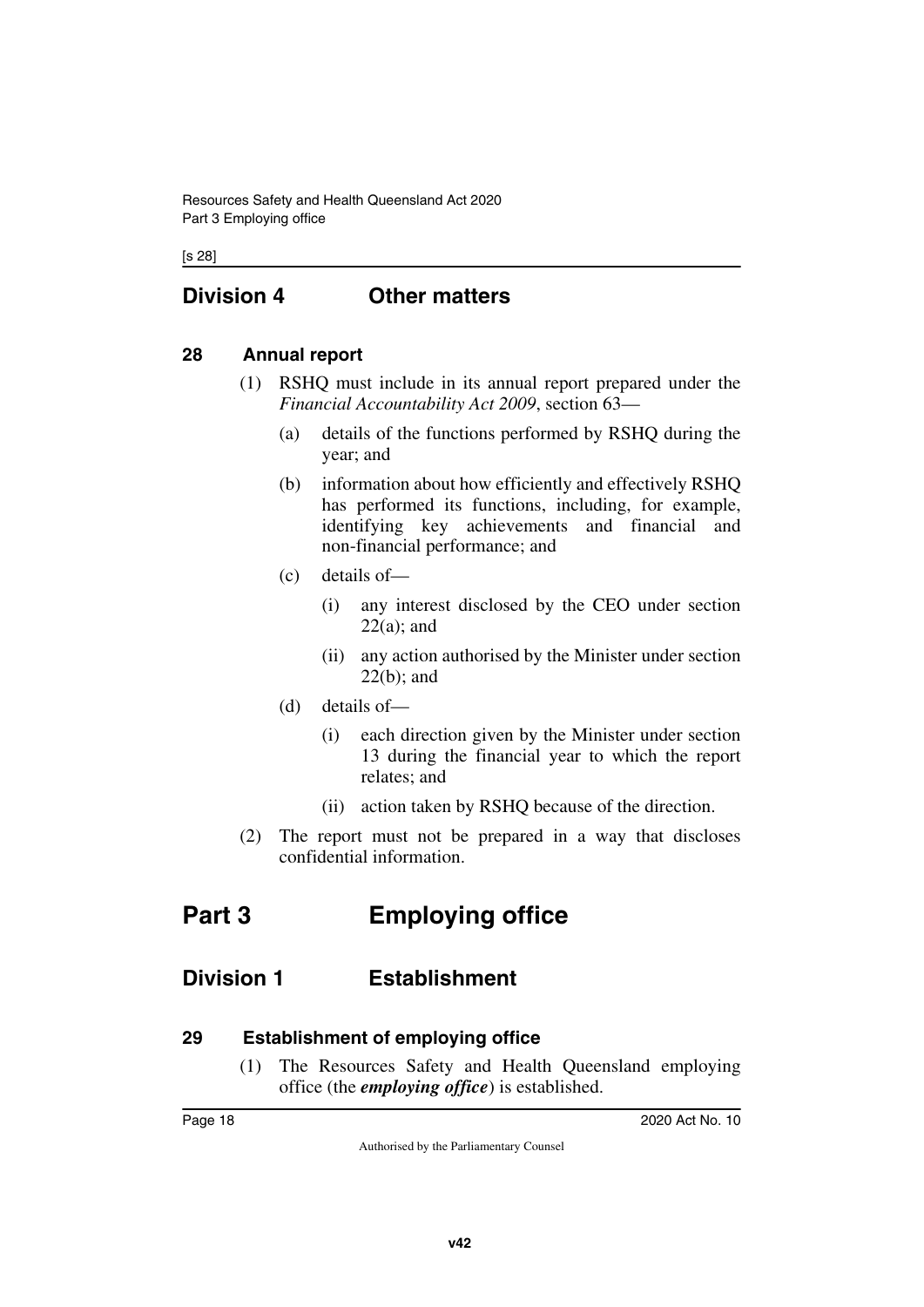[s 28]

# <span id="page-19-0"></span>**Division 4 Other matters**

#### <span id="page-19-2"></span>**28 Annual report**

- <span id="page-19-3"></span><span id="page-19-1"></span>(1) RSHQ must include in its annual report prepared under the *Financial Accountability Act 2009*, section 63—
	- (a) details of the functions performed by RSHQ during the year; and
	- (b) information about how efficiently and effectively RSHQ has performed its functions, including, for example, identifying key achievements and financial and non-financial performance; and
	- (c) details of—
		- (i) any interest disclosed by the CEO under section  $22(a)$ ; and
		- (ii) any action authorised by the Minister under section 22(b); and
	- (d) details of—
		- (i) each direction given by the Minister under section 13 during the financial year to which the report relates; and
		- (ii) action taken by RSHQ because of the direction.
- <span id="page-19-5"></span>(2) The report must not be prepared in a way that discloses confidential information.

# <span id="page-19-4"></span>**Part 3 Employing office**

# <span id="page-19-6"></span>**Division 1 Establishment**

#### <span id="page-19-8"></span>**29 Establishment of employing office**

<span id="page-19-9"></span><span id="page-19-7"></span>(1) The Resources Safety and Health Queensland employing office (the *employing office*) is established.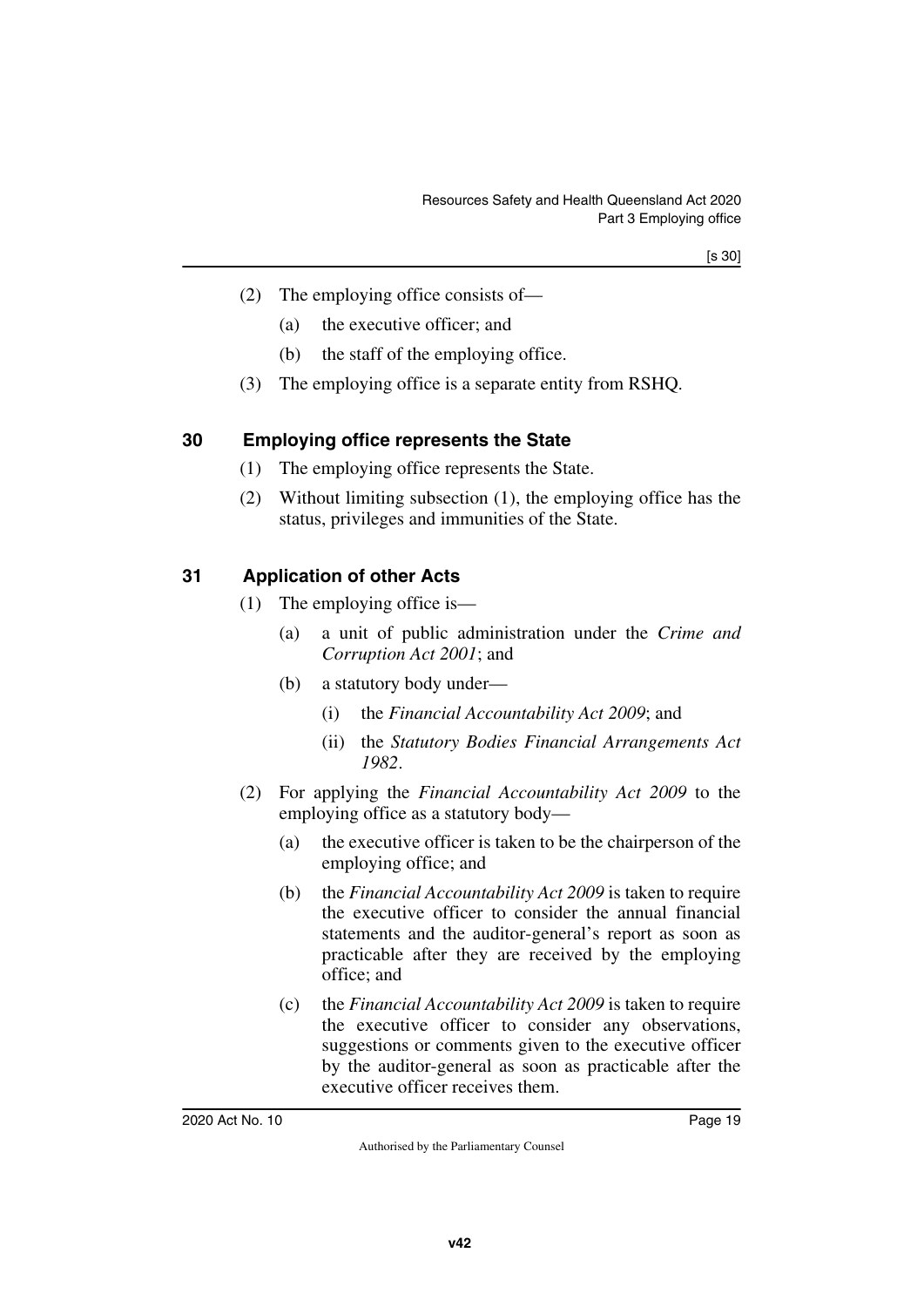- (2) The employing office consists of—
	- (a) the executive officer; and
	- (b) the staff of the employing office.
- <span id="page-20-1"></span>(3) The employing office is a separate entity from RSHQ.

## <span id="page-20-0"></span>**30 Employing office represents the State**

- (1) The employing office represents the State.
- (2) Without limiting subsection (1), the employing office has the status, privileges and immunities of the State.

## <span id="page-20-2"></span>**31 Application of other Acts**

- <span id="page-20-3"></span>(1) The employing office is—
	- (a) a unit of public administration under the *Crime and Corruption Act 2001*; and
	- (b) a statutory body under—
		- (i) the *Financial Accountability Act 2009*; and
		- (ii) the *Statutory Bodies Financial Arrangements Act 1982*.
- (2) For applying the *Financial Accountability Act 2009* to the employing office as a statutory body—
	- (a) the executive officer is taken to be the chairperson of the employing office; and
	- (b) the *Financial Accountability Act 2009* is taken to require the executive officer to consider the annual financial statements and the auditor-general's report as soon as practicable after they are received by the employing office; and
	- (c) the *Financial Accountability Act 2009* is taken to require the executive officer to consider any observations, suggestions or comments given to the executive officer by the auditor-general as soon as practicable after the executive officer receives them.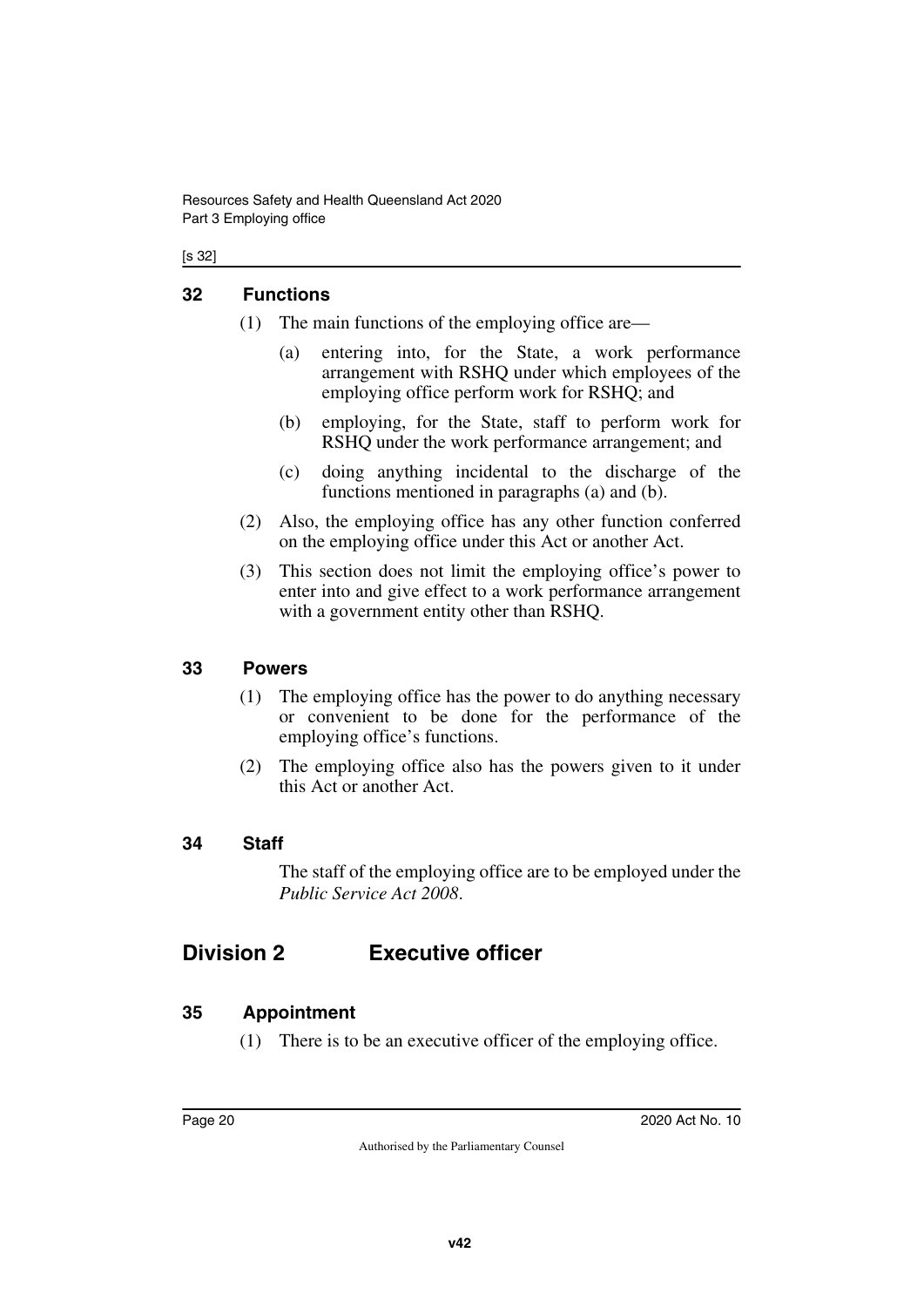#### [s 32]

#### <span id="page-21-0"></span>**32 Functions**

- <span id="page-21-1"></span>(1) The main functions of the employing office are—
	- (a) entering into, for the State, a work performance arrangement with RSHQ under which employees of the employing office perform work for RSHQ; and
	- (b) employing, for the State, staff to perform work for RSHQ under the work performance arrangement; and
	- (c) doing anything incidental to the discharge of the functions mentioned in paragraphs (a) and (b).
- (2) Also, the employing office has any other function conferred on the employing office under this Act or another Act.
- (3) This section does not limit the employing office's power to enter into and give effect to a work performance arrangement with a government entity other than RSHQ.

#### <span id="page-21-2"></span>**33 Powers**

- <span id="page-21-3"></span>(1) The employing office has the power to do anything necessary or convenient to be done for the performance of the employing office's functions.
- (2) The employing office also has the powers given to it under this Act or another Act.

### <span id="page-21-4"></span>**34 Staff**

<span id="page-21-7"></span><span id="page-21-5"></span>The staff of the employing office are to be employed under the *Public Service Act 2008*.

# <span id="page-21-6"></span>**Division 2 Executive officer**

#### <span id="page-21-8"></span>**35 Appointment**

<span id="page-21-9"></span>(1) There is to be an executive officer of the employing office.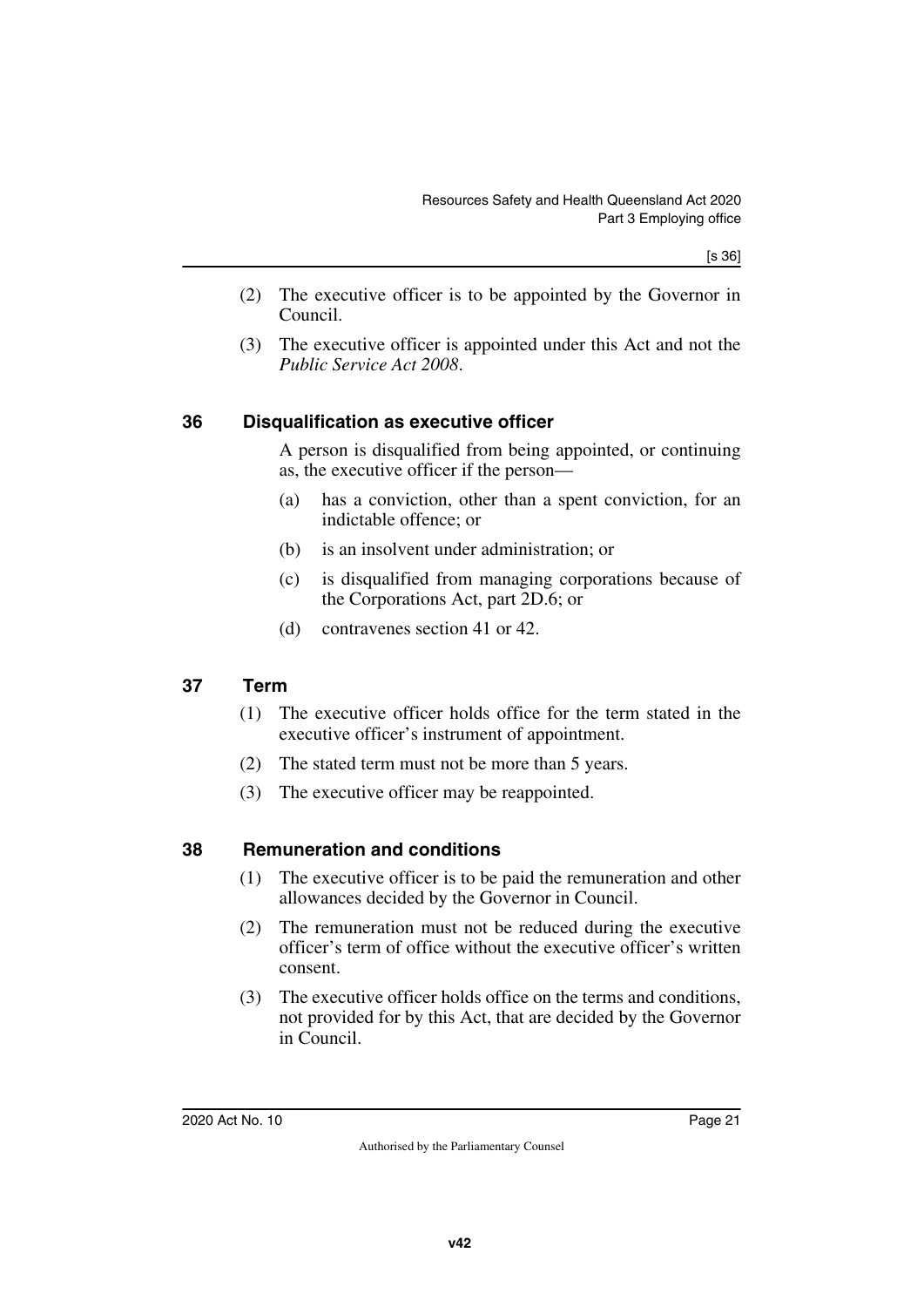- (2) The executive officer is to be appointed by the Governor in Council.
- (3) The executive officer is appointed under this Act and not the *Public Service Act 2008*.

### <span id="page-22-0"></span>**36 Disqualification as executive officer**

<span id="page-22-1"></span>A person is disqualified from being appointed, or continuing as, the executive officer if the person—

- (a) has a conviction, other than a spent conviction, for an indictable offence; or
- (b) is an insolvent under administration; or
- (c) is disqualified from managing corporations because of the Corporations Act, part 2D.6; or
- (d) contravenes section 41 or 42.

## <span id="page-22-2"></span>**37 Term**

- <span id="page-22-3"></span>(1) The executive officer holds office for the term stated in the executive officer's instrument of appointment.
- (2) The stated term must not be more than 5 years.
- <span id="page-22-5"></span>(3) The executive officer may be reappointed.

### <span id="page-22-4"></span>**38 Remuneration and conditions**

- (1) The executive officer is to be paid the remuneration and other allowances decided by the Governor in Council.
- (2) The remuneration must not be reduced during the executive officer's term of office without the executive officer's written consent.
- (3) The executive officer holds office on the terms and conditions, not provided for by this Act, that are decided by the Governor in Council.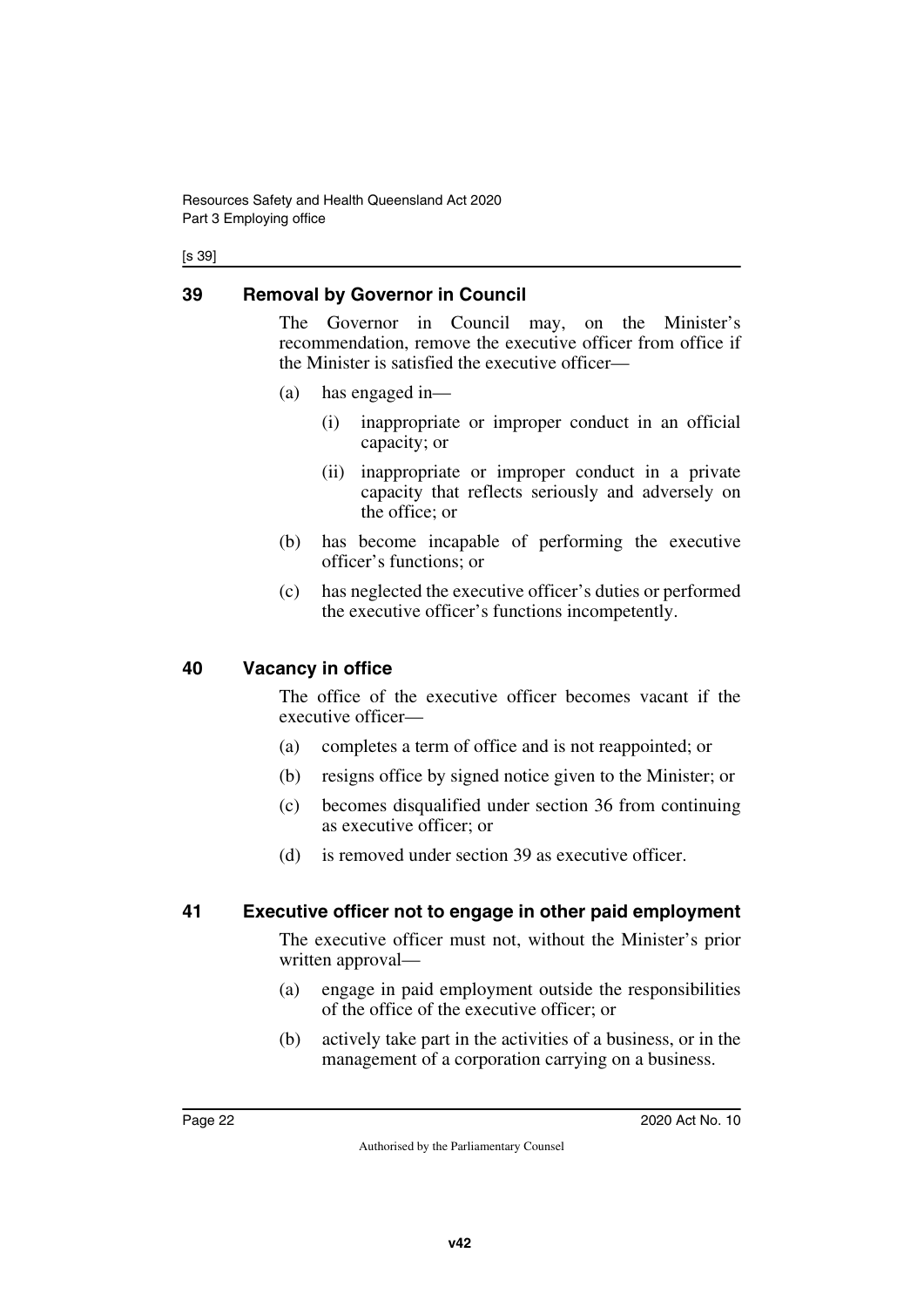[s 39]

## <span id="page-23-0"></span>**39 Removal by Governor in Council**

<span id="page-23-1"></span>The Governor in Council may, on the Minister's recommendation, remove the executive officer from office if the Minister is satisfied the executive officer—

- (a) has engaged in—
	- (i) inappropriate or improper conduct in an official capacity; or
	- (ii) inappropriate or improper conduct in a private capacity that reflects seriously and adversely on the office; or
- (b) has become incapable of performing the executive officer's functions; or
- (c) has neglected the executive officer's duties or performed the executive officer's functions incompetently.

### <span id="page-23-2"></span>**40 Vacancy in office**

<span id="page-23-3"></span>The office of the executive officer becomes vacant if the executive officer—

- (a) completes a term of office and is not reappointed; or
- (b) resigns office by signed notice given to the Minister; or
- (c) becomes disqualified under section 36 from continuing as executive officer; or
- <span id="page-23-5"></span>(d) is removed under section 39 as executive officer.

### <span id="page-23-4"></span>**41 Executive officer not to engage in other paid employment**

The executive officer must not, without the Minister's prior written approval—

- (a) engage in paid employment outside the responsibilities of the office of the executive officer; or
- (b) actively take part in the activities of a business, or in the management of a corporation carrying on a business.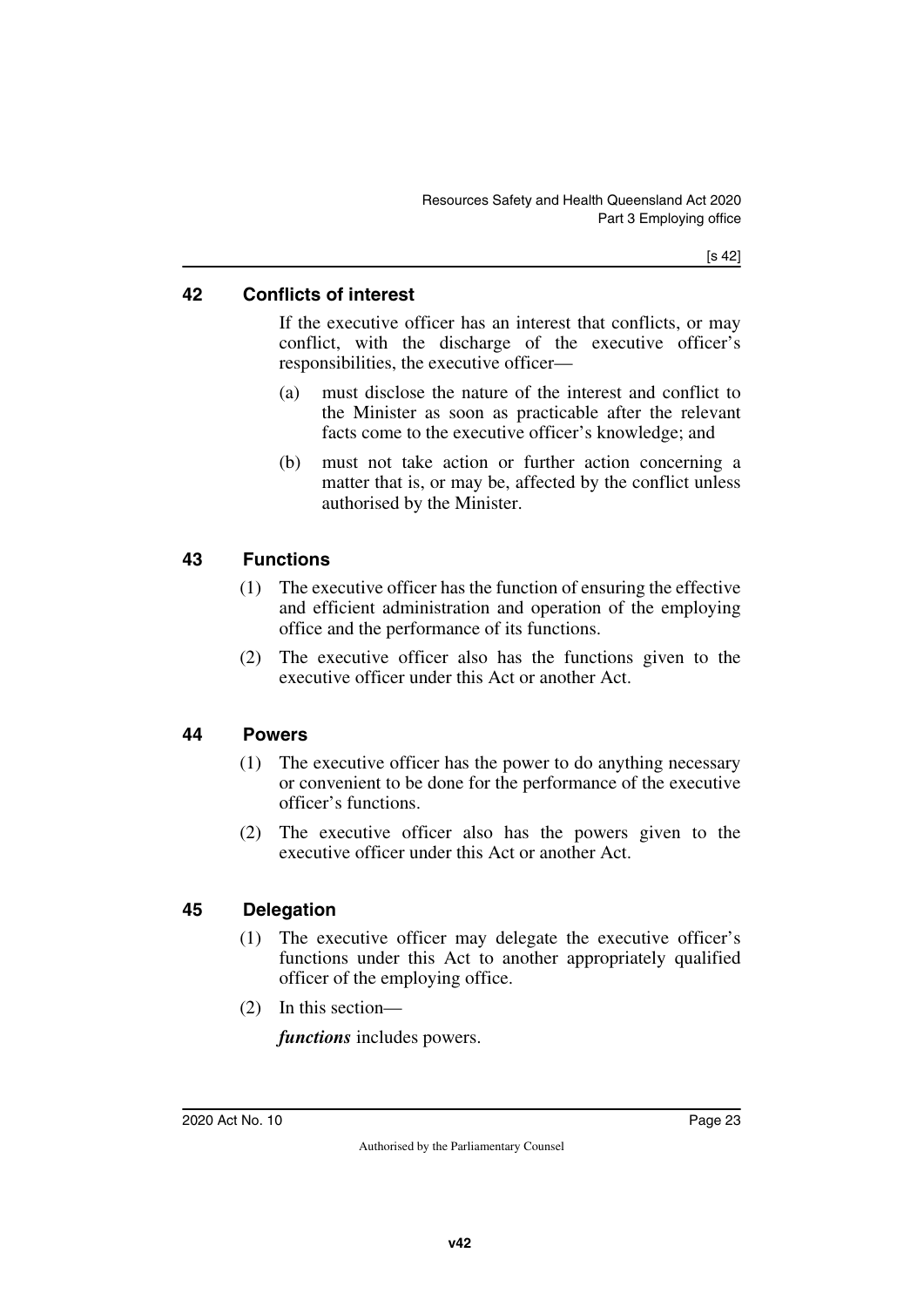### <span id="page-24-0"></span>**42 Conflicts of interest**

<span id="page-24-1"></span>If the executive officer has an interest that conflicts, or may conflict, with the discharge of the executive officer's responsibilities, the executive officer—

- (a) must disclose the nature of the interest and conflict to the Minister as soon as practicable after the relevant facts come to the executive officer's knowledge; and
- (b) must not take action or further action concerning a matter that is, or may be, affected by the conflict unless authorised by the Minister.

## <span id="page-24-2"></span>**43 Functions**

- <span id="page-24-3"></span>(1) The executive officer has the function of ensuring the effective and efficient administration and operation of the employing office and the performance of its functions.
- (2) The executive officer also has the functions given to the executive officer under this Act or another Act.

### <span id="page-24-4"></span>**44 Powers**

- <span id="page-24-5"></span>(1) The executive officer has the power to do anything necessary or convenient to be done for the performance of the executive officer's functions.
- (2) The executive officer also has the powers given to the executive officer under this Act or another Act.

### <span id="page-24-6"></span>**45 Delegation**

- <span id="page-24-7"></span>(1) The executive officer may delegate the executive officer's functions under this Act to another appropriately qualified officer of the employing office.
- (2) In this section—

*functions* includes powers.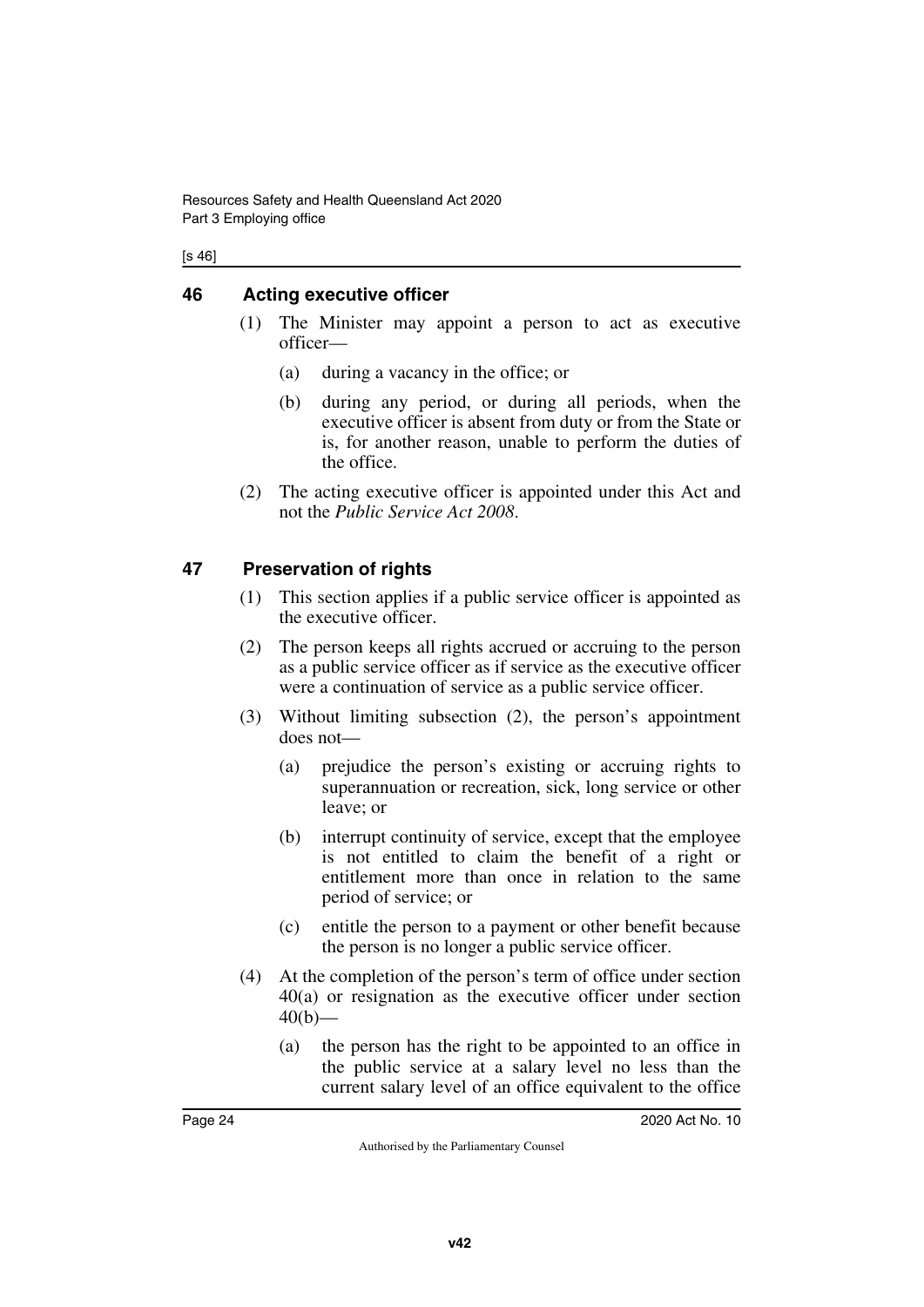#### [s 46]

### <span id="page-25-0"></span>**46 Acting executive officer**

- <span id="page-25-1"></span>(1) The Minister may appoint a person to act as executive officer—
	- (a) during a vacancy in the office; or
	- (b) during any period, or during all periods, when the executive officer is absent from duty or from the State or is, for another reason, unable to perform the duties of the office.
- (2) The acting executive officer is appointed under this Act and not the *Public Service Act 2008*.

### <span id="page-25-2"></span>**47 Preservation of rights**

- <span id="page-25-3"></span>(1) This section applies if a public service officer is appointed as the executive officer.
- (2) The person keeps all rights accrued or accruing to the person as a public service officer as if service as the executive officer were a continuation of service as a public service officer.
- (3) Without limiting subsection (2), the person's appointment does not—
	- (a) prejudice the person's existing or accruing rights to superannuation or recreation, sick, long service or other leave; or
	- (b) interrupt continuity of service, except that the employee is not entitled to claim the benefit of a right or entitlement more than once in relation to the same period of service; or
	- (c) entitle the person to a payment or other benefit because the person is no longer a public service officer.
- (4) At the completion of the person's term of office under section 40(a) or resignation as the executive officer under section  $40(b)$ —
	- (a) the person has the right to be appointed to an office in the public service at a salary level no less than the current salary level of an office equivalent to the office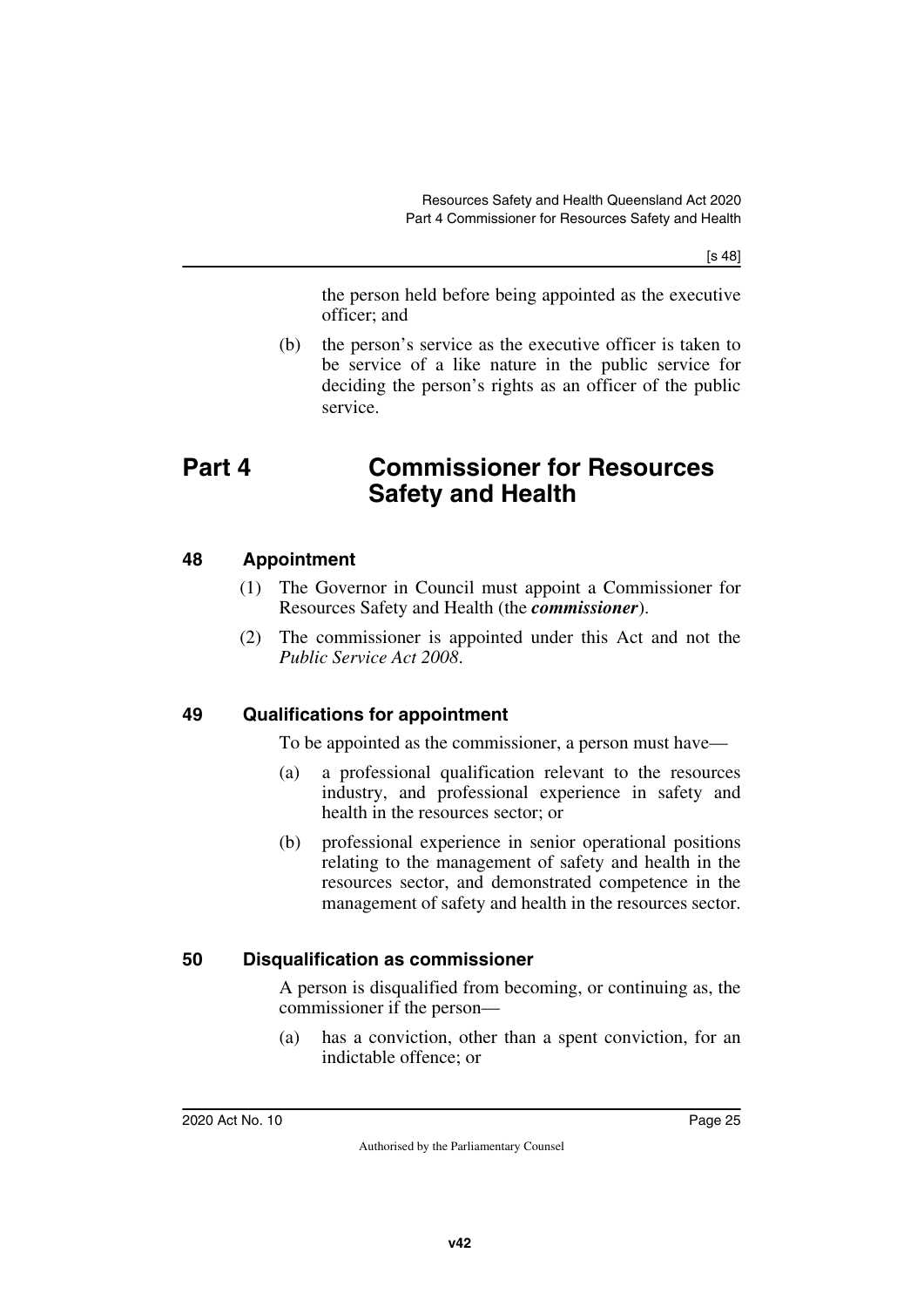[s 48]

the person held before being appointed as the executive officer; and

<span id="page-26-1"></span>(b) the person's service as the executive officer is taken to be service of a like nature in the public service for deciding the person's rights as an officer of the public service.

# <span id="page-26-0"></span>**Part 4 Commissioner for Resources Safety and Health**

### <span id="page-26-2"></span>**48 Appointment**

- <span id="page-26-3"></span>(1) The Governor in Council must appoint a Commissioner for Resources Safety and Health (the *commissioner*).
- (2) The commissioner is appointed under this Act and not the *Public Service Act 2008*.

## <span id="page-26-4"></span>**49 Qualifications for appointment**

<span id="page-26-5"></span>To be appointed as the commissioner, a person must have—

- (a) a professional qualification relevant to the resources industry, and professional experience in safety and health in the resources sector; or
- (b) professional experience in senior operational positions relating to the management of safety and health in the resources sector, and demonstrated competence in the management of safety and health in the resources sector.

## <span id="page-26-6"></span>**50 Disqualification as commissioner**

<span id="page-26-7"></span>A person is disqualified from becoming, or continuing as, the commissioner if the person—

(a) has a conviction, other than a spent conviction, for an indictable offence; or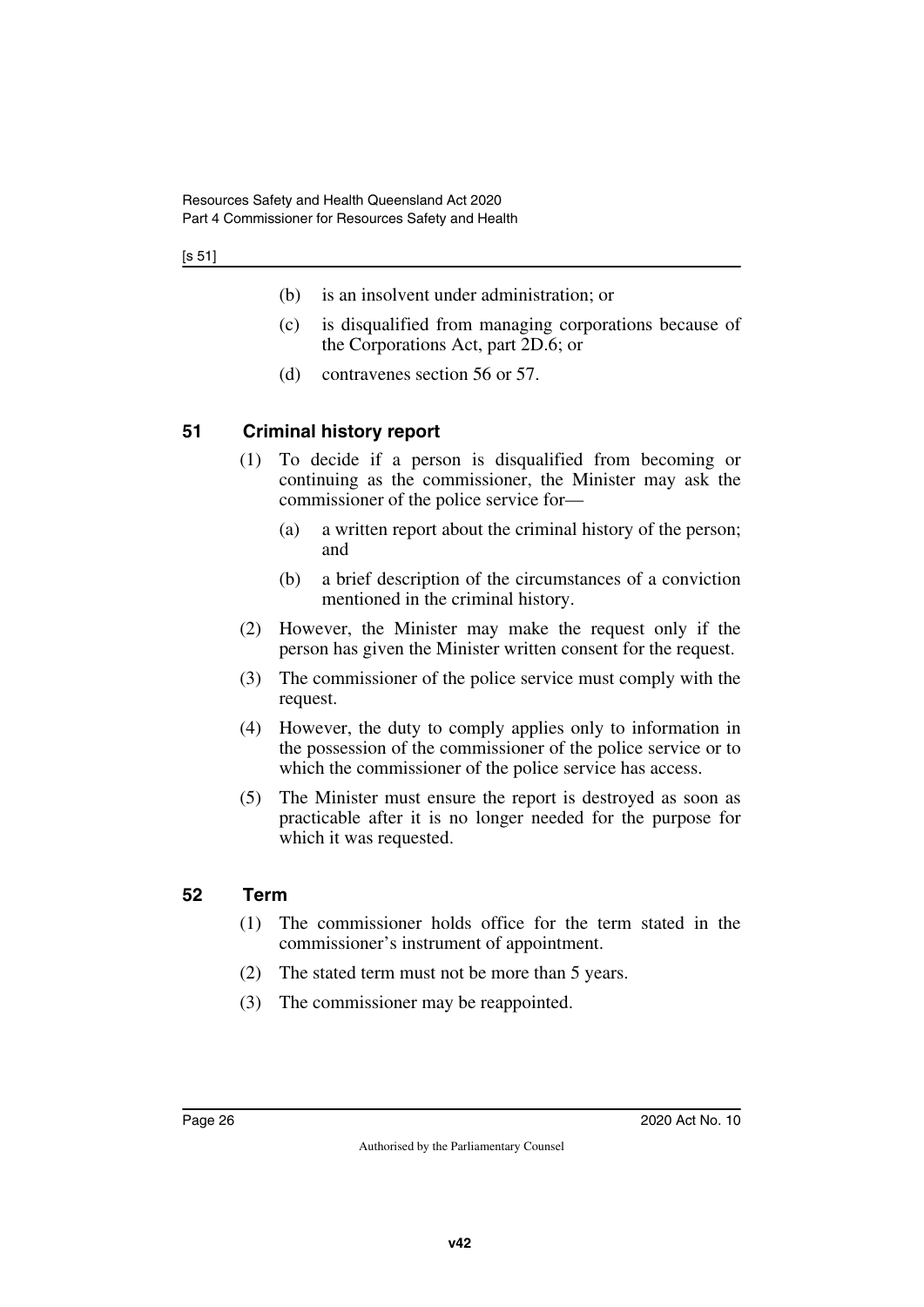#### [s 51]

- (b) is an insolvent under administration; or
- (c) is disqualified from managing corporations because of the Corporations Act, part 2D.6; or
- (d) contravenes section 56 or 57.

## <span id="page-27-0"></span>**51 Criminal history report**

- <span id="page-27-1"></span>(1) To decide if a person is disqualified from becoming or continuing as the commissioner, the Minister may ask the commissioner of the police service for—
	- (a) a written report about the criminal history of the person; and
	- (b) a brief description of the circumstances of a conviction mentioned in the criminal history.
- (2) However, the Minister may make the request only if the person has given the Minister written consent for the request.
- (3) The commissioner of the police service must comply with the request.
- (4) However, the duty to comply applies only to information in the possession of the commissioner of the police service or to which the commissioner of the police service has access.
- (5) The Minister must ensure the report is destroyed as soon as practicable after it is no longer needed for the purpose for which it was requested.

### <span id="page-27-2"></span>**52 Term**

- <span id="page-27-3"></span>(1) The commissioner holds office for the term stated in the commissioner's instrument of appointment.
- (2) The stated term must not be more than 5 years.
- (3) The commissioner may be reappointed.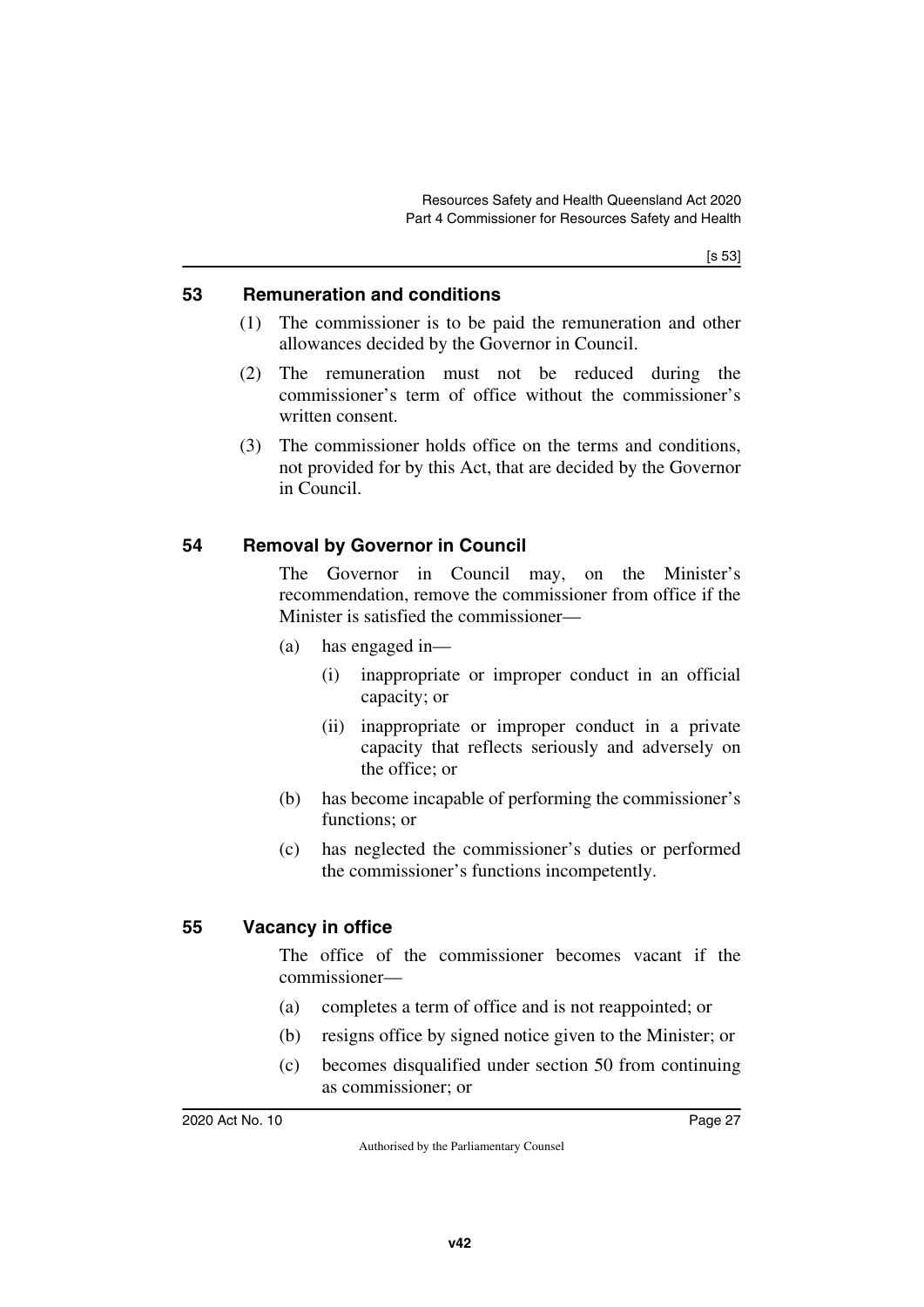#### <span id="page-28-0"></span>**53 Remuneration and conditions**

- <span id="page-28-1"></span>(1) The commissioner is to be paid the remuneration and other allowances decided by the Governor in Council.
- (2) The remuneration must not be reduced during the commissioner's term of office without the commissioner's written consent.
- (3) The commissioner holds office on the terms and conditions, not provided for by this Act, that are decided by the Governor in Council.

### <span id="page-28-2"></span>**54 Removal by Governor in Council**

<span id="page-28-3"></span>The Governor in Council may, on the Minister's recommendation, remove the commissioner from office if the Minister is satisfied the commissioner—

- (a) has engaged in—
	- (i) inappropriate or improper conduct in an official capacity; or
	- (ii) inappropriate or improper conduct in a private capacity that reflects seriously and adversely on the office; or
- (b) has become incapable of performing the commissioner's functions: or
- (c) has neglected the commissioner's duties or performed the commissioner's functions incompetently.

### <span id="page-28-4"></span>**55 Vacancy in office**

<span id="page-28-5"></span>The office of the commissioner becomes vacant if the commissioner—

- (a) completes a term of office and is not reappointed; or
- (b) resigns office by signed notice given to the Minister; or
- (c) becomes disqualified under section 50 from continuing as commissioner; or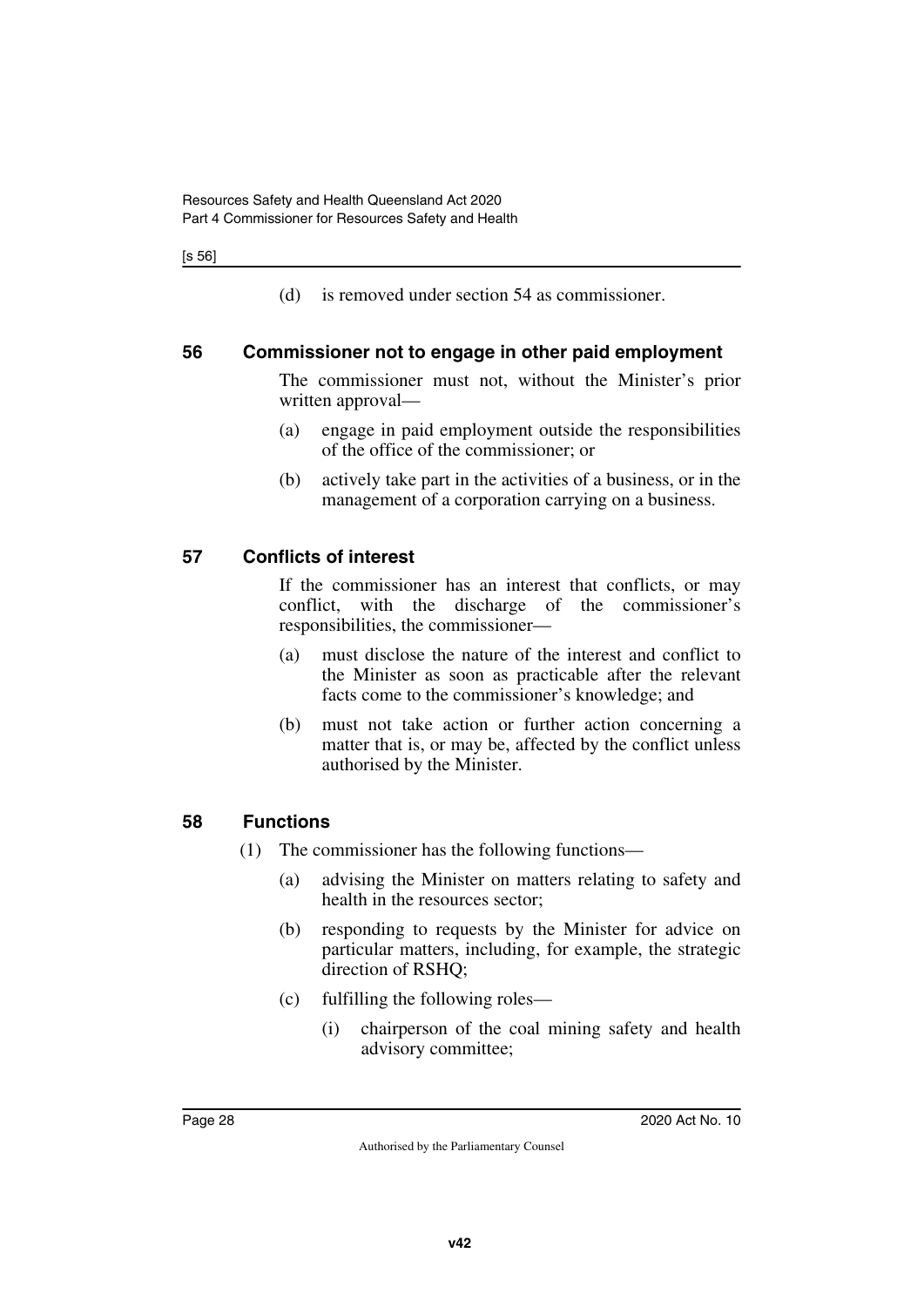[s 56]

<span id="page-29-1"></span>(d) is removed under section 54 as commissioner.

#### <span id="page-29-0"></span>**56 Commissioner not to engage in other paid employment**

The commissioner must not, without the Minister's prior written approval—

- (a) engage in paid employment outside the responsibilities of the office of the commissioner; or
- (b) actively take part in the activities of a business, or in the management of a corporation carrying on a business.

### <span id="page-29-2"></span>**57 Conflicts of interest**

<span id="page-29-3"></span>If the commissioner has an interest that conflicts, or may conflict, with the discharge of the commissioner's responsibilities, the commissioner—

- (a) must disclose the nature of the interest and conflict to the Minister as soon as practicable after the relevant facts come to the commissioner's knowledge; and
- (b) must not take action or further action concerning a matter that is, or may be, affected by the conflict unless authorised by the Minister.

#### <span id="page-29-4"></span>**58 Functions**

- <span id="page-29-5"></span>(1) The commissioner has the following functions—
	- (a) advising the Minister on matters relating to safety and health in the resources sector;
	- (b) responding to requests by the Minister for advice on particular matters, including, for example, the strategic direction of RSHQ;
	- (c) fulfilling the following roles—
		- (i) chairperson of the coal mining safety and health advisory committee;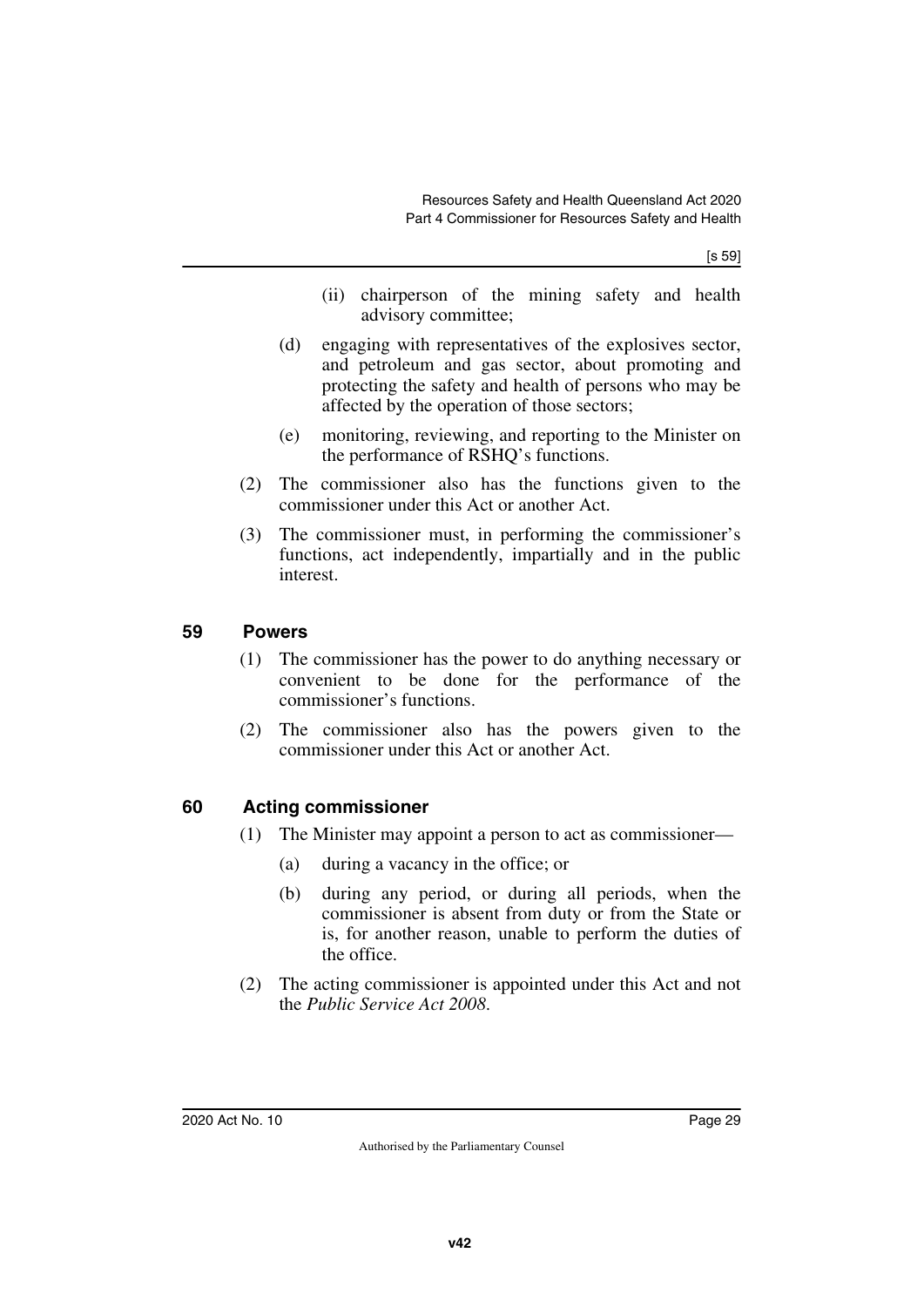[s 59]

- (ii) chairperson of the mining safety and health advisory committee;
- (d) engaging with representatives of the explosives sector, and petroleum and gas sector, about promoting and protecting the safety and health of persons who may be affected by the operation of those sectors;
- (e) monitoring, reviewing, and reporting to the Minister on the performance of RSHQ's functions.
- (2) The commissioner also has the functions given to the commissioner under this Act or another Act.
- (3) The commissioner must, in performing the commissioner's functions, act independently, impartially and in the public interest.

#### <span id="page-30-0"></span>**59 Powers**

- <span id="page-30-1"></span>(1) The commissioner has the power to do anything necessary or convenient to be done for the performance of the commissioner's functions.
- (2) The commissioner also has the powers given to the commissioner under this Act or another Act.

### <span id="page-30-2"></span>**60 Acting commissioner**

- <span id="page-30-3"></span>(1) The Minister may appoint a person to act as commissioner—
	- (a) during a vacancy in the office; or
	- (b) during any period, or during all periods, when the commissioner is absent from duty or from the State or is, for another reason, unable to perform the duties of the office.
- (2) The acting commissioner is appointed under this Act and not the *Public Service Act 2008*.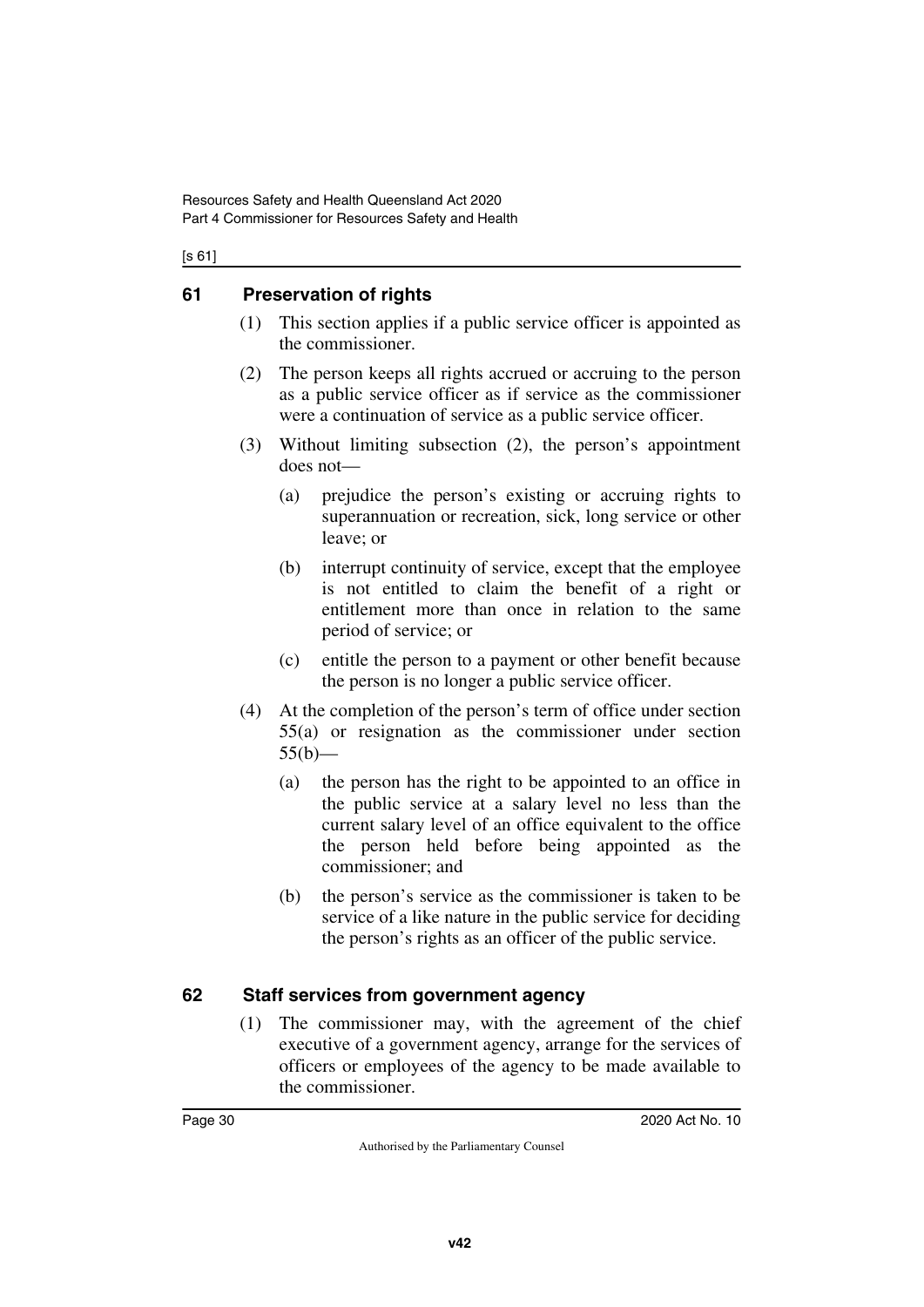#### [s 61]

### <span id="page-31-0"></span>**61 Preservation of rights**

- <span id="page-31-1"></span>(1) This section applies if a public service officer is appointed as the commissioner.
- (2) The person keeps all rights accrued or accruing to the person as a public service officer as if service as the commissioner were a continuation of service as a public service officer.
- (3) Without limiting subsection (2), the person's appointment does not—
	- (a) prejudice the person's existing or accruing rights to superannuation or recreation, sick, long service or other leave; or
	- (b) interrupt continuity of service, except that the employee is not entitled to claim the benefit of a right or entitlement more than once in relation to the same period of service; or
	- (c) entitle the person to a payment or other benefit because the person is no longer a public service officer.
- (4) At the completion of the person's term of office under section 55(a) or resignation as the commissioner under section  $55(b)$ —
	- (a) the person has the right to be appointed to an office in the public service at a salary level no less than the current salary level of an office equivalent to the office the person held before being appointed as the commissioner; and
	- (b) the person's service as the commissioner is taken to be service of a like nature in the public service for deciding the person's rights as an officer of the public service.

### <span id="page-31-2"></span>**62 Staff services from government agency**

<span id="page-31-3"></span>(1) The commissioner may, with the agreement of the chief executive of a government agency, arrange for the services of officers or employees of the agency to be made available to the commissioner.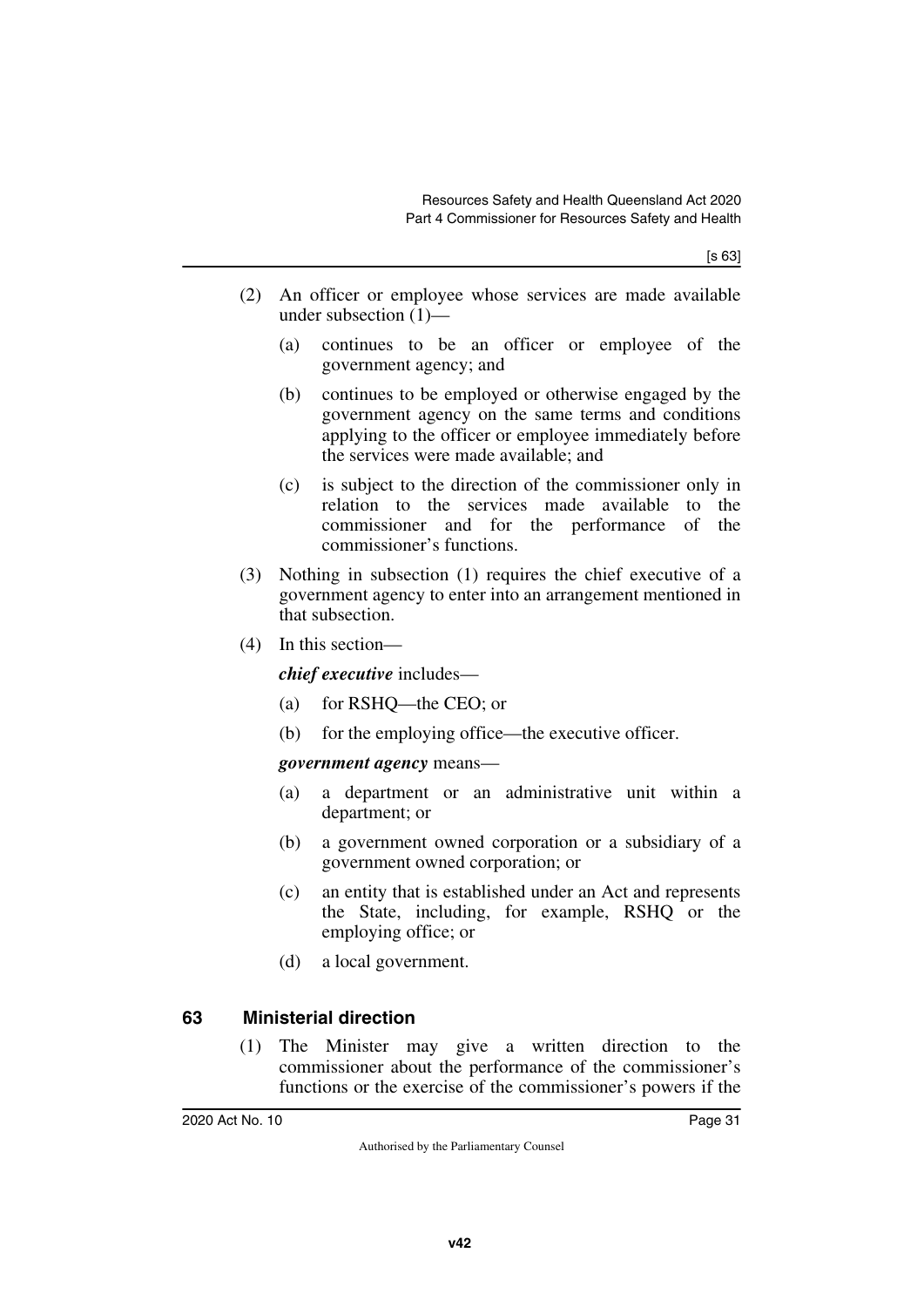[s 63]

- (2) An officer or employee whose services are made available under subsection (1)—
	- (a) continues to be an officer or employee of the government agency; and
	- (b) continues to be employed or otherwise engaged by the government agency on the same terms and conditions applying to the officer or employee immediately before the services were made available; and
	- (c) is subject to the direction of the commissioner only in relation to the services made available to the commissioner and for the performance of the commissioner's functions.
- (3) Nothing in subsection (1) requires the chief executive of a government agency to enter into an arrangement mentioned in that subsection.
- (4) In this section—

*chief executive* includes—

- (a) for RSHQ—the CEO; or
- (b) for the employing office—the executive officer.

*government agency* means—

- (a) a department or an administrative unit within a department; or
- (b) a government owned corporation or a subsidiary of a government owned corporation; or
- (c) an entity that is established under an Act and represents the State, including, for example, RSHQ or the employing office; or
- (d) a local government.

### <span id="page-32-0"></span>**63 Ministerial direction**

<span id="page-32-1"></span>(1) The Minister may give a written direction to the commissioner about the performance of the commissioner's functions or the exercise of the commissioner's powers if the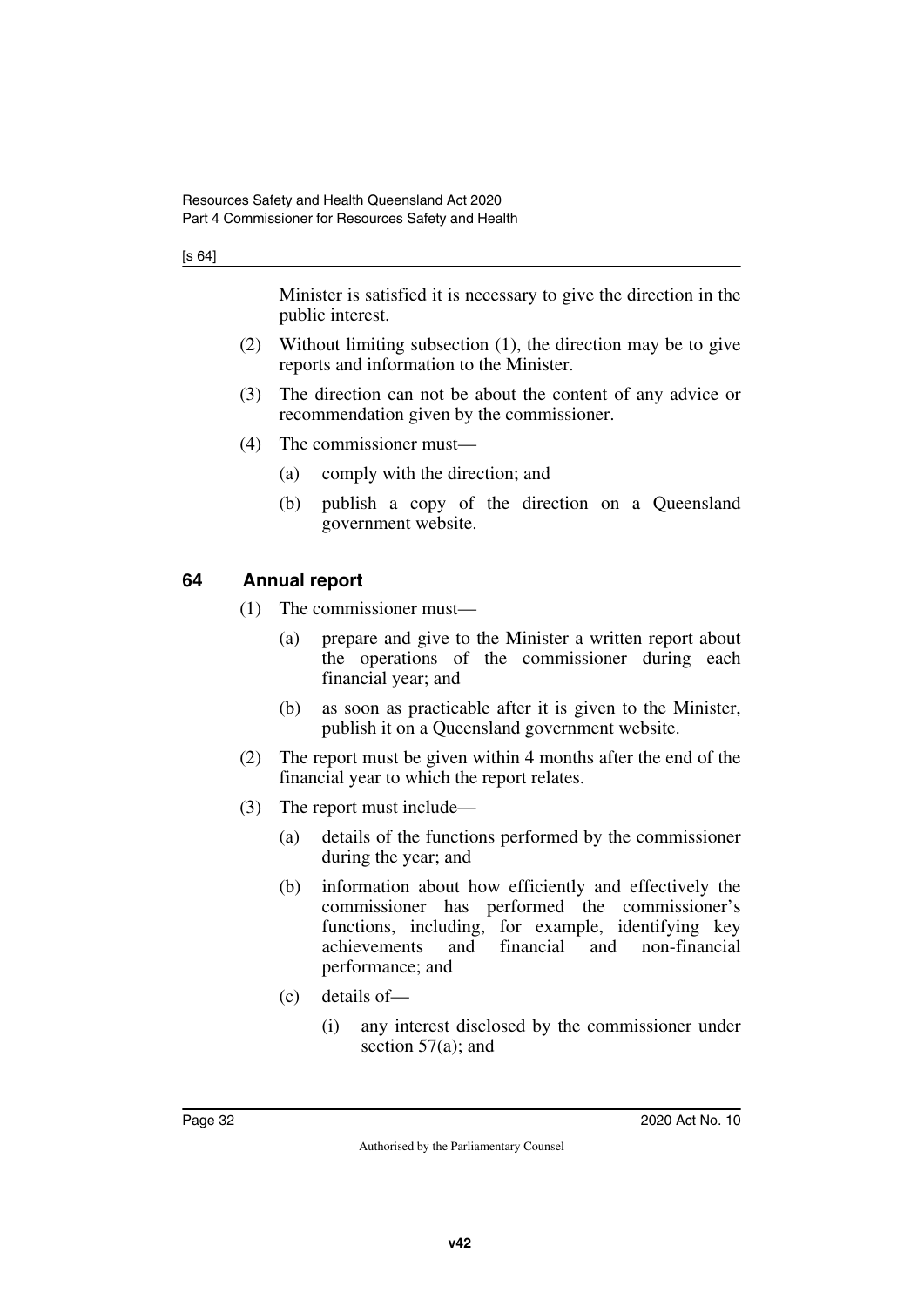#### [s 64]

Minister is satisfied it is necessary to give the direction in the public interest.

- (2) Without limiting subsection (1), the direction may be to give reports and information to the Minister.
- (3) The direction can not be about the content of any advice or recommendation given by the commissioner.
- (4) The commissioner must—
	- (a) comply with the direction; and
	- (b) publish a copy of the direction on a Queensland government website.

#### <span id="page-33-0"></span>**64 Annual report**

- <span id="page-33-1"></span>(1) The commissioner must—
	- (a) prepare and give to the Minister a written report about the operations of the commissioner during each financial year; and
	- (b) as soon as practicable after it is given to the Minister, publish it on a Queensland government website.
- (2) The report must be given within 4 months after the end of the financial year to which the report relates.
- (3) The report must include—
	- (a) details of the functions performed by the commissioner during the year; and
	- (b) information about how efficiently and effectively the commissioner has performed the commissioner's functions, including, for example, identifying key achievements and financial and non-financial performance; and
	- (c) details of—
		- (i) any interest disclosed by the commissioner under section 57(a); and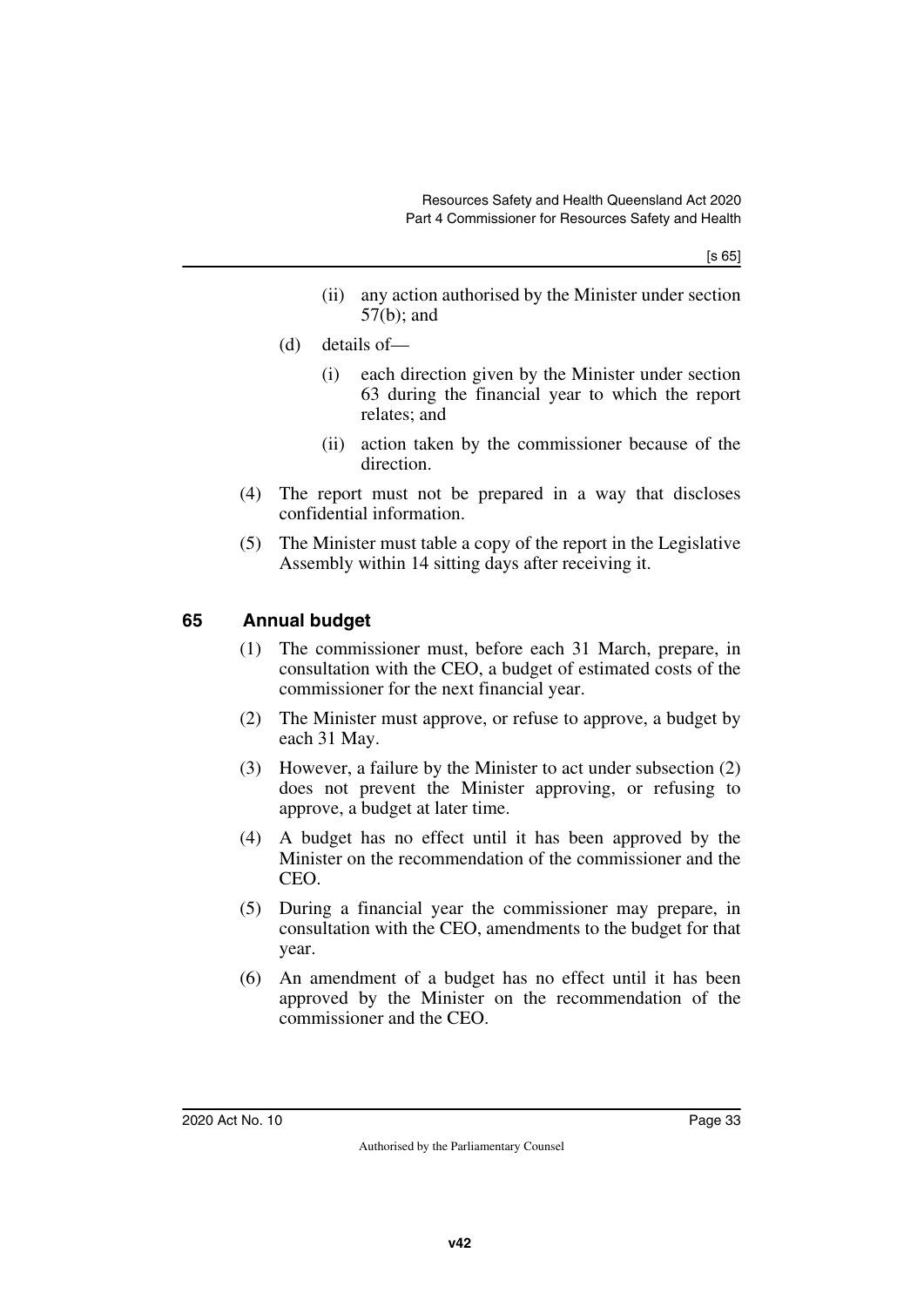- (ii) any action authorised by the Minister under section 57(b); and
- (d) details of—
	- (i) each direction given by the Minister under section 63 during the financial year to which the report relates; and
	- (ii) action taken by the commissioner because of the direction.
- (4) The report must not be prepared in a way that discloses confidential information.
- (5) The Minister must table a copy of the report in the Legislative Assembly within 14 sitting days after receiving it.

## <span id="page-34-0"></span>**65 Annual budget**

- <span id="page-34-1"></span>(1) The commissioner must, before each 31 March, prepare, in consultation with the CEO, a budget of estimated costs of the commissioner for the next financial year.
- (2) The Minister must approve, or refuse to approve, a budget by each 31 May.
- (3) However, a failure by the Minister to act under subsection (2) does not prevent the Minister approving, or refusing to approve, a budget at later time.
- (4) A budget has no effect until it has been approved by the Minister on the recommendation of the commissioner and the CEO.
- (5) During a financial year the commissioner may prepare, in consultation with the CEO, amendments to the budget for that year.
- (6) An amendment of a budget has no effect until it has been approved by the Minister on the recommendation of the commissioner and the CEO.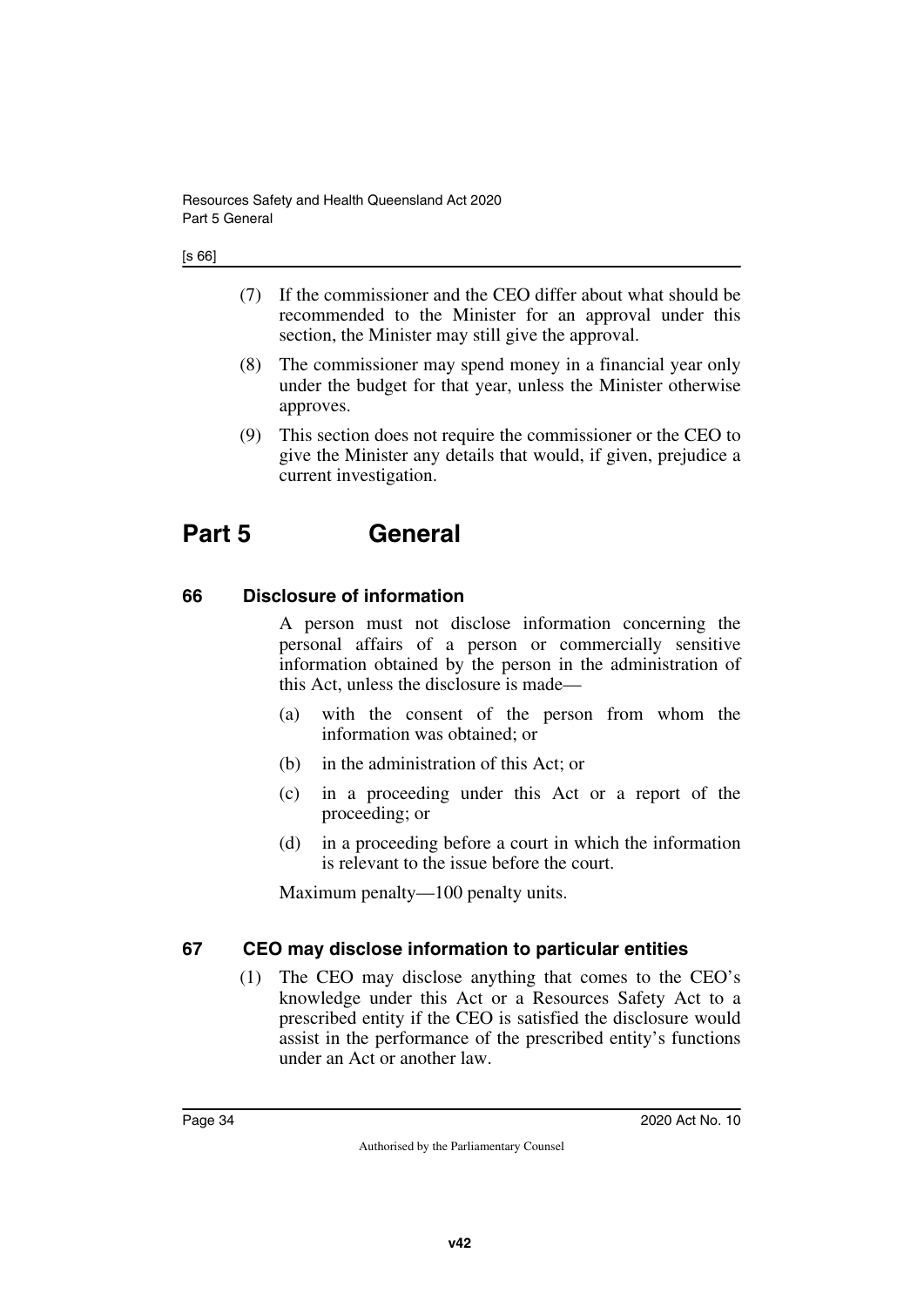- (7) If the commissioner and the CEO differ about what should be recommended to the Minister for an approval under this section, the Minister may still give the approval.
- (8) The commissioner may spend money in a financial year only under the budget for that year, unless the Minister otherwise approves.
- (9) This section does not require the commissioner or the CEO to give the Minister any details that would, if given, prejudice a current investigation.

# <span id="page-35-0"></span>**Part 5 General**

## <span id="page-35-2"></span>**66 Disclosure of information**

<span id="page-35-3"></span><span id="page-35-1"></span>A person must not disclose information concerning the personal affairs of a person or commercially sensitive information obtained by the person in the administration of this Act, unless the disclosure is made—

- (a) with the consent of the person from whom the information was obtained; or
- (b) in the administration of this Act; or
- (c) in a proceeding under this Act or a report of the proceeding; or
- (d) in a proceeding before a court in which the information is relevant to the issue before the court.

Maximum penalty—100 penalty units.

### <span id="page-35-4"></span>**67 CEO may disclose information to particular entities**

<span id="page-35-5"></span>(1) The CEO may disclose anything that comes to the CEO's knowledge under this Act or a Resources Safety Act to a prescribed entity if the CEO is satisfied the disclosure would assist in the performance of the prescribed entity's functions under an Act or another law.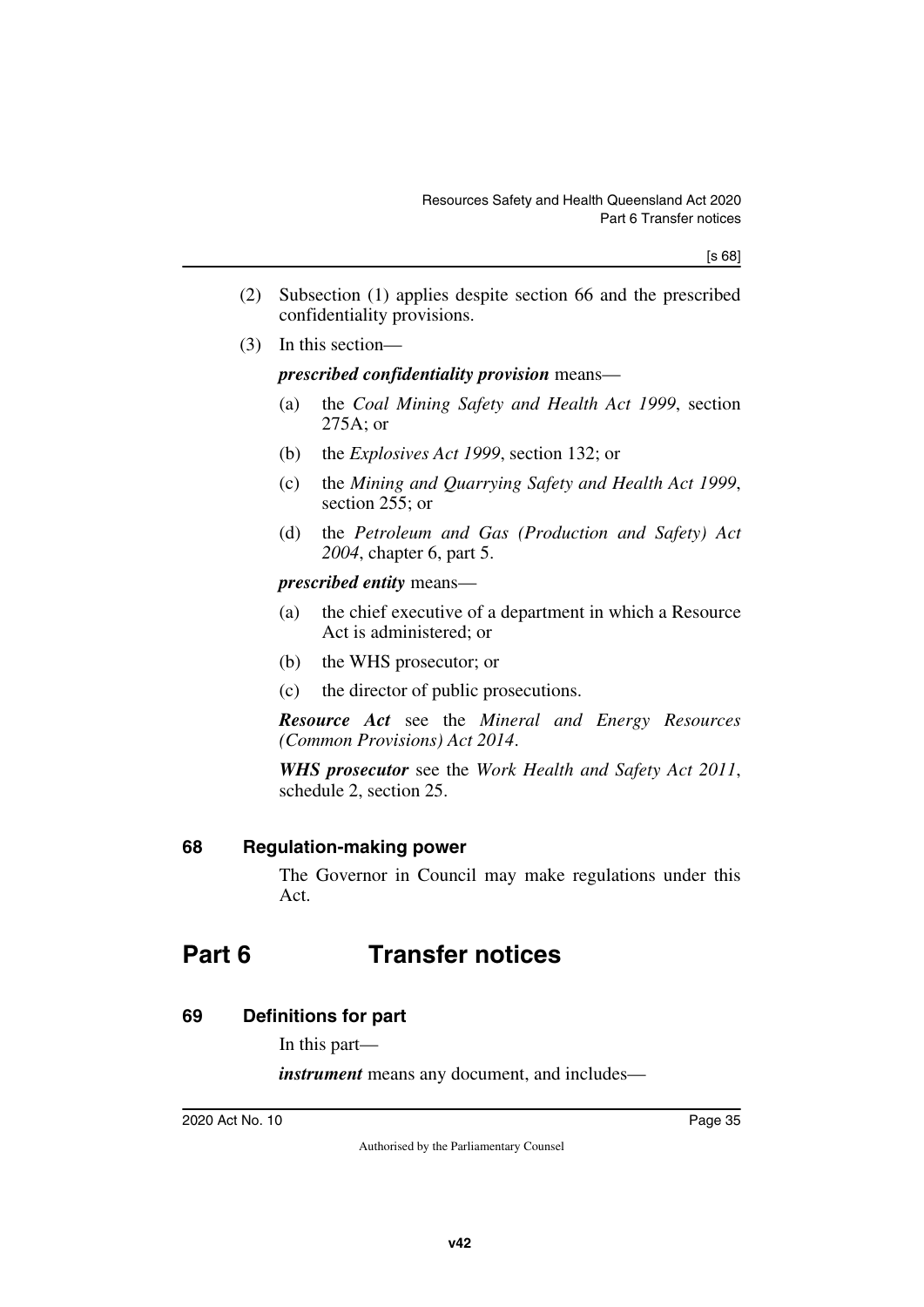- (2) Subsection (1) applies despite section 66 and the prescribed confidentiality provisions.
- (3) In this section—

### *prescribed confidentiality provision* means—

- (a) the *Coal Mining Safety and Health Act 1999*, section 275A; or
- (b) the *Explosives Act 1999*, section 132; or
- (c) the *Mining and Quarrying Safety and Health Act 1999*, section 255; or
- (d) the *Petroleum and Gas (Production and Safety) Act 2004*, chapter 6, part 5.

*prescribed entity* means—

- (a) the chief executive of a department in which a Resource Act is administered; or
- (b) the WHS prosecutor; or
- (c) the director of public prosecutions.

*Resource Act* see the *Mineral and Energy Resources (Common Provisions) Act 2014*.

*WHS prosecutor* see the *Work Health and Safety Act 2011*, schedule 2, section 25.

# **68 Regulation-making power**

The Governor in Council may make regulations under this Act.

# **Part 6 Transfer notices**

# **69 Definitions for part**

In this part—

*instrument* means any document, and includes—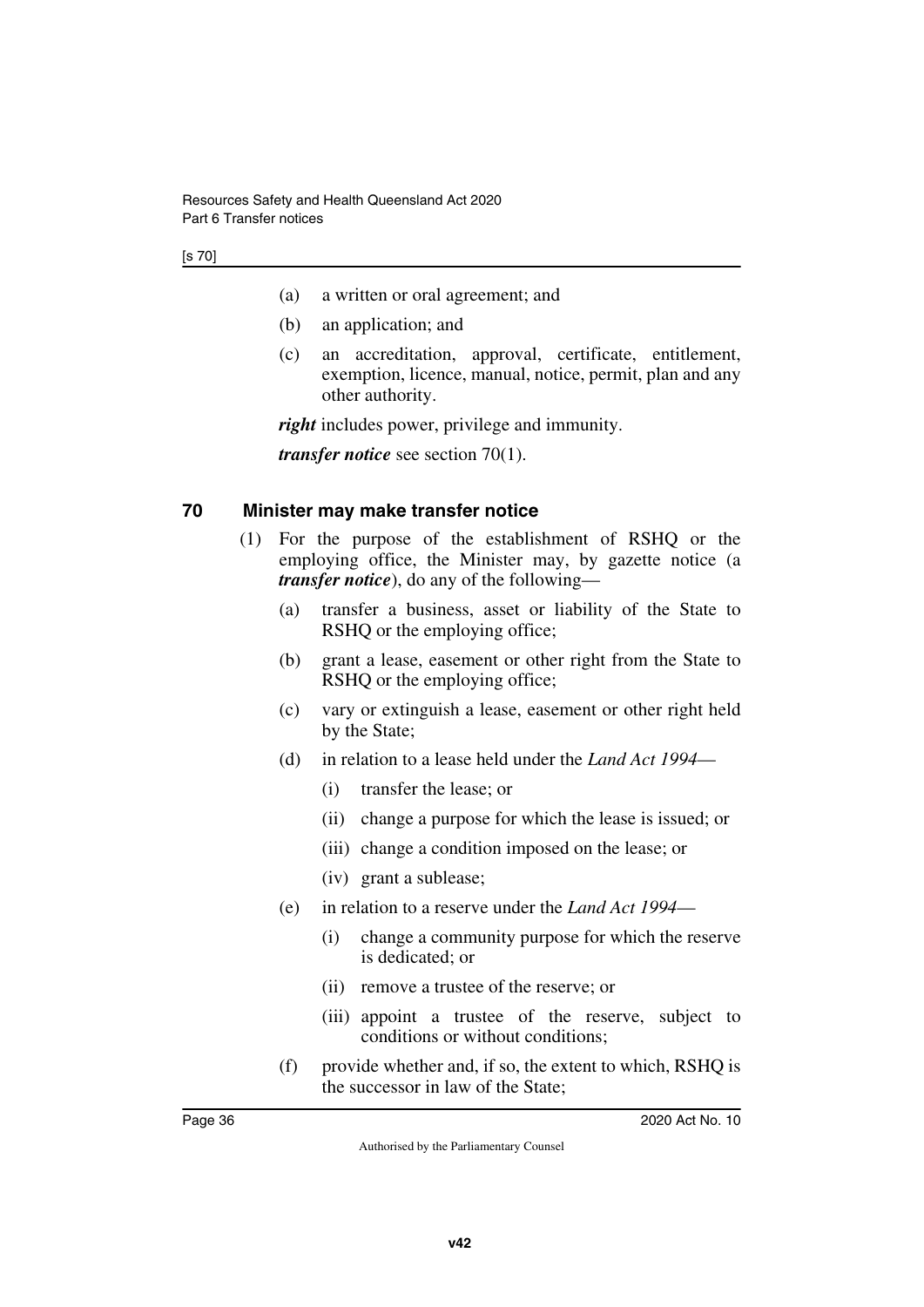- (a) a written or oral agreement; and
- (b) an application; and
- (c) an accreditation, approval, certificate, entitlement, exemption, licence, manual, notice, permit, plan and any other authority.

*right* includes power, privilege and immunity.

*transfer notice* see section 70(1).

### **70 Minister may make transfer notice**

- (1) For the purpose of the establishment of RSHQ or the employing office, the Minister may, by gazette notice (a *transfer notice*), do any of the following—
	- (a) transfer a business, asset or liability of the State to RSHQ or the employing office;
	- (b) grant a lease, easement or other right from the State to RSHQ or the employing office;
	- (c) vary or extinguish a lease, easement or other right held by the State;
	- (d) in relation to a lease held under the *Land Act 1994*
		- (i) transfer the lease; or
		- (ii) change a purpose for which the lease is issued; or
		- (iii) change a condition imposed on the lease; or
		- (iv) grant a sublease;
	- (e) in relation to a reserve under the *Land Act 1994*
		- (i) change a community purpose for which the reserve is dedicated; or
		- (ii) remove a trustee of the reserve; or
		- (iii) appoint a trustee of the reserve, subject to conditions or without conditions;
	- (f) provide whether and, if so, the extent to which, RSHQ is the successor in law of the State;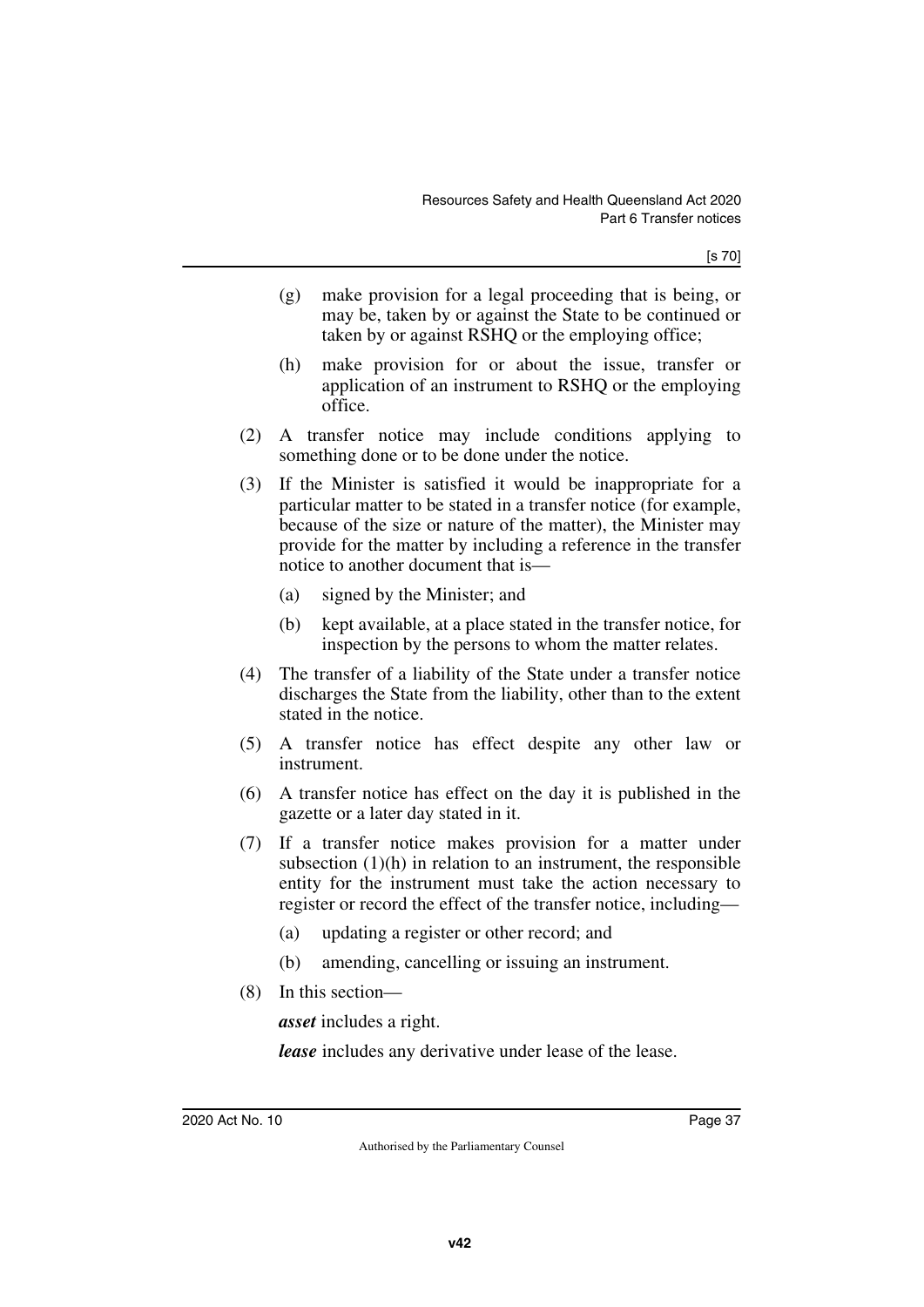[s 70]

- (g) make provision for a legal proceeding that is being, or may be, taken by or against the State to be continued or taken by or against RSHQ or the employing office;
- (h) make provision for or about the issue, transfer or application of an instrument to RSHQ or the employing office.
- (2) A transfer notice may include conditions applying to something done or to be done under the notice.
- (3) If the Minister is satisfied it would be inappropriate for a particular matter to be stated in a transfer notice (for example, because of the size or nature of the matter), the Minister may provide for the matter by including a reference in the transfer notice to another document that is—
	- (a) signed by the Minister; and
	- (b) kept available, at a place stated in the transfer notice, for inspection by the persons to whom the matter relates.
- (4) The transfer of a liability of the State under a transfer notice discharges the State from the liability, other than to the extent stated in the notice.
- (5) A transfer notice has effect despite any other law or instrument.
- (6) A transfer notice has effect on the day it is published in the gazette or a later day stated in it.
- (7) If a transfer notice makes provision for a matter under subsection  $(1)(h)$  in relation to an instrument, the responsible entity for the instrument must take the action necessary to register or record the effect of the transfer notice, including—
	- (a) updating a register or other record; and
	- (b) amending, cancelling or issuing an instrument.
- (8) In this section—

*asset* includes a right.

*lease* includes any derivative under lease of the lease.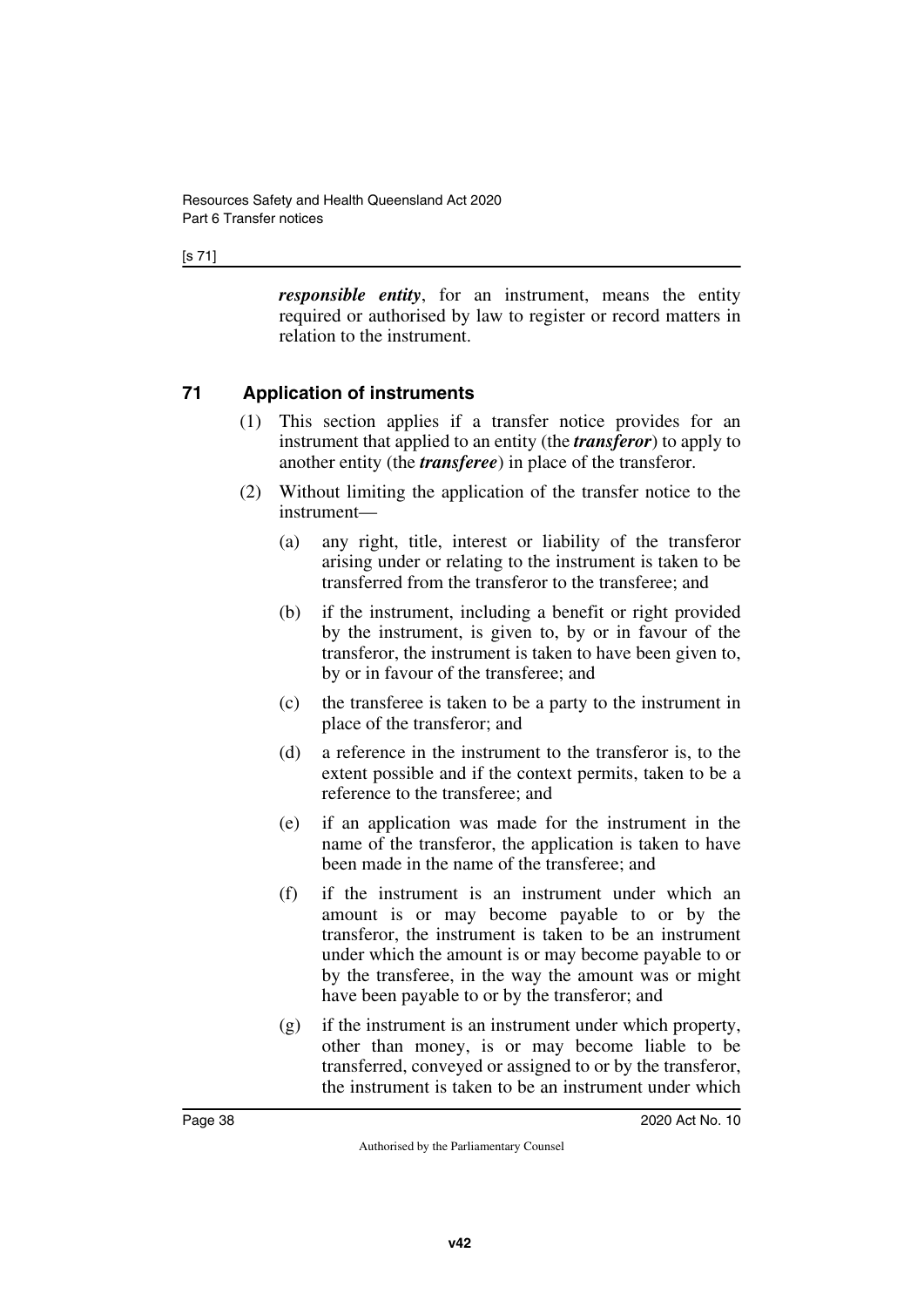#### [s 71]

*responsible entity*, for an instrument, means the entity required or authorised by law to register or record matters in relation to the instrument.

# **71 Application of instruments**

- (1) This section applies if a transfer notice provides for an instrument that applied to an entity (the *transferor*) to apply to another entity (the *transferee*) in place of the transferor.
- (2) Without limiting the application of the transfer notice to the instrument—
	- (a) any right, title, interest or liability of the transferor arising under or relating to the instrument is taken to be transferred from the transferor to the transferee; and
	- (b) if the instrument, including a benefit or right provided by the instrument, is given to, by or in favour of the transferor, the instrument is taken to have been given to, by or in favour of the transferee; and
	- (c) the transferee is taken to be a party to the instrument in place of the transferor; and
	- (d) a reference in the instrument to the transferor is, to the extent possible and if the context permits, taken to be a reference to the transferee; and
	- (e) if an application was made for the instrument in the name of the transferor, the application is taken to have been made in the name of the transferee; and
	- (f) if the instrument is an instrument under which an amount is or may become payable to or by the transferor, the instrument is taken to be an instrument under which the amount is or may become payable to or by the transferee, in the way the amount was or might have been payable to or by the transferor; and
	- (g) if the instrument is an instrument under which property, other than money, is or may become liable to be transferred, conveyed or assigned to or by the transferor, the instrument is taken to be an instrument under which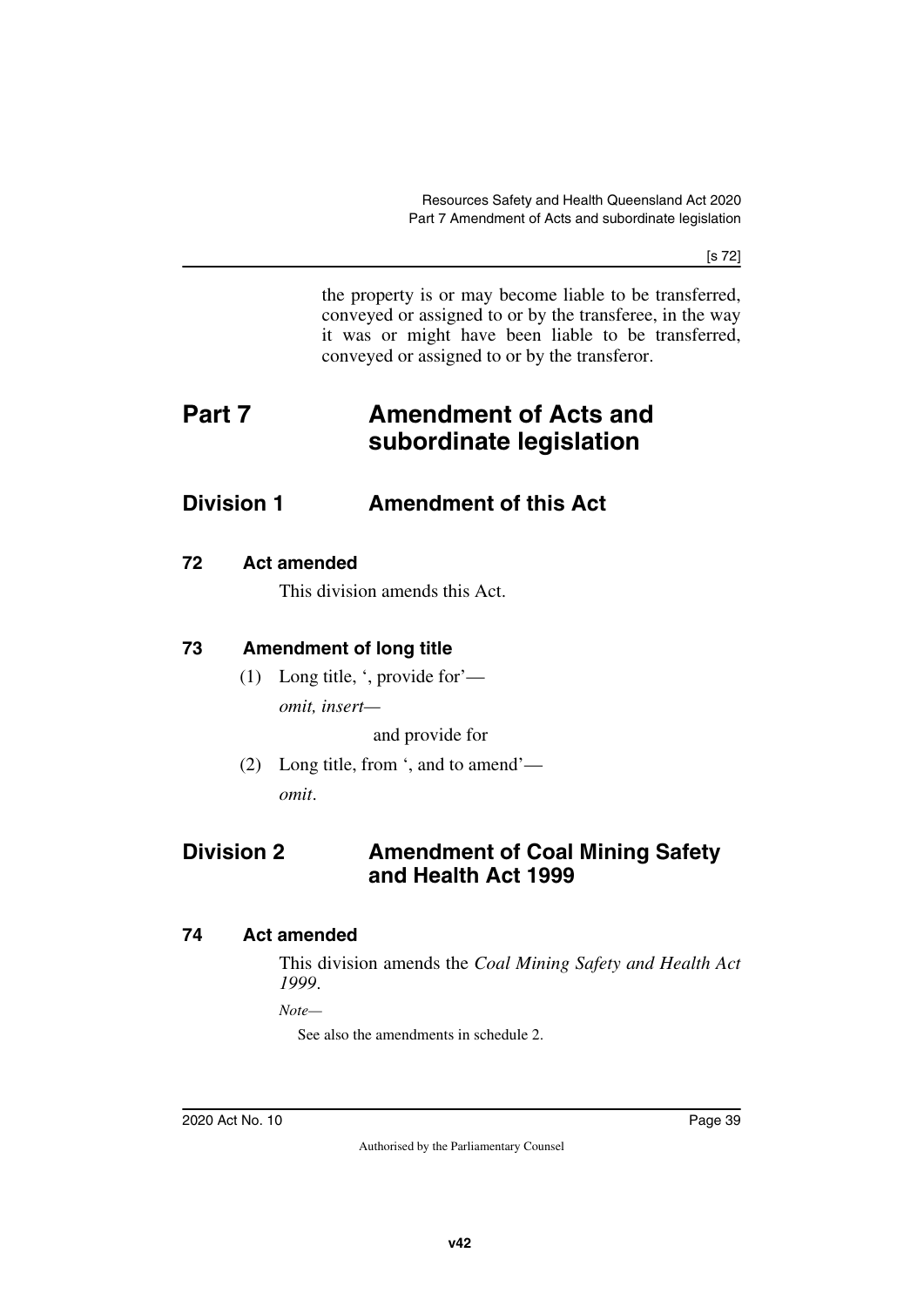[s 72]

the property is or may become liable to be transferred, conveyed or assigned to or by the transferee, in the way it was or might have been liable to be transferred, conveyed or assigned to or by the transferor.

# **Part 7 Amendment of Acts and subordinate legislation**

# **Division 1 Amendment of this Act**

### **72 Act amended**

This division amends this Act.

# **73 Amendment of long title**

(1) Long title, ', provide for' *omit, insert—*

and provide for

(2) Long title, from ', and to amend' *omit*.

# **Division 2 Amendment of Coal Mining Safety and Health Act 1999**

# **74 Act amended**

This division amends the *Coal Mining Safety and Health Act 1999*.

*Note—*

See also the amendments in schedule 2.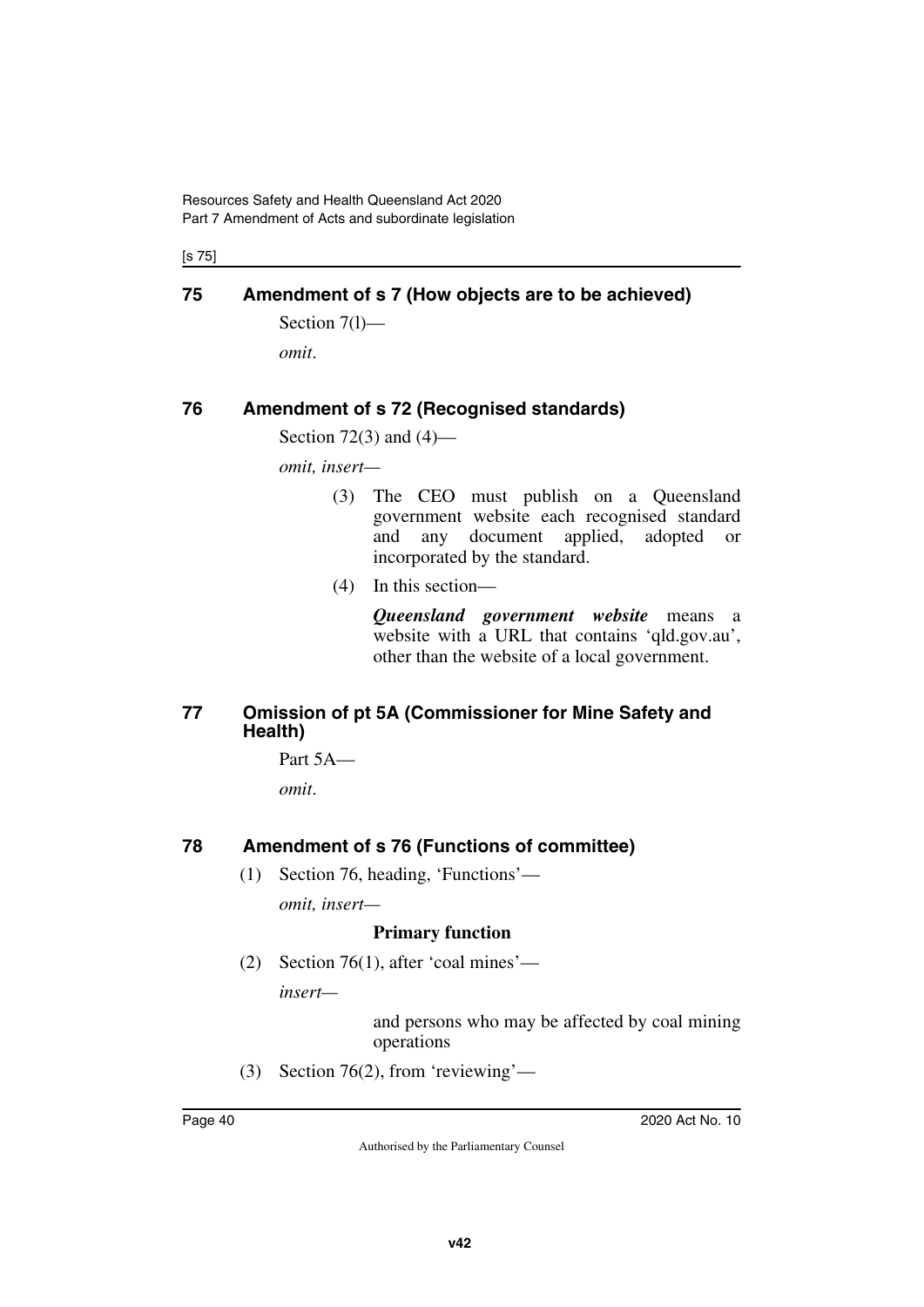[s 75]

# **75 Amendment of s 7 (How objects are to be achieved)**

Section 7(1) *omit*.

# **76 Amendment of s 72 (Recognised standards)**

Section 72(3) and (4)—

*omit, insert—*

- (3) The CEO must publish on a Queensland government website each recognised standard and any document applied, adopted or incorporated by the standard.
- (4) In this section—

*Queensland government website* means a website with a URL that contains 'qld.gov.au', other than the website of a local government.

### **77 Omission of pt 5A (Commissioner for Mine Safety and Health)**

Part 5A *omit*.

# **78 Amendment of s 76 (Functions of committee)**

(1) Section 76, heading, 'Functions' *omit, insert—*

### **Primary function**

(2) Section 76(1), after 'coal mines' *insert—*

> and persons who may be affected by coal mining operations

(3) Section 76(2), from 'reviewing'—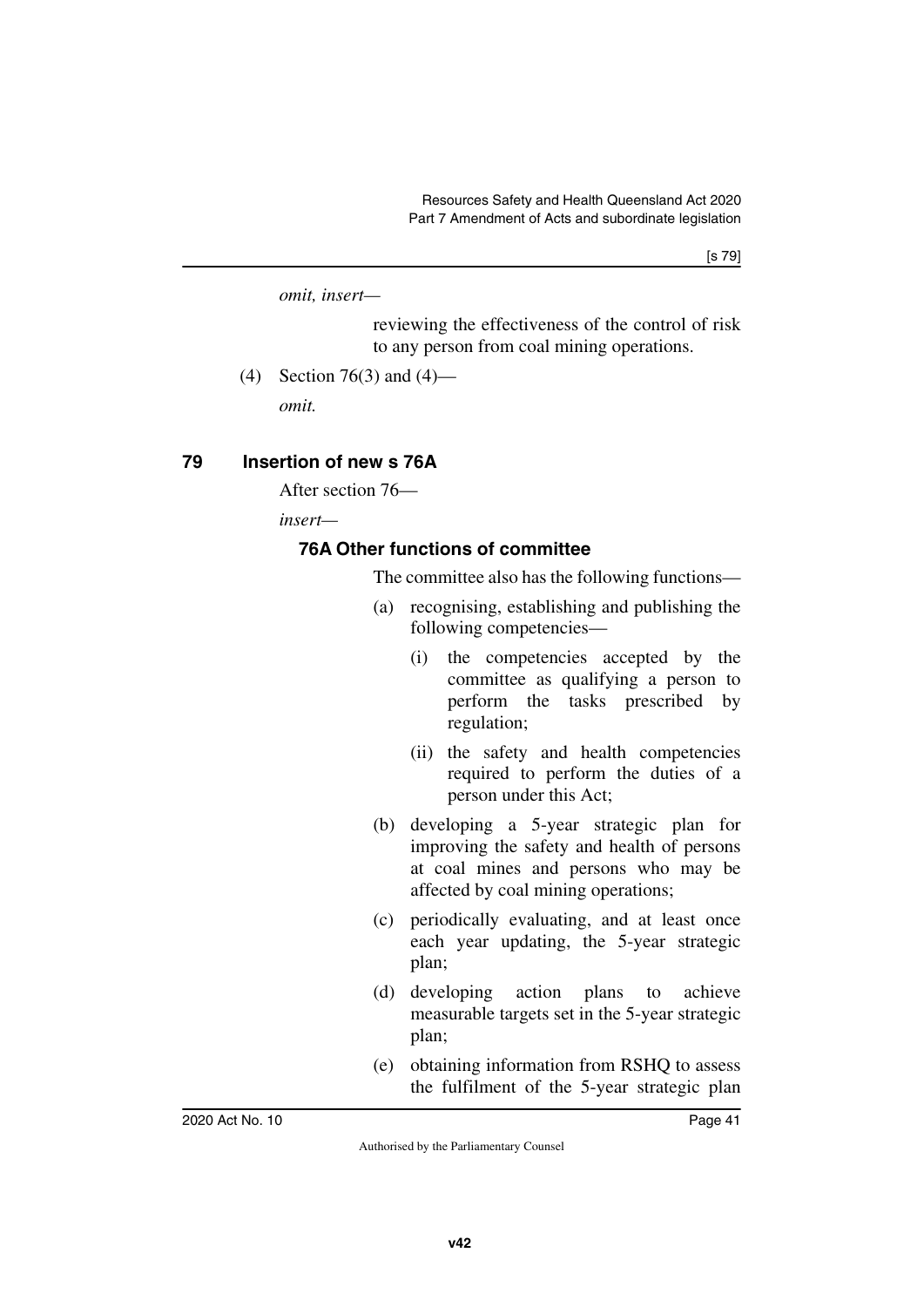*omit, insert—*

reviewing the effectiveness of the control of risk to any person from coal mining operations.

(4) Section 76(3) and (4)—

*omit.*

### **79 Insertion of new s 76A**

After section 76—

*insert—*

### **76A Other functions of committee**

The committee also has the following functions—

- (a) recognising, establishing and publishing the following competencies—
	- (i) the competencies accepted by the committee as qualifying a person to perform the tasks prescribed by regulation;
	- (ii) the safety and health competencies required to perform the duties of a person under this Act;
- (b) developing a 5-year strategic plan for improving the safety and health of persons at coal mines and persons who may be affected by coal mining operations;
- (c) periodically evaluating, and at least once each year updating, the 5-year strategic plan;
- (d) developing action plans to achieve measurable targets set in the 5-year strategic plan;
- (e) obtaining information from RSHQ to assess the fulfilment of the 5-year strategic plan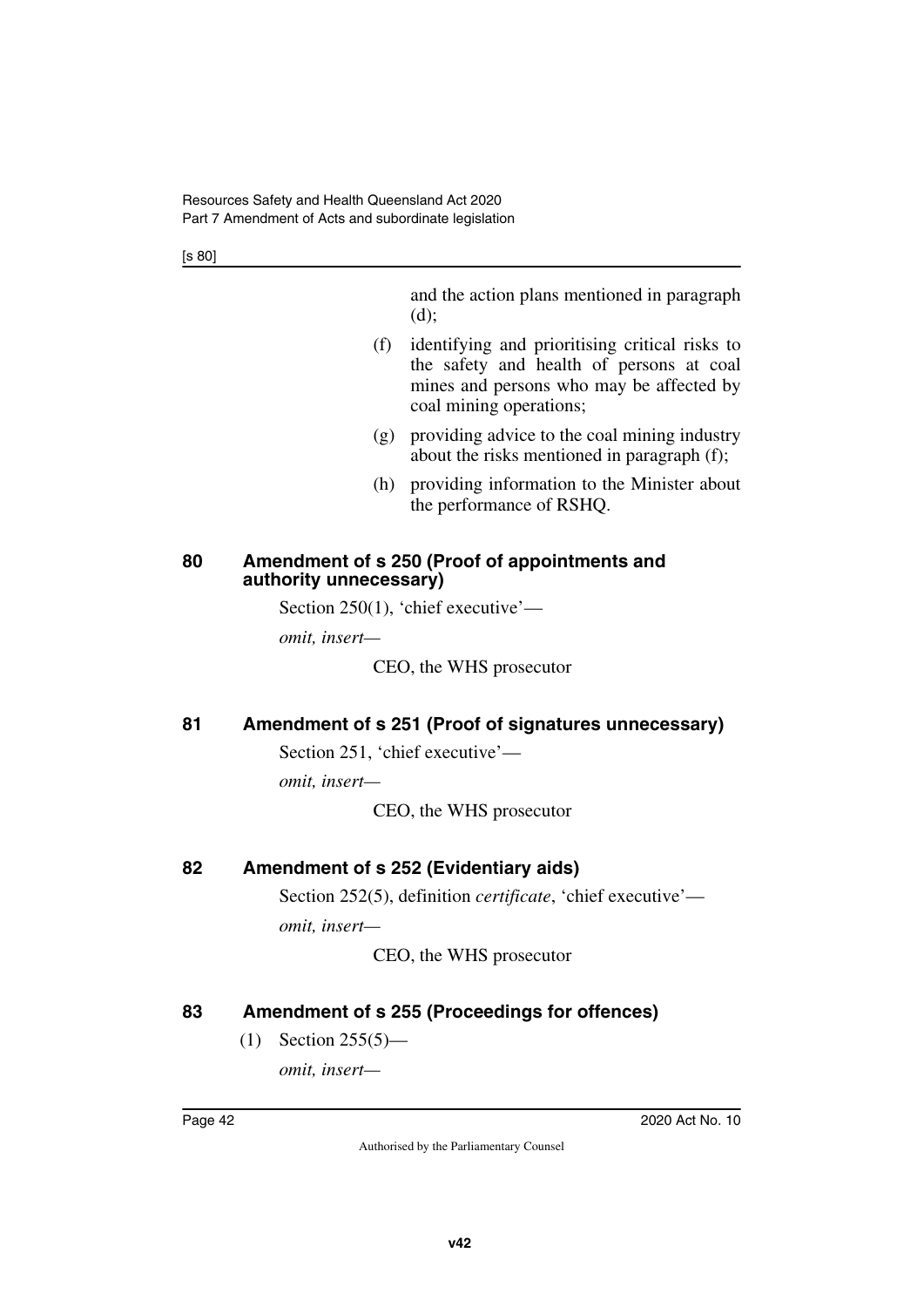[s 80]

and the action plans mentioned in paragraph (d);

- (f) identifying and prioritising critical risks to the safety and health of persons at coal mines and persons who may be affected by coal mining operations;
- (g) providing advice to the coal mining industry about the risks mentioned in paragraph (f);
- (h) providing information to the Minister about the performance of RSHQ.

### **80 Amendment of s 250 (Proof of appointments and authority unnecessary)**

Section 250(1), 'chief executive'—

*omit, insert—*

CEO, the WHS prosecutor

# **81 Amendment of s 251 (Proof of signatures unnecessary)**

Section 251, 'chief executive'—

*omit, insert—*

CEO, the WHS prosecutor

# **82 Amendment of s 252 (Evidentiary aids)**

Section 252(5), definition *certificate*, 'chief executive' *omit, insert—*

CEO, the WHS prosecutor

# **83 Amendment of s 255 (Proceedings for offences)**

(1) Section 255(5)—

*omit, insert—*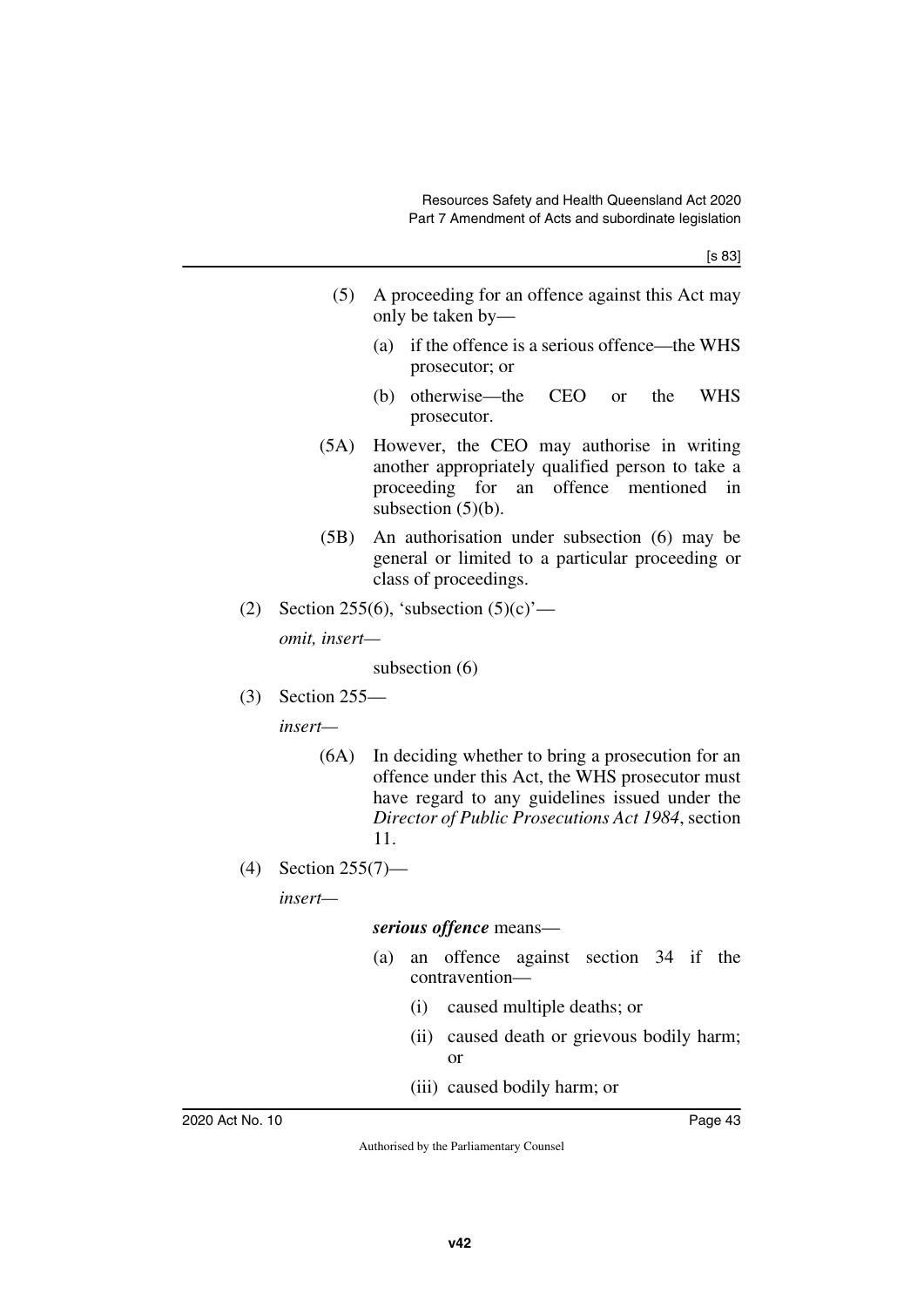- (5) A proceeding for an offence against this Act may only be taken by—
	- (a) if the offence is a serious offence—the WHS prosecutor; or
	- (b) otherwise—the CEO or the WHS prosecutor.
- (5A) However, the CEO may authorise in writing another appropriately qualified person to take a proceeding for an offence mentioned in subsection  $(5)(b)$ .
- (5B) An authorisation under subsection (6) may be general or limited to a particular proceeding or class of proceedings.
- (2) Section 255(6), 'subsection  $(5)(c)$ ' *omit, insert—*

subsection (6)

(3) Section 255—

*insert—*

- (6A) In deciding whether to bring a prosecution for an offence under this Act, the WHS prosecutor must have regard to any guidelines issued under the *Director of Public Prosecutions Act 1984*, section 11.
- (4) Section 255(7)—

*insert—*

### *serious offence* means—

- (a) an offence against section 34 if the contravention—
	- (i) caused multiple deaths; or
	- (ii) caused death or grievous bodily harm; or
	- (iii) caused bodily harm; or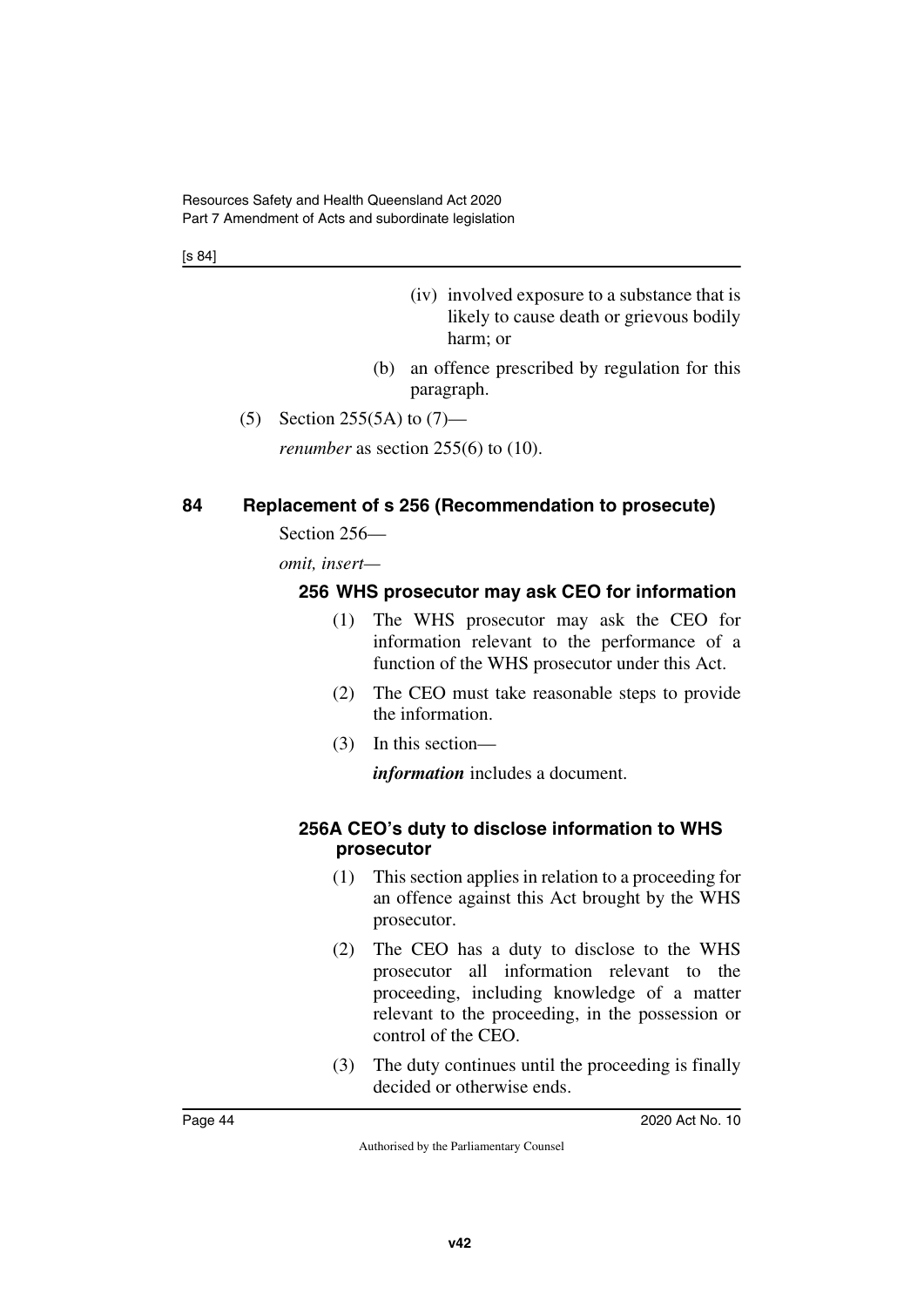[s 84]

- (iv) involved exposure to a substance that is likely to cause death or grievous bodily harm; or
- (b) an offence prescribed by regulation for this paragraph.
- (5) Section 255(5A) to  $(7)$ —

*renumber* as section 255(6) to (10).

# **84 Replacement of s 256 (Recommendation to prosecute)**

Section 256—

*omit, insert—*

# **256 WHS prosecutor may ask CEO for information**

- (1) The WHS prosecutor may ask the CEO for information relevant to the performance of a function of the WHS prosecutor under this Act.
- (2) The CEO must take reasonable steps to provide the information.
- (3) In this section—

*information* includes a document.

### **256A CEO's duty to disclose information to WHS prosecutor**

- (1) This section applies in relation to a proceeding for an offence against this Act brought by the WHS prosecutor.
- (2) The CEO has a duty to disclose to the WHS prosecutor all information relevant to the proceeding, including knowledge of a matter relevant to the proceeding, in the possession or control of the CEO.
- (3) The duty continues until the proceeding is finally decided or otherwise ends.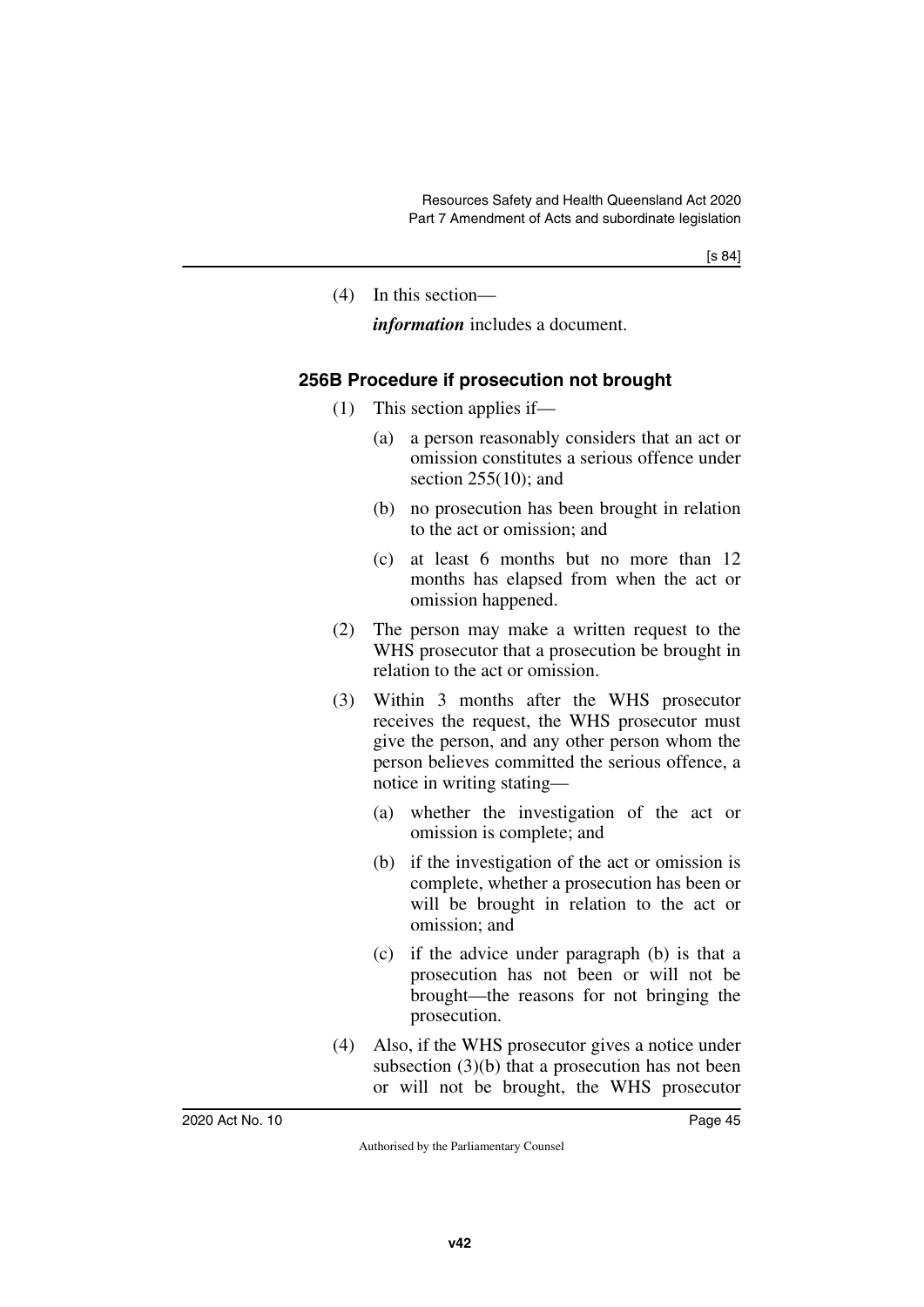(4) In this section—

*information* includes a document.

# **256B Procedure if prosecution not brought**

- (1) This section applies if—
	- (a) a person reasonably considers that an act or omission constitutes a serious offence under section 255(10); and
	- (b) no prosecution has been brought in relation to the act or omission; and
	- (c) at least 6 months but no more than 12 months has elapsed from when the act or omission happened.
- (2) The person may make a written request to the WHS prosecutor that a prosecution be brought in relation to the act or omission.
- (3) Within 3 months after the WHS prosecutor receives the request, the WHS prosecutor must give the person, and any other person whom the person believes committed the serious offence, a notice in writing stating—
	- (a) whether the investigation of the act or omission is complete; and
	- (b) if the investigation of the act or omission is complete, whether a prosecution has been or will be brought in relation to the act or omission; and
	- (c) if the advice under paragraph (b) is that a prosecution has not been or will not be brought—the reasons for not bringing the prosecution.
- (4) Also, if the WHS prosecutor gives a notice under subsection (3)(b) that a prosecution has not been or will not be brought, the WHS prosecutor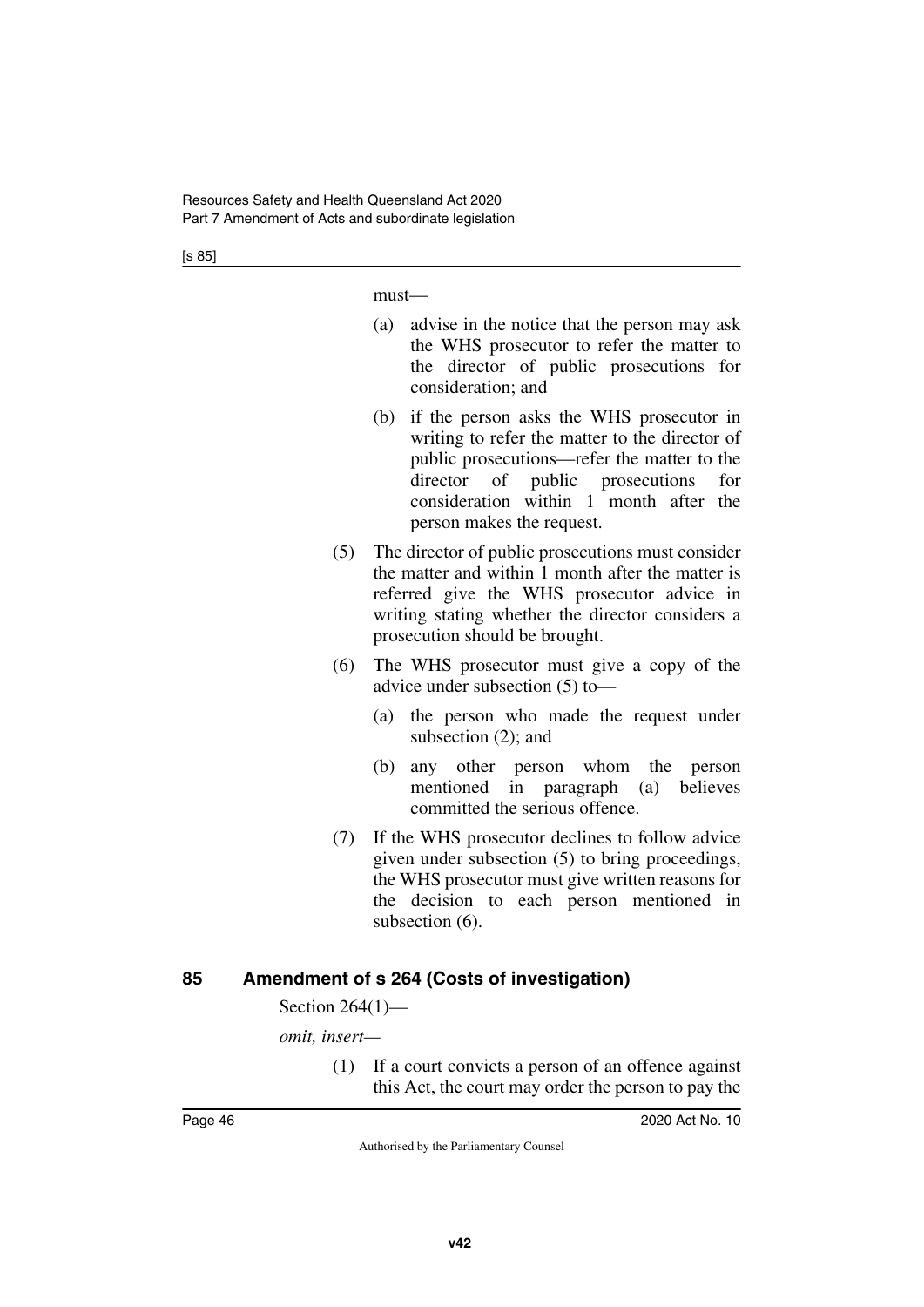[s 85]

must—

- (a) advise in the notice that the person may ask the WHS prosecutor to refer the matter to the director of public prosecutions for consideration; and
- (b) if the person asks the WHS prosecutor in writing to refer the matter to the director of public prosecutions—refer the matter to the director of public prosecutions for consideration within 1 month after the person makes the request.
- (5) The director of public prosecutions must consider the matter and within 1 month after the matter is referred give the WHS prosecutor advice in writing stating whether the director considers a prosecution should be brought.
- (6) The WHS prosecutor must give a copy of the advice under subsection (5) to—
	- (a) the person who made the request under subsection (2); and
	- (b) any other person whom the person mentioned in paragraph (a) believes committed the serious offence.
- (7) If the WHS prosecutor declines to follow advice given under subsection (5) to bring proceedings, the WHS prosecutor must give written reasons for the decision to each person mentioned in subsection  $(6)$ .

# **85 Amendment of s 264 (Costs of investigation)**

Section 264(1)—

*omit, insert—*

(1) If a court convicts a person of an offence against this Act, the court may order the person to pay the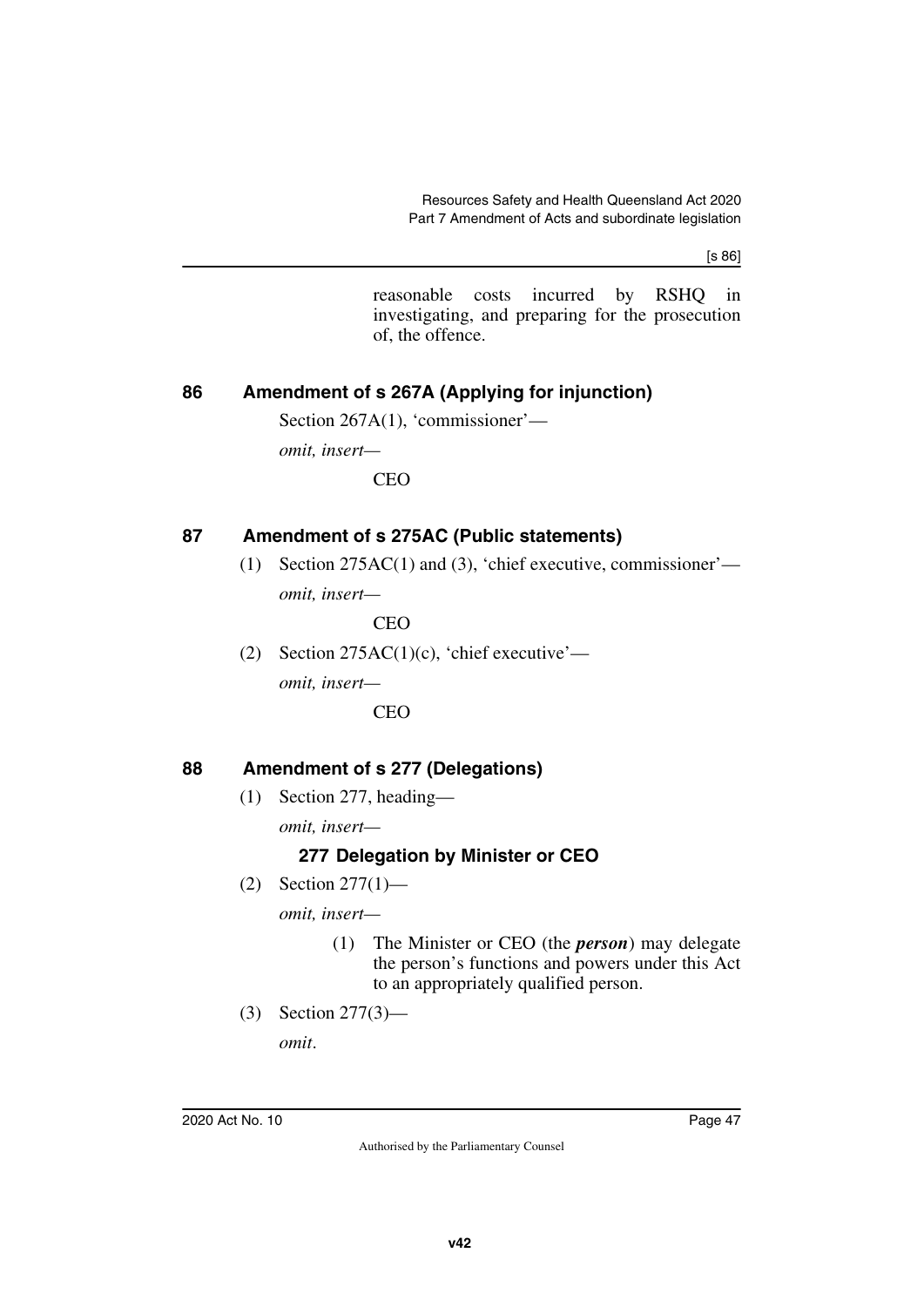[s 86]

reasonable costs incurred by RSHQ in investigating, and preparing for the prosecution of, the offence.

# **86 Amendment of s 267A (Applying for injunction)**

Section 267A(1), 'commissioner'—

*omit, insert—*

CEO

# **87 Amendment of s 275AC (Public statements)**

(1) Section 275AC(1) and (3), 'chief executive, commissioner' *omit, insert—*

CEO

(2) Section  $275AC(1)(c)$ , 'chief executive' *omit, insert—* **CEO** 

# **88 Amendment of s 277 (Delegations)**

(1) Section 277, heading—

*omit, insert—*

# **277 Delegation by Minister or CEO**

(2) Section 277(1)—

*omit, insert—*

- (1) The Minister or CEO (the *person*) may delegate the person's functions and powers under this Act to an appropriately qualified person.
- (3) Section 277(3)—

*omit*.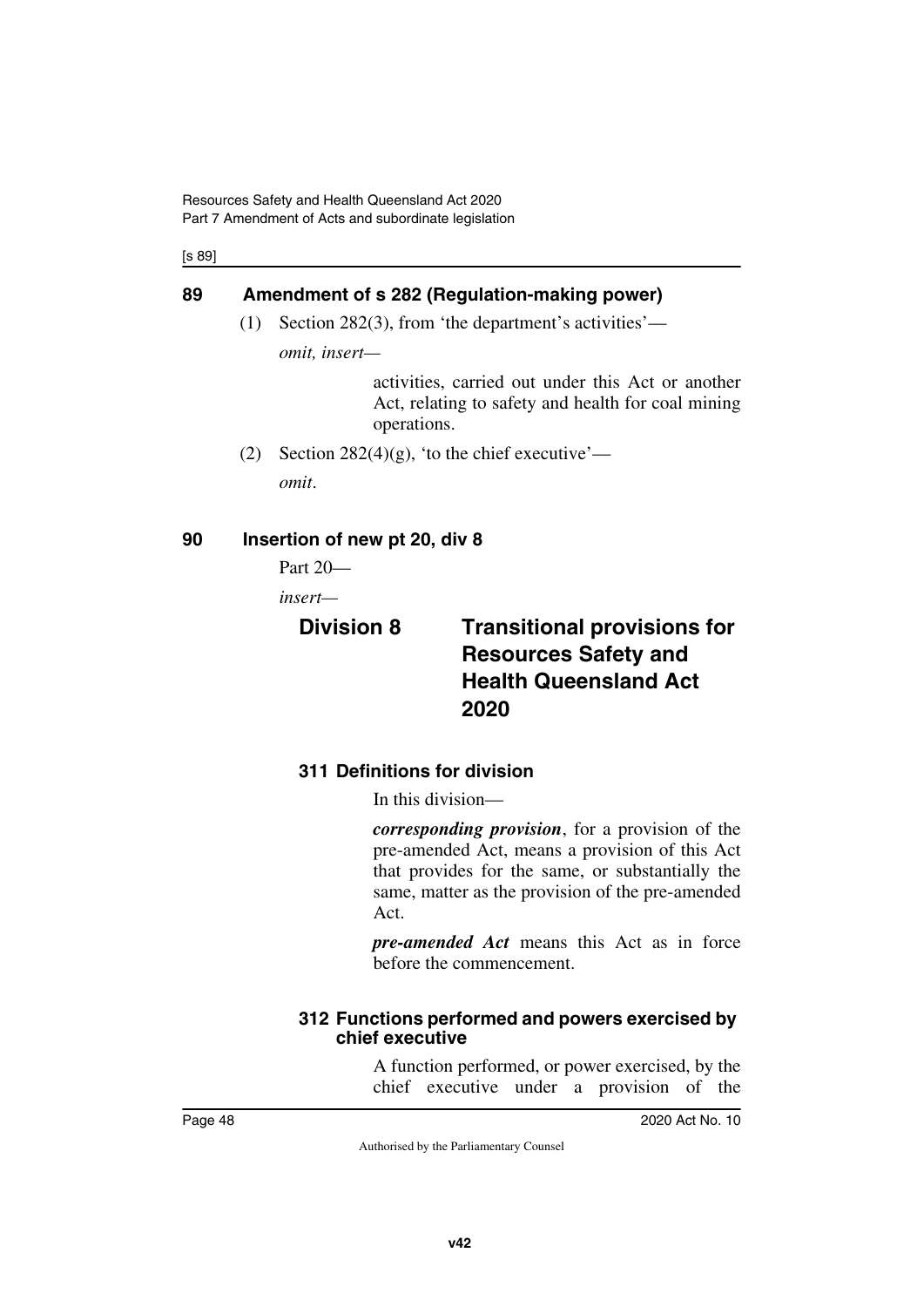[s 89]

# **89 Amendment of s 282 (Regulation-making power)**

(1) Section 282(3), from 'the department's activities'—

*omit, insert—*

activities, carried out under this Act or another Act, relating to safety and health for coal mining operations.

(2) Section 282(4)(g), 'to the chief executive' *omit*.

# **90 Insertion of new pt 20, div 8**

Part 20—

*insert—*

# **Division 8 Transitional provisions for Resources Safety and Health Queensland Act 2020**

# **311 Definitions for division**

In this division—

*corresponding provision*, for a provision of the pre-amended Act, means a provision of this Act that provides for the same, or substantially the same, matter as the provision of the pre-amended Act.

*pre-amended Act* means this Act as in force before the commencement.

### **312 Functions performed and powers exercised by chief executive**

A function performed, or power exercised, by the chief executive under a provision of the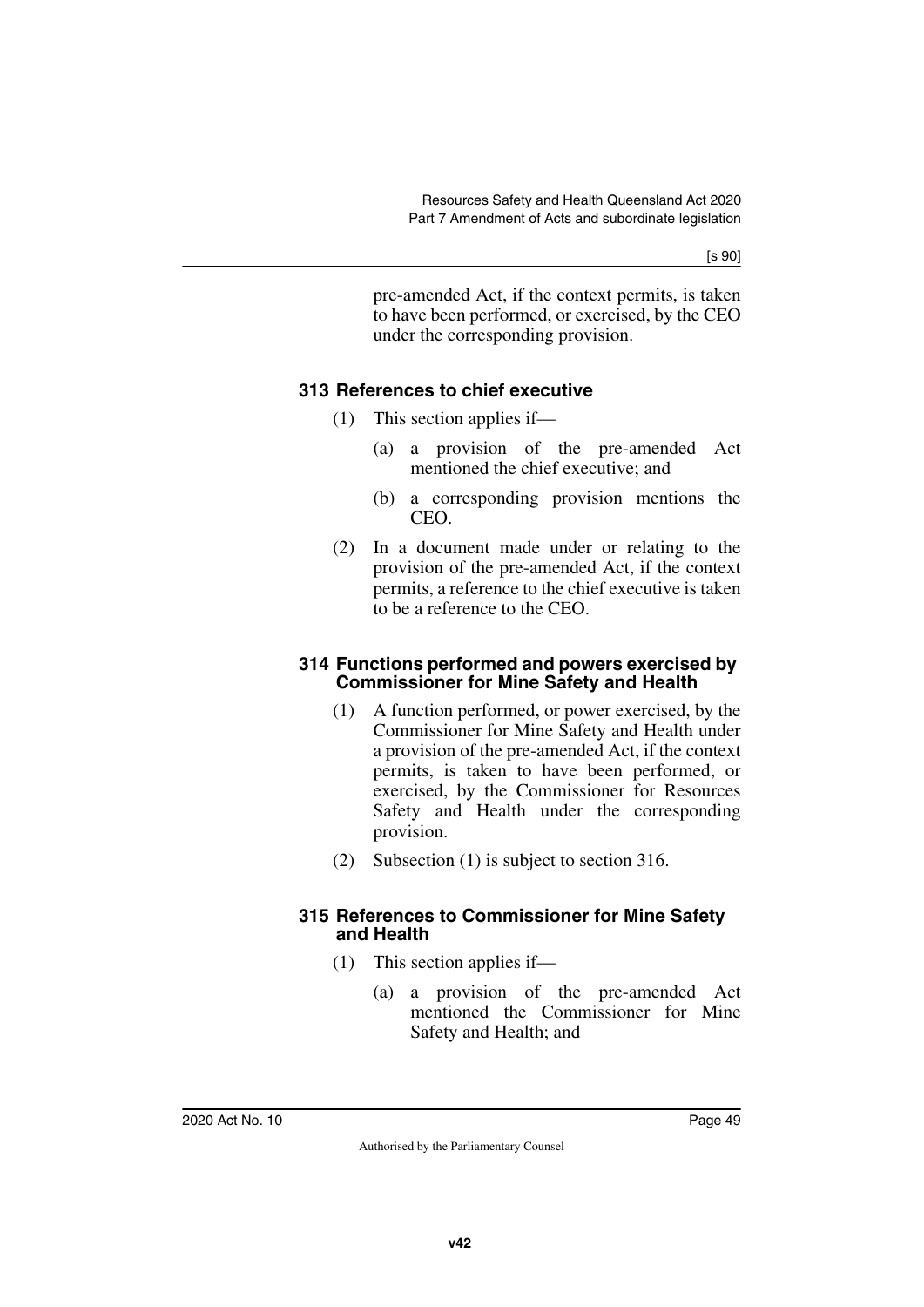[s 90]

pre-amended Act, if the context permits, is taken to have been performed, or exercised, by the CEO under the corresponding provision.

# **313 References to chief executive**

- (1) This section applies if—
	- (a) a provision of the pre-amended Act mentioned the chief executive; and
	- (b) a corresponding provision mentions the CEO.
- (2) In a document made under or relating to the provision of the pre-amended Act, if the context permits, a reference to the chief executive is taken to be a reference to the CEO.

### **314 Functions performed and powers exercised by Commissioner for Mine Safety and Health**

- (1) A function performed, or power exercised, by the Commissioner for Mine Safety and Health under a provision of the pre-amended Act, if the context permits, is taken to have been performed, or exercised, by the Commissioner for Resources Safety and Health under the corresponding provision.
- (2) Subsection (1) is subject to section 316.

### **315 References to Commissioner for Mine Safety and Health**

- (1) This section applies if—
	- (a) a provision of the pre-amended Act mentioned the Commissioner for Mine Safety and Health; and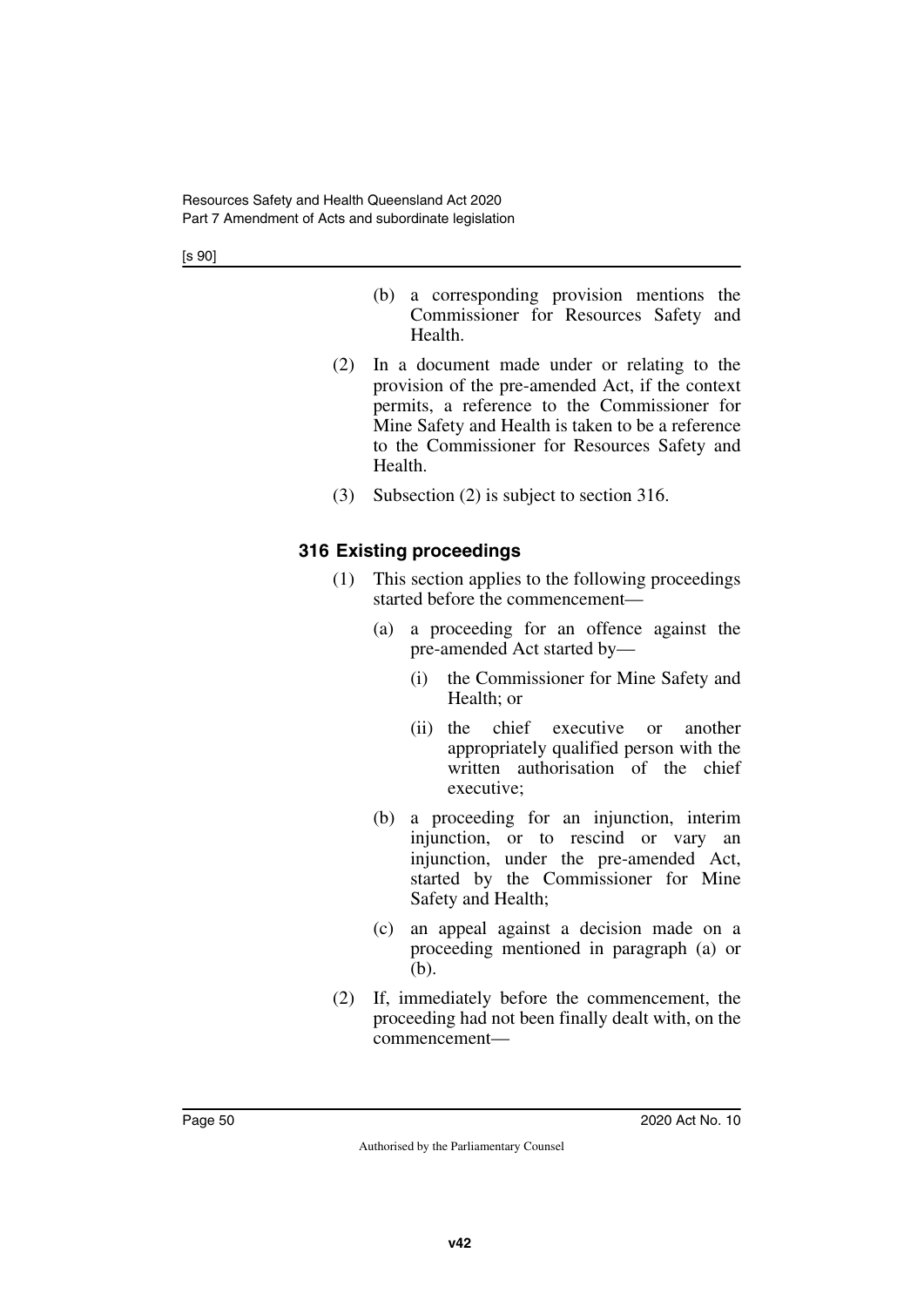[s 90]

- (b) a corresponding provision mentions the Commissioner for Resources Safety and Health.
- (2) In a document made under or relating to the provision of the pre-amended Act, if the context permits, a reference to the Commissioner for Mine Safety and Health is taken to be a reference to the Commissioner for Resources Safety and Health.
- (3) Subsection (2) is subject to section 316.

# **316 Existing proceedings**

- (1) This section applies to the following proceedings started before the commencement—
	- (a) a proceeding for an offence against the pre-amended Act started by—
		- (i) the Commissioner for Mine Safety and Health; or
		- (ii) the chief executive or another appropriately qualified person with the written authorisation of the chief executive;
	- (b) a proceeding for an injunction, interim injunction, or to rescind or vary an injunction, under the pre-amended Act, started by the Commissioner for Mine Safety and Health;
	- (c) an appeal against a decision made on a proceeding mentioned in paragraph (a) or (b).
- (2) If, immediately before the commencement, the proceeding had not been finally dealt with, on the commencement—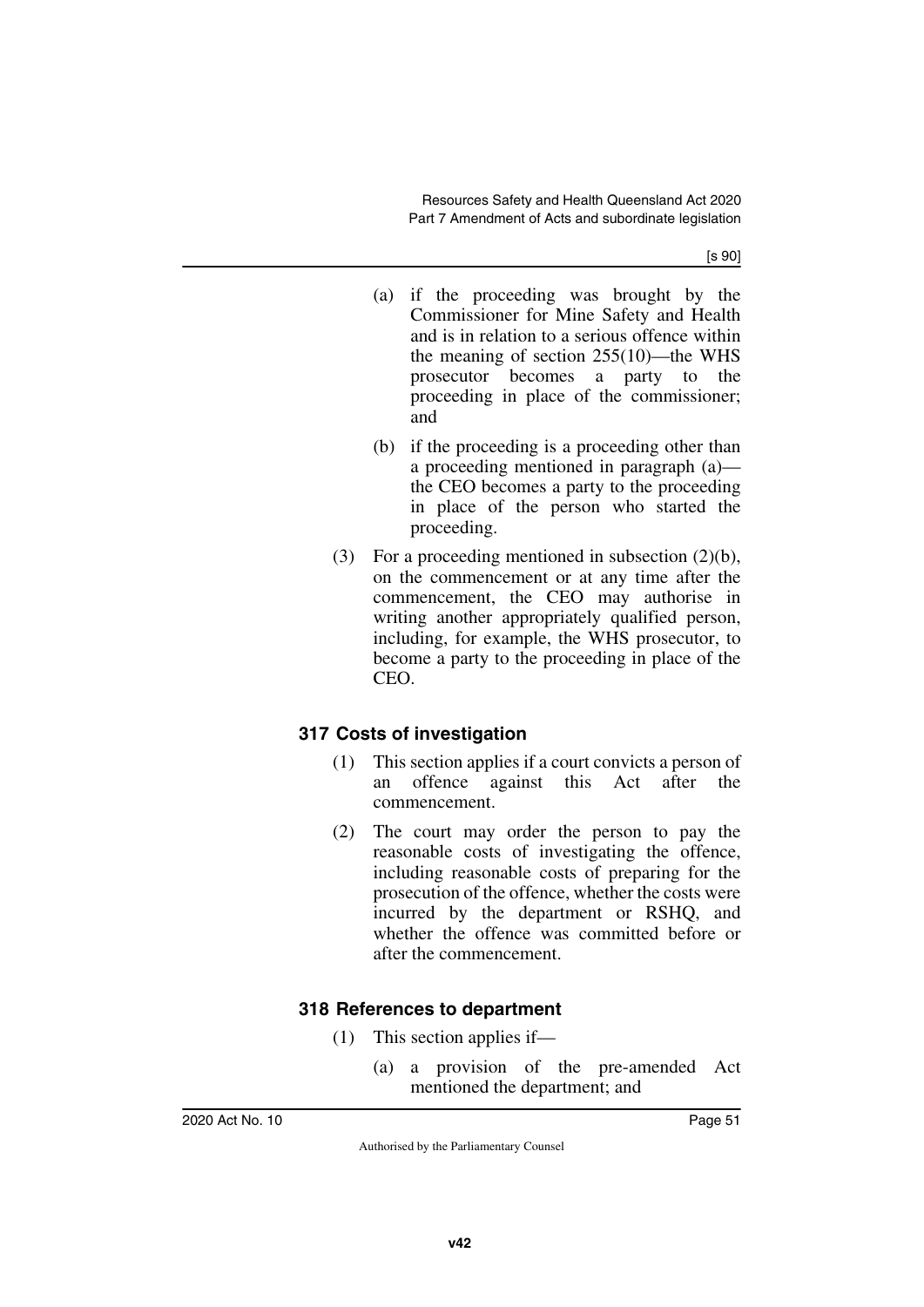[s 90]

- (a) if the proceeding was brought by the Commissioner for Mine Safety and Health and is in relation to a serious offence within the meaning of section 255(10)—the WHS prosecutor becomes a party to the proceeding in place of the commissioner; and
- (b) if the proceeding is a proceeding other than a proceeding mentioned in paragraph (a) the CEO becomes a party to the proceeding in place of the person who started the proceeding.
- (3) For a proceeding mentioned in subsection (2)(b), on the commencement or at any time after the commencement, the CEO may authorise in writing another appropriately qualified person, including, for example, the WHS prosecutor, to become a party to the proceeding in place of the CEO.

# **317 Costs of investigation**

- (1) This section applies if a court convicts a person of an offence against this Act after the commencement.
- (2) The court may order the person to pay the reasonable costs of investigating the offence, including reasonable costs of preparing for the prosecution of the offence, whether the costs were incurred by the department or RSHQ, and whether the offence was committed before or after the commencement.

# **318 References to department**

- (1) This section applies if—
	- (a) a provision of the pre-amended Act mentioned the department; and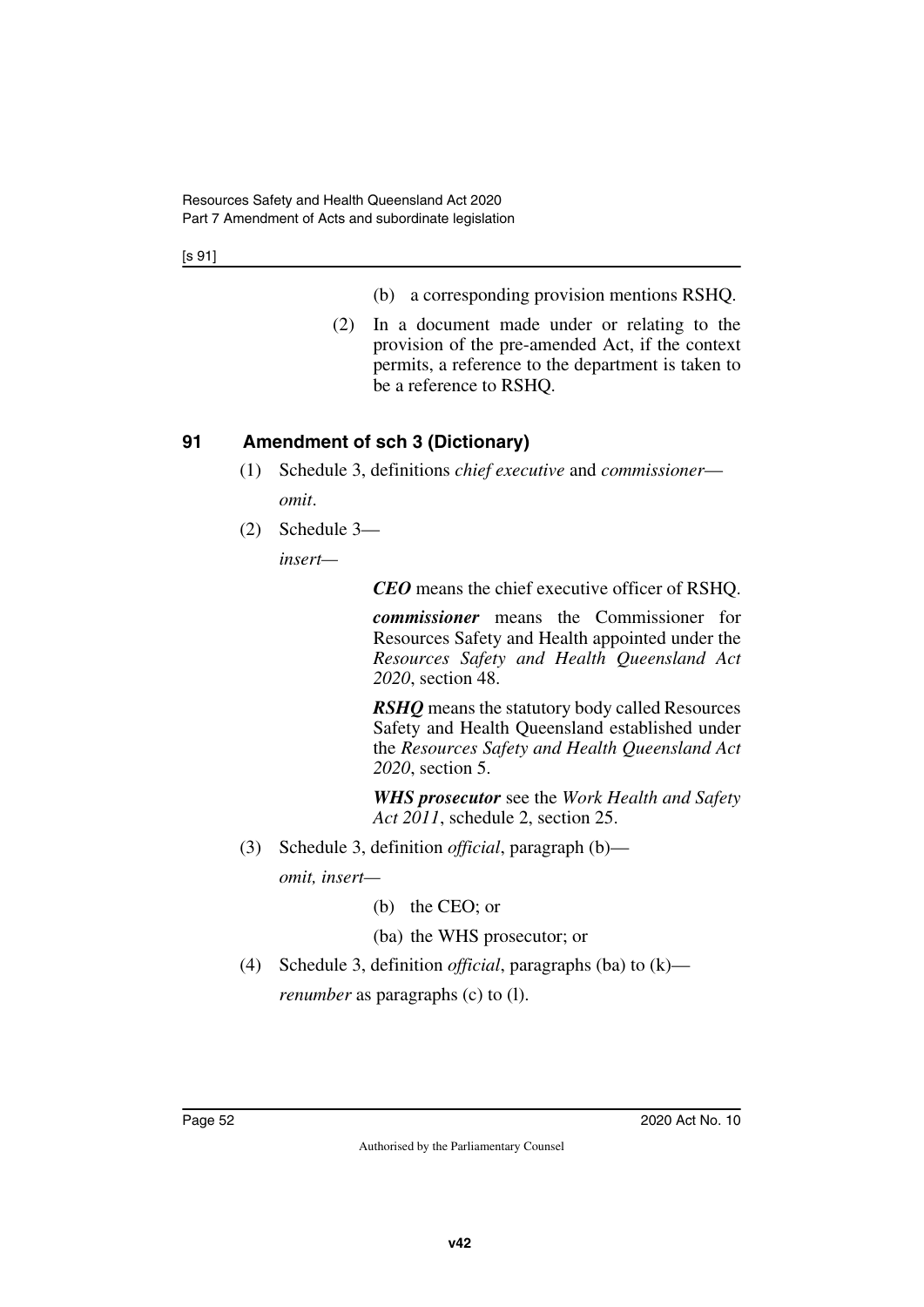[s 91]

- (b) a corresponding provision mentions RSHQ.
- (2) In a document made under or relating to the provision of the pre-amended Act, if the context permits, a reference to the department is taken to be a reference to RSHQ.

# **91 Amendment of sch 3 (Dictionary)**

- (1) Schedule 3, definitions *chief executive* and *commissioner omit*.
- (2) Schedule 3—

*insert—*

*CEO* means the chief executive officer of RSHQ.

*commissioner* means the Commissioner for Resources Safety and Health appointed under the *Resources Safety and Health Queensland Act 2020*, section 48.

*RSHQ* means the statutory body called Resources Safety and Health Queensland established under the *Resources Safety and Health Queensland Act 2020*, section 5.

*WHS prosecutor* see the *Work Health and Safety Act 2011*, schedule 2, section 25.

(3) Schedule 3, definition *official*, paragraph (b)—

*omit, insert—*

(b) the CEO; or

(ba) the WHS prosecutor; or

(4) Schedule 3, definition *official*, paragraphs (ba) to (k) *renumber* as paragraphs (c) to (1).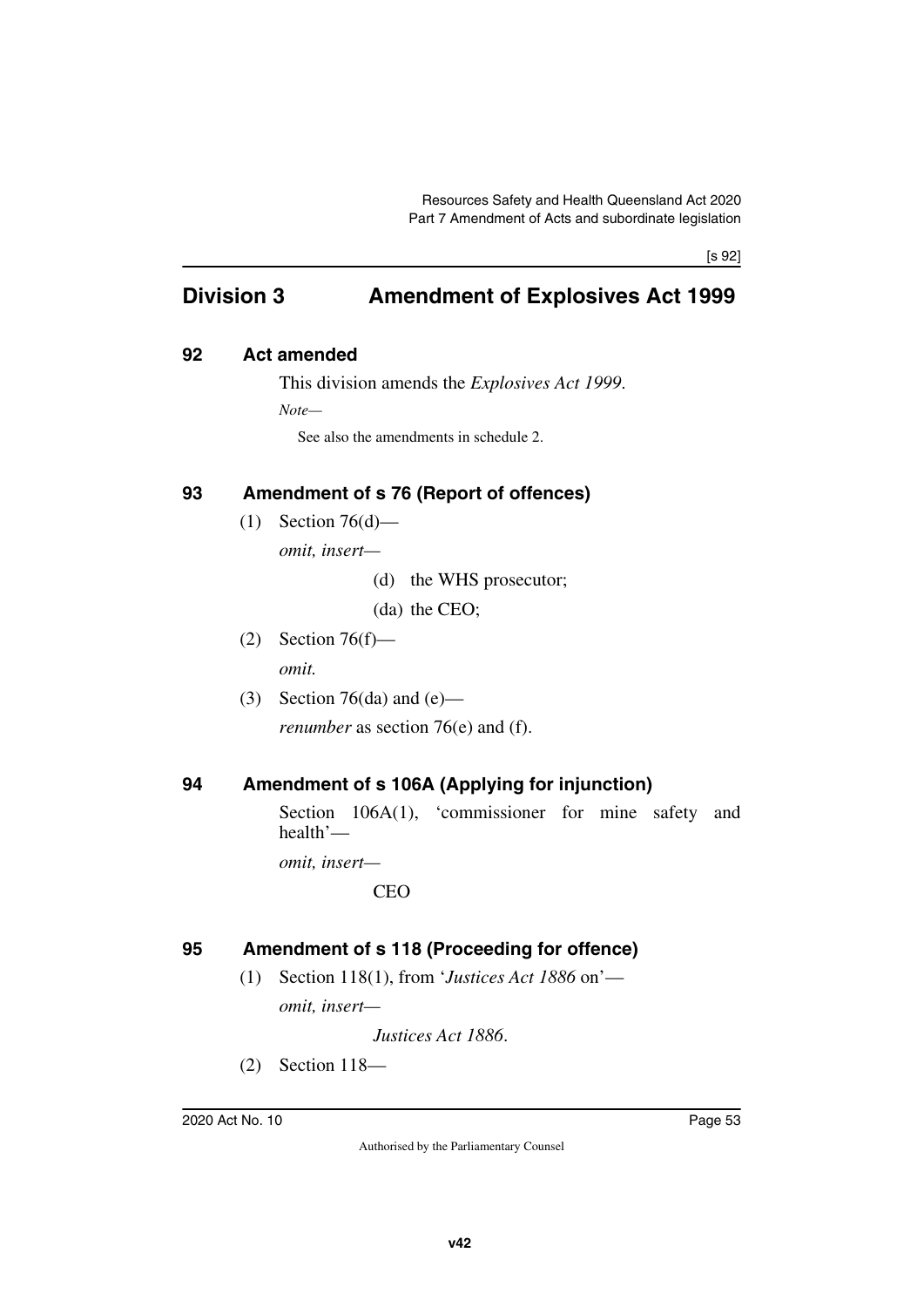[s 92]

# **Division 3 Amendment of Explosives Act 1999**

### **92 Act amended**

This division amends the *Explosives Act 1999*.

*Note—*

See also the amendments in schedule 2.

# **93 Amendment of s 76 (Report of offences)**

 $(1)$  Section 76 $(d)$ —

*omit, insert—*

(d) the WHS prosecutor;

(da) the CEO;

(2) Section 76(f)—

*omit.*

(3) Section 76(da) and  $(e)$  *renumber* as section 76(e) and (f).

# **94 Amendment of s 106A (Applying for injunction)**

Section 106A(1), 'commissioner for mine safety and health'—

*omit, insert—*

**CEO** 

# **95 Amendment of s 118 (Proceeding for offence)**

(1) Section 118(1), from '*Justices Act 1886* on' *omit, insert—*

*Justices Act 1886*.

(2) Section 118—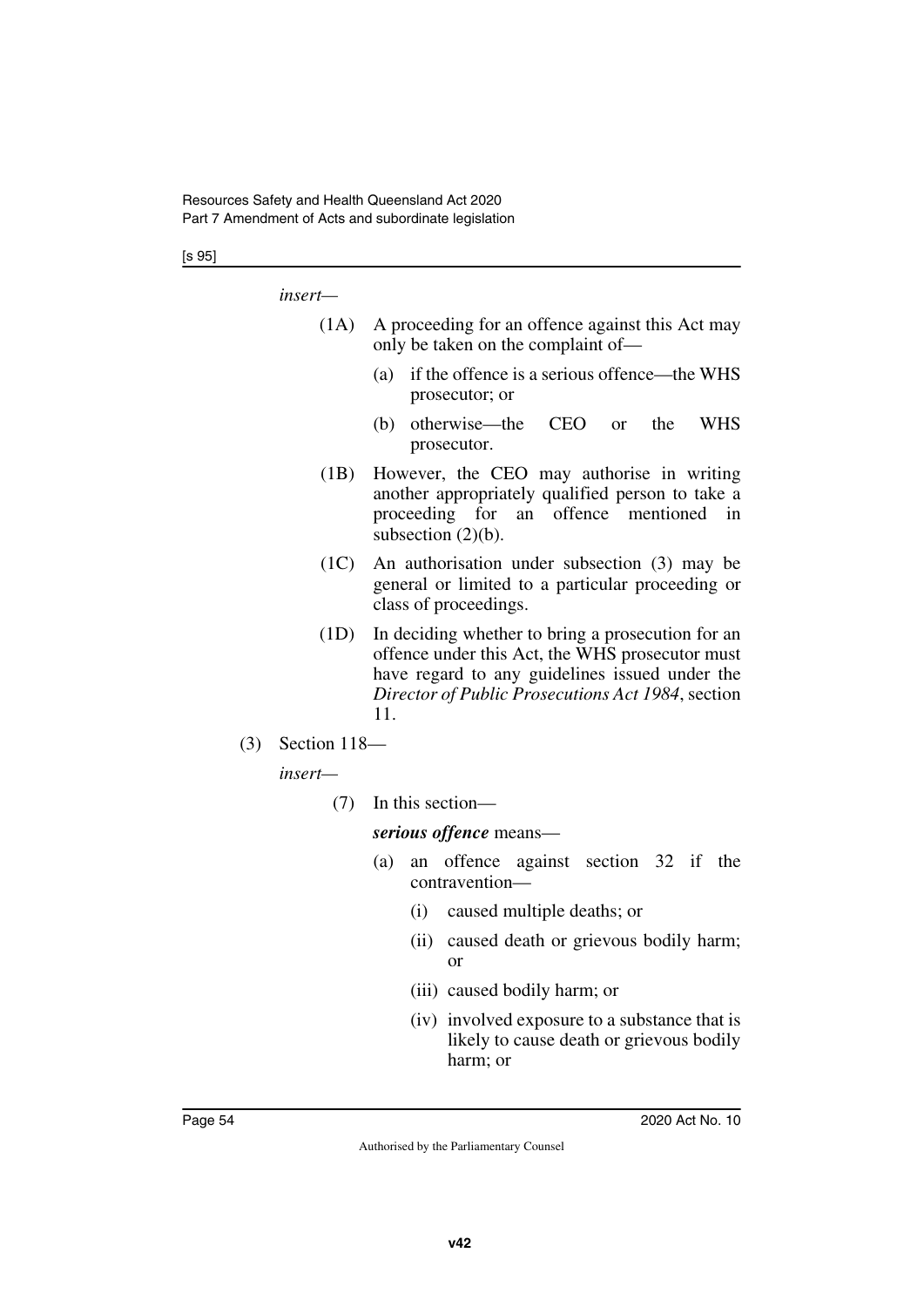#### [s 95]

*insert—*

- (1A) A proceeding for an offence against this Act may only be taken on the complaint of—
	- (a) if the offence is a serious offence—the WHS prosecutor; or
	- (b) otherwise—the CEO or the WHS prosecutor.
- (1B) However, the CEO may authorise in writing another appropriately qualified person to take a proceeding for an offence mentioned in subsection  $(2)(b)$ .
- (1C) An authorisation under subsection (3) may be general or limited to a particular proceeding or class of proceedings.
- (1D) In deciding whether to bring a prosecution for an offence under this Act, the WHS prosecutor must have regard to any guidelines issued under the *Director of Public Prosecutions Act 1984*, section 11.
- (3) Section 118—

*insert—*

(7) In this section—

*serious offence* means—

- (a) an offence against section 32 if the contravention—
	- (i) caused multiple deaths; or
	- (ii) caused death or grievous bodily harm; or
	- (iii) caused bodily harm; or
	- (iv) involved exposure to a substance that is likely to cause death or grievous bodily harm; or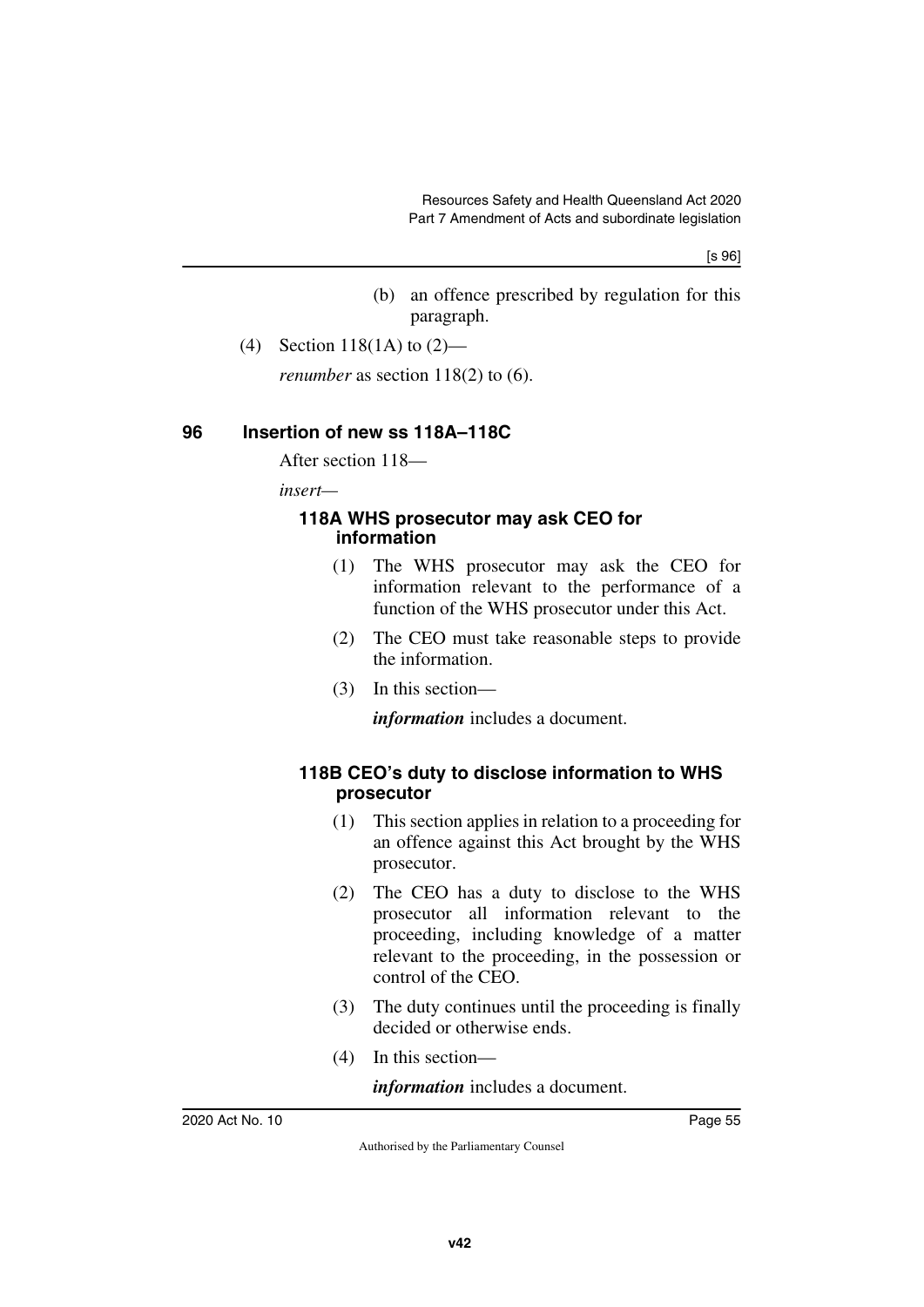[s 96]

- (b) an offence prescribed by regulation for this paragraph.
- (4) Section 118(1A) to (2)—

*renumber* as section 118(2) to (6).

### **96 Insertion of new ss 118A–118C**

After section 118—

*insert—*

### **118A WHS prosecutor may ask CEO for information**

- (1) The WHS prosecutor may ask the CEO for information relevant to the performance of a function of the WHS prosecutor under this Act.
- (2) The CEO must take reasonable steps to provide the information.
- (3) In this section—

*information* includes a document.

# **118B CEO's duty to disclose information to WHS prosecutor**

- (1) This section applies in relation to a proceeding for an offence against this Act brought by the WHS prosecutor.
- (2) The CEO has a duty to disclose to the WHS prosecutor all information relevant to the proceeding, including knowledge of a matter relevant to the proceeding, in the possession or control of the CEO.
- (3) The duty continues until the proceeding is finally decided or otherwise ends.
- (4) In this section—

*information* includes a document.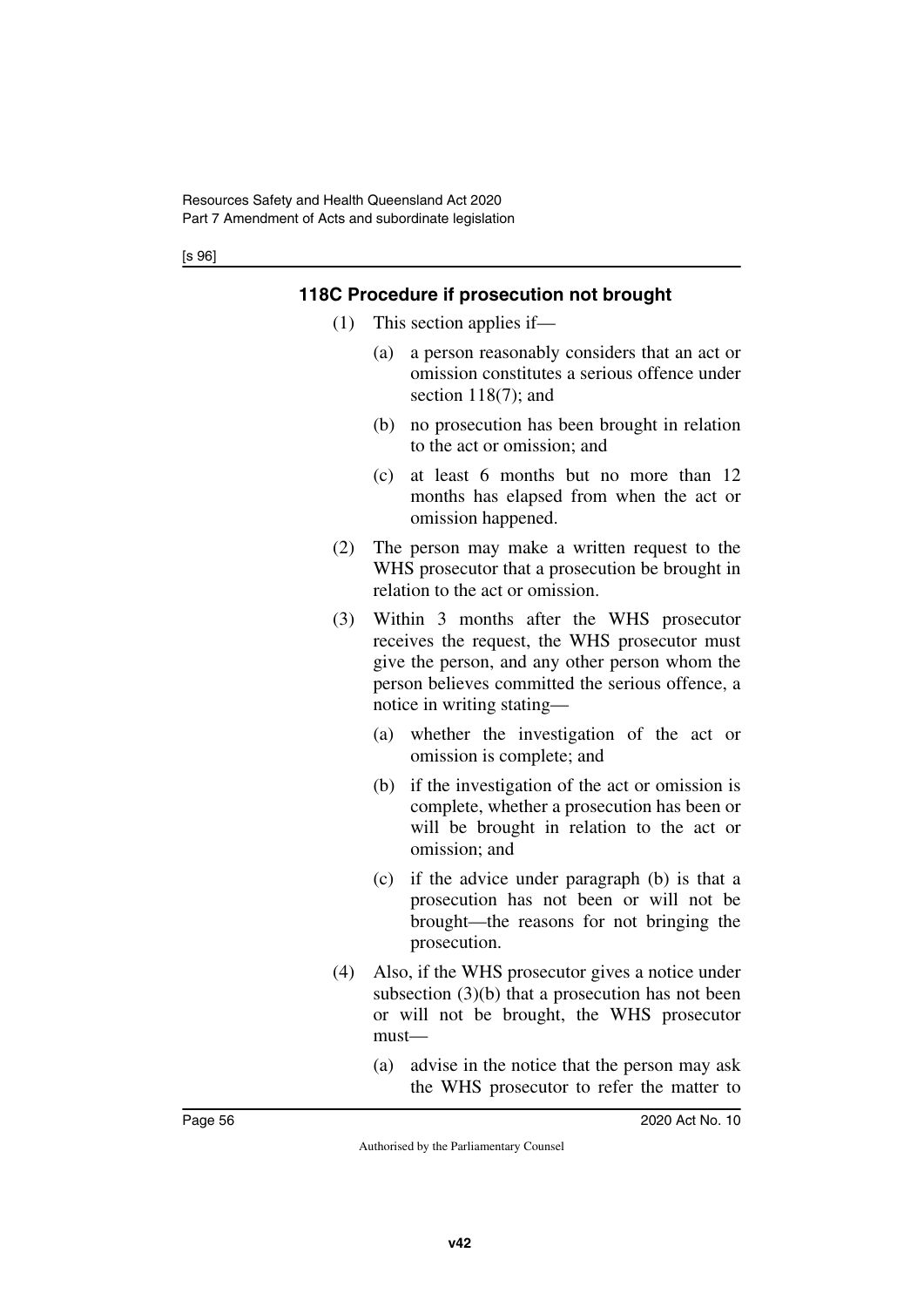[s 96]

# **118C Procedure if prosecution not brought**

- (1) This section applies if—
	- (a) a person reasonably considers that an act or omission constitutes a serious offence under section 118(7); and
	- (b) no prosecution has been brought in relation to the act or omission; and
	- (c) at least 6 months but no more than 12 months has elapsed from when the act or omission happened.
- (2) The person may make a written request to the WHS prosecutor that a prosecution be brought in relation to the act or omission.
- (3) Within 3 months after the WHS prosecutor receives the request, the WHS prosecutor must give the person, and any other person whom the person believes committed the serious offence, a notice in writing stating—
	- (a) whether the investigation of the act or omission is complete; and
	- (b) if the investigation of the act or omission is complete, whether a prosecution has been or will be brought in relation to the act or omission; and
	- (c) if the advice under paragraph (b) is that a prosecution has not been or will not be brought—the reasons for not bringing the prosecution.
- (4) Also, if the WHS prosecutor gives a notice under subsection (3)(b) that a prosecution has not been or will not be brought, the WHS prosecutor must—
	- (a) advise in the notice that the person may ask the WHS prosecutor to refer the matter to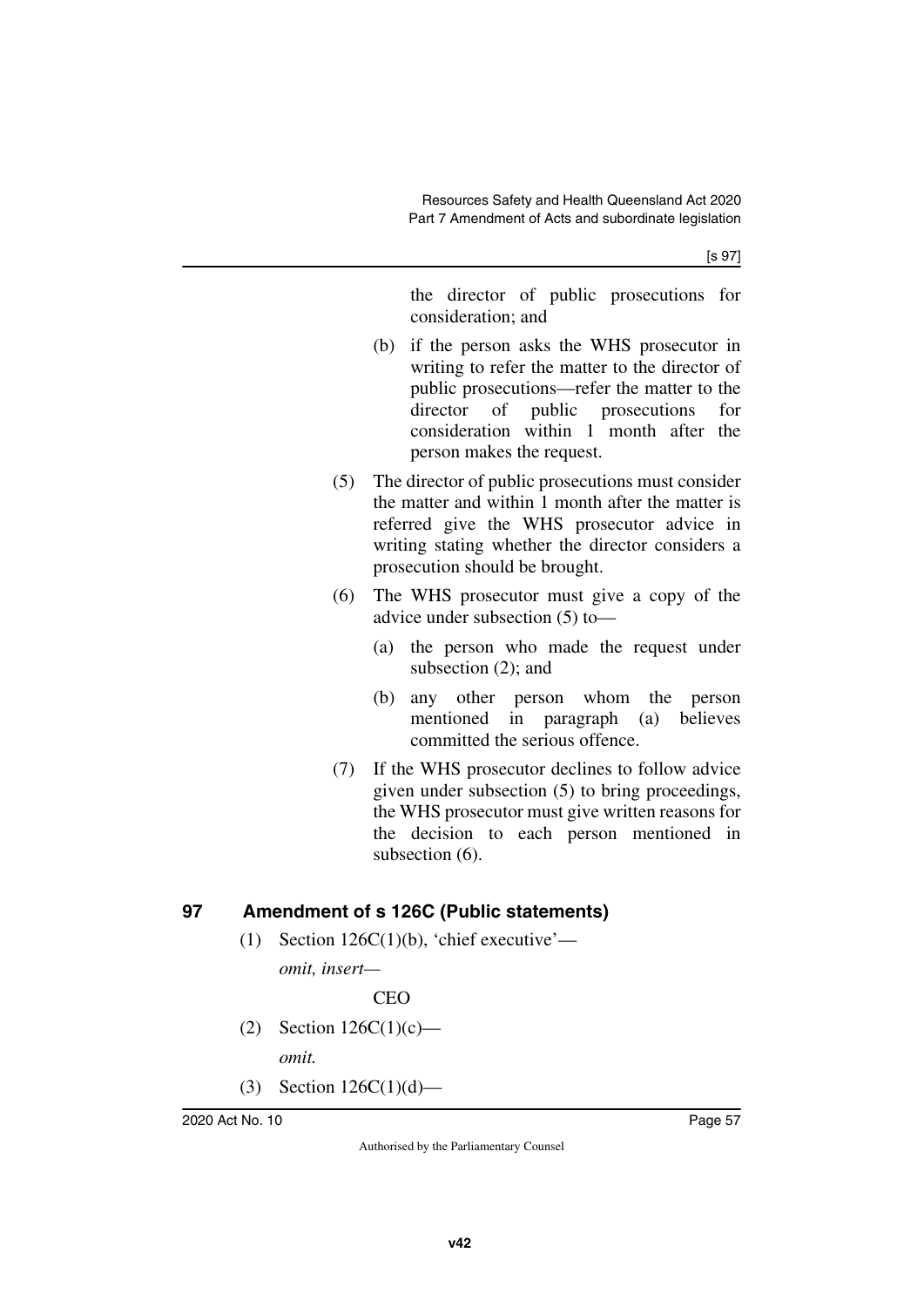the director of public prosecutions for consideration; and

- (b) if the person asks the WHS prosecutor in writing to refer the matter to the director of public prosecutions—refer the matter to the director of public prosecutions for consideration within 1 month after the person makes the request.
- (5) The director of public prosecutions must consider the matter and within 1 month after the matter is referred give the WHS prosecutor advice in writing stating whether the director considers a prosecution should be brought.
- (6) The WHS prosecutor must give a copy of the advice under subsection (5) to—
	- (a) the person who made the request under subsection (2); and
	- (b) any other person whom the person mentioned in paragraph (a) believes committed the serious offence.
- (7) If the WHS prosecutor declines to follow advice given under subsection (5) to bring proceedings, the WHS prosecutor must give written reasons for the decision to each person mentioned in subsection (6).

# **97 Amendment of s 126C (Public statements)**

(1) Section  $126C(1)(b)$ , 'chief executive'—

*omit, insert—*

**CEO** 

- (2) Section  $126C(1)(c)$  *omit.*
- (3) Section  $126C(1)(d)$ —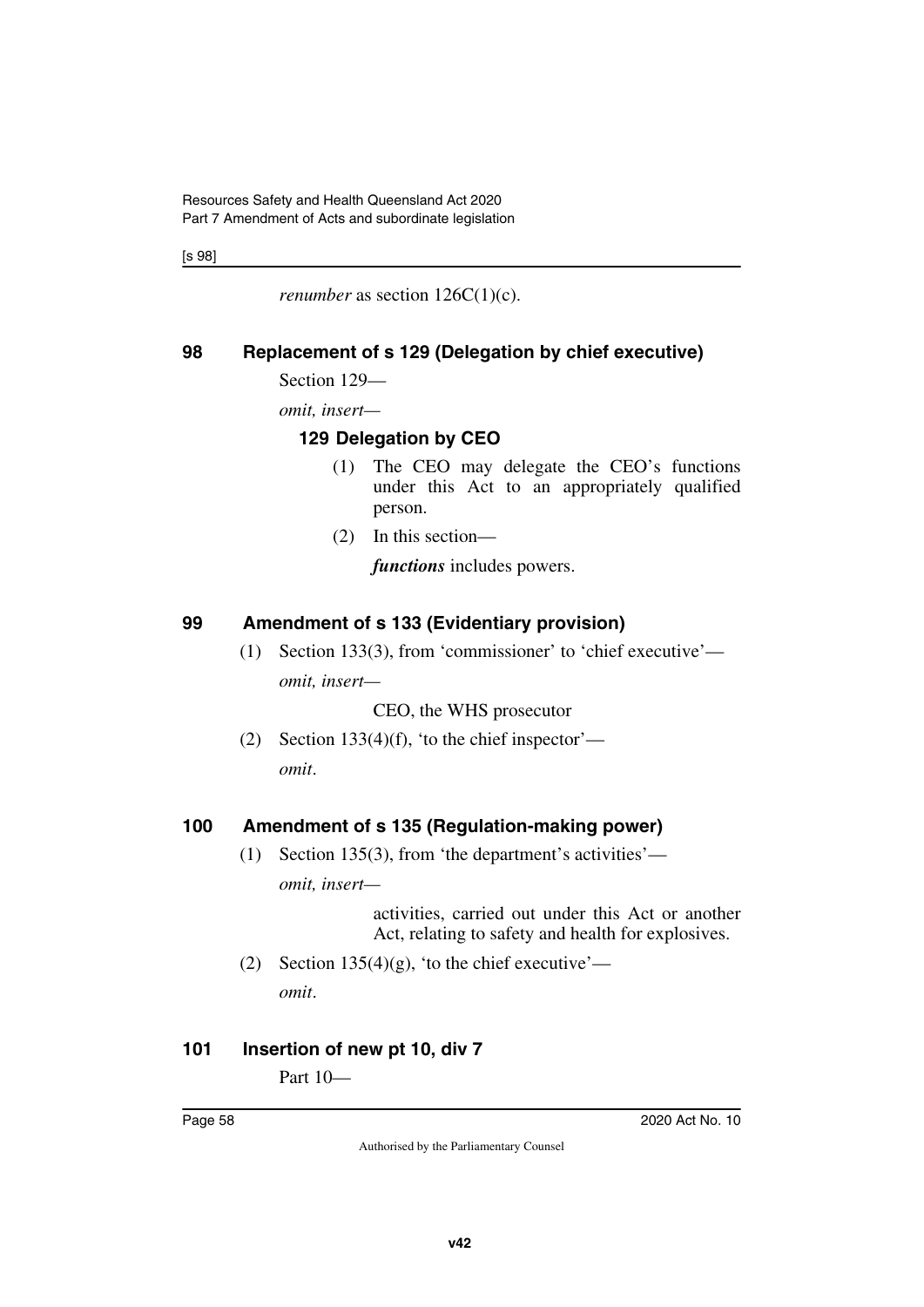[s 98]

*renumber* as section  $126C(1)(c)$ .

# **98 Replacement of s 129 (Delegation by chief executive)**

Section 129—

*omit, insert—*

# **129 Delegation by CEO**

- (1) The CEO may delegate the CEO's functions under this Act to an appropriately qualified person.
- (2) In this section—

*functions* includes powers.

# **99 Amendment of s 133 (Evidentiary provision)**

(1) Section 133(3), from 'commissioner' to 'chief executive' *omit, insert—*

CEO, the WHS prosecutor

(2) Section  $133(4)(f)$ , 'to the chief inspector' *omit*.

# **100 Amendment of s 135 (Regulation-making power)**

(1) Section 135(3), from 'the department's activities' *omit, insert—*

> activities, carried out under this Act or another Act, relating to safety and health for explosives.

(2) Section  $135(4)(g)$ , 'to the chief executive' *omit*.

# **101 Insertion of new pt 10, div 7**

Part 10—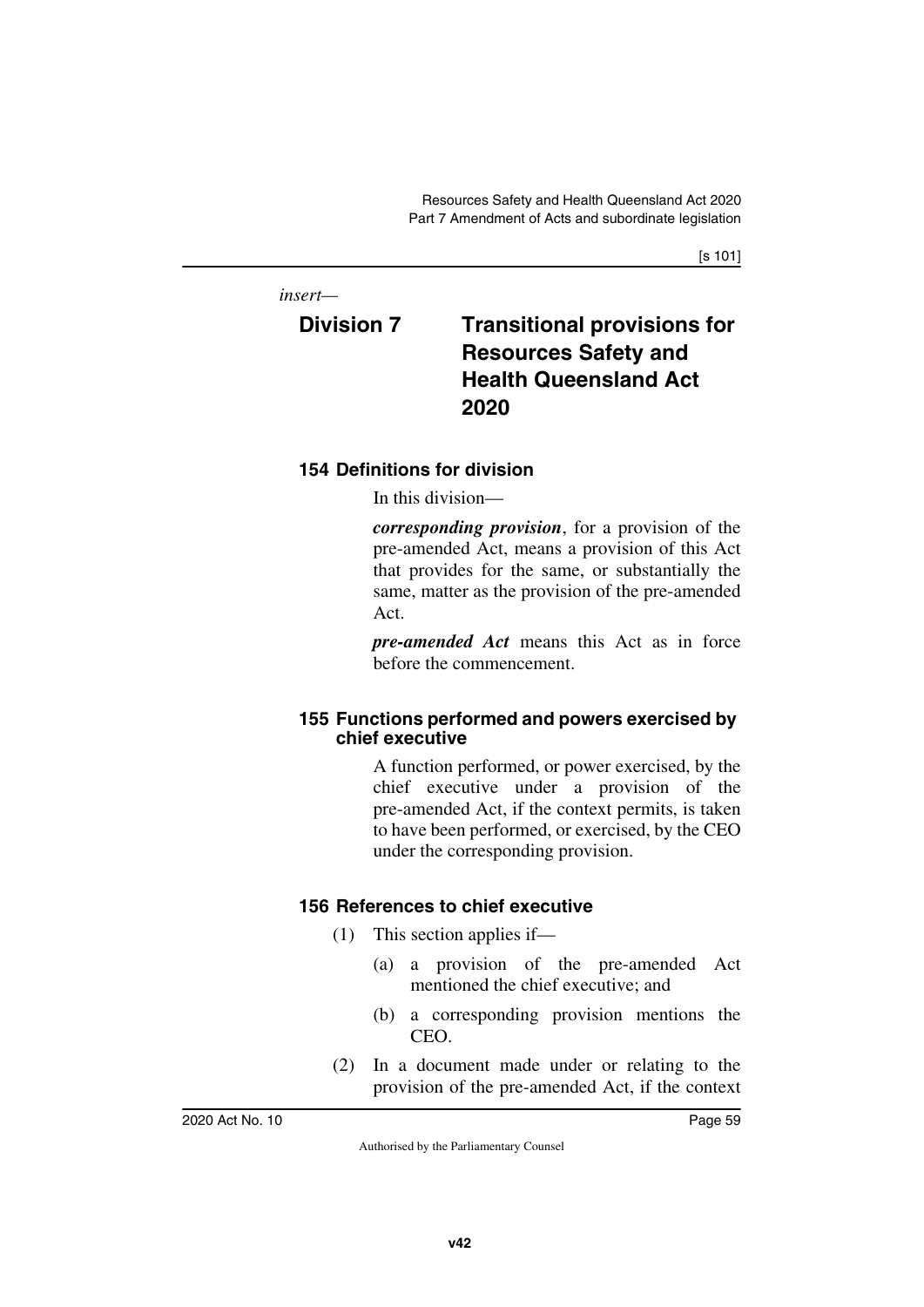[s 101]

*insert—*

# **Division 7 Transitional provisions for Resources Safety and Health Queensland Act 2020**

# **154 Definitions for division**

In this division—

*corresponding provision*, for a provision of the pre-amended Act, means a provision of this Act that provides for the same, or substantially the same, matter as the provision of the pre-amended Act.

*pre-amended Act* means this Act as in force before the commencement.

# **155 Functions performed and powers exercised by chief executive**

A function performed, or power exercised, by the chief executive under a provision of the pre-amended Act, if the context permits, is taken to have been performed, or exercised, by the CEO under the corresponding provision.

# **156 References to chief executive**

- (1) This section applies if—
	- (a) a provision of the pre-amended Act mentioned the chief executive; and
	- (b) a corresponding provision mentions the CEO.
- (2) In a document made under or relating to the provision of the pre-amended Act, if the context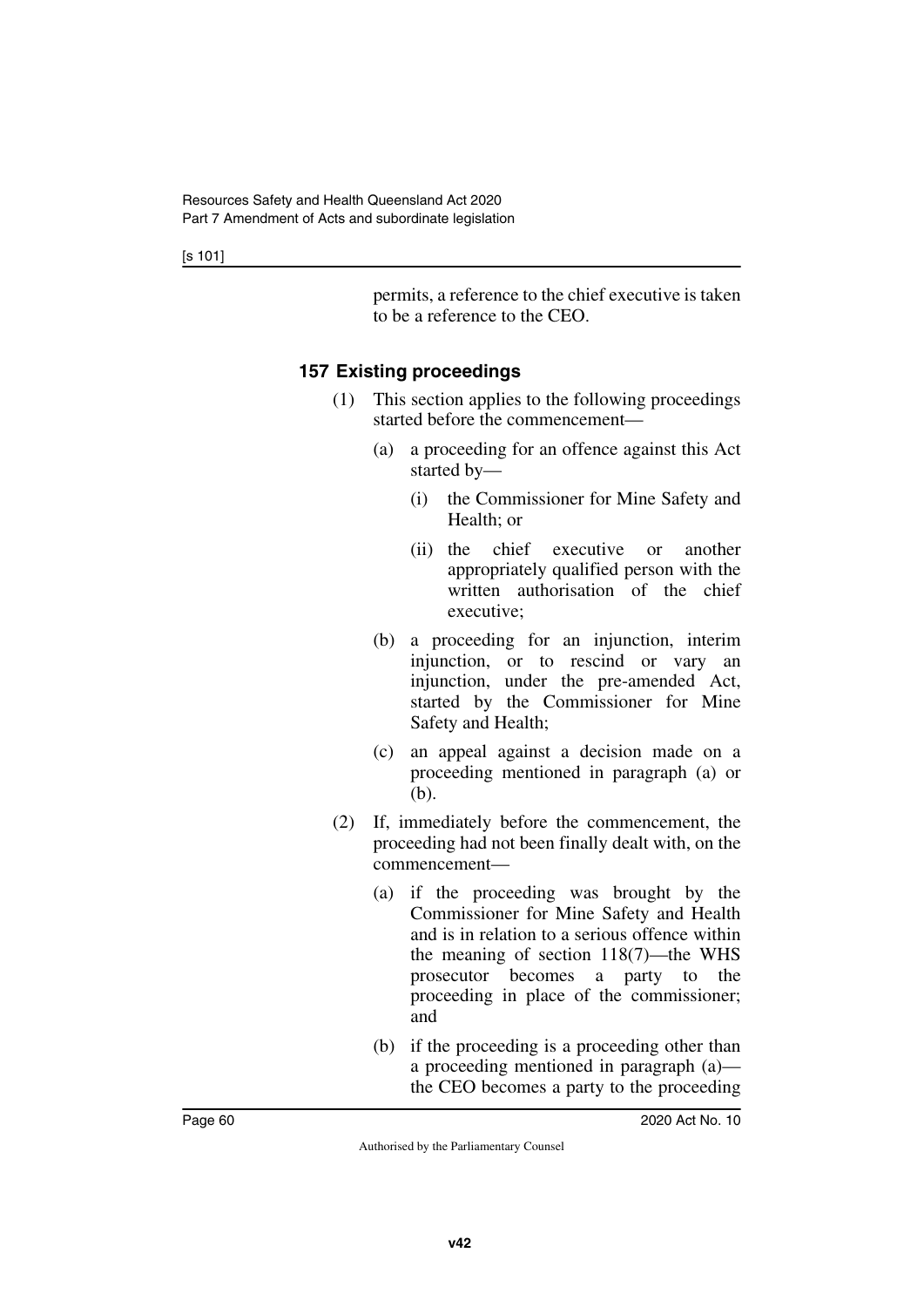[s 101]

permits, a reference to the chief executive is taken to be a reference to the CEO.

# **157 Existing proceedings**

- (1) This section applies to the following proceedings started before the commencement—
	- (a) a proceeding for an offence against this Act started by—
		- (i) the Commissioner for Mine Safety and Health; or
		- (ii) the chief executive or another appropriately qualified person with the written authorisation of the chief executive;
	- (b) a proceeding for an injunction, interim injunction, or to rescind or vary an injunction, under the pre-amended Act, started by the Commissioner for Mine Safety and Health;
	- (c) an appeal against a decision made on a proceeding mentioned in paragraph (a) or (b).
- (2) If, immediately before the commencement, the proceeding had not been finally dealt with, on the commencement—
	- (a) if the proceeding was brought by the Commissioner for Mine Safety and Health and is in relation to a serious offence within the meaning of section 118(7)—the WHS prosecutor becomes a party to the proceeding in place of the commissioner; and
	- (b) if the proceeding is a proceeding other than a proceeding mentioned in paragraph (a) the CEO becomes a party to the proceeding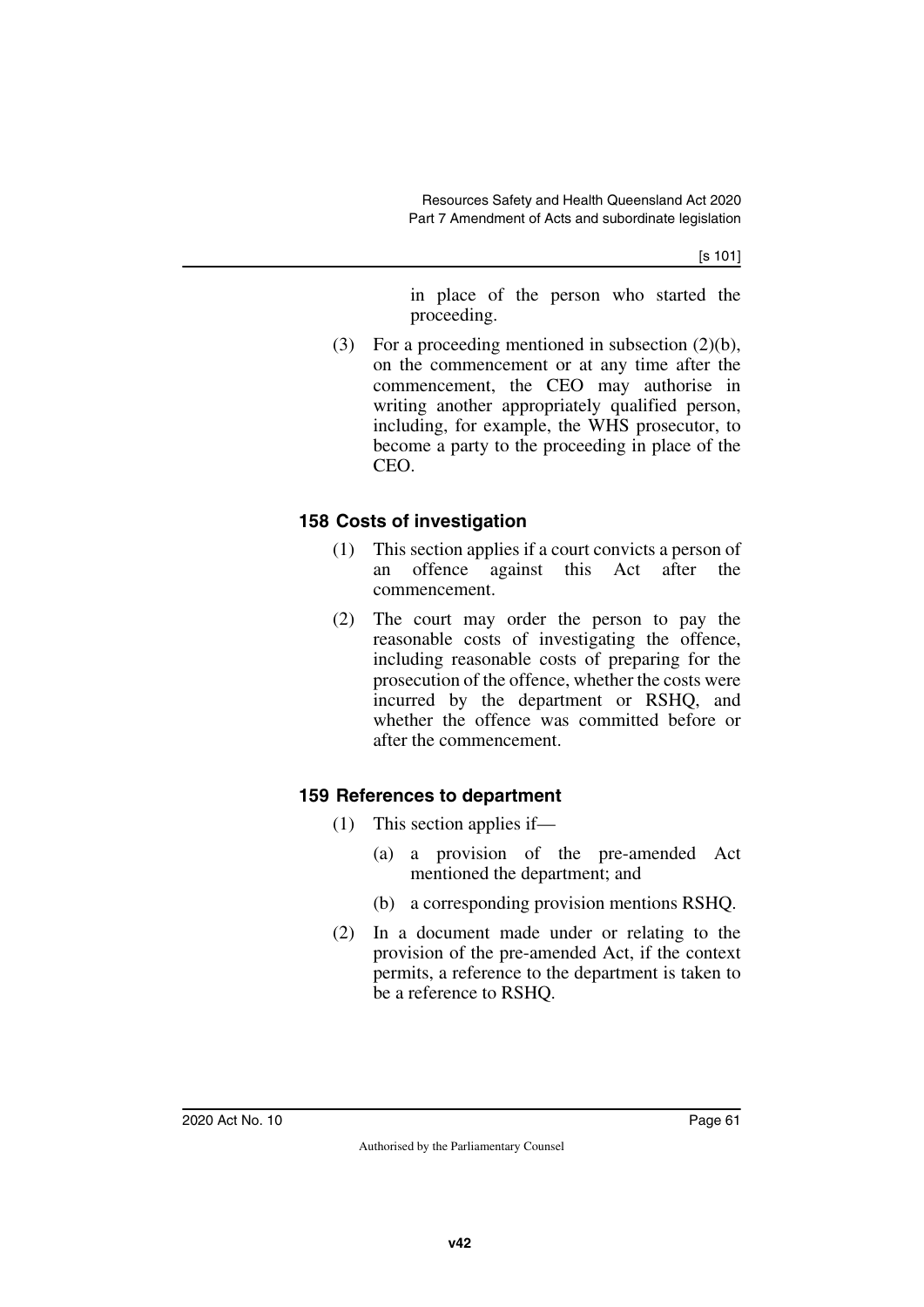[s 101]

in place of the person who started the proceeding.

(3) For a proceeding mentioned in subsection (2)(b), on the commencement or at any time after the commencement, the CEO may authorise in writing another appropriately qualified person, including, for example, the WHS prosecutor, to become a party to the proceeding in place of the CEO.

# **158 Costs of investigation**

- (1) This section applies if a court convicts a person of an offence against this Act after the commencement.
- (2) The court may order the person to pay the reasonable costs of investigating the offence, including reasonable costs of preparing for the prosecution of the offence, whether the costs were incurred by the department or RSHQ, and whether the offence was committed before or after the commencement.

# **159 References to department**

- (1) This section applies if—
	- (a) a provision of the pre-amended Act mentioned the department; and
	- (b) a corresponding provision mentions RSHQ.
- (2) In a document made under or relating to the provision of the pre-amended Act, if the context permits, a reference to the department is taken to be a reference to RSHQ.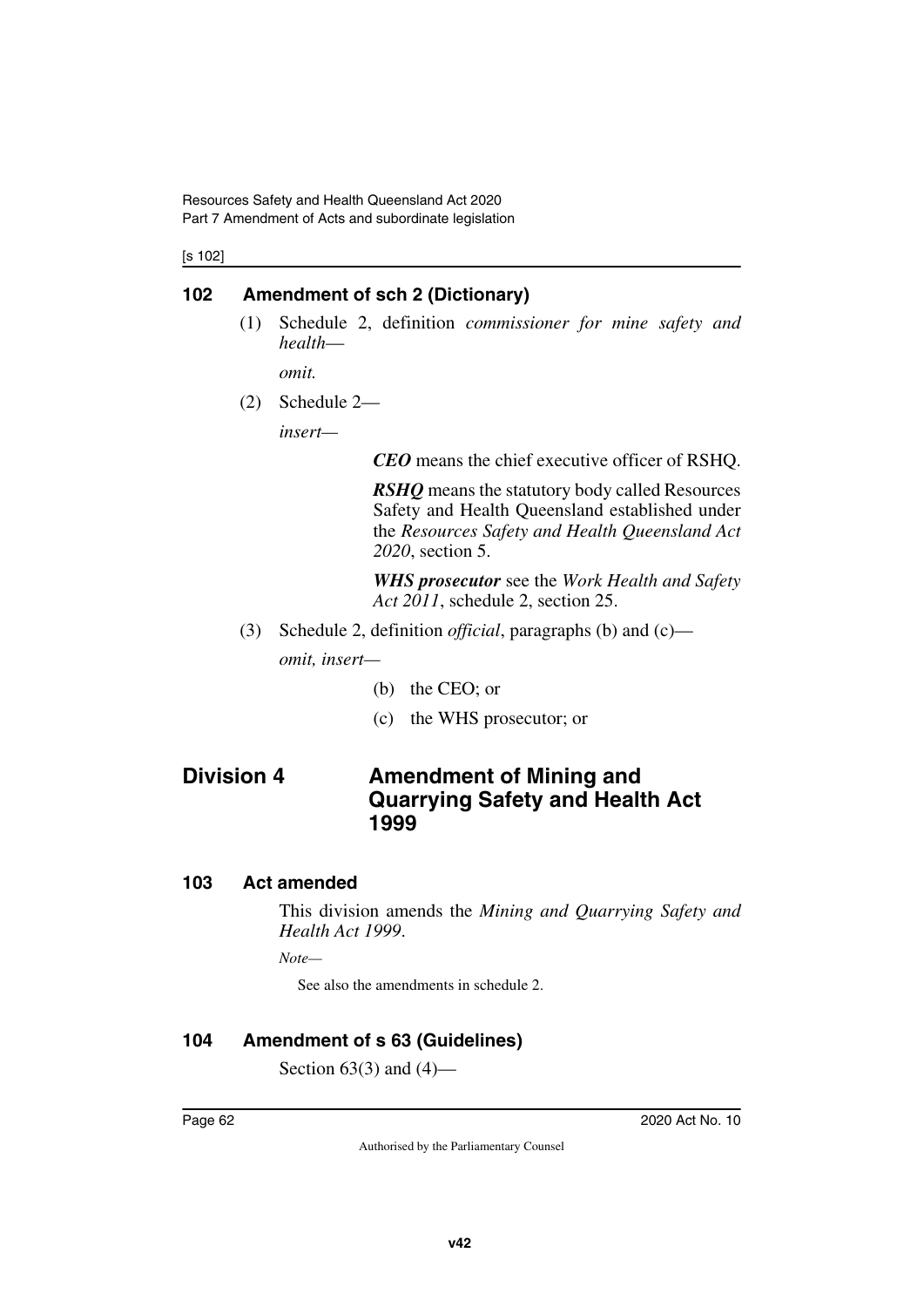[s 102]

# **102 Amendment of sch 2 (Dictionary)**

(1) Schedule 2, definition *commissioner for mine safety and health*—

*omit.*

(2) Schedule 2—

*insert—*

*CEO* means the chief executive officer of RSHQ.

*RSHQ* means the statutory body called Resources Safety and Health Queensland established under the *Resources Safety and Health Queensland Act 2020*, section 5.

*WHS prosecutor* see the *Work Health and Safety Act 2011*, schedule 2, section 25.

- (3) Schedule 2, definition *official*, paragraphs (b) and (c) *omit, insert—*
	- (b) the CEO; or
	- (c) the WHS prosecutor; or

# **Division 4 Amendment of Mining and Quarrying Safety and Health Act 1999**

# **103 Act amended**

This division amends the *Mining and Quarrying Safety and Health Act 1999*.

*Note—*

See also the amendments in schedule 2.

# **104 Amendment of s 63 (Guidelines)**

Section  $63(3)$  and  $(4)$ —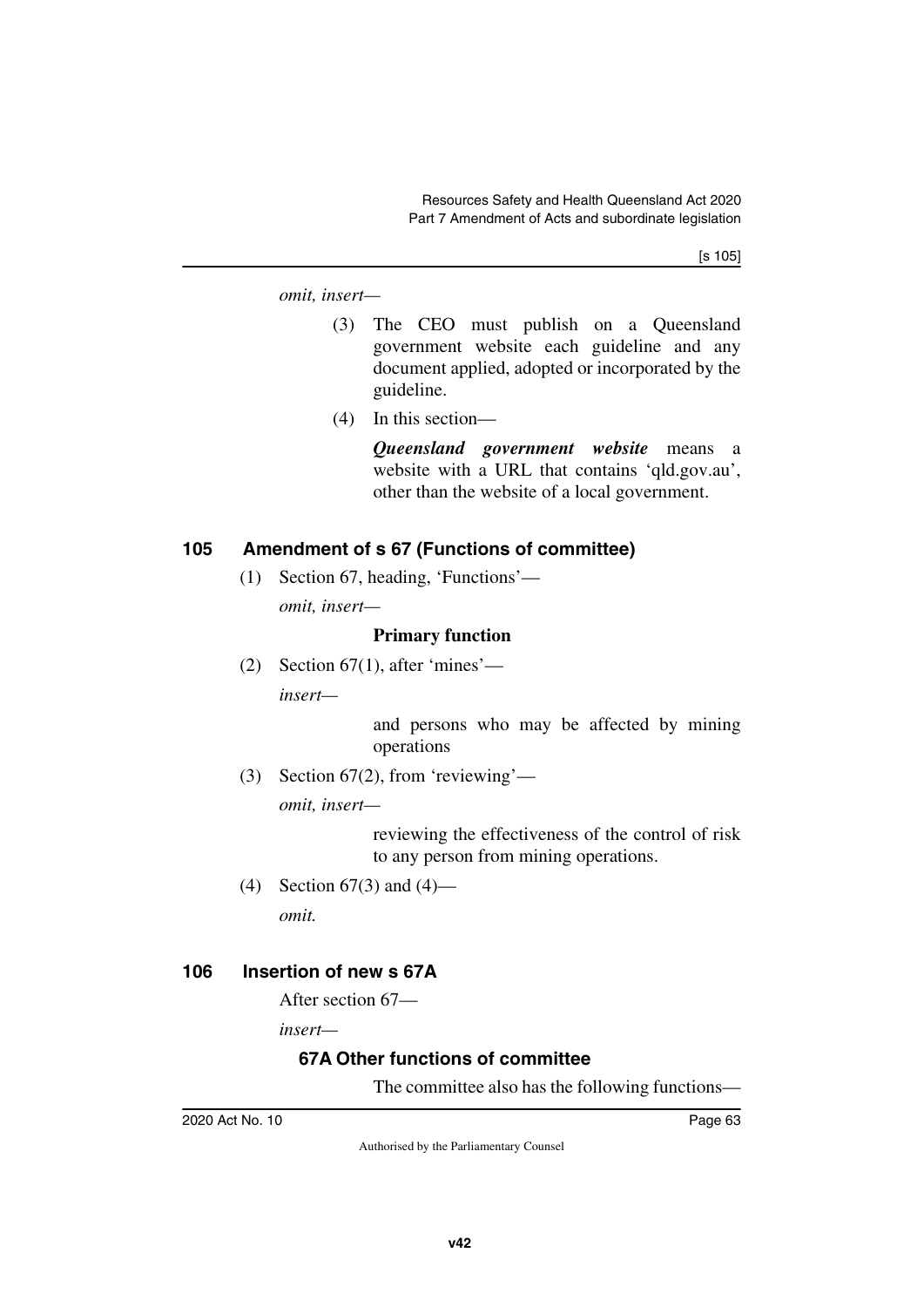[s 105]

*omit, insert—*

- (3) The CEO must publish on a Queensland government website each guideline and any document applied, adopted or incorporated by the guideline.
- (4) In this section—

*Queensland government website* means a website with a URL that contains 'qld.gov.au', other than the website of a local government.

### **105 Amendment of s 67 (Functions of committee)**

(1) Section 67, heading, 'Functions'—

*omit, insert—*

### **Primary function**

(2) Section  $67(1)$ , after 'mines' *insert—*

> and persons who may be affected by mining operations

(3) Section 67(2), from 'reviewing'—

*omit, insert—*

reviewing the effectiveness of the control of risk to any person from mining operations.

(4) Section 67(3) and (4) *omit.*

### **106 Insertion of new s 67A**

After section 67—

*insert—*

# **67A Other functions of committee**

The committee also has the following functions—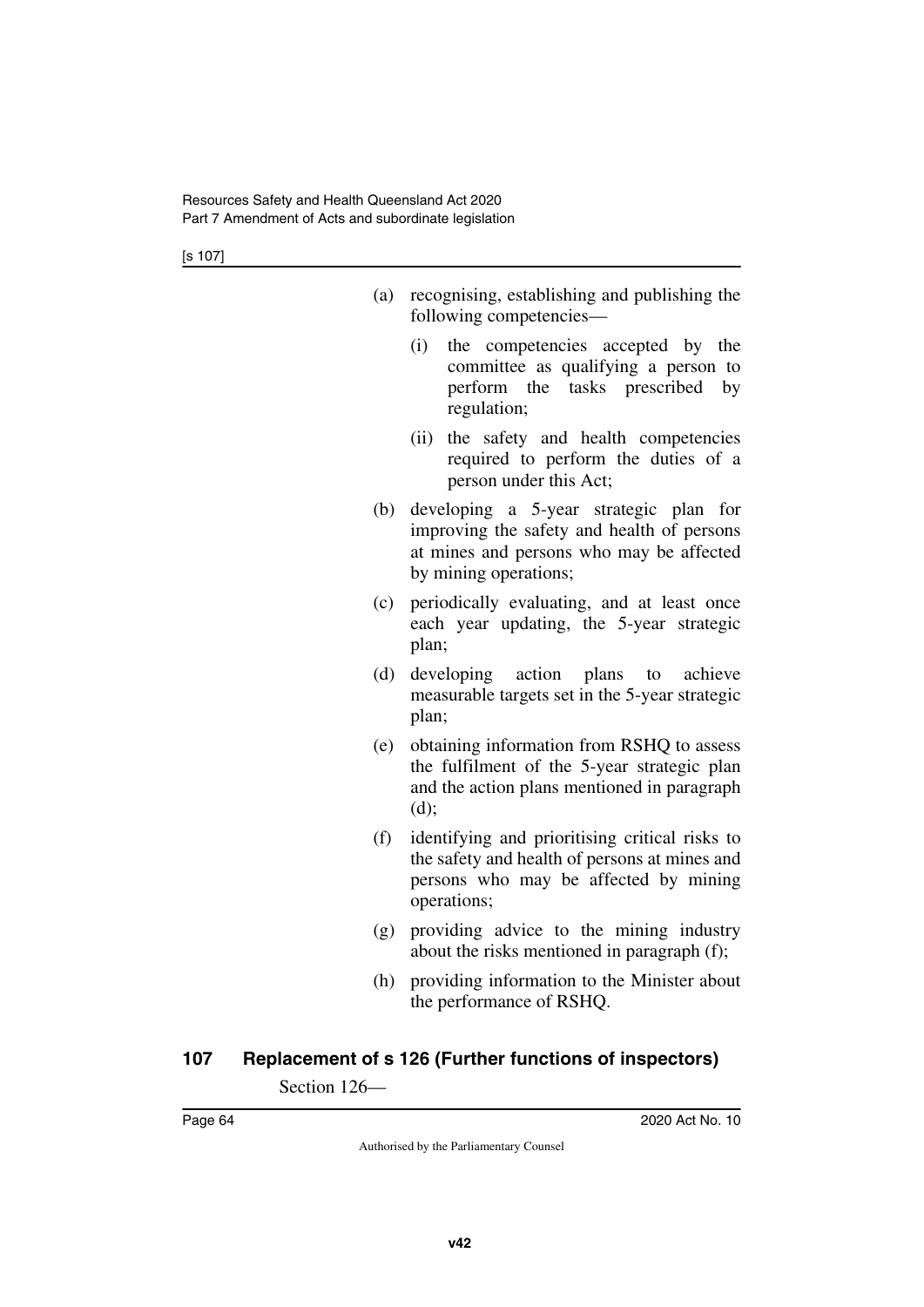[s 107]

| (a) recognising, establishing and publishing the |
|--------------------------------------------------|
| following competencies—                          |

- (i) the competencies accepted by the committee as qualifying a person to perform the tasks prescribed by regulation;
- (ii) the safety and health competencies required to perform the duties of a person under this Act;
- (b) developing a 5-year strategic plan for improving the safety and health of persons at mines and persons who may be affected by mining operations;
- (c) periodically evaluating, and at least once each year updating, the 5-year strategic plan;
- (d) developing action plans to achieve measurable targets set in the 5-year strategic plan;
- (e) obtaining information from RSHQ to assess the fulfilment of the 5-year strategic plan and the action plans mentioned in paragraph (d);
- (f) identifying and prioritising critical risks to the safety and health of persons at mines and persons who may be affected by mining operations;
- (g) providing advice to the mining industry about the risks mentioned in paragraph (f);
- (h) providing information to the Minister about the performance of RSHQ.

# **107 Replacement of s 126 (Further functions of inspectors)**

Section 126—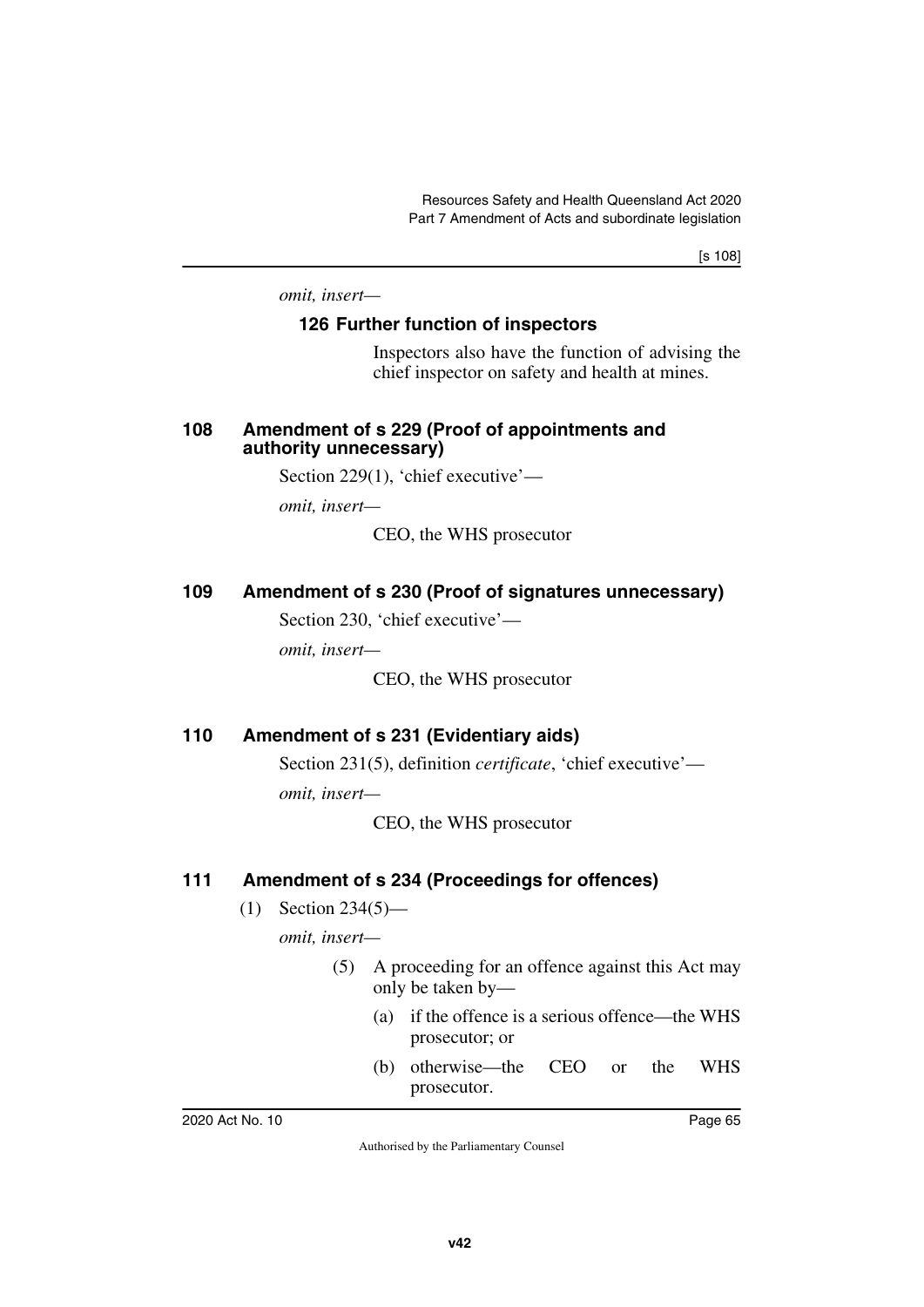[s 108]

*omit, insert—*

### **126 Further function of inspectors**

Inspectors also have the function of advising the chief inspector on safety and health at mines.

### **108 Amendment of s 229 (Proof of appointments and authority unnecessary)**

Section 229(1), 'chief executive'—

*omit, insert—*

CEO, the WHS prosecutor

### **109 Amendment of s 230 (Proof of signatures unnecessary)**

Section 230, 'chief executive'—

*omit, insert—*

CEO, the WHS prosecutor

# **110 Amendment of s 231 (Evidentiary aids)**

Section 231(5), definition *certificate*, 'chief executive' *omit, insert—*

CEO, the WHS prosecutor

# **111 Amendment of s 234 (Proceedings for offences)**

(1) Section 234(5)—

*omit, insert—*

- (5) A proceeding for an offence against this Act may only be taken by—
	- (a) if the offence is a serious offence—the WHS prosecutor; or
	- (b) otherwise—the CEO or the WHS prosecutor.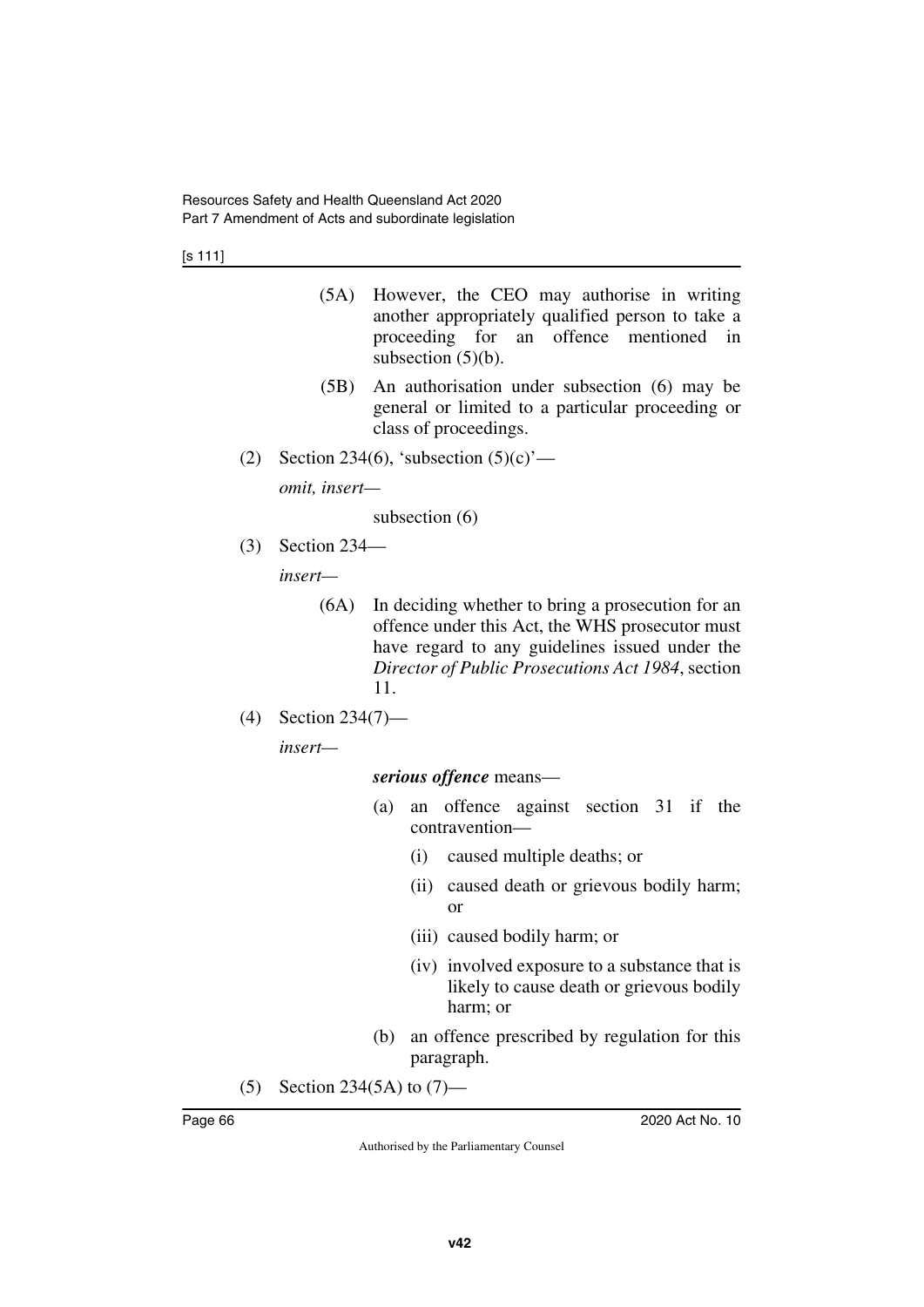[s 111]

- (5A) However, the CEO may authorise in writing another appropriately qualified person to take a proceeding for an offence mentioned in subsection  $(5)(b)$ .
- (5B) An authorisation under subsection (6) may be general or limited to a particular proceeding or class of proceedings.
- (2) Section 234(6), 'subsection  $(5)(c)$ '—

*omit, insert—*

subsection (6)

(3) Section 234—

*insert—*

- (6A) In deciding whether to bring a prosecution for an offence under this Act, the WHS prosecutor must have regard to any guidelines issued under the *Director of Public Prosecutions Act 1984*, section 11.
- (4) Section 234(7)—

*insert—*

### *serious offence* means—

- (a) an offence against section 31 if the contravention—
	- (i) caused multiple deaths; or
	- (ii) caused death or grievous bodily harm; or
	- (iii) caused bodily harm; or
	- (iv) involved exposure to a substance that is likely to cause death or grievous bodily harm; or
- (b) an offence prescribed by regulation for this paragraph.
- (5) Section 234(5A) to (7)—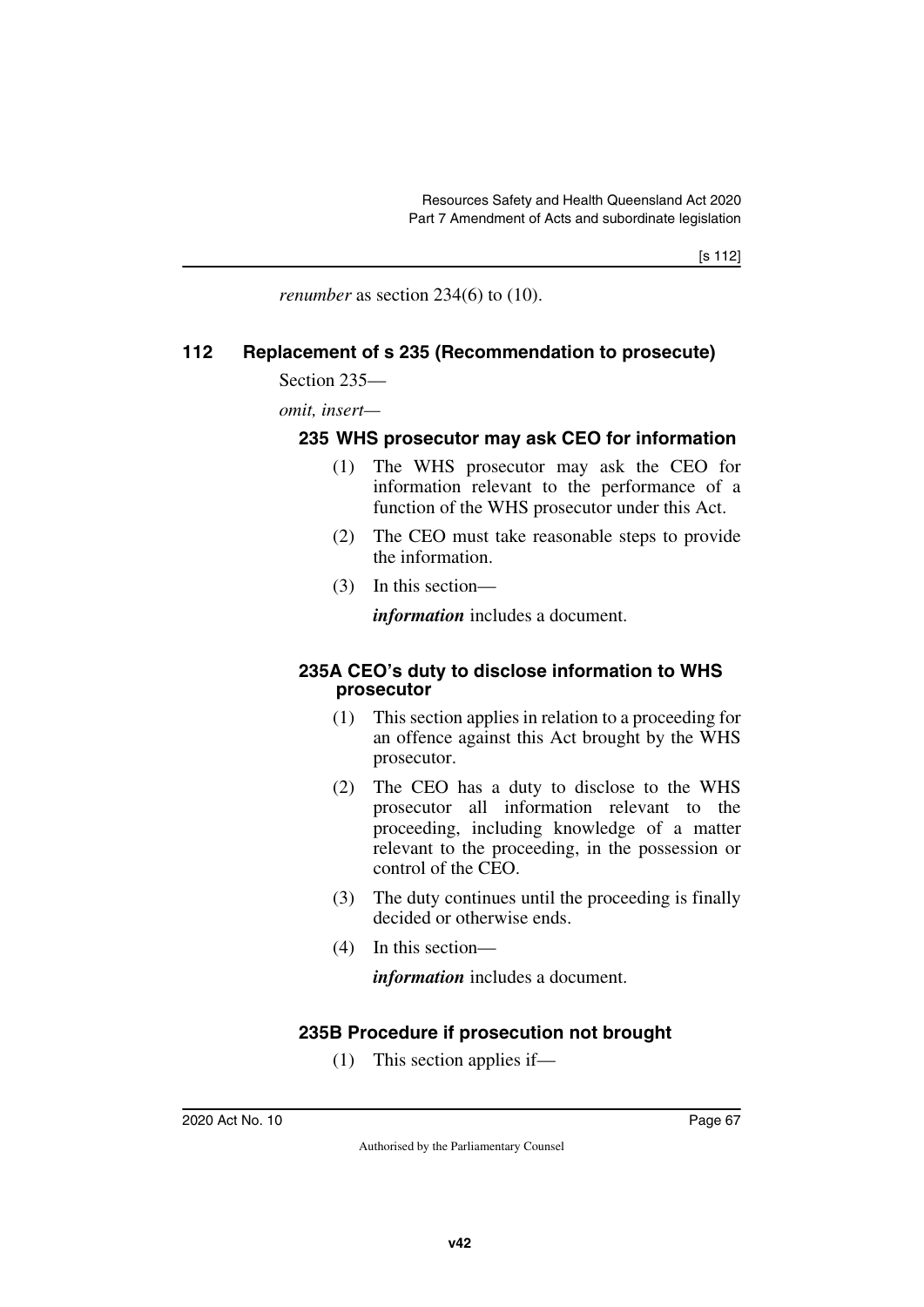*renumber* as section 234(6) to (10).

### **112 Replacement of s 235 (Recommendation to prosecute)**

Section 235—

*omit, insert—*

### **235 WHS prosecutor may ask CEO for information**

- (1) The WHS prosecutor may ask the CEO for information relevant to the performance of a function of the WHS prosecutor under this Act.
- (2) The CEO must take reasonable steps to provide the information.
- (3) In this section—

*information* includes a document.

### **235A CEO's duty to disclose information to WHS prosecutor**

- (1) This section applies in relation to a proceeding for an offence against this Act brought by the WHS prosecutor.
- (2) The CEO has a duty to disclose to the WHS prosecutor all information relevant to the proceeding, including knowledge of a matter relevant to the proceeding, in the possession or control of the CEO.
- (3) The duty continues until the proceeding is finally decided or otherwise ends.
- (4) In this section—

*information* includes a document.

# **235B Procedure if prosecution not brought**

(1) This section applies if—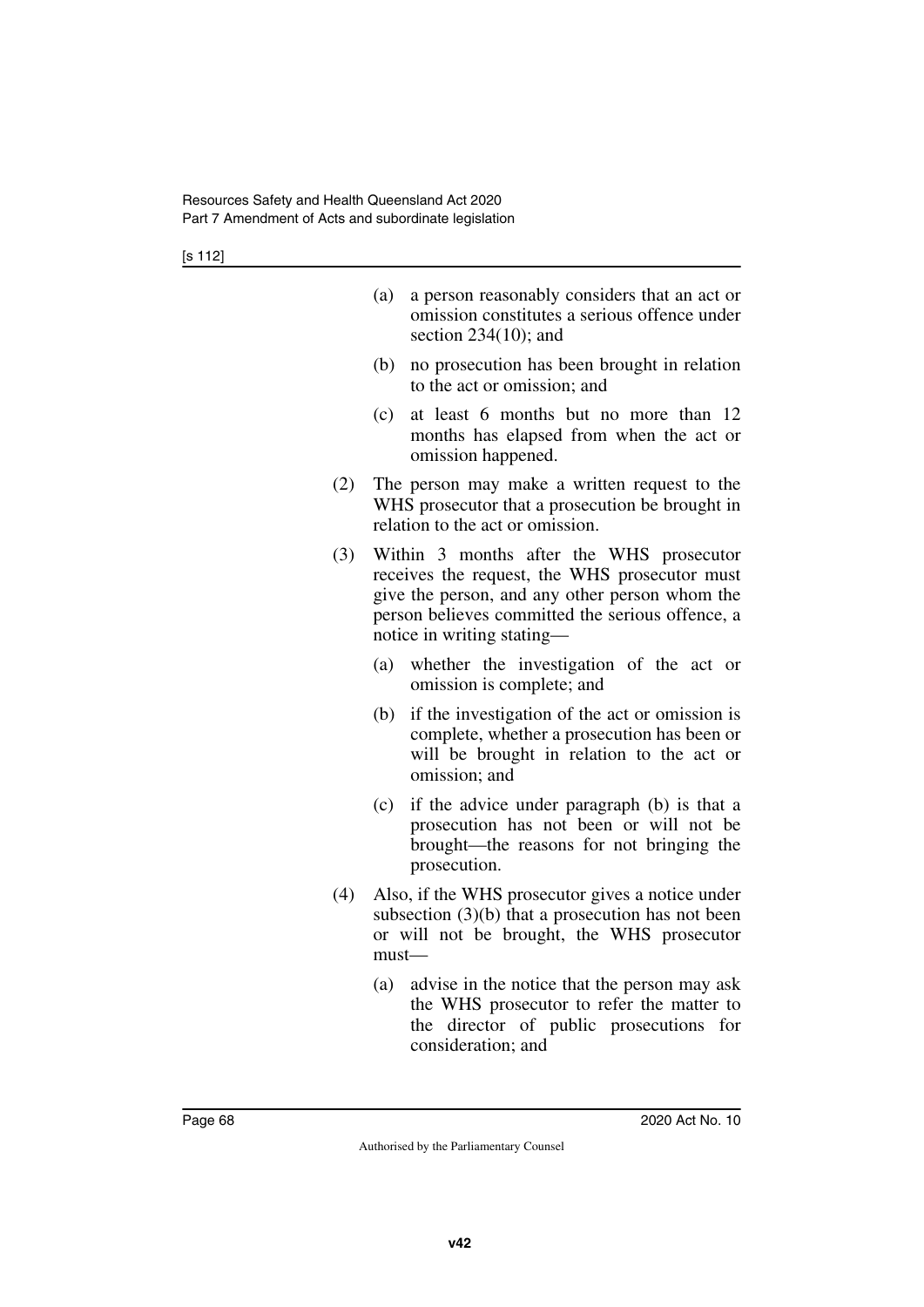| (a) a person reasonably considers that an act or |
|--------------------------------------------------|
| omission constitutes a serious offence under     |
| section $234(10)$ ; and                          |

- (b) no prosecution has been brought in relation to the act or omission; and
- (c) at least 6 months but no more than 12 months has elapsed from when the act or omission happened.
- (2) The person may make a written request to the WHS prosecutor that a prosecution be brought in relation to the act or omission.
- (3) Within 3 months after the WHS prosecutor receives the request, the WHS prosecutor must give the person, and any other person whom the person believes committed the serious offence, a notice in writing stating—
	- (a) whether the investigation of the act or omission is complete; and
	- (b) if the investigation of the act or omission is complete, whether a prosecution has been or will be brought in relation to the act or omission; and
	- (c) if the advice under paragraph (b) is that a prosecution has not been or will not be brought—the reasons for not bringing the prosecution.
- (4) Also, if the WHS prosecutor gives a notice under subsection (3)(b) that a prosecution has not been or will not be brought, the WHS prosecutor must—
	- (a) advise in the notice that the person may ask the WHS prosecutor to refer the matter to the director of public prosecutions for consideration; and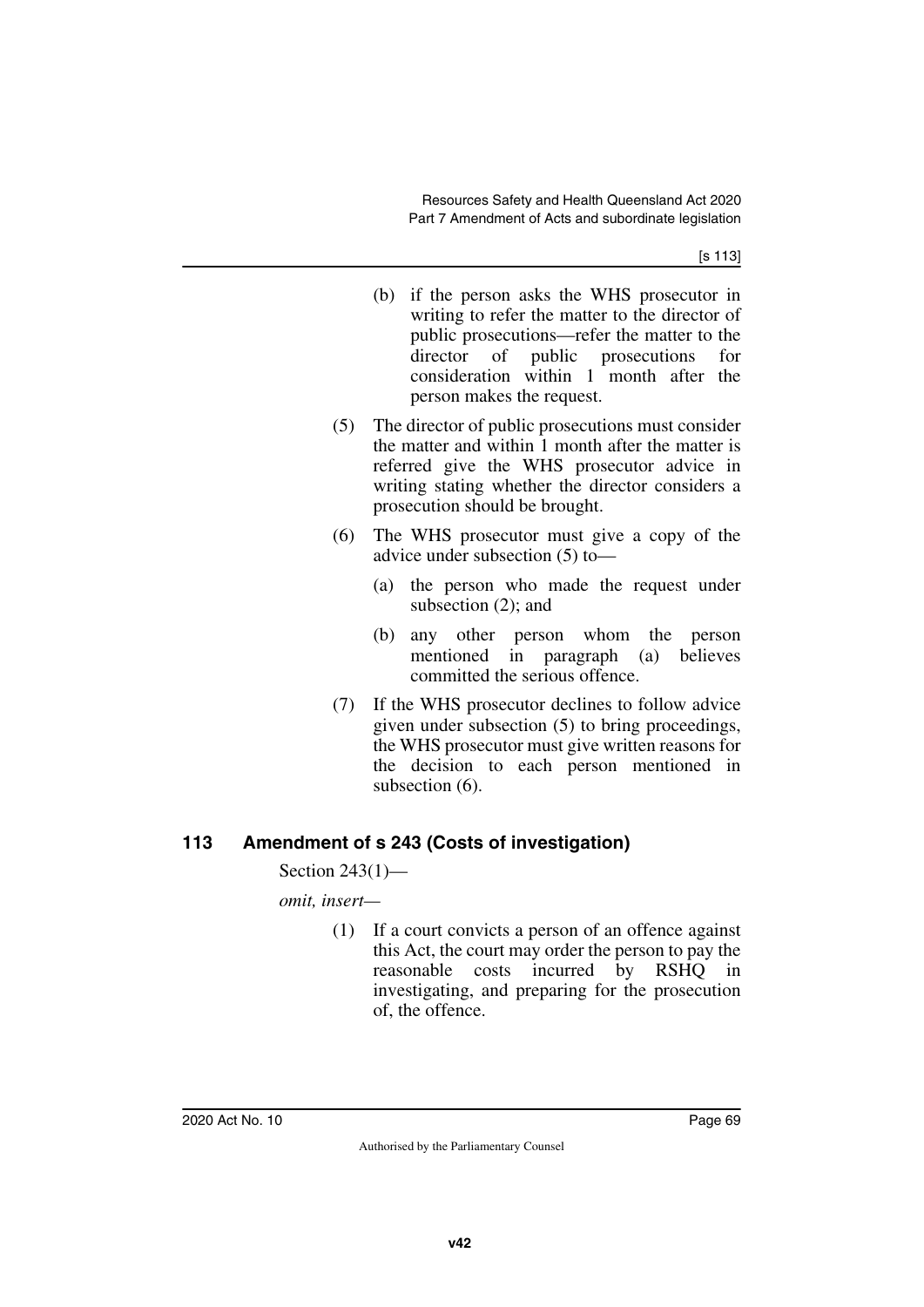[s 113]

- (b) if the person asks the WHS prosecutor in writing to refer the matter to the director of public prosecutions—refer the matter to the director of public prosecutions for consideration within 1 month after the person makes the request.
- (5) The director of public prosecutions must consider the matter and within 1 month after the matter is referred give the WHS prosecutor advice in writing stating whether the director considers a prosecution should be brought.
- (6) The WHS prosecutor must give a copy of the advice under subsection (5) to—
	- (a) the person who made the request under subsection (2); and
	- (b) any other person whom the person mentioned in paragraph (a) believes committed the serious offence.
- (7) If the WHS prosecutor declines to follow advice given under subsection (5) to bring proceedings, the WHS prosecutor must give written reasons for the decision to each person mentioned in subsection  $(6)$ .

# **113 Amendment of s 243 (Costs of investigation)**

Section 243(1)—

*omit, insert—*

(1) If a court convicts a person of an offence against this Act, the court may order the person to pay the reasonable costs incurred by RSHQ in investigating, and preparing for the prosecution of, the offence.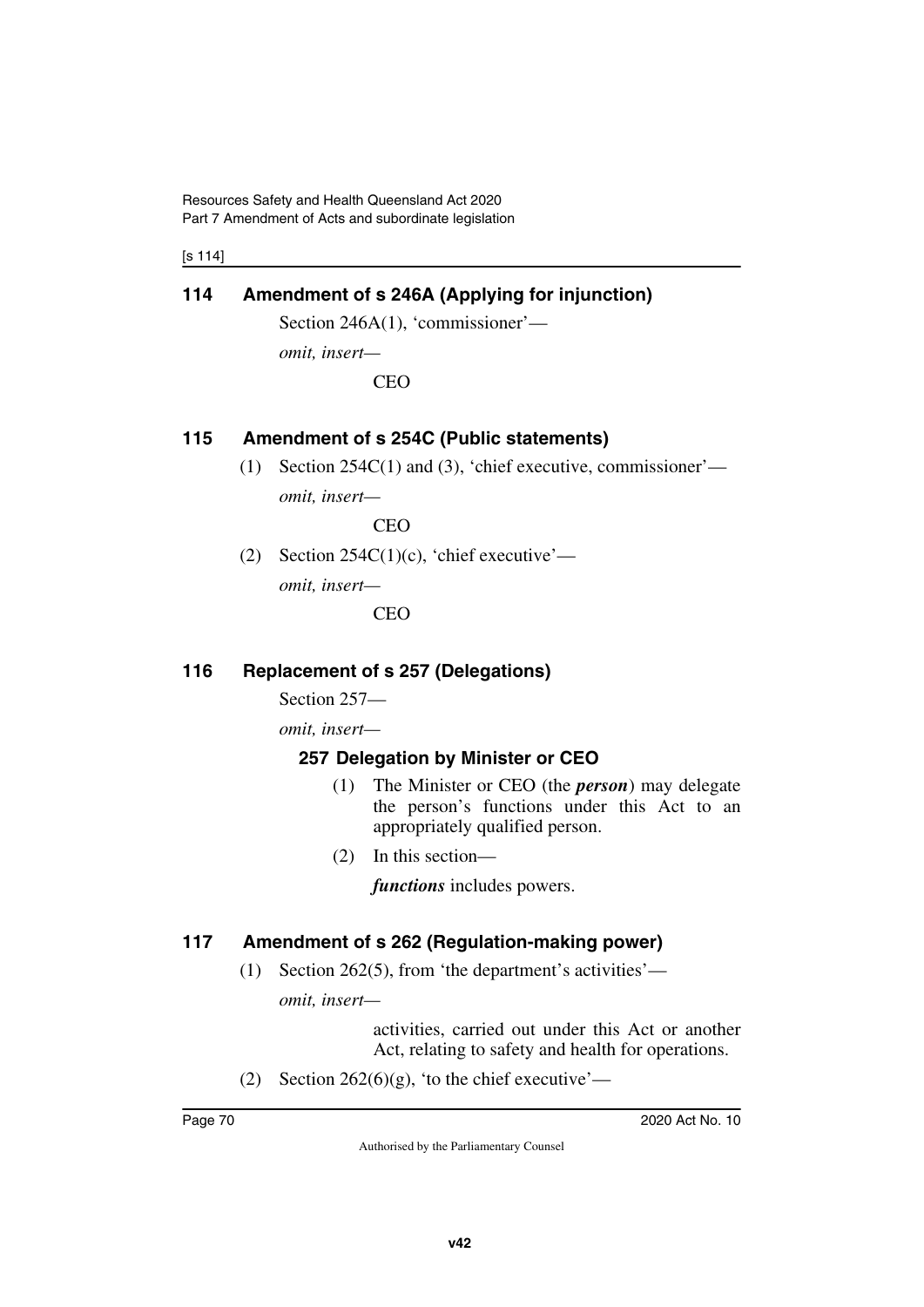Resources Safety and Health Queensland Act 2020 Part 7 Amendment of Acts and subordinate legislation

[s 114]

# **114 Amendment of s 246A (Applying for injunction)**

Section 246A(1), 'commissioner'—

*omit, insert—*

CEO

# **115 Amendment of s 254C (Public statements)**

(1) Section 254C(1) and (3), 'chief executive, commissioner'—

*omit, insert—*

CEO

(2) Section  $254C(1)(c)$ , 'chief executive'—

*omit, insert—*

**CEO** 

# **116 Replacement of s 257 (Delegations)**

Section 257—

*omit, insert—*

# **257 Delegation by Minister or CEO**

- (1) The Minister or CEO (the *person*) may delegate the person's functions under this Act to an appropriately qualified person.
- (2) In this section—

*functions* includes powers.

# **117 Amendment of s 262 (Regulation-making power)**

(1) Section 262(5), from 'the department's activities'—

*omit, insert—*

activities, carried out under this Act or another Act, relating to safety and health for operations.

(2) Section  $262(6)(g)$ , 'to the chief executive'—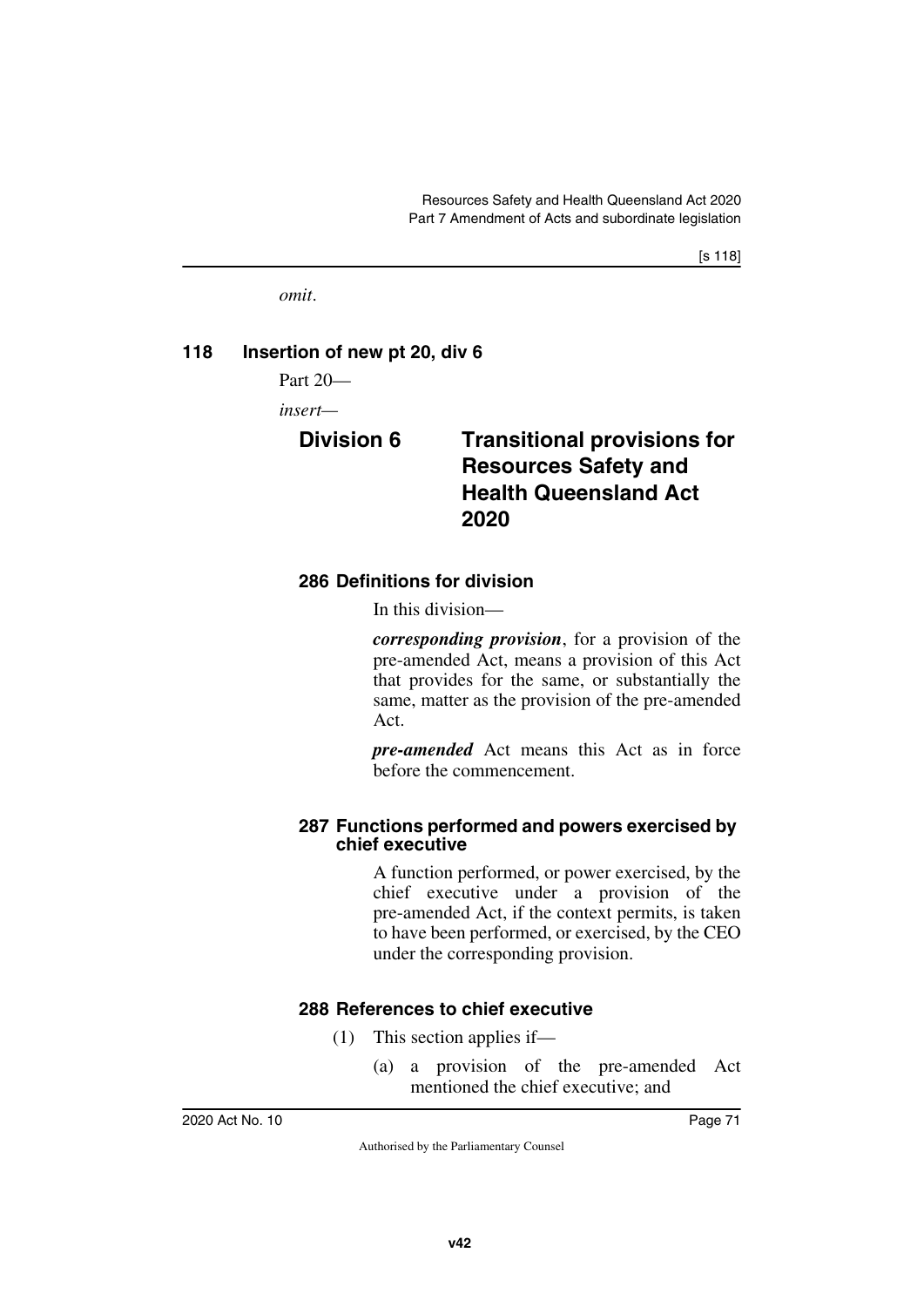[s 118]

*omit*.

#### **118 Insertion of new pt 20, div 6**

Part 20—

*insert—*

# **Division 6 Transitional provisions for Resources Safety and Health Queensland Act 2020**

#### **286 Definitions for division**

In this division—

*corresponding provision*, for a provision of the pre-amended Act, means a provision of this Act that provides for the same, or substantially the same, matter as the provision of the pre-amended Act.

*pre-amended* Act means this Act as in force before the commencement.

#### **287 Functions performed and powers exercised by chief executive**

A function performed, or power exercised, by the chief executive under a provision of the pre-amended Act, if the context permits, is taken to have been performed, or exercised, by the CEO under the corresponding provision.

### **288 References to chief executive**

- (1) This section applies if—
	- (a) a provision of the pre-amended Act mentioned the chief executive; and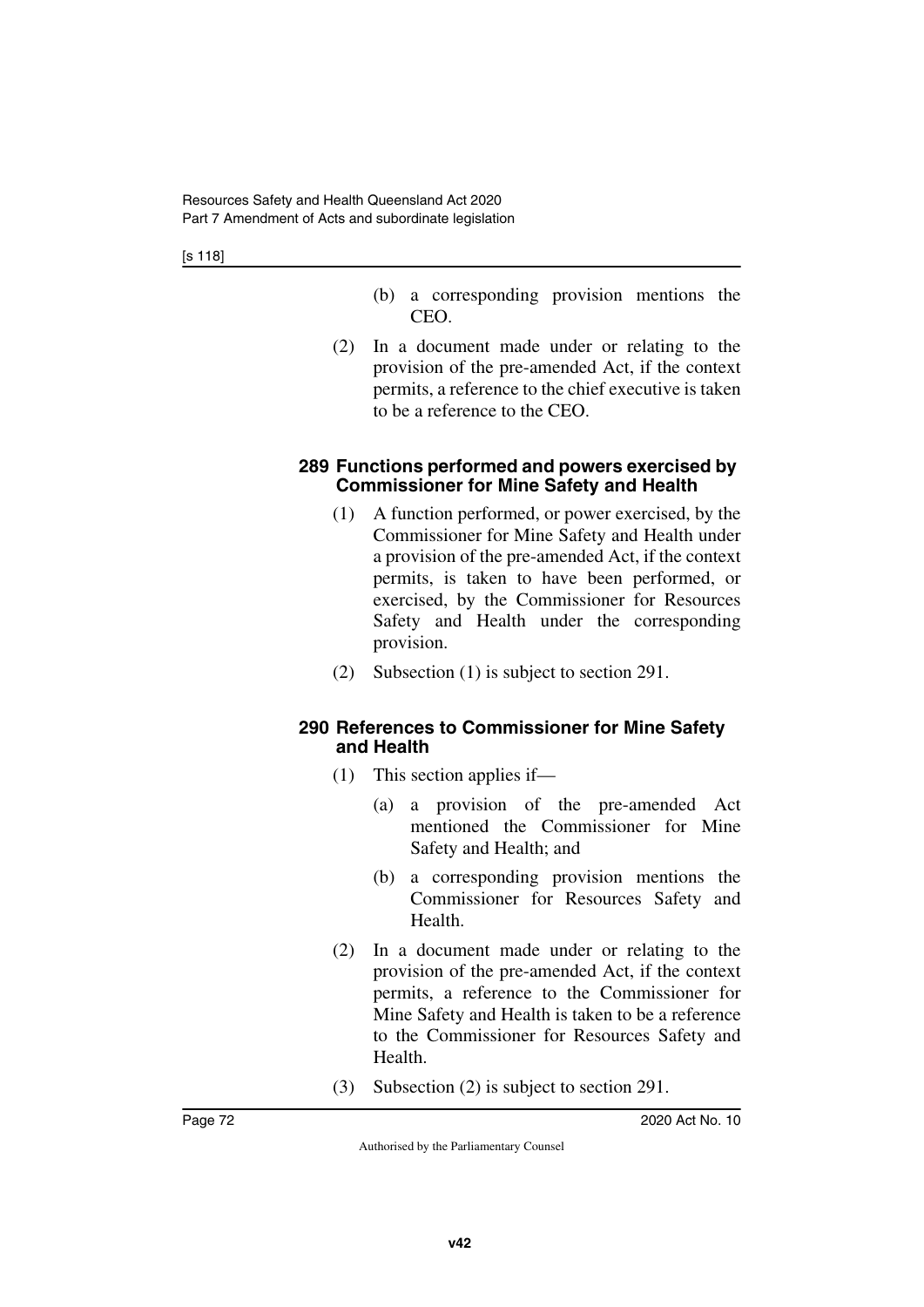[s 118]

- (b) a corresponding provision mentions the CEO.
- (2) In a document made under or relating to the provision of the pre-amended Act, if the context permits, a reference to the chief executive is taken to be a reference to the CEO.

#### **289 Functions performed and powers exercised by Commissioner for Mine Safety and Health**

- (1) A function performed, or power exercised, by the Commissioner for Mine Safety and Health under a provision of the pre-amended Act, if the context permits, is taken to have been performed, or exercised, by the Commissioner for Resources Safety and Health under the corresponding provision.
- (2) Subsection (1) is subject to section 291.

#### **290 References to Commissioner for Mine Safety and Health**

- (1) This section applies if—
	- (a) a provision of the pre-amended Act mentioned the Commissioner for Mine Safety and Health; and
	- (b) a corresponding provision mentions the Commissioner for Resources Safety and Health.
- (2) In a document made under or relating to the provision of the pre-amended Act, if the context permits, a reference to the Commissioner for Mine Safety and Health is taken to be a reference to the Commissioner for Resources Safety and Health.
- (3) Subsection (2) is subject to section 291.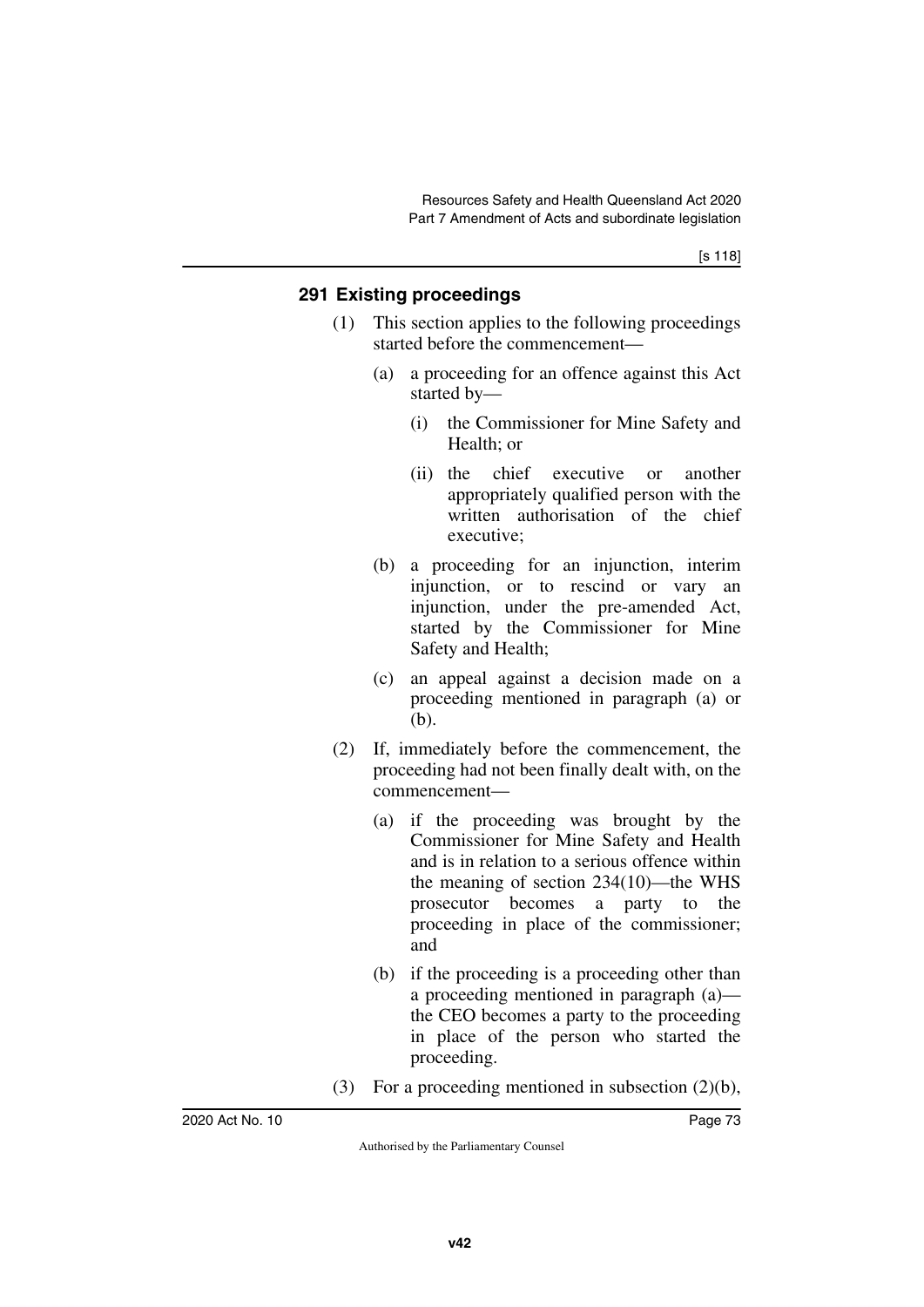### **291 Existing proceedings**

- (1) This section applies to the following proceedings started before the commencement—
	- (a) a proceeding for an offence against this Act started by—
		- (i) the Commissioner for Mine Safety and Health; or
		- (ii) the chief executive or another appropriately qualified person with the written authorisation of the chief executive;
	- (b) a proceeding for an injunction, interim injunction, or to rescind or vary an injunction, under the pre-amended Act, started by the Commissioner for Mine Safety and Health;
	- (c) an appeal against a decision made on a proceeding mentioned in paragraph (a) or (b).
- (2) If, immediately before the commencement, the proceeding had not been finally dealt with, on the commencement—
	- (a) if the proceeding was brought by the Commissioner for Mine Safety and Health and is in relation to a serious offence within the meaning of section 234(10)—the WHS prosecutor becomes a party to the proceeding in place of the commissioner; and
	- (b) if the proceeding is a proceeding other than a proceeding mentioned in paragraph (a) the CEO becomes a party to the proceeding in place of the person who started the proceeding.
- (3) For a proceeding mentioned in subsection (2)(b),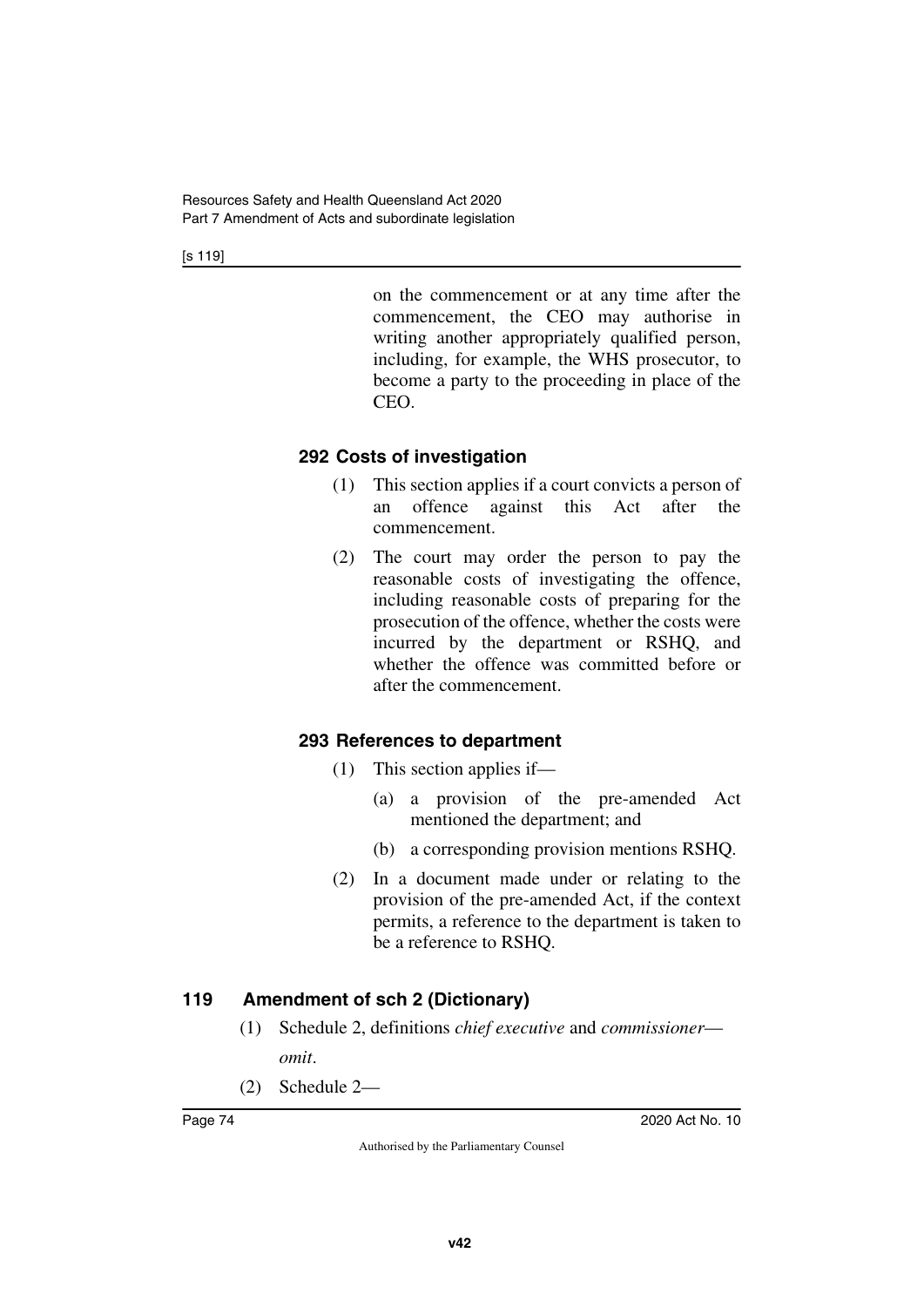[s 119]

on the commencement or at any time after the commencement, the CEO may authorise in writing another appropriately qualified person, including, for example, the WHS prosecutor, to become a party to the proceeding in place of the CEO.

## **292 Costs of investigation**

- (1) This section applies if a court convicts a person of an offence against this Act after the commencement.
- (2) The court may order the person to pay the reasonable costs of investigating the offence, including reasonable costs of preparing for the prosecution of the offence, whether the costs were incurred by the department or RSHQ, and whether the offence was committed before or after the commencement.

## **293 References to department**

- (1) This section applies if—
	- (a) a provision of the pre-amended Act mentioned the department; and
	- (b) a corresponding provision mentions RSHQ.
- (2) In a document made under or relating to the provision of the pre-amended Act, if the context permits, a reference to the department is taken to be a reference to RSHQ.

## **119 Amendment of sch 2 (Dictionary)**

- (1) Schedule 2, definitions *chief executive* and *commissioner omit*.
- (2) Schedule 2—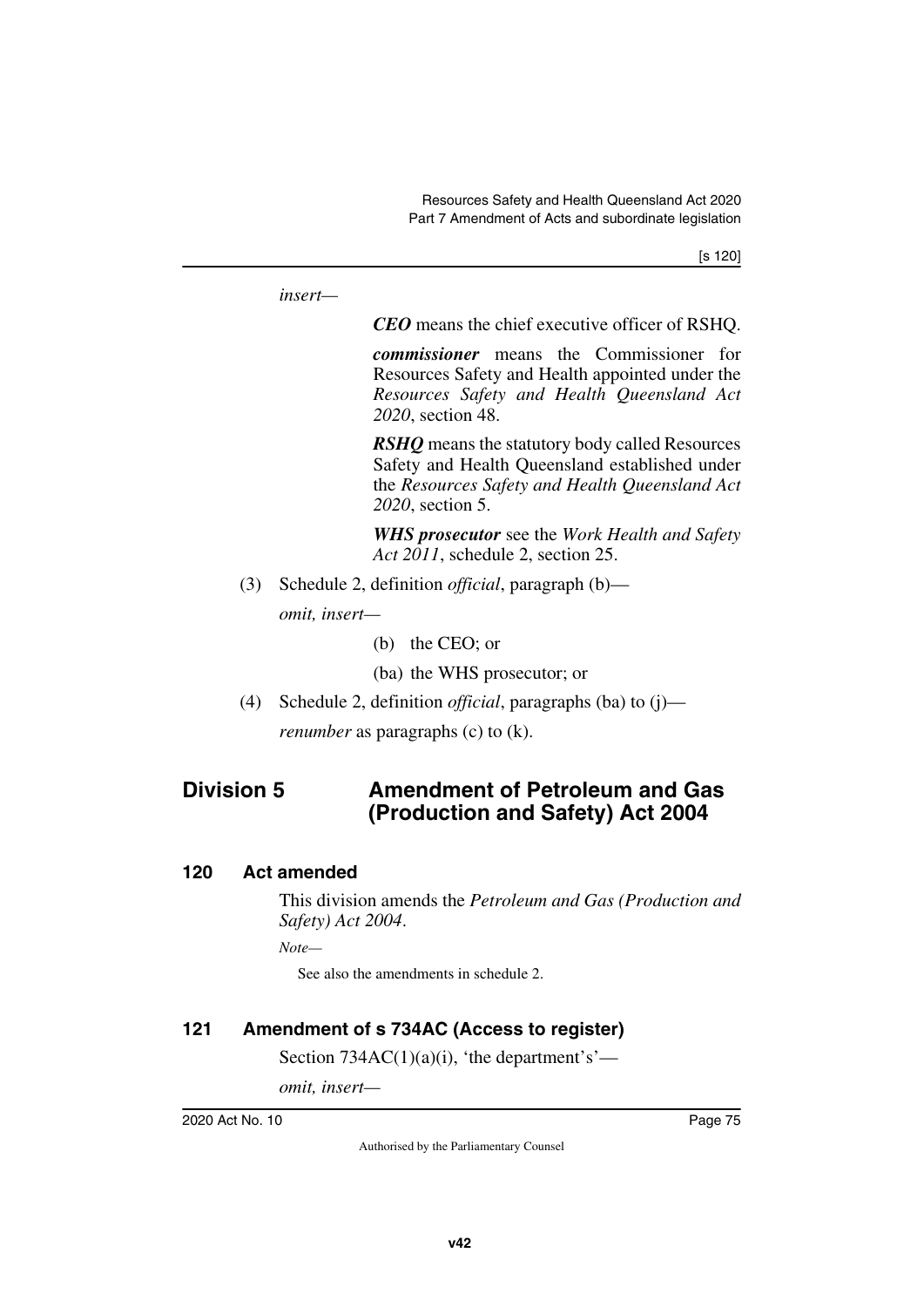```
insert—
                      CEO means the chief executive officer of RSHQ.
                       commissioner means the Commissioner for
                       Resources Safety and Health appointed under the
                       Resources Safety and Health Queensland Act
                       2020, section 48.
                       RSHQ means the statutory body called Resources
                       Safety and Health Queensland established under
                       the Resources Safety and Health Queensland Act
                       2020, section 5.
                       WHS prosecutor see the Work Health and Safety
                      Act 2011, schedule 2, section 25.
      (3) Schedule 2, definition official, paragraph (b)—
           omit, insert—
                       (b) the CEO; or
                       (ba) the WHS prosecutor; or
      (4) Schedule 2, definition official, paragraphs (ba) to (j)—
           renumber as paragraphs (c) to (k).
Division 5 Amendment of Petroleum and Gas 
                      (Production and Safety) Act 2004
```
#### **120 Act amended**

This division amends the *Petroleum and Gas (Production and Safety) Act 2004*.

*Note—*

See also the amendments in schedule 2.

### **121 Amendment of s 734AC (Access to register)**

Section  $734AC(1)(a)(i)$ , 'the department's'—

*omit, insert—*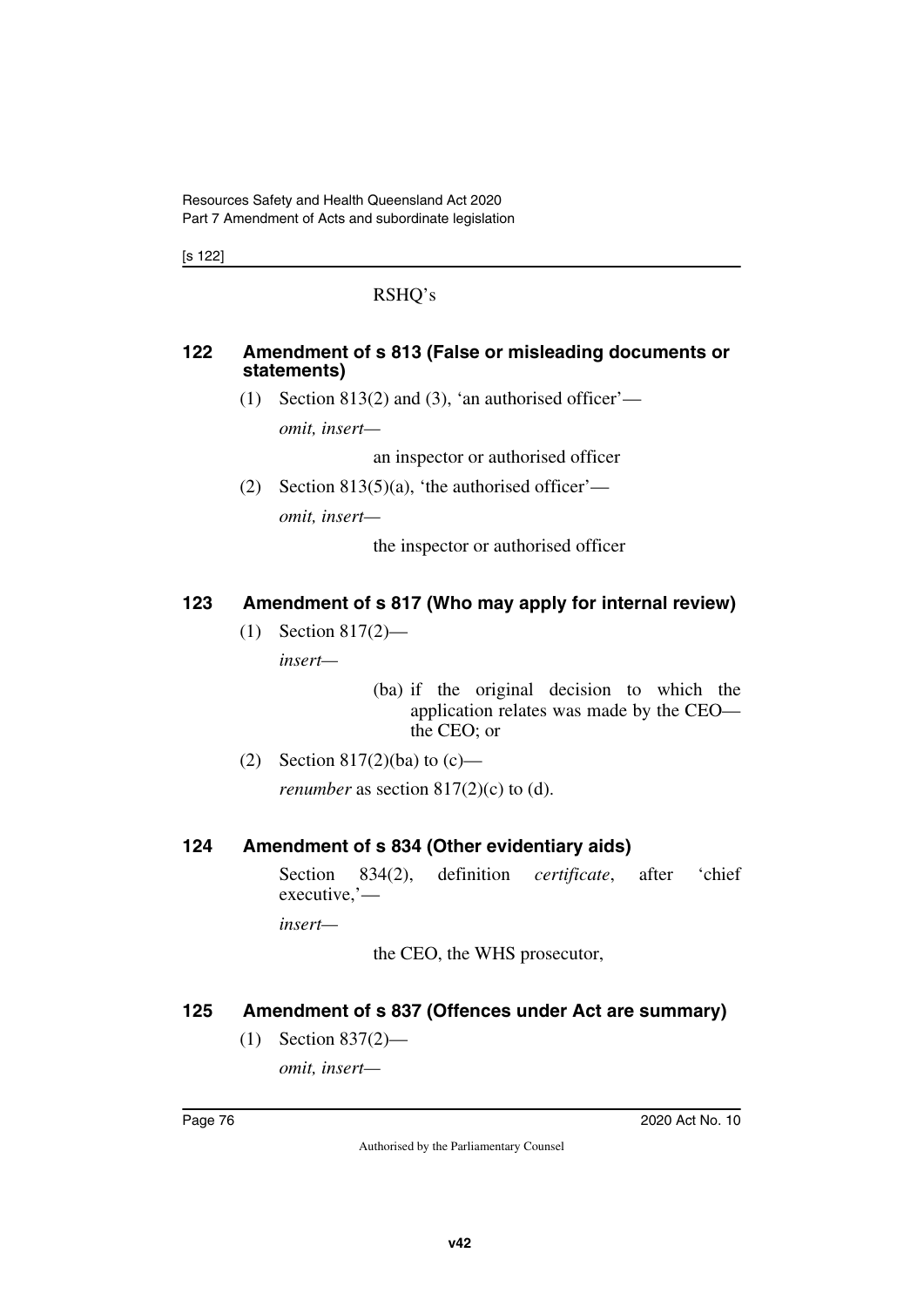[s 122]

### RSHQ's

#### **122 Amendment of s 813 (False or misleading documents or statements)**

(1) Section 813(2) and (3), 'an authorised officer'—

*omit, insert—*

an inspector or authorised officer

(2) Section 813(5)(a), 'the authorised officer'—

*omit, insert—*

the inspector or authorised officer

### **123 Amendment of s 817 (Who may apply for internal review)**

(1) Section 817(2)—

*insert—*

(ba) if the original decision to which the application relates was made by the CEO the CEO; or

(2) Section 817(2)(ba) to  $(c)$  *renumber* as section 817(2)(c) to (d).

### **124 Amendment of s 834 (Other evidentiary aids)**

Section 834(2), definition *certificate*, after 'chief executive,'—

*insert—*

the CEO, the WHS prosecutor,

### **125 Amendment of s 837 (Offences under Act are summary)**

(1) Section 837(2)—

*omit, insert—*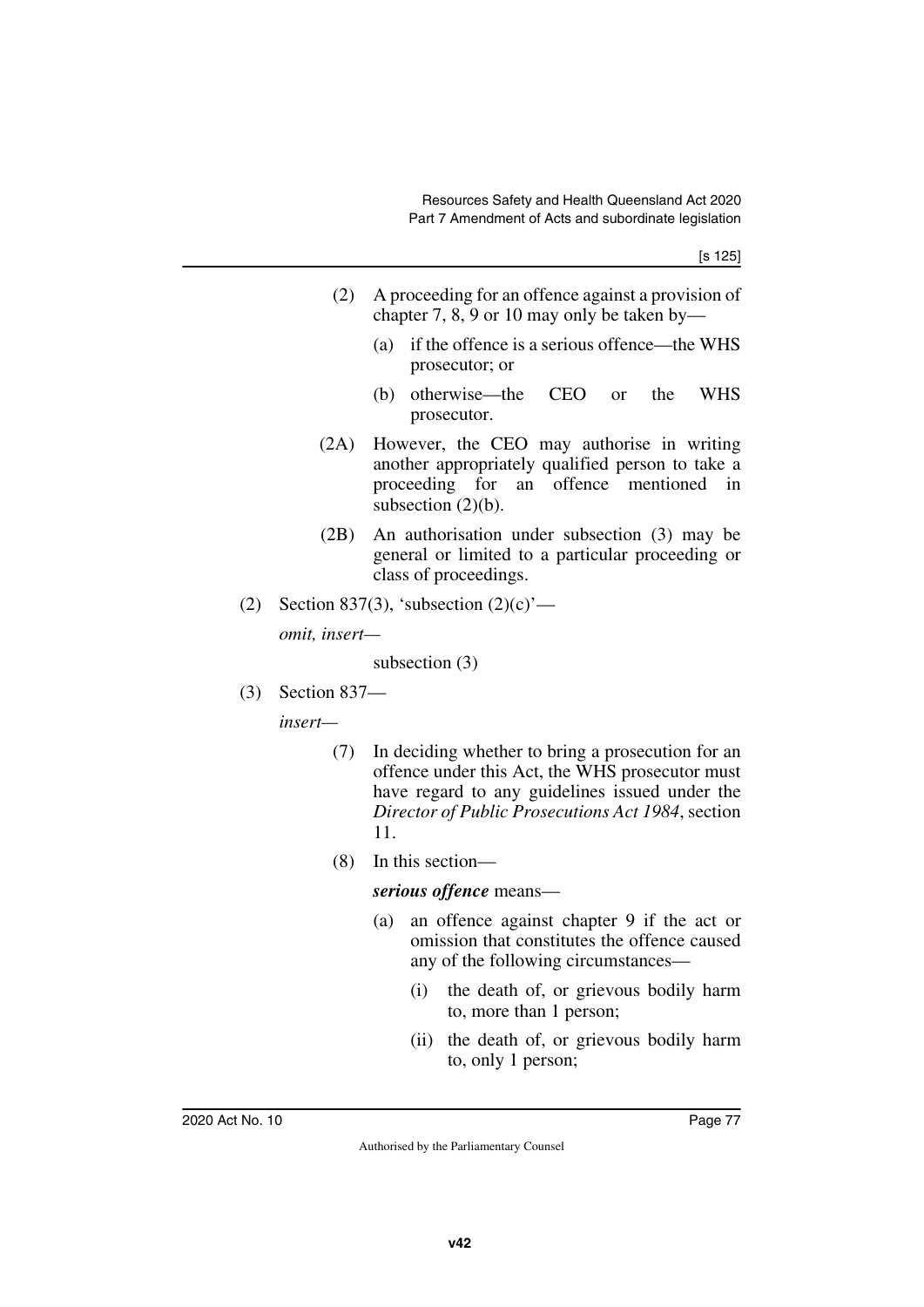- (2) A proceeding for an offence against a provision of chapter 7, 8, 9 or 10 may only be taken by—
	- (a) if the offence is a serious offence—the WHS prosecutor; or
	- (b) otherwise—the CEO or the WHS prosecutor.
- (2A) However, the CEO may authorise in writing another appropriately qualified person to take a proceeding for an offence mentioned in subsection  $(2)(b)$ .
- (2B) An authorisation under subsection (3) may be general or limited to a particular proceeding or class of proceedings.
- (2) Section 837(3), 'subsection  $(2)(c)$ '—

*omit, insert—*

subsection (3)

(3) Section 837—

*insert—*

- (7) In deciding whether to bring a prosecution for an offence under this Act, the WHS prosecutor must have regard to any guidelines issued under the *Director of Public Prosecutions Act 1984*, section 11.
- (8) In this section—

#### *serious offence* means—

- (a) an offence against chapter 9 if the act or omission that constitutes the offence caused any of the following circumstances—
	- (i) the death of, or grievous bodily harm to, more than 1 person;
	- (ii) the death of, or grievous bodily harm to, only 1 person;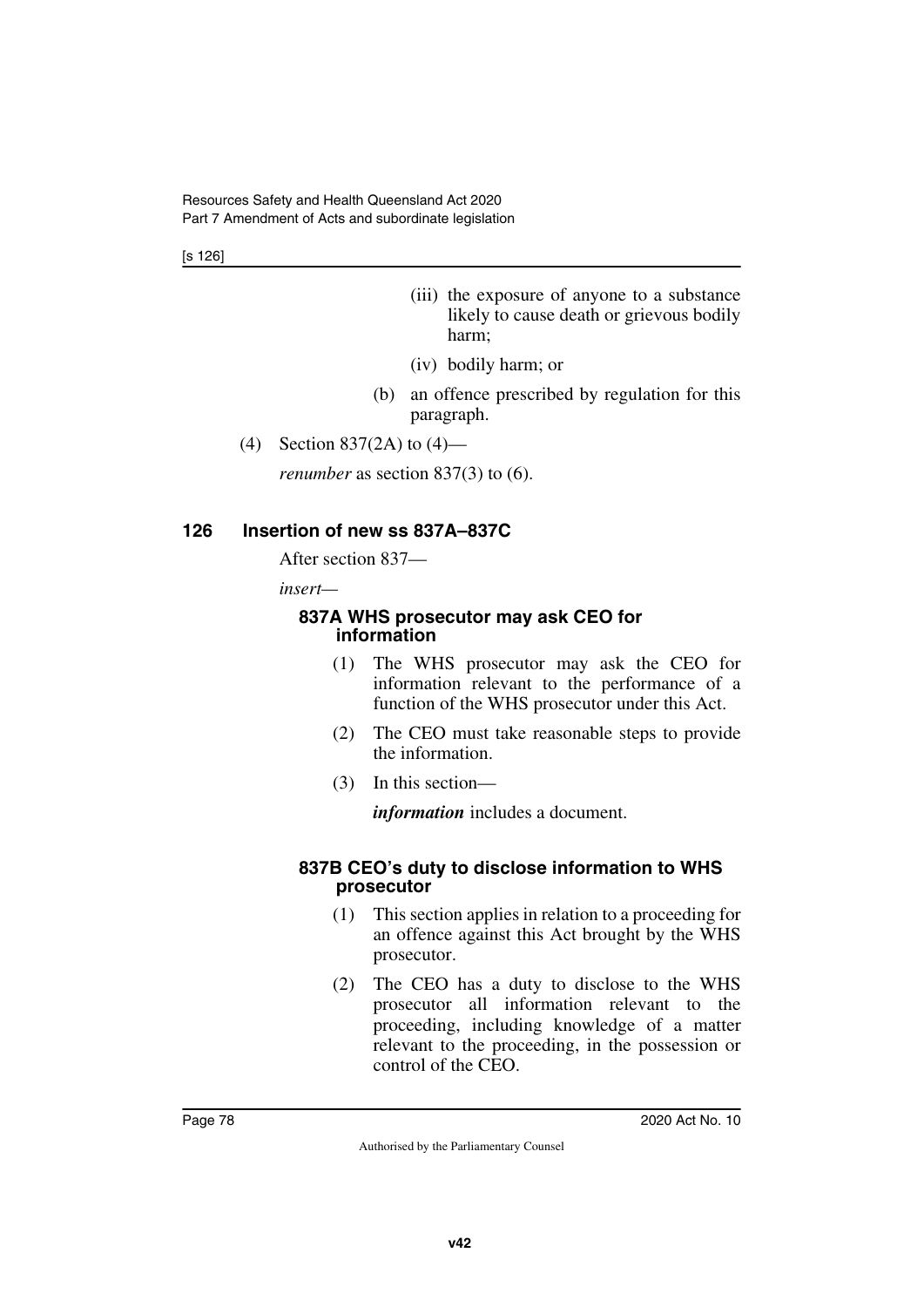[s 126]

- (iii) the exposure of anyone to a substance likely to cause death or grievous bodily harm;
- (iv) bodily harm; or
- (b) an offence prescribed by regulation for this paragraph.
- (4) Section 837(2A) to (4)—

*renumber* as section 837(3) to (6).

#### **126 Insertion of new ss 837A–837C**

After section 837—

*insert—*

#### **837A WHS prosecutor may ask CEO for information**

- (1) The WHS prosecutor may ask the CEO for information relevant to the performance of a function of the WHS prosecutor under this Act.
- (2) The CEO must take reasonable steps to provide the information.
- (3) In this section—

*information* includes a document.

#### **837B CEO's duty to disclose information to WHS prosecutor**

- (1) This section applies in relation to a proceeding for an offence against this Act brought by the WHS prosecutor.
- (2) The CEO has a duty to disclose to the WHS prosecutor all information relevant to the proceeding, including knowledge of a matter relevant to the proceeding, in the possession or control of the CEO.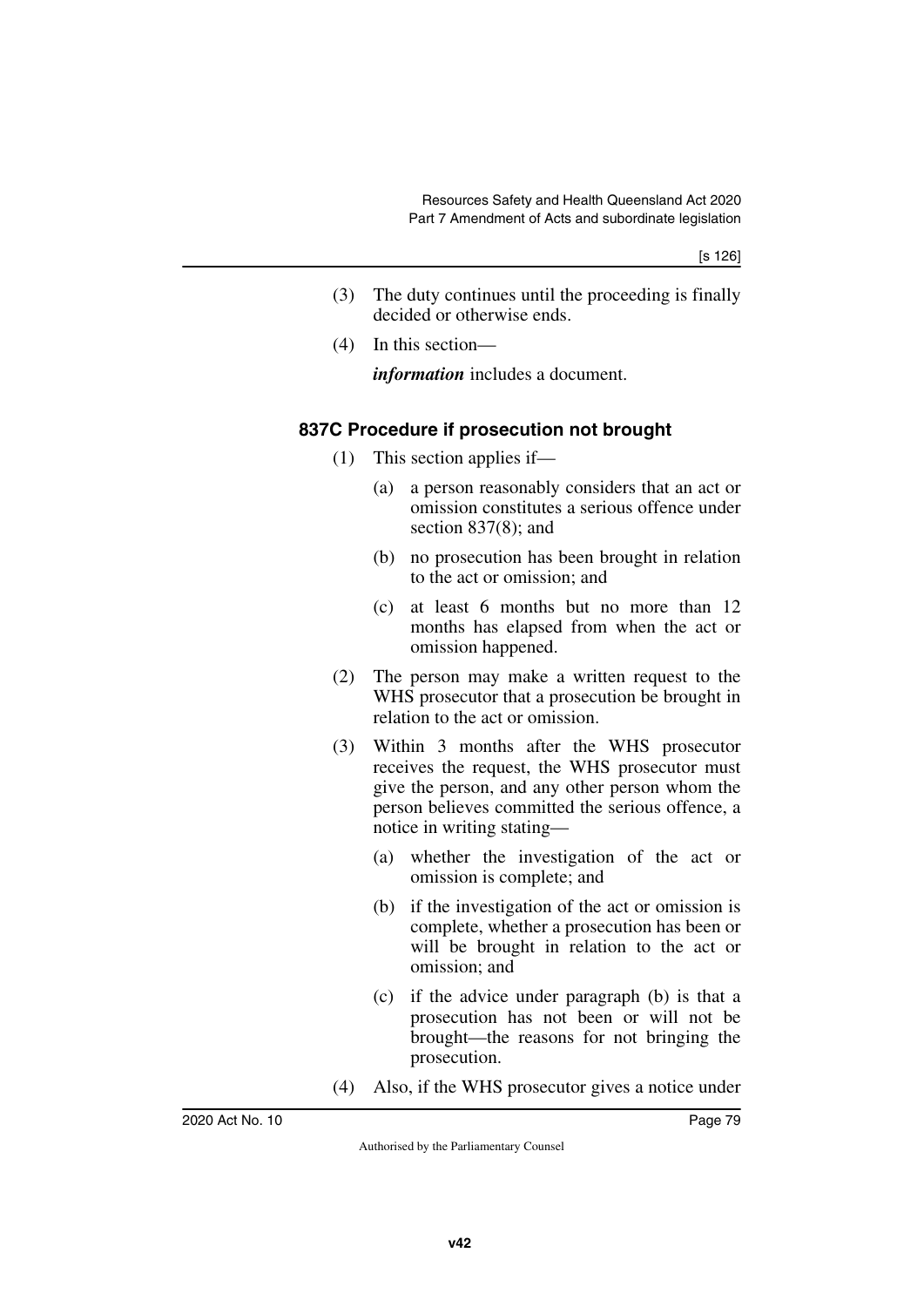- (3) The duty continues until the proceeding is finally decided or otherwise ends.
- (4) In this section—

*information* includes a document.

## **837C Procedure if prosecution not brought**

- (1) This section applies if—
	- (a) a person reasonably considers that an act or omission constitutes a serious offence under section 837(8); and
	- (b) no prosecution has been brought in relation to the act or omission; and
	- (c) at least 6 months but no more than 12 months has elapsed from when the act or omission happened.
- (2) The person may make a written request to the WHS prosecutor that a prosecution be brought in relation to the act or omission.
- (3) Within 3 months after the WHS prosecutor receives the request, the WHS prosecutor must give the person, and any other person whom the person believes committed the serious offence, a notice in writing stating—
	- (a) whether the investigation of the act or omission is complete; and
	- (b) if the investigation of the act or omission is complete, whether a prosecution has been or will be brought in relation to the act or omission; and
	- (c) if the advice under paragraph (b) is that a prosecution has not been or will not be brought—the reasons for not bringing the prosecution.
- (4) Also, if the WHS prosecutor gives a notice under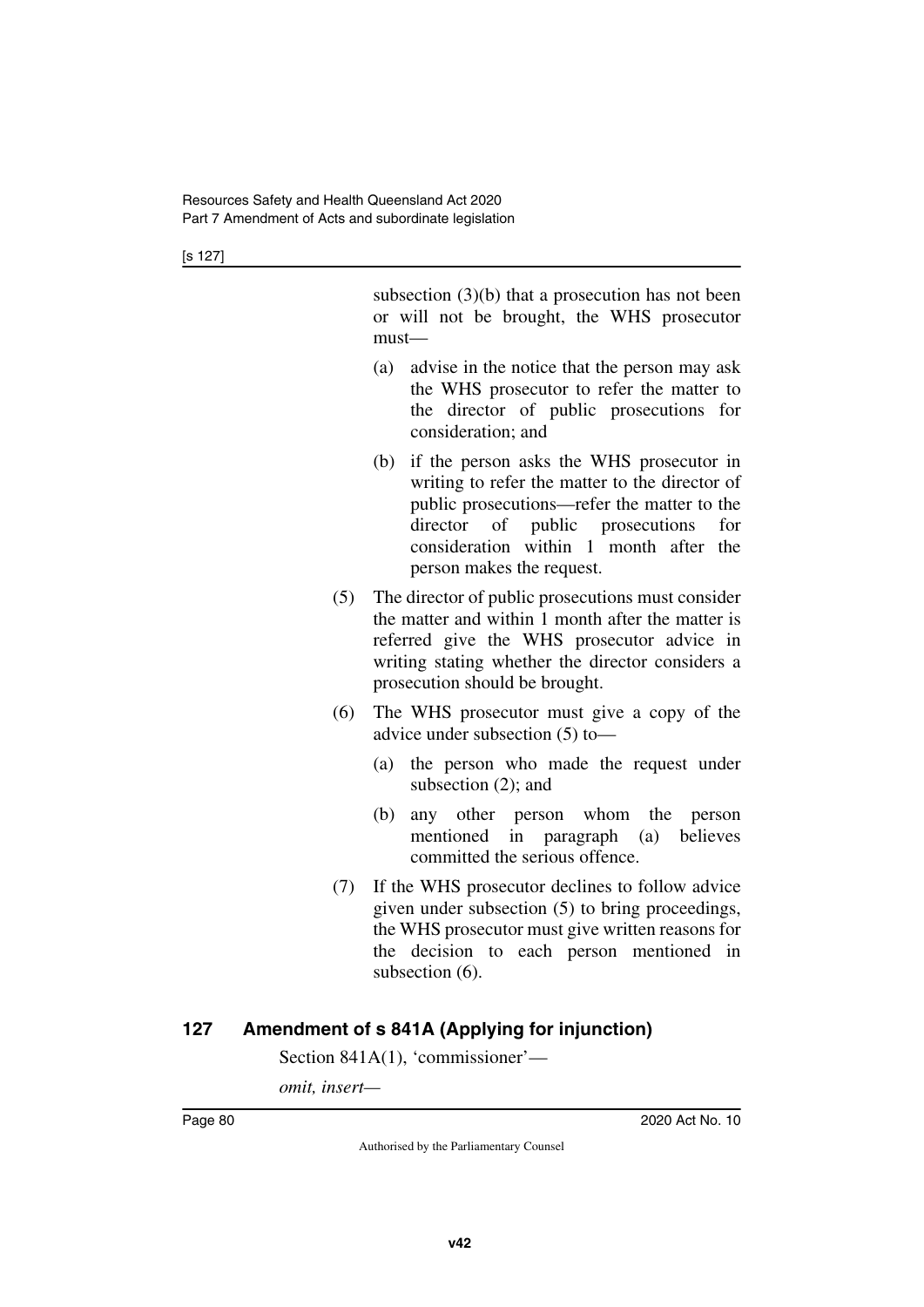subsection (3)(b) that a prosecution has not been or will not be brought, the WHS prosecutor must—

- (a) advise in the notice that the person may ask the WHS prosecutor to refer the matter to the director of public prosecutions for consideration; and
- (b) if the person asks the WHS prosecutor in writing to refer the matter to the director of public prosecutions—refer the matter to the director of public prosecutions for consideration within 1 month after the person makes the request.
- (5) The director of public prosecutions must consider the matter and within 1 month after the matter is referred give the WHS prosecutor advice in writing stating whether the director considers a prosecution should be brought.
- (6) The WHS prosecutor must give a copy of the advice under subsection (5) to—
	- (a) the person who made the request under subsection (2); and
	- (b) any other person whom the person mentioned in paragraph (a) believes committed the serious offence.
- (7) If the WHS prosecutor declines to follow advice given under subsection (5) to bring proceedings, the WHS prosecutor must give written reasons for the decision to each person mentioned in subsection (6).

## **127 Amendment of s 841A (Applying for injunction)**

Section 841A(1), 'commissioner'—

*omit, insert—*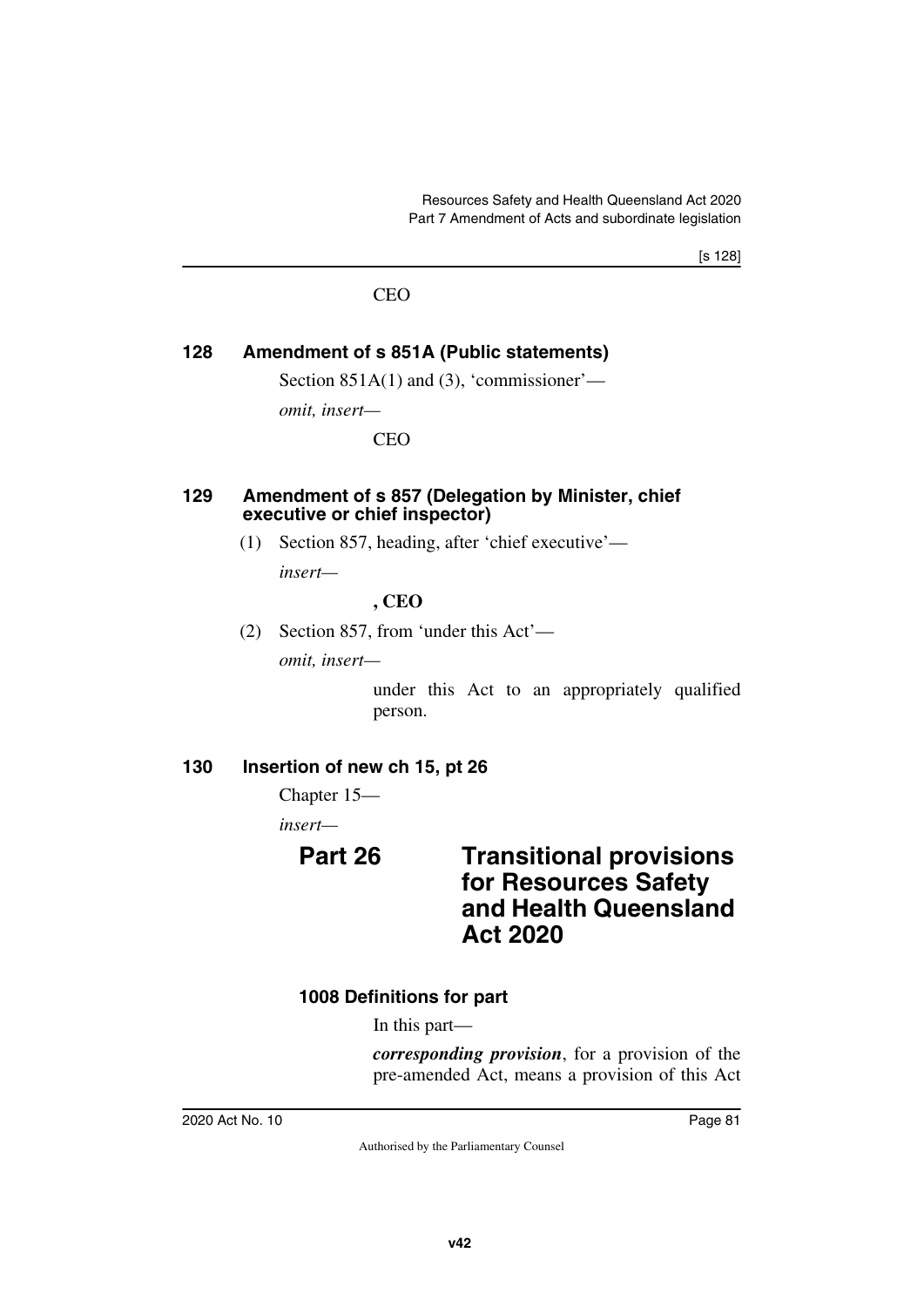[s 128]

#### CEO

## **128 Amendment of s 851A (Public statements)**

Section 851A(1) and (3), 'commissioner'—

*omit, insert—*

CEO

#### **129 Amendment of s 857 (Delegation by Minister, chief executive or chief inspector)**

(1) Section 857, heading, after 'chief executive'—

*insert—*

#### **, CEO**

(2) Section 857, from 'under this Act'—

*omit, insert—*

under this Act to an appropriately qualified person.

## **130 Insertion of new ch 15, pt 26**

Chapter 15—

*insert—*

# **Part 26 Transitional provisions for Resources Safety and Health Queensland Act 2020**

## **1008 Definitions for part**

In this part—

*corresponding provision*, for a provision of the pre-amended Act, means a provision of this Act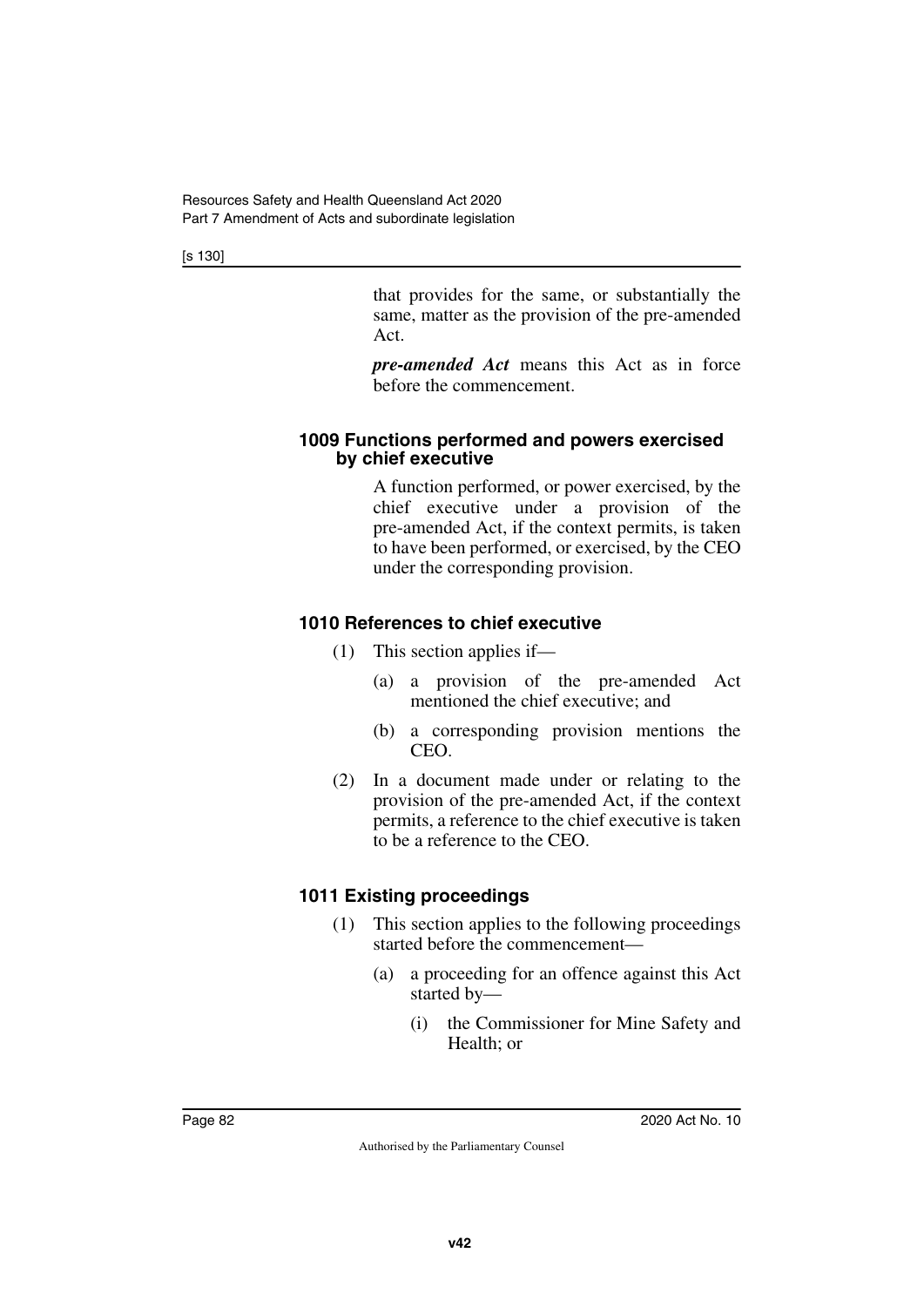[s 130]

that provides for the same, or substantially the same, matter as the provision of the pre-amended Act.

*pre-amended Act* means this Act as in force before the commencement.

#### **1009 Functions performed and powers exercised by chief executive**

A function performed, or power exercised, by the chief executive under a provision of the pre-amended Act, if the context permits, is taken to have been performed, or exercised, by the CEO under the corresponding provision.

## **1010 References to chief executive**

- (1) This section applies if—
	- (a) a provision of the pre-amended Act mentioned the chief executive; and
	- (b) a corresponding provision mentions the CEO.
- (2) In a document made under or relating to the provision of the pre-amended Act, if the context permits, a reference to the chief executive is taken to be a reference to the CEO.

## **1011 Existing proceedings**

- (1) This section applies to the following proceedings started before the commencement—
	- (a) a proceeding for an offence against this Act started by—
		- (i) the Commissioner for Mine Safety and Health; or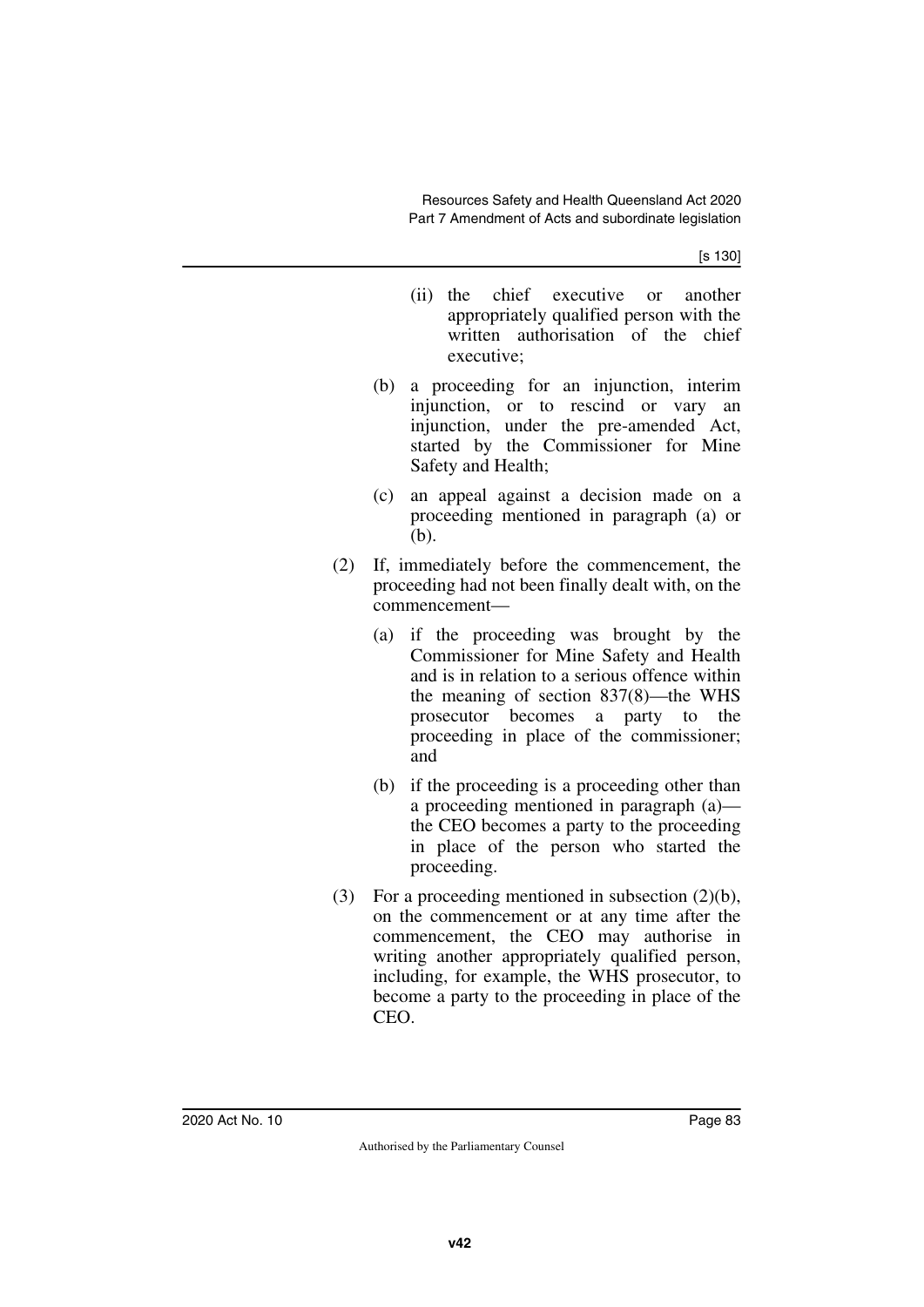[s 130]

- (ii) the chief executive or another appropriately qualified person with the written authorisation of the chief executive;
- (b) a proceeding for an injunction, interim injunction, or to rescind or vary an injunction, under the pre-amended Act, started by the Commissioner for Mine Safety and Health;
- (c) an appeal against a decision made on a proceeding mentioned in paragraph (a) or (b).
- (2) If, immediately before the commencement, the proceeding had not been finally dealt with, on the commencement—
	- (a) if the proceeding was brought by the Commissioner for Mine Safety and Health and is in relation to a serious offence within the meaning of section 837(8)—the WHS prosecutor becomes a party to the proceeding in place of the commissioner; and
	- (b) if the proceeding is a proceeding other than a proceeding mentioned in paragraph (a) the CEO becomes a party to the proceeding in place of the person who started the proceeding.
- (3) For a proceeding mentioned in subsection (2)(b), on the commencement or at any time after the commencement, the CEO may authorise in writing another appropriately qualified person, including, for example, the WHS prosecutor, to become a party to the proceeding in place of the CEO.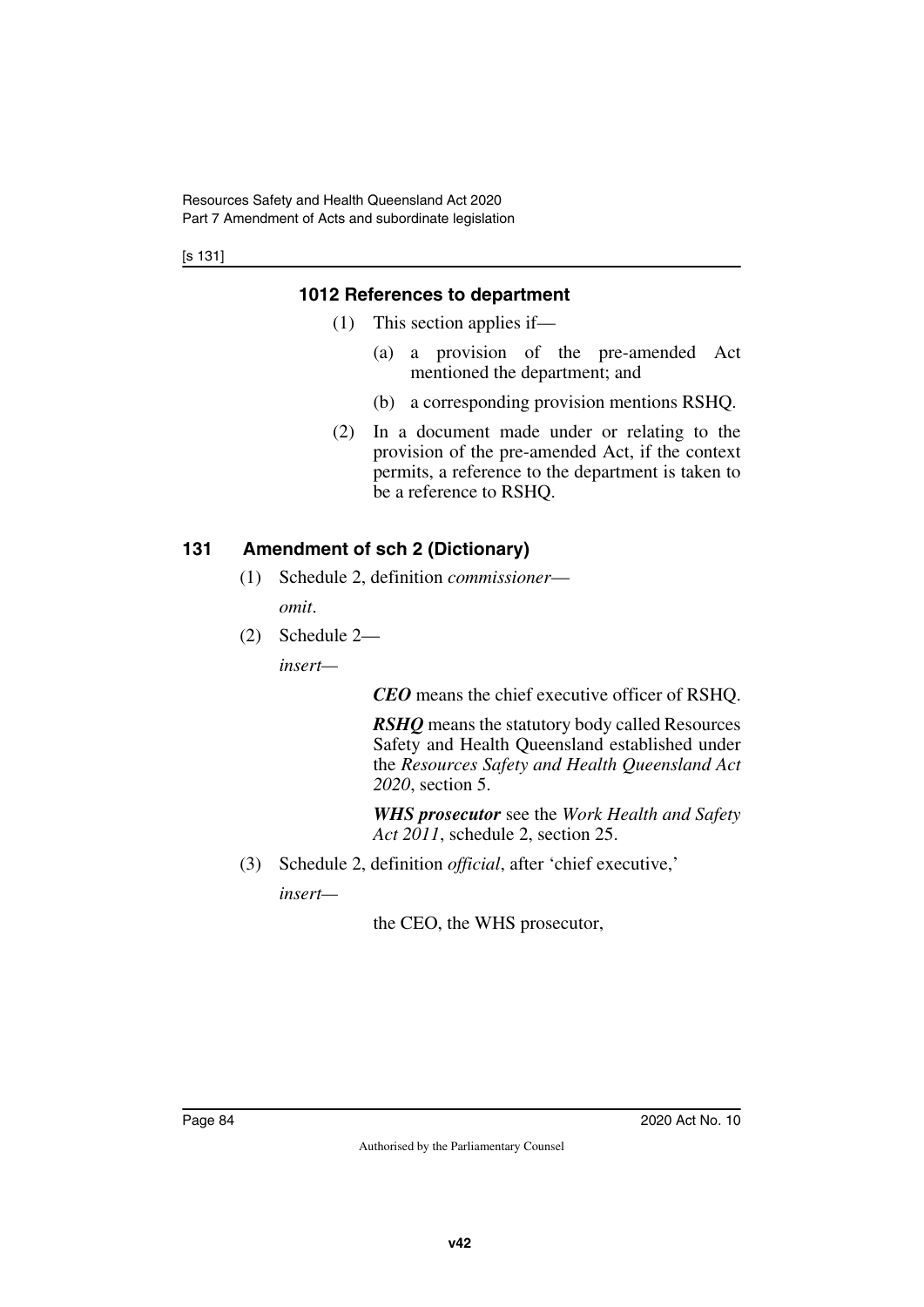[s 131]

## **1012 References to department**

- (1) This section applies if—
	- (a) a provision of the pre-amended Act mentioned the department; and
	- (b) a corresponding provision mentions RSHQ.
- (2) In a document made under or relating to the provision of the pre-amended Act, if the context permits, a reference to the department is taken to be a reference to RSHQ.

## **131 Amendment of sch 2 (Dictionary)**

- (1) Schedule 2, definition *commissioner omit*.
- (2) Schedule 2—

*insert—*

*CEO* means the chief executive officer of RSHQ.

*RSHQ* means the statutory body called Resources Safety and Health Queensland established under the *Resources Safety and Health Queensland Act 2020*, section 5.

*WHS prosecutor* see the *Work Health and Safety Act 2011*, schedule 2, section 25.

(3) Schedule 2, definition *official*, after 'chief executive,'

*insert—*

the CEO, the WHS prosecutor,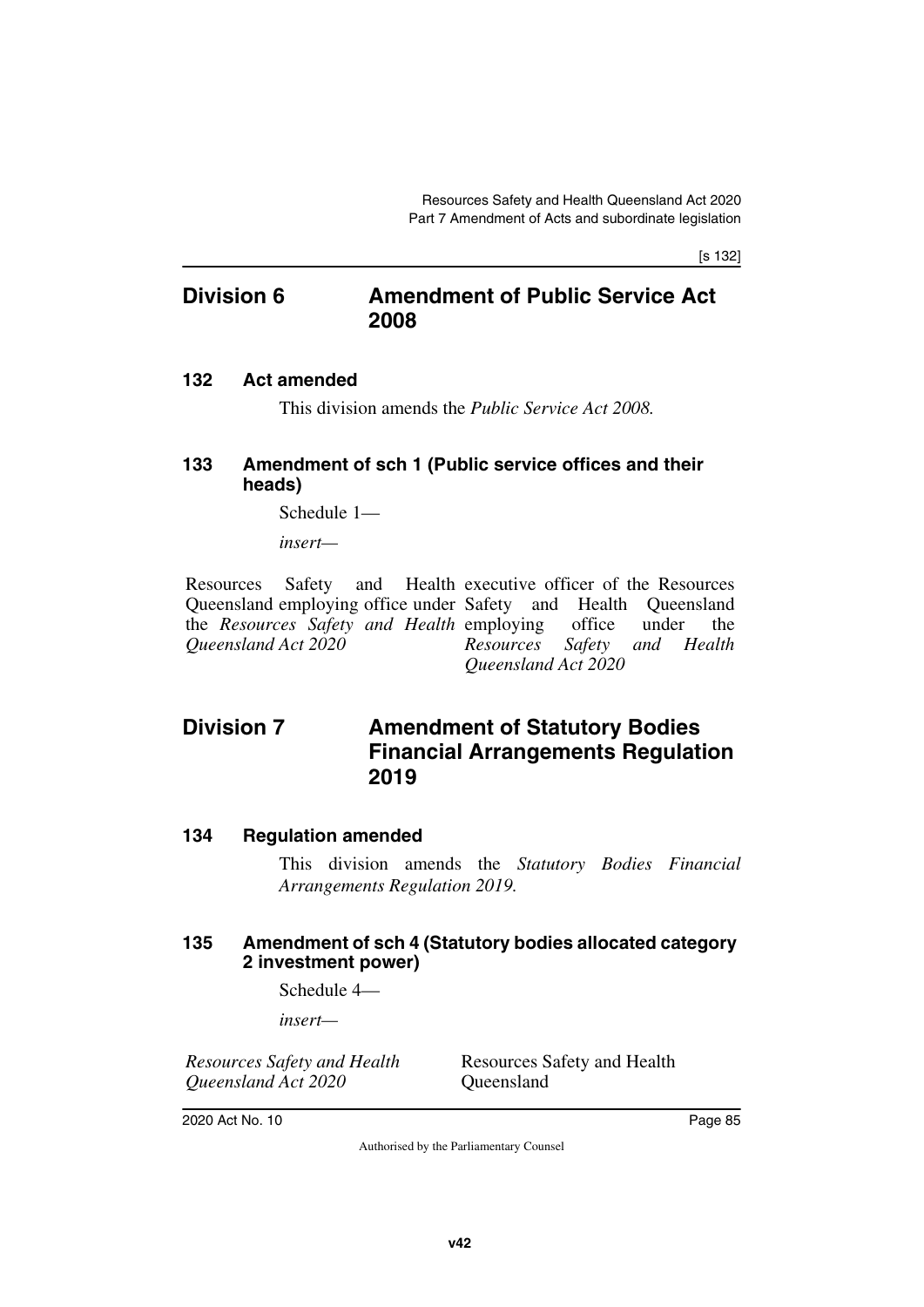[s 132]

## **Division 6 Amendment of Public Service Act 2008**

#### **132 Act amended**

This division amends the *Public Service Act 2008.*

#### **133 Amendment of sch 1 (Public service offices and their heads)**

Schedule 1—

*insert—*

Resources Safety and Queensland employing office under Safety and Health Queensland the *Resources Safety and Health* employing office under the *Queensland Act 2020* Health executive officer of the Resources *Resources Safety and Health Queensland Act 2020*

# **Division 7** Amendment of Statutory Bodies **Financial Arrangements Regulation 2019**

#### **134 Regulation amended**

This division amends the *Statutory Bodies Financial Arrangements Regulation 2019.*

#### **135 Amendment of sch 4 (Statutory bodies allocated category 2 investment power)**

Schedule 4—

*insert—*

*Resources Safety and Health Queensland Act 2020*

Resources Safety and Health **Oueensland**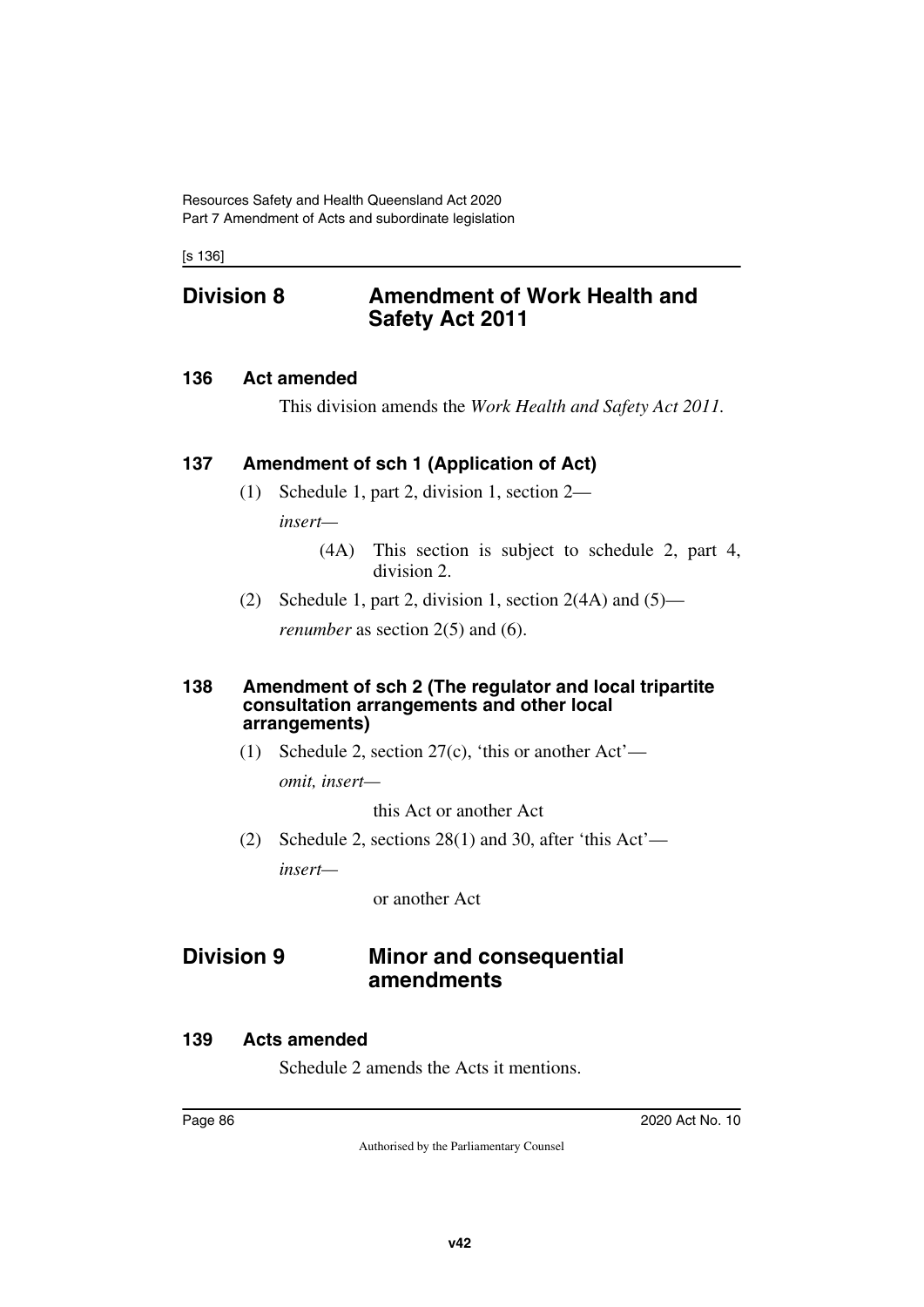[s 136]

## **Division 8 Amendment of Work Health and Safety Act 2011**

#### **136 Act amended**

This division amends the *Work Health and Safety Act 2011.*

#### **137 Amendment of sch 1 (Application of Act)**

- (1) Schedule 1, part 2, division 1, section 2 *insert—*
	- (4A) This section is subject to schedule 2, part 4, division 2.
- (2) Schedule 1, part 2, division 1, section  $2(4A)$  and  $(5)$  *renumber* as section 2(5) and (6).

#### **138 Amendment of sch 2 (The regulator and local tripartite consultation arrangements and other local arrangements)**

(1) Schedule 2, section 27(c), 'this or another Act'—

*omit, insert—*

this Act or another Act

(2) Schedule 2, sections 28(1) and 30, after 'this Act' *insert—*

or another Act

## **Division 9 Minor and consequential amendments**

#### **139 Acts amended**

Schedule 2 amends the Acts it mentions.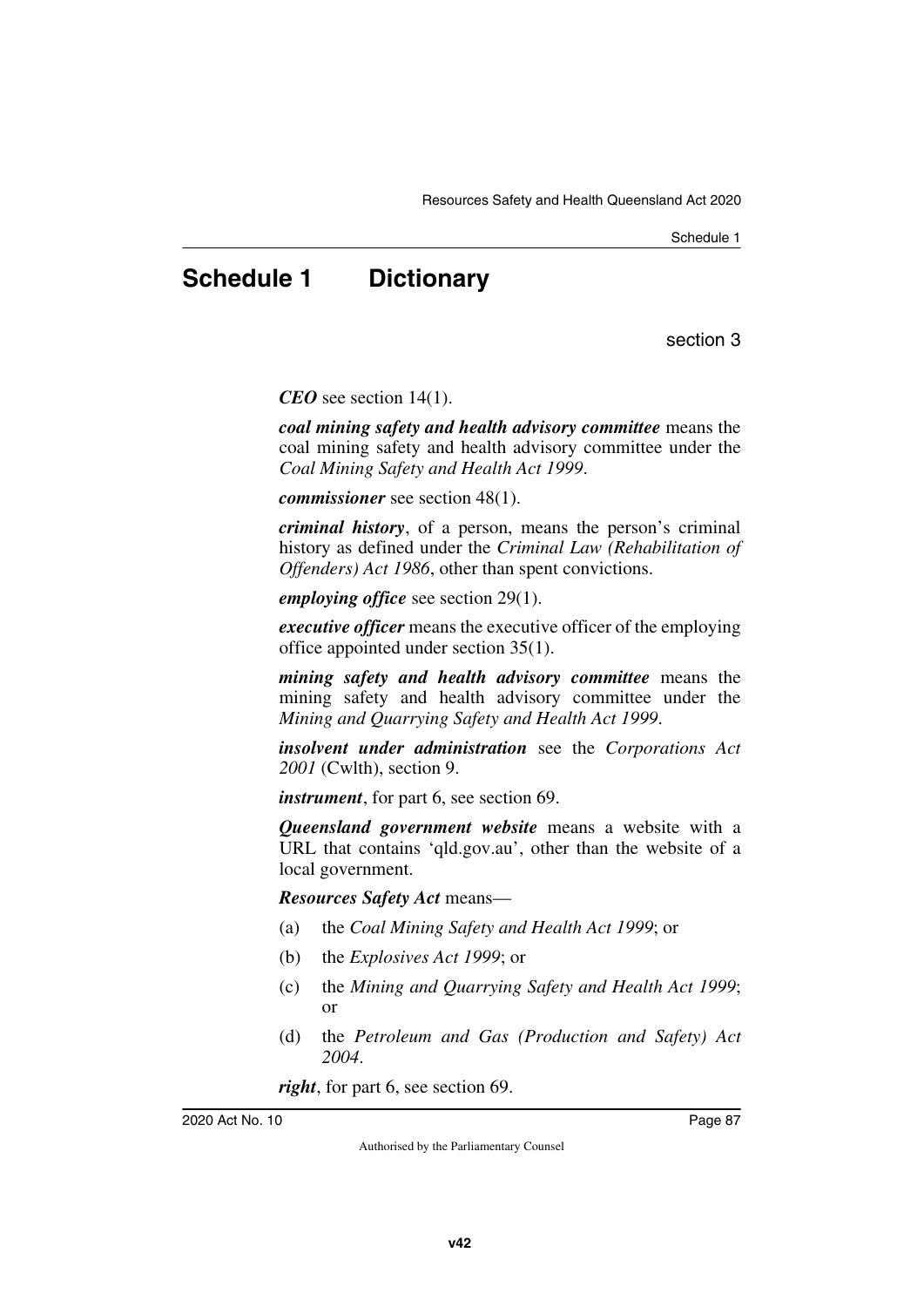# **Schedule 1 Dictionary**

section 3

*CEO* see section 14(1).

*coal mining safety and health advisory committee* means the coal mining safety and health advisory committee under the *Coal Mining Safety and Health Act 1999*.

*commissioner* see section 48(1).

*criminal history*, of a person, means the person's criminal history as defined under the *Criminal Law (Rehabilitation of Offenders) Act 1986*, other than spent convictions.

*employing office* see section 29(1).

*executive officer* means the executive officer of the employing office appointed under section 35(1).

*mining safety and health advisory committee* means the mining safety and health advisory committee under the *Mining and Quarrying Safety and Health Act 1999*.

*insolvent under administration* see the *Corporations Act 2001* (Cwlth), section 9.

*instrument*, for part 6, see section 69.

*Queensland government website* means a website with a URL that contains 'qld.gov.au', other than the website of a local government.

*Resources Safety Act* means—

- (a) the *Coal Mining Safety and Health Act 1999*; or
- (b) the *Explosives Act 1999*; or
- (c) the *Mining and Quarrying Safety and Health Act 1999*; or
- (d) the *Petroleum and Gas (Production and Safety) Act 2004*.

*right*, for part 6, see section 69.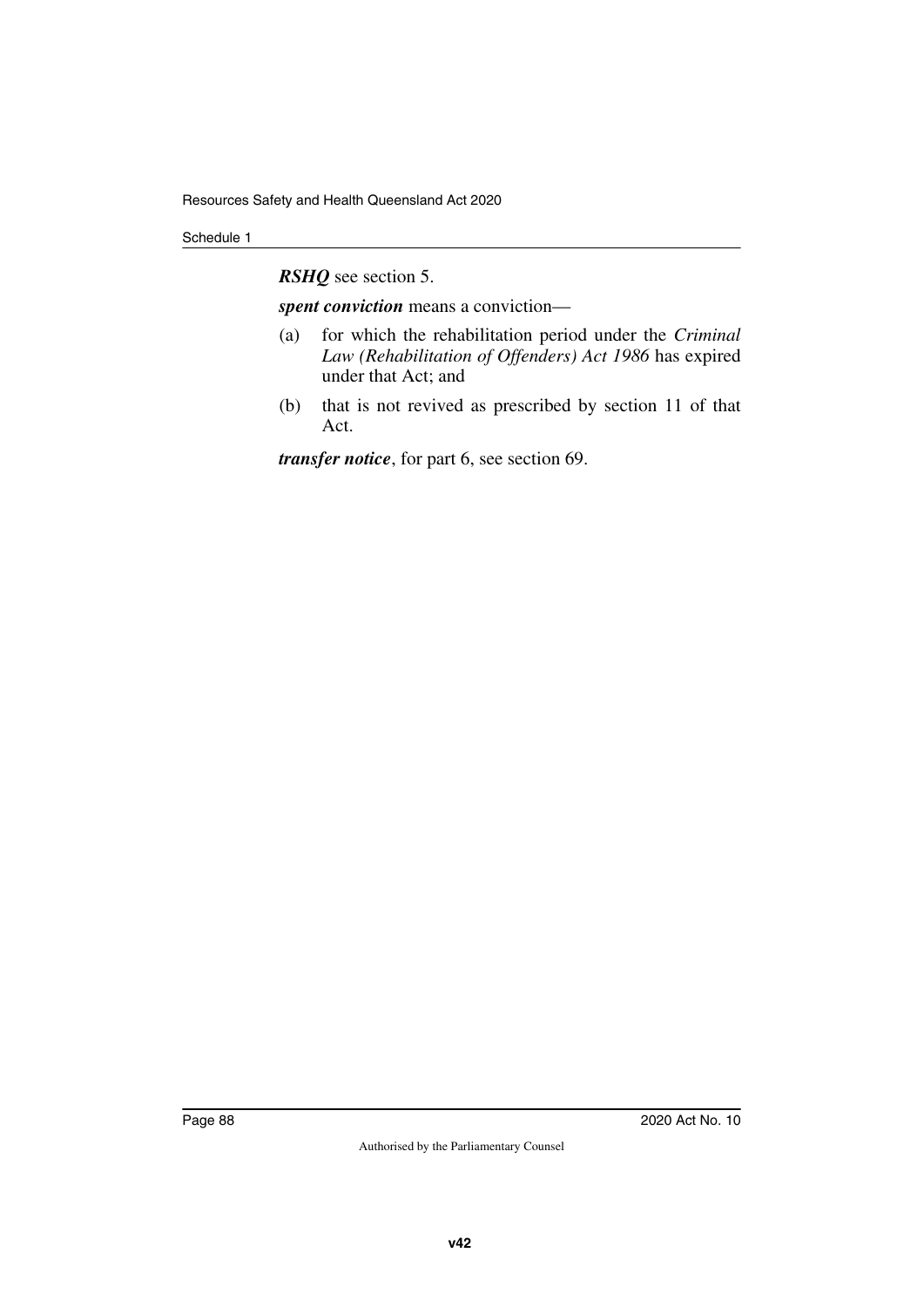*RSHQ* see section 5.

*spent conviction* means a conviction—

- (a) for which the rehabilitation period under the *Criminal Law (Rehabilitation of Offenders) Act 1986* has expired under that Act; and
- (b) that is not revived as prescribed by section 11 of that Act.

*transfer notice*, for part 6, see section 69.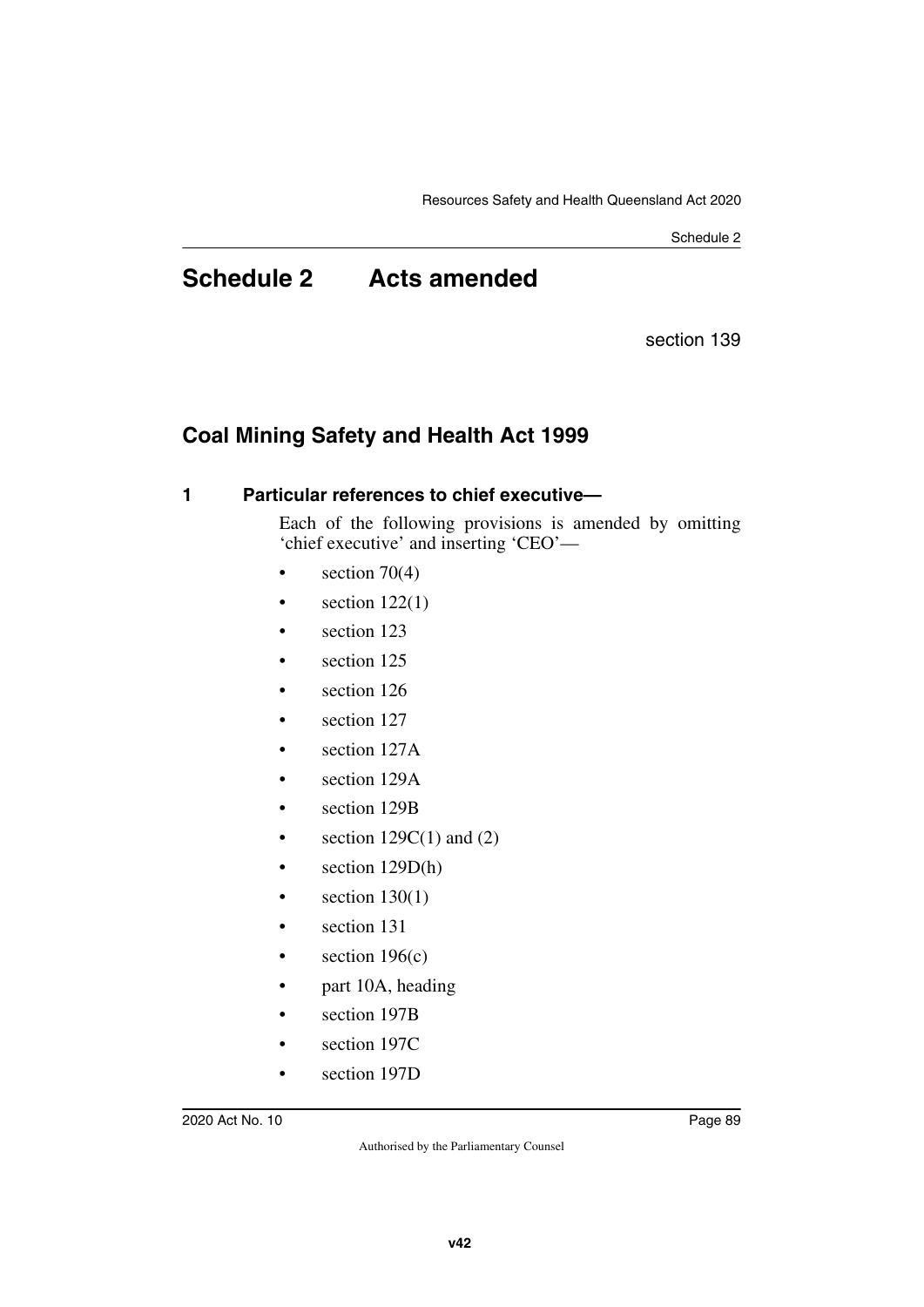# **Schedule 2 Acts amended**

section 139

## **Coal Mining Safety and Health Act 1999**

#### **1 Particular references to chief executive—**

Each of the following provisions is amended by omitting 'chief executive' and inserting 'CEO'—

- section  $70(4)$
- section  $122(1)$
- section 123
- section 125
- section 126
- section 127
- section 127A
- section 129A
- section 129B
- section  $129C(1)$  and  $(2)$
- section 129D(h)
- section  $130(1)$
- section 131
- section  $196(c)$
- part 10A, heading
- section 197B
- section 197C
- section 197D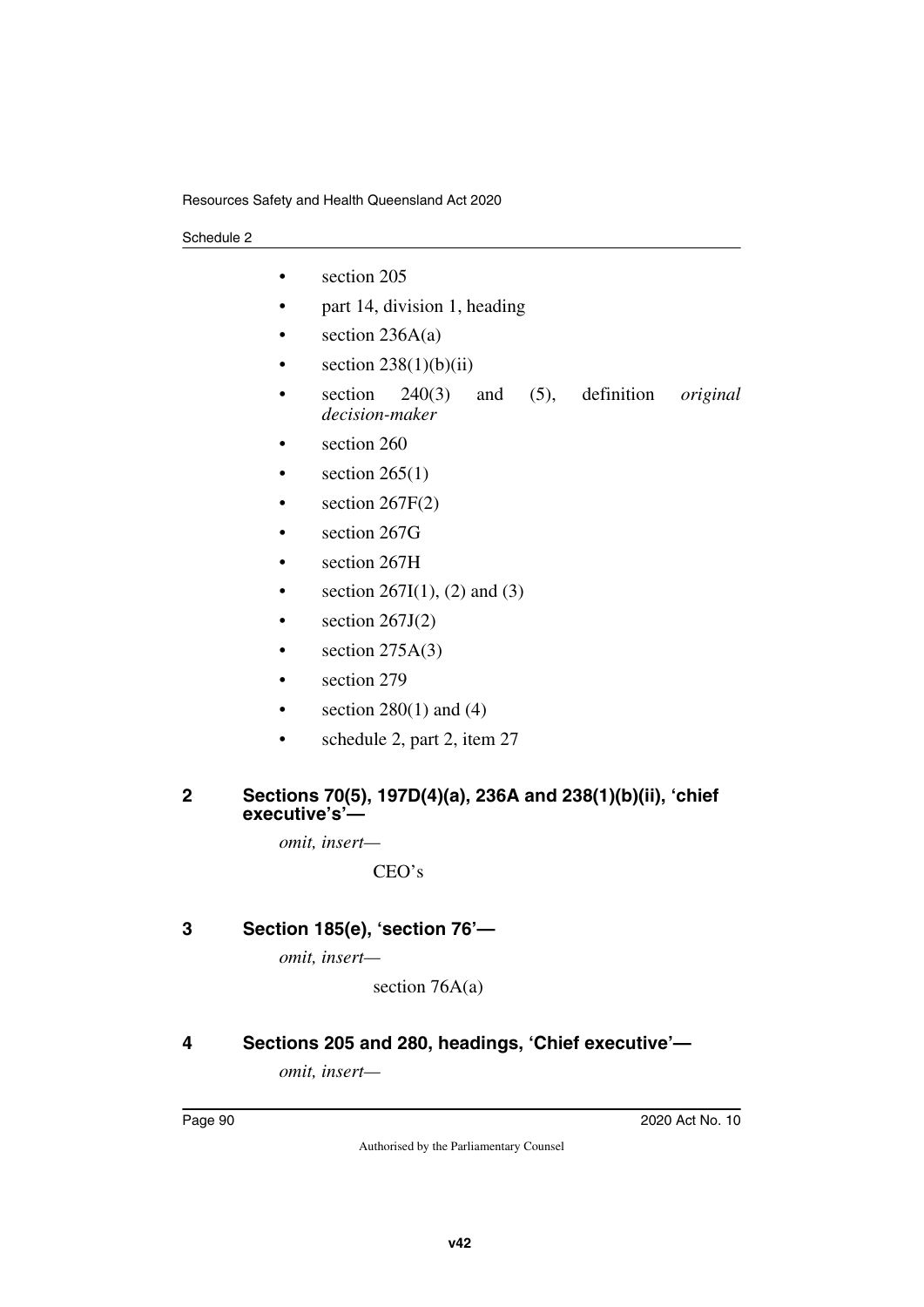- section 205
- part 14, division 1, heading
- section 236A(a)
- section  $238(1)(b)(ii)$
- section 240(3) and (5), definition *original decision-maker*
- section 260
- section  $265(1)$
- section  $267F(2)$
- section 267G
- section 267H
- section 267I(1), (2) and (3)
- section  $267J(2)$
- section  $275A(3)$
- section 279
- section  $280(1)$  and  $(4)$
- schedule 2, part 2, item 27

#### **2 Sections 70(5), 197D(4)(a), 236A and 238(1)(b)(ii), 'chief executive's'—**

*omit, insert—*

CEO's

## **3 Section 185(e), 'section 76'—**

*omit, insert—*

section 76A(a)

## **4 Sections 205 and 280, headings, 'Chief executive'—**

*omit, insert—*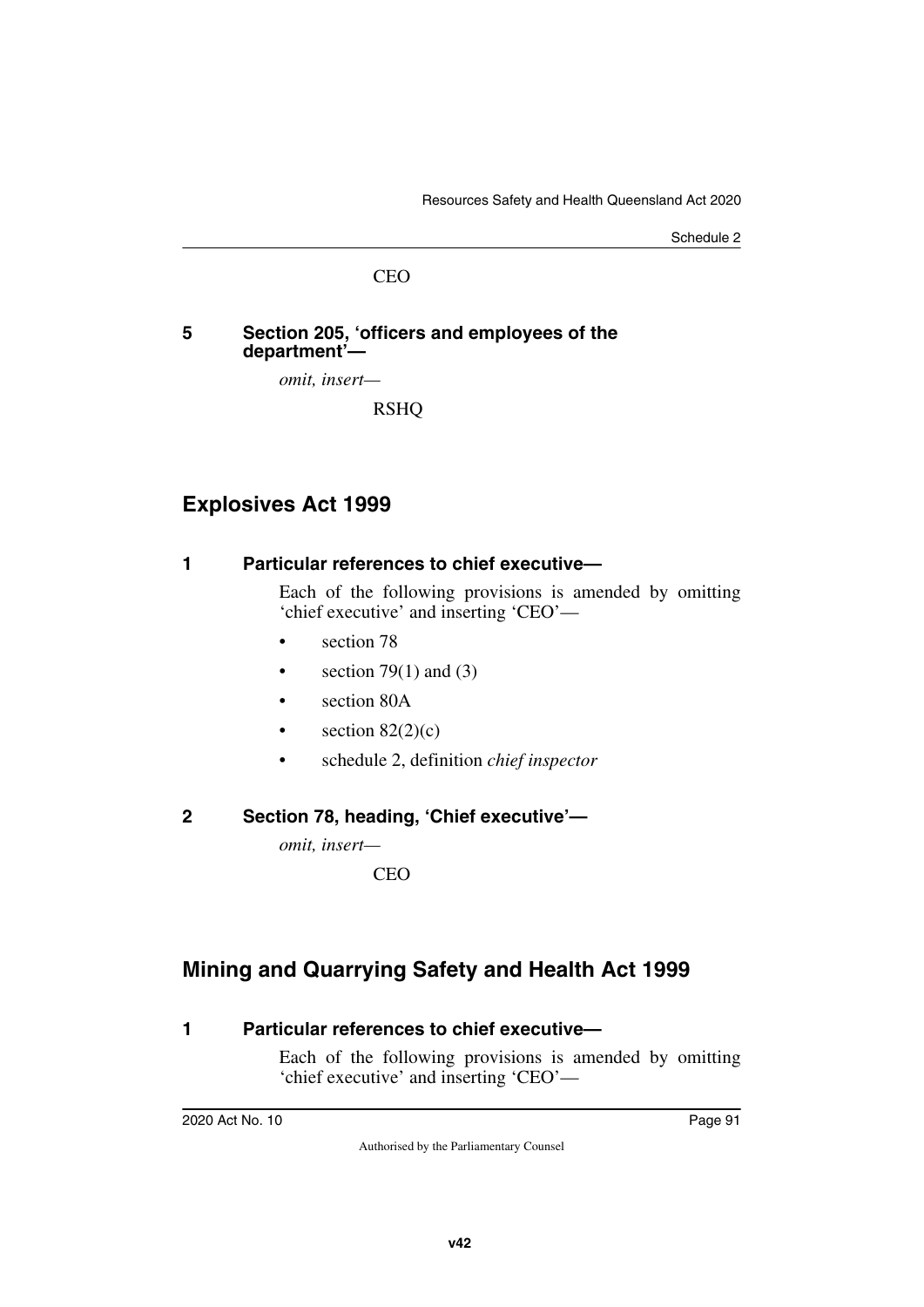#### CEO

#### **5 Section 205, 'officers and employees of the department'—**

*omit, insert—*

RSHQ

## **Explosives Act 1999**

#### **1 Particular references to chief executive—**

Each of the following provisions is amended by omitting 'chief executive' and inserting 'CEO'—

- section 78
- section 79 $(1)$  and  $(3)$
- section 80A
- section  $82(2)(c)$
- schedule 2, definition *chief inspector*

### **2 Section 78, heading, 'Chief executive'—**

*omit, insert—*

**CEO** 

# **Mining and Quarrying Safety and Health Act 1999**

### **1 Particular references to chief executive—**

Each of the following provisions is amended by omitting 'chief executive' and inserting 'CEO'—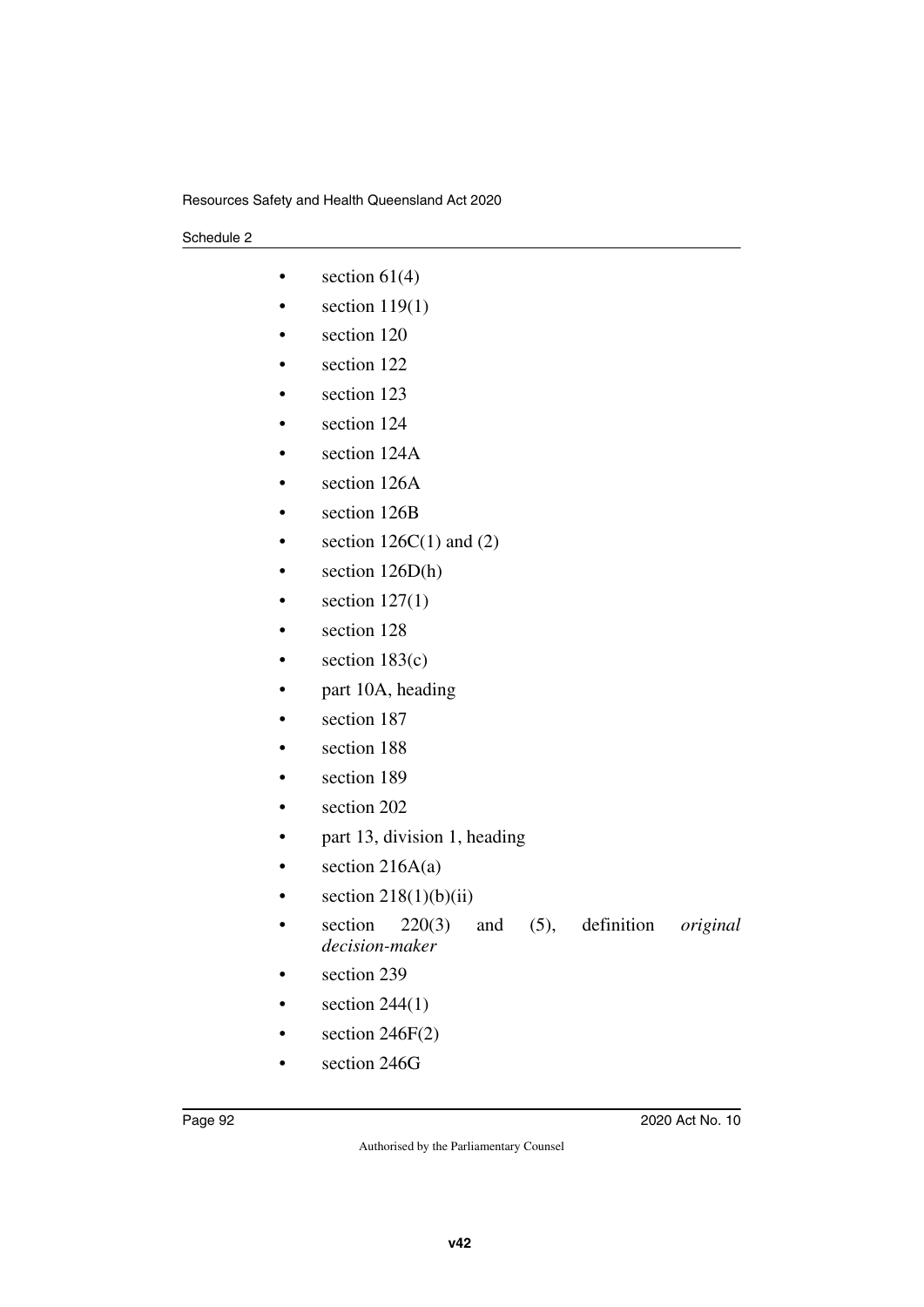- section  $61(4)$
- section  $119(1)$
- section 120
- section 122
- section 123
- section 124
- section 124A
- section 126A
- section 126B
- section  $126C(1)$  and  $(2)$
- section 126D(h)
- $\bullet$  section 127(1)
- section 128
- section  $183(c)$
- part 10A, heading
- section 187
- section 188
- section 189
- section 202
- part 13, division 1, heading
- section  $216A(a)$
- section  $218(1)(b)(ii)$
- section 220(3) and (5), definition *original decision-maker*
- section 239
- section  $244(1)$
- section  $246F(2)$
- section 246G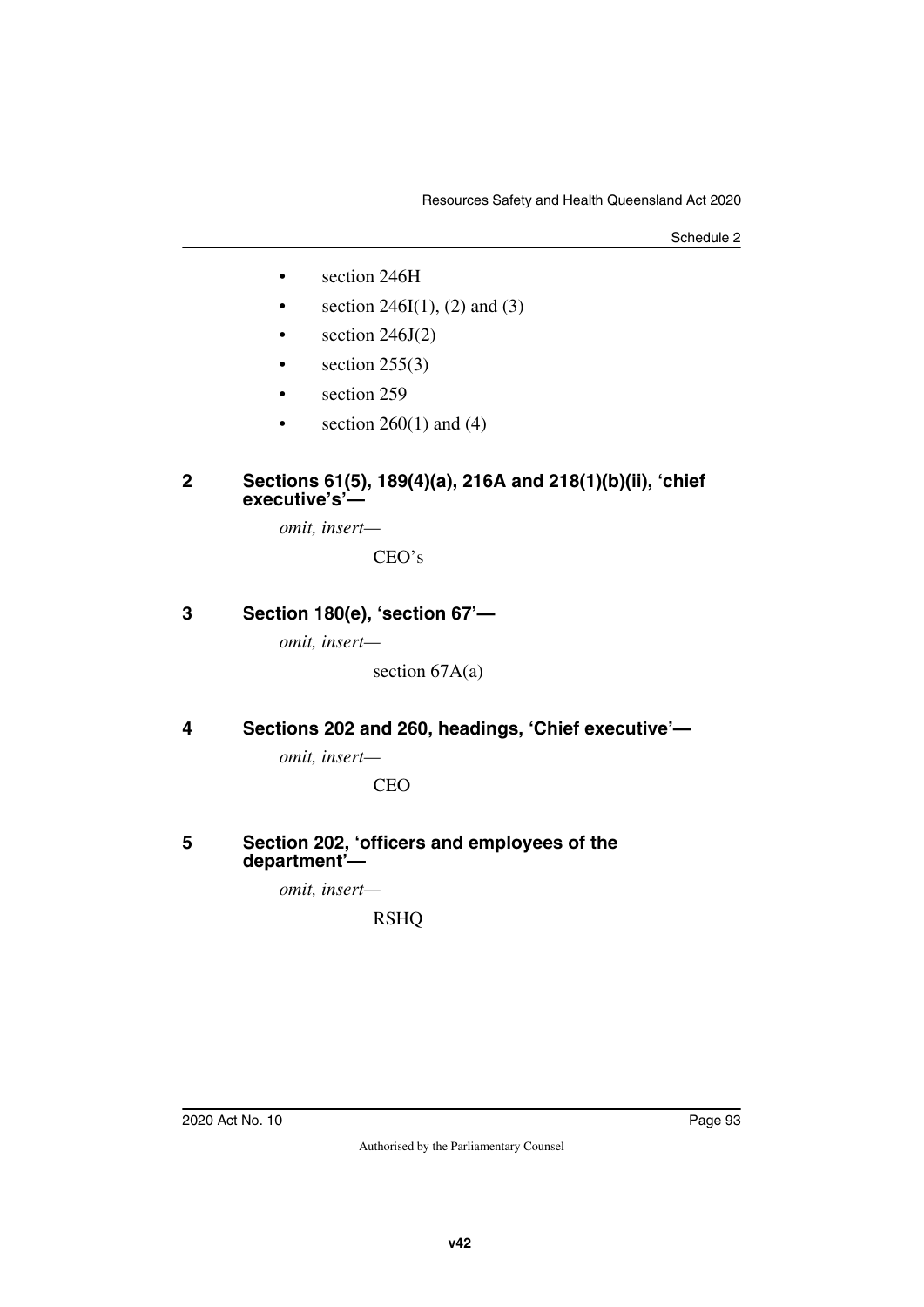- section 246H
- section 246I(1), (2) and (3)
- section  $246J(2)$
- section  $255(3)$
- section 259
- section  $260(1)$  and  $(4)$

#### **2 Sections 61(5), 189(4)(a), 216A and 218(1)(b)(ii), 'chief executive's'—**

*omit, insert—*

CEO's

## **3 Section 180(e), 'section 67'—**

*omit, insert—*

section 67A(a)

### **4 Sections 202 and 260, headings, 'Chief executive'—**

*omit, insert—*

**CEO** 

#### **5 Section 202, 'officers and employees of the department'—**

*omit, insert—*

RSHQ